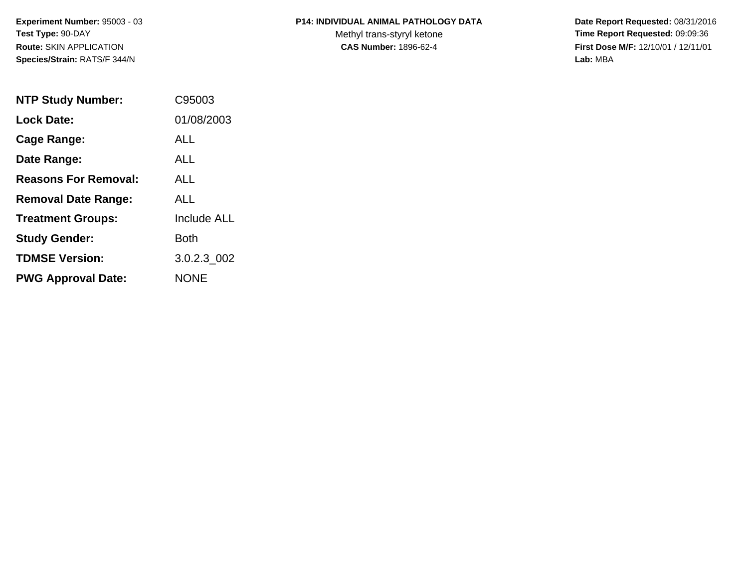**Experiment Number:** 95003 - 03**Test Type:** 90-DAY**Route:** SKIN APPLICATION**Species/Strain:** RATS/F 344/N

## **P14: INDIVIDUAL ANIMAL PATHOLOGY DATA**

Methyl trans-styryl ketone<br>CAS Number: 1896-62-4

 **Date Report Requested:** 08/31/2016 **Time Report Requested:** 09:09:36 **First Dose M/F:** 12/10/01 / 12/11/01<br>Lab: MBA **Lab:** MBA

| <b>NTP Study Number:</b>    | C95003             |
|-----------------------------|--------------------|
| <b>Lock Date:</b>           | 01/08/2003         |
| Cage Range:                 | ALL                |
| Date Range:                 | ALL.               |
| <b>Reasons For Removal:</b> | ALL.               |
| <b>Removal Date Range:</b>  | ALL                |
| <b>Treatment Groups:</b>    | <b>Include ALL</b> |
| <b>Study Gender:</b>        | Both               |
| <b>TDMSE Version:</b>       | 3.0.2.3 002        |
| <b>PWG Approval Date:</b>   | <b>NONE</b>        |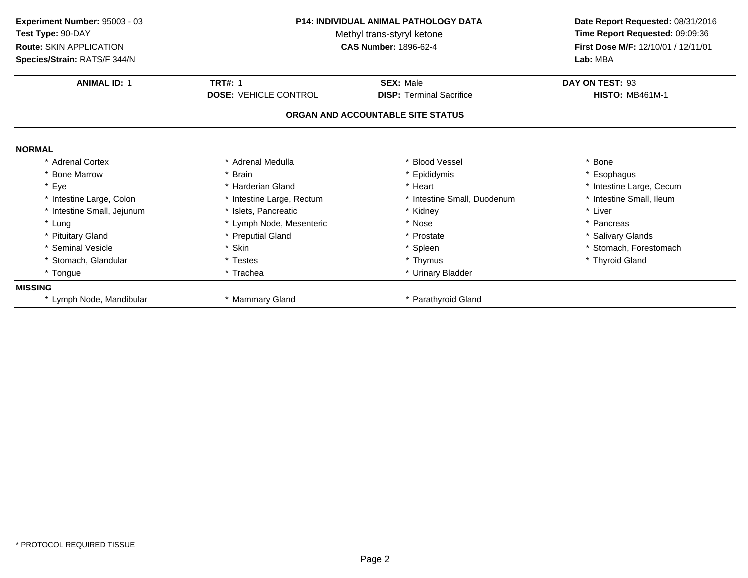| <b>P14: INDIVIDUAL ANIMAL PATHOLOGY DATA</b><br>Experiment Number: 95003 - 03<br>Test Type: 90-DAY<br>Methyl trans-styryl ketone<br>Route: SKIN APPLICATION<br><b>CAS Number: 1896-62-4</b> |                              |                                   | Date Report Requested: 08/31/2016<br>Time Report Requested: 09:09:36<br>First Dose M/F: 12/10/01 / 12/11/01 |
|---------------------------------------------------------------------------------------------------------------------------------------------------------------------------------------------|------------------------------|-----------------------------------|-------------------------------------------------------------------------------------------------------------|
| Species/Strain: RATS/F 344/N                                                                                                                                                                |                              |                                   | Lab: MBA                                                                                                    |
| <b>ANIMAL ID: 1</b>                                                                                                                                                                         | <b>TRT#: 1</b>               | <b>SEX: Male</b>                  | DAY ON TEST: 93                                                                                             |
|                                                                                                                                                                                             | <b>DOSE: VEHICLE CONTROL</b> | <b>DISP: Terminal Sacrifice</b>   | <b>HISTO: MB461M-1</b>                                                                                      |
|                                                                                                                                                                                             |                              | ORGAN AND ACCOUNTABLE SITE STATUS |                                                                                                             |
| <b>NORMAL</b>                                                                                                                                                                               |                              |                                   |                                                                                                             |
| * Adrenal Cortex                                                                                                                                                                            | * Adrenal Medulla            | * Blood Vessel                    | * Bone                                                                                                      |
| * Bone Marrow                                                                                                                                                                               | * Brain                      | * Epididymis                      | * Esophagus                                                                                                 |
| * Eye                                                                                                                                                                                       | * Harderian Gland            | * Heart                           | * Intestine Large, Cecum                                                                                    |
| * Intestine Large, Colon                                                                                                                                                                    | * Intestine Large, Rectum    | * Intestine Small, Duodenum       | * Intestine Small, Ileum                                                                                    |
| * Intestine Small, Jejunum                                                                                                                                                                  | * Islets. Pancreatic         | * Kidney                          | * Liver                                                                                                     |
| * Lung                                                                                                                                                                                      | * Lymph Node, Mesenteric     | * Nose                            | * Pancreas                                                                                                  |
| * Pituitary Gland                                                                                                                                                                           | * Preputial Gland            | * Prostate                        | * Salivary Glands                                                                                           |
| * Seminal Vesicle                                                                                                                                                                           | <b>Skin</b>                  | * Spleen                          | Stomach, Forestomach                                                                                        |
| * Stomach, Glandular                                                                                                                                                                        | * Testes                     | * Thymus                          | * Thyroid Gland                                                                                             |
| * Tongue                                                                                                                                                                                    | * Trachea                    | * Urinary Bladder                 |                                                                                                             |
| <b>MISSING</b>                                                                                                                                                                              |                              |                                   |                                                                                                             |
| * Lymph Node, Mandibular                                                                                                                                                                    | * Mammary Gland              | * Parathyroid Gland               |                                                                                                             |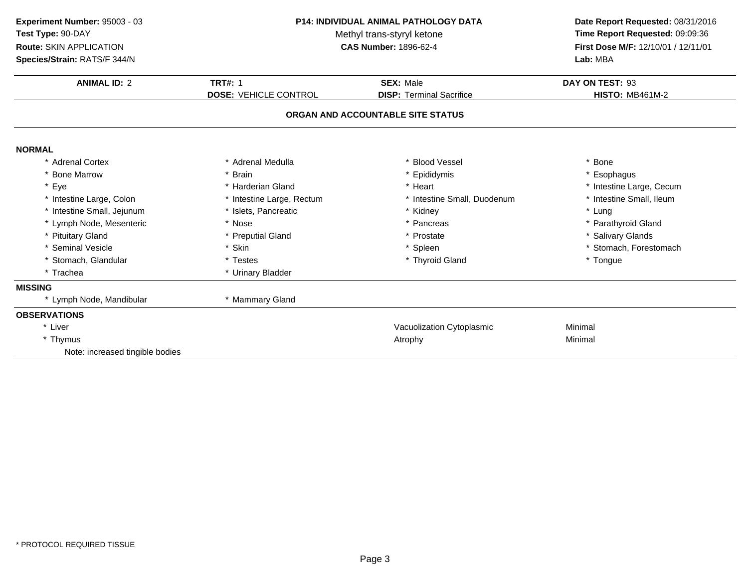| Experiment Number: 95003 - 03<br>Test Type: 90-DAY<br>Route: SKIN APPLICATION<br>Species/Strain: RATS/F 344/N | <b>P14: INDIVIDUAL ANIMAL PATHOLOGY DATA</b><br>Methyl trans-styryl ketone<br><b>CAS Number: 1896-62-4</b> |                                                     | Date Report Requested: 08/31/2016<br>Time Report Requested: 09:09:36<br>First Dose M/F: 12/10/01 / 12/11/01<br>Lab: MBA |  |
|---------------------------------------------------------------------------------------------------------------|------------------------------------------------------------------------------------------------------------|-----------------------------------------------------|-------------------------------------------------------------------------------------------------------------------------|--|
| <b>ANIMAL ID: 2</b>                                                                                           | <b>TRT#: 1</b><br><b>DOSE: VEHICLE CONTROL</b>                                                             | <b>SEX: Male</b><br><b>DISP: Terminal Sacrifice</b> | DAY ON TEST: 93<br><b>HISTO: MB461M-2</b>                                                                               |  |
|                                                                                                               |                                                                                                            |                                                     |                                                                                                                         |  |
|                                                                                                               |                                                                                                            | ORGAN AND ACCOUNTABLE SITE STATUS                   |                                                                                                                         |  |
| <b>NORMAL</b>                                                                                                 |                                                                                                            |                                                     |                                                                                                                         |  |
| * Adrenal Cortex                                                                                              | * Adrenal Medulla                                                                                          | * Blood Vessel                                      | * Bone                                                                                                                  |  |
| * Bone Marrow                                                                                                 | * Brain                                                                                                    | * Epididymis                                        | * Esophagus                                                                                                             |  |
| * Eye                                                                                                         | * Harderian Gland                                                                                          | * Heart                                             | * Intestine Large, Cecum                                                                                                |  |
| * Intestine Large, Colon                                                                                      | * Intestine Large, Rectum                                                                                  | * Intestine Small, Duodenum                         | * Intestine Small, Ileum                                                                                                |  |
| * Intestine Small, Jejunum                                                                                    | * Islets, Pancreatic                                                                                       | * Kidney                                            | * Lung                                                                                                                  |  |
| * Lymph Node, Mesenteric                                                                                      | * Nose                                                                                                     | * Pancreas                                          | * Parathyroid Gland                                                                                                     |  |
| * Pituitary Gland                                                                                             | * Preputial Gland                                                                                          | * Prostate                                          | * Salivary Glands                                                                                                       |  |
| * Seminal Vesicle                                                                                             | * Skin                                                                                                     | * Spleen                                            | * Stomach, Forestomach                                                                                                  |  |
| * Stomach, Glandular                                                                                          | * Testes                                                                                                   | * Thyroid Gland                                     | * Tongue                                                                                                                |  |
| * Trachea                                                                                                     | * Urinary Bladder                                                                                          |                                                     |                                                                                                                         |  |
| <b>MISSING</b>                                                                                                |                                                                                                            |                                                     |                                                                                                                         |  |
| * Lymph Node, Mandibular                                                                                      | * Mammary Gland                                                                                            |                                                     |                                                                                                                         |  |
| <b>OBSERVATIONS</b>                                                                                           |                                                                                                            |                                                     |                                                                                                                         |  |
| * Liver                                                                                                       |                                                                                                            | Vacuolization Cytoplasmic                           | Minimal                                                                                                                 |  |
| * Thymus                                                                                                      |                                                                                                            | Atrophy                                             | Minimal                                                                                                                 |  |
| Note: increased tingible bodies                                                                               |                                                                                                            |                                                     |                                                                                                                         |  |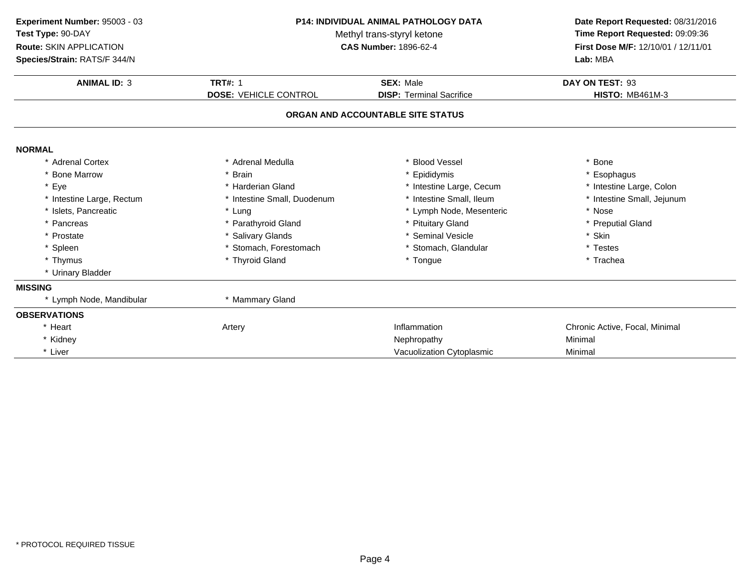| Experiment Number: 95003 - 03<br>Test Type: 90-DAY<br>Route: SKIN APPLICATION<br>Species/Strain: RATS/F 344/N | <b>P14: INDIVIDUAL ANIMAL PATHOLOGY DATA</b><br>Methyl trans-styryl ketone<br><b>CAS Number: 1896-62-4</b> |                                                     | Date Report Requested: 08/31/2016<br>Time Report Requested: 09:09:36<br>First Dose M/F: 12/10/01 / 12/11/01<br>Lab: MBA |  |
|---------------------------------------------------------------------------------------------------------------|------------------------------------------------------------------------------------------------------------|-----------------------------------------------------|-------------------------------------------------------------------------------------------------------------------------|--|
| <b>ANIMAL ID: 3</b>                                                                                           | <b>TRT#: 1</b><br><b>DOSE: VEHICLE CONTROL</b>                                                             | <b>SEX: Male</b><br><b>DISP: Terminal Sacrifice</b> | DAY ON TEST: 93<br><b>HISTO: MB461M-3</b>                                                                               |  |
|                                                                                                               |                                                                                                            | ORGAN AND ACCOUNTABLE SITE STATUS                   |                                                                                                                         |  |
| <b>NORMAL</b>                                                                                                 |                                                                                                            |                                                     |                                                                                                                         |  |
| * Adrenal Cortex                                                                                              | * Adrenal Medulla                                                                                          | * Blood Vessel                                      | * Bone                                                                                                                  |  |
| * Bone Marrow                                                                                                 | * Brain                                                                                                    | * Epididymis                                        | * Esophagus                                                                                                             |  |
| * Eye                                                                                                         | * Harderian Gland                                                                                          | * Intestine Large, Cecum                            | * Intestine Large, Colon                                                                                                |  |
| * Intestine Large, Rectum                                                                                     | * Intestine Small, Duodenum                                                                                | * Intestine Small, Ileum                            | * Intestine Small, Jejunum                                                                                              |  |
| * Islets, Pancreatic                                                                                          | * Lung                                                                                                     | * Lymph Node, Mesenteric                            | * Nose                                                                                                                  |  |
| * Pancreas                                                                                                    | * Parathyroid Gland                                                                                        | * Pituitary Gland                                   | * Preputial Gland                                                                                                       |  |
| * Prostate                                                                                                    | * Salivary Glands                                                                                          | * Seminal Vesicle                                   | * Skin                                                                                                                  |  |
| * Spleen                                                                                                      | * Stomach, Forestomach                                                                                     | * Stomach, Glandular                                | * Testes                                                                                                                |  |
| * Thymus                                                                                                      | * Thyroid Gland                                                                                            | * Tongue                                            | * Trachea                                                                                                               |  |
| * Urinary Bladder                                                                                             |                                                                                                            |                                                     |                                                                                                                         |  |
| <b>MISSING</b>                                                                                                |                                                                                                            |                                                     |                                                                                                                         |  |
| * Lymph Node, Mandibular                                                                                      | * Mammary Gland                                                                                            |                                                     |                                                                                                                         |  |
| <b>OBSERVATIONS</b>                                                                                           |                                                                                                            |                                                     |                                                                                                                         |  |
| * Heart                                                                                                       | Artery                                                                                                     | Inflammation                                        | Chronic Active, Focal, Minimal                                                                                          |  |
| * Kidney                                                                                                      |                                                                                                            | Nephropathy                                         | Minimal                                                                                                                 |  |
| * Liver                                                                                                       |                                                                                                            | Vacuolization Cytoplasmic                           | Minimal                                                                                                                 |  |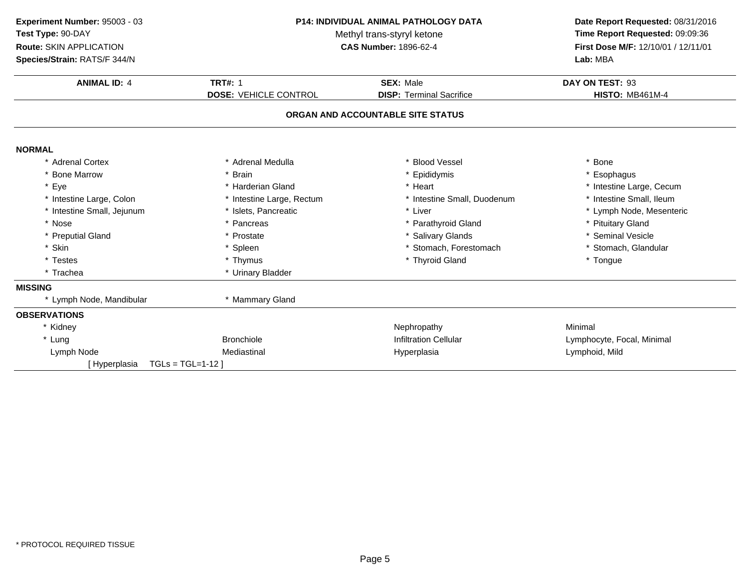| Experiment Number: 95003 - 03 | <b>P14: INDIVIDUAL ANIMAL PATHOLOGY DATA</b> |                                   | Date Report Requested: 08/31/2016                                      |
|-------------------------------|----------------------------------------------|-----------------------------------|------------------------------------------------------------------------|
| Test Type: 90-DAY             |                                              | Methyl trans-styryl ketone        | Time Report Requested: 09:09:36<br>First Dose M/F: 12/10/01 / 12/11/01 |
| Route: SKIN APPLICATION       |                                              | <b>CAS Number: 1896-62-4</b>      |                                                                        |
| Species/Strain: RATS/F 344/N  |                                              |                                   | Lab: MBA                                                               |
| <b>ANIMAL ID: 4</b>           | <b>TRT#: 1</b>                               | <b>SEX: Male</b>                  | DAY ON TEST: 93                                                        |
|                               | <b>DOSE: VEHICLE CONTROL</b>                 | <b>DISP: Terminal Sacrifice</b>   | <b>HISTO: MB461M-4</b>                                                 |
|                               |                                              | ORGAN AND ACCOUNTABLE SITE STATUS |                                                                        |
|                               |                                              |                                   |                                                                        |
| <b>NORMAL</b>                 |                                              |                                   |                                                                        |
| * Adrenal Cortex              | * Adrenal Medulla                            | * Blood Vessel                    | Bone                                                                   |
| * Bone Marrow                 | * Brain                                      | * Epididymis                      | Esophagus                                                              |
| * Eye                         | * Harderian Gland                            | * Heart                           | * Intestine Large, Cecum                                               |
| * Intestine Large, Colon      | * Intestine Large, Rectum                    | * Intestine Small, Duodenum       | * Intestine Small, Ileum                                               |
| * Intestine Small, Jejunum    | * Islets, Pancreatic                         | * Liver                           | * Lymph Node, Mesenteric                                               |
| * Nose                        | * Pancreas                                   | * Parathyroid Gland               | * Pituitary Gland                                                      |
| * Preputial Gland             | * Prostate                                   | * Salivary Glands                 | * Seminal Vesicle                                                      |
| * Skin                        | * Spleen                                     | * Stomach, Forestomach            | * Stomach, Glandular                                                   |
| * Testes                      | * Thymus                                     | * Thyroid Gland                   | * Tongue                                                               |
| * Trachea                     | * Urinary Bladder                            |                                   |                                                                        |
| <b>MISSING</b>                |                                              |                                   |                                                                        |
| * Lymph Node, Mandibular      | * Mammary Gland                              |                                   |                                                                        |
| <b>OBSERVATIONS</b>           |                                              |                                   |                                                                        |
| * Kidney                      |                                              | Nephropathy                       | Minimal                                                                |
| * Lung                        | <b>Bronchiole</b>                            | <b>Infiltration Cellular</b>      | Lymphocyte, Focal, Minimal                                             |
| Lymph Node                    | Mediastinal                                  | Hyperplasia                       | Lymphoid, Mild                                                         |
| [Hyperplasia                  | $TGLs = TGL=1-12$                            |                                   |                                                                        |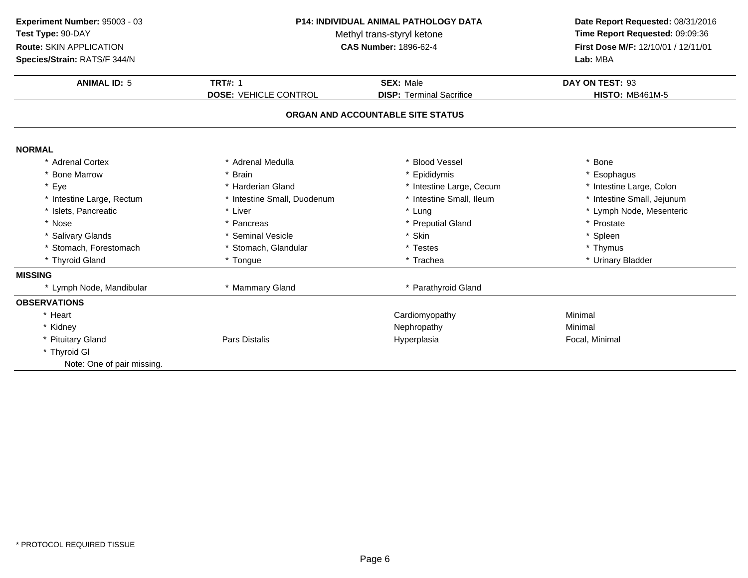| Experiment Number: 95003 - 03<br>Test Type: 90-DAY<br>Route: SKIN APPLICATION<br>Species/Strain: RATS/F 344/N | P14: INDIVIDUAL ANIMAL PATHOLOGY DATA<br>Methyl trans-styryl ketone<br><b>CAS Number: 1896-62-4</b> |                                                     | Date Report Requested: 08/31/2016<br>Time Report Requested: 09:09:36<br>First Dose M/F: 12/10/01 / 12/11/01<br>Lab: MBA |
|---------------------------------------------------------------------------------------------------------------|-----------------------------------------------------------------------------------------------------|-----------------------------------------------------|-------------------------------------------------------------------------------------------------------------------------|
| <b>ANIMAL ID: 5</b>                                                                                           | <b>TRT#: 1</b><br><b>DOSE: VEHICLE CONTROL</b>                                                      | <b>SEX: Male</b><br><b>DISP: Terminal Sacrifice</b> | DAY ON TEST: 93<br><b>HISTO: MB461M-5</b>                                                                               |
|                                                                                                               |                                                                                                     | ORGAN AND ACCOUNTABLE SITE STATUS                   |                                                                                                                         |
| <b>NORMAL</b>                                                                                                 |                                                                                                     |                                                     |                                                                                                                         |
| * Adrenal Cortex                                                                                              | * Adrenal Medulla                                                                                   | <b>Blood Vessel</b>                                 | * Bone                                                                                                                  |
| * Bone Marrow                                                                                                 | <b>Brain</b>                                                                                        | Epididymis                                          | * Esophagus                                                                                                             |
| * Eye                                                                                                         | * Harderian Gland                                                                                   | * Intestine Large, Cecum                            | * Intestine Large, Colon                                                                                                |
| * Intestine Large, Rectum                                                                                     | * Intestine Small, Duodenum                                                                         | * Intestine Small, Ileum                            | * Intestine Small, Jejunum                                                                                              |
| * Islets, Pancreatic                                                                                          | * Liver                                                                                             | * Lung                                              | * Lymph Node, Mesenteric                                                                                                |
| * Nose                                                                                                        | * Pancreas                                                                                          | * Preputial Gland                                   | * Prostate                                                                                                              |
| * Salivary Glands                                                                                             | * Seminal Vesicle                                                                                   | * Skin                                              | * Spleen                                                                                                                |
| * Stomach, Forestomach                                                                                        | * Stomach, Glandular                                                                                | * Testes                                            | * Thymus                                                                                                                |
| * Thyroid Gland                                                                                               | * Tongue                                                                                            | * Trachea                                           | * Urinary Bladder                                                                                                       |
| <b>MISSING</b>                                                                                                |                                                                                                     |                                                     |                                                                                                                         |
| * Lymph Node, Mandibular                                                                                      | * Mammary Gland                                                                                     | * Parathyroid Gland                                 |                                                                                                                         |
| <b>OBSERVATIONS</b>                                                                                           |                                                                                                     |                                                     |                                                                                                                         |
| * Heart                                                                                                       |                                                                                                     | Cardiomyopathy                                      | Minimal                                                                                                                 |
| * Kidney                                                                                                      |                                                                                                     | Nephropathy                                         | Minimal                                                                                                                 |
| * Pituitary Gland                                                                                             | <b>Pars Distalis</b>                                                                                | Hyperplasia                                         | Focal, Minimal                                                                                                          |
| * Thyroid GI                                                                                                  |                                                                                                     |                                                     |                                                                                                                         |
| Note: One of pair missing.                                                                                    |                                                                                                     |                                                     |                                                                                                                         |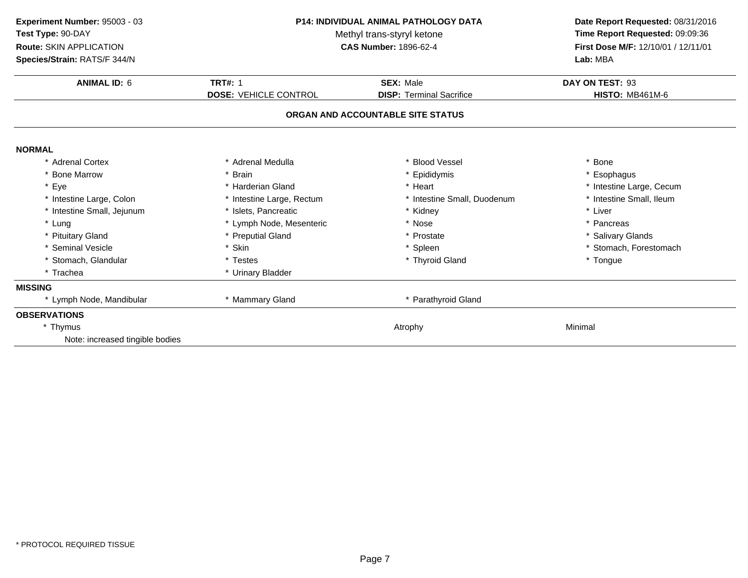| Experiment Number: 95003 - 03<br>Test Type: 90-DAY<br>Route: SKIN APPLICATION<br>Species/Strain: RATS/F 344/N | <b>P14: INDIVIDUAL ANIMAL PATHOLOGY DATA</b><br>Methyl trans-styryl ketone<br><b>CAS Number: 1896-62-4</b> | Date Report Requested: 08/31/2016<br>Time Report Requested: 09:09:36<br>First Dose M/F: 12/10/01 / 12/11/01<br>Lab: MBA |                          |
|---------------------------------------------------------------------------------------------------------------|------------------------------------------------------------------------------------------------------------|-------------------------------------------------------------------------------------------------------------------------|--------------------------|
| <b>ANIMAL ID: 6</b>                                                                                           | <b>TRT#: 1</b>                                                                                             | <b>SEX: Male</b>                                                                                                        | DAY ON TEST: 93          |
|                                                                                                               | <b>DOSE: VEHICLE CONTROL</b>                                                                               | <b>DISP: Terminal Sacrifice</b>                                                                                         | <b>HISTO: MB461M-6</b>   |
|                                                                                                               |                                                                                                            | ORGAN AND ACCOUNTABLE SITE STATUS                                                                                       |                          |
| <b>NORMAL</b>                                                                                                 |                                                                                                            |                                                                                                                         |                          |
| * Adrenal Cortex                                                                                              | * Adrenal Medulla                                                                                          | * Blood Vessel                                                                                                          | * Bone                   |
| <b>Bone Marrow</b>                                                                                            | * Brain                                                                                                    | * Epididymis                                                                                                            | * Esophagus              |
| * Eye                                                                                                         | * Harderian Gland                                                                                          | * Heart                                                                                                                 | * Intestine Large, Cecum |
| * Intestine Large, Colon                                                                                      | * Intestine Large, Rectum                                                                                  | * Intestine Small, Duodenum                                                                                             | * Intestine Small, Ileum |
| * Intestine Small, Jejunum                                                                                    | * Islets, Pancreatic                                                                                       | * Kidney                                                                                                                | * Liver                  |
| * Lung                                                                                                        | * Lymph Node, Mesenteric                                                                                   | * Nose                                                                                                                  | * Pancreas               |
| * Pituitary Gland                                                                                             | * Preputial Gland                                                                                          | * Prostate                                                                                                              | * Salivary Glands        |
| * Seminal Vesicle                                                                                             | * Skin                                                                                                     | * Spleen                                                                                                                | * Stomach, Forestomach   |
| * Stomach, Glandular                                                                                          | * Testes                                                                                                   | * Thyroid Gland                                                                                                         | * Tongue                 |
| * Trachea                                                                                                     | * Urinary Bladder                                                                                          |                                                                                                                         |                          |
| <b>MISSING</b>                                                                                                |                                                                                                            |                                                                                                                         |                          |
| * Lymph Node, Mandibular                                                                                      | * Mammary Gland                                                                                            | * Parathyroid Gland                                                                                                     |                          |
| <b>OBSERVATIONS</b>                                                                                           |                                                                                                            |                                                                                                                         |                          |
| * Thymus                                                                                                      |                                                                                                            | Atrophy                                                                                                                 | Minimal                  |
| Note: increased tingible bodies                                                                               |                                                                                                            |                                                                                                                         |                          |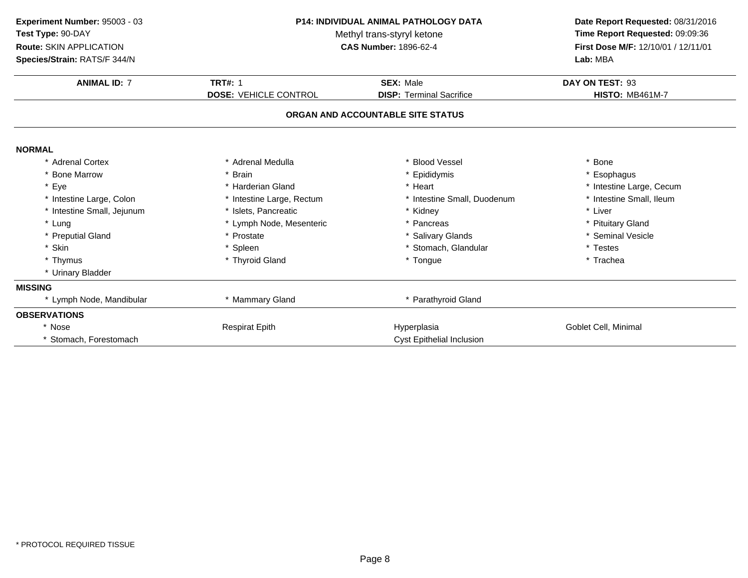| Experiment Number: 95003 - 03<br>Test Type: 90-DAY<br>Route: SKIN APPLICATION<br>Species/Strain: RATS/F 344/N | <b>P14: INDIVIDUAL ANIMAL PATHOLOGY DATA</b><br>Methyl trans-styryl ketone<br><b>CAS Number: 1896-62-4</b> |                                   | Date Report Requested: 08/31/2016<br>Time Report Requested: 09:09:36<br>First Dose M/F: 12/10/01 / 12/11/01<br>Lab: MBA |
|---------------------------------------------------------------------------------------------------------------|------------------------------------------------------------------------------------------------------------|-----------------------------------|-------------------------------------------------------------------------------------------------------------------------|
| <b>ANIMAL ID: 7</b>                                                                                           | <b>TRT#: 1</b>                                                                                             | <b>SEX: Male</b>                  | DAY ON TEST: 93                                                                                                         |
|                                                                                                               | <b>DOSE: VEHICLE CONTROL</b>                                                                               | <b>DISP: Terminal Sacrifice</b>   | <b>HISTO: MB461M-7</b>                                                                                                  |
|                                                                                                               |                                                                                                            | ORGAN AND ACCOUNTABLE SITE STATUS |                                                                                                                         |
| <b>NORMAL</b>                                                                                                 |                                                                                                            |                                   |                                                                                                                         |
| * Adrenal Cortex                                                                                              | * Adrenal Medulla                                                                                          | <b>Blood Vessel</b>               | * Bone                                                                                                                  |
| * Bone Marrow                                                                                                 | * Brain                                                                                                    | Epididymis                        | * Esophagus                                                                                                             |
| * Eye                                                                                                         | * Harderian Gland                                                                                          | * Heart                           | * Intestine Large, Cecum                                                                                                |
| * Intestine Large, Colon                                                                                      | * Intestine Large, Rectum                                                                                  | * Intestine Small, Duodenum       | * Intestine Small, Ileum                                                                                                |
| * Intestine Small, Jejunum                                                                                    | * Islets. Pancreatic                                                                                       | * Kidney                          | * Liver                                                                                                                 |
| * Lung                                                                                                        | * Lymph Node, Mesenteric                                                                                   | * Pancreas                        | * Pituitary Gland                                                                                                       |
| * Preputial Gland                                                                                             | * Prostate                                                                                                 | * Salivary Glands                 | * Seminal Vesicle                                                                                                       |
| * Skin                                                                                                        | * Spleen                                                                                                   | * Stomach, Glandular              | * Testes                                                                                                                |
| * Thymus                                                                                                      | * Thyroid Gland                                                                                            | * Tongue                          | * Trachea                                                                                                               |
| * Urinary Bladder                                                                                             |                                                                                                            |                                   |                                                                                                                         |
| <b>MISSING</b>                                                                                                |                                                                                                            |                                   |                                                                                                                         |
| * Lymph Node, Mandibular                                                                                      | * Mammary Gland                                                                                            | * Parathyroid Gland               |                                                                                                                         |
| <b>OBSERVATIONS</b>                                                                                           |                                                                                                            |                                   |                                                                                                                         |
| * Nose                                                                                                        | <b>Respirat Epith</b>                                                                                      | Hyperplasia                       | Goblet Cell, Minimal                                                                                                    |
| * Stomach, Forestomach                                                                                        |                                                                                                            | <b>Cyst Epithelial Inclusion</b>  |                                                                                                                         |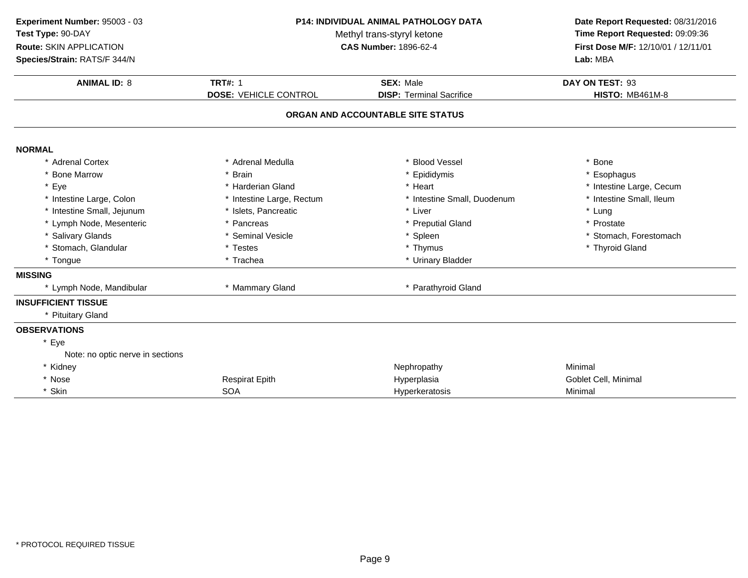| Experiment Number: 95003 - 03    |                              | P14: INDIVIDUAL ANIMAL PATHOLOGY DATA                      | Date Report Requested: 08/31/2016   |  |
|----------------------------------|------------------------------|------------------------------------------------------------|-------------------------------------|--|
| Test Type: 90-DAY                |                              | Time Report Requested: 09:09:36                            |                                     |  |
| Route: SKIN APPLICATION          |                              | Methyl trans-styryl ketone<br><b>CAS Number: 1896-62-4</b> | First Dose M/F: 12/10/01 / 12/11/01 |  |
| Species/Strain: RATS/F 344/N     |                              |                                                            | Lab: MBA                            |  |
| <b>ANIMAL ID: 8</b>              | <b>TRT#: 1</b>               | <b>SEX: Male</b>                                           | DAY ON TEST: 93                     |  |
|                                  | <b>DOSE: VEHICLE CONTROL</b> | <b>DISP: Terminal Sacrifice</b>                            | <b>HISTO: MB461M-8</b>              |  |
|                                  |                              | ORGAN AND ACCOUNTABLE SITE STATUS                          |                                     |  |
| <b>NORMAL</b>                    |                              |                                                            |                                     |  |
| * Adrenal Cortex                 | * Adrenal Medulla            | * Blood Vessel                                             | * Bone                              |  |
| * Bone Marrow                    | <b>Brain</b>                 | * Epididymis                                               | * Esophagus                         |  |
| * Eye                            | * Harderian Gland            | * Heart                                                    | * Intestine Large, Cecum            |  |
| * Intestine Large, Colon         | * Intestine Large, Rectum    | * Intestine Small, Duodenum                                | * Intestine Small, Ileum            |  |
| * Intestine Small, Jejunum       | * Islets, Pancreatic         | * Liver                                                    | * Lung                              |  |
| * Lymph Node, Mesenteric         | * Pancreas                   | * Preputial Gland                                          | * Prostate                          |  |
| * Salivary Glands                | * Seminal Vesicle            | * Spleen                                                   | * Stomach, Forestomach              |  |
| * Stomach, Glandular             | * Testes                     | * Thymus                                                   | * Thyroid Gland                     |  |
| * Tongue                         | * Trachea                    | * Urinary Bladder                                          |                                     |  |
| <b>MISSING</b>                   |                              |                                                            |                                     |  |
| * Lymph Node, Mandibular         | * Mammary Gland              | * Parathyroid Gland                                        |                                     |  |
| <b>INSUFFICIENT TISSUE</b>       |                              |                                                            |                                     |  |
| * Pituitary Gland                |                              |                                                            |                                     |  |
| <b>OBSERVATIONS</b>              |                              |                                                            |                                     |  |
| * Eye                            |                              |                                                            |                                     |  |
| Note: no optic nerve in sections |                              |                                                            |                                     |  |
| * Kidney                         |                              | Nephropathy                                                | Minimal                             |  |
| * Nose                           | <b>Respirat Epith</b>        | Hyperplasia                                                | Goblet Cell, Minimal                |  |
| * Skin                           | <b>SOA</b>                   | Hyperkeratosis                                             | Minimal                             |  |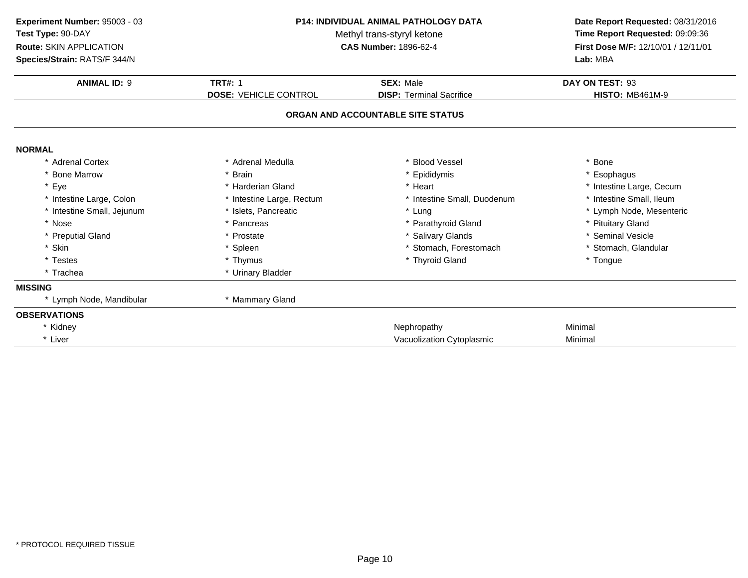| Experiment Number: 95003 - 03<br>Test Type: 90-DAY<br>Route: SKIN APPLICATION<br>Species/Strain: RATS/F 344/N | <b>P14: INDIVIDUAL ANIMAL PATHOLOGY DATA</b><br>Methyl trans-styryl ketone<br><b>CAS Number: 1896-62-4</b> |                                   | Time Report Requested: 09:09:36<br>Lab: MBA |  | Date Report Requested: 08/31/2016<br>First Dose M/F: 12/10/01 / 12/11/01 |
|---------------------------------------------------------------------------------------------------------------|------------------------------------------------------------------------------------------------------------|-----------------------------------|---------------------------------------------|--|--------------------------------------------------------------------------|
| <b>ANIMAL ID: 9</b>                                                                                           | <b>TRT#: 1</b>                                                                                             | <b>SEX: Male</b>                  | DAY ON TEST: 93                             |  |                                                                          |
|                                                                                                               | <b>DOSE: VEHICLE CONTROL</b>                                                                               | <b>DISP: Terminal Sacrifice</b>   | <b>HISTO: MB461M-9</b>                      |  |                                                                          |
|                                                                                                               |                                                                                                            | ORGAN AND ACCOUNTABLE SITE STATUS |                                             |  |                                                                          |
| <b>NORMAL</b>                                                                                                 |                                                                                                            |                                   |                                             |  |                                                                          |
| * Adrenal Cortex                                                                                              | * Adrenal Medulla                                                                                          | <b>Blood Vessel</b>               | * Bone                                      |  |                                                                          |
| * Bone Marrow                                                                                                 | * Brain                                                                                                    | * Epididymis                      | * Esophagus                                 |  |                                                                          |
| * Eye                                                                                                         | * Harderian Gland                                                                                          | * Heart                           | * Intestine Large, Cecum                    |  |                                                                          |
| * Intestine Large, Colon                                                                                      | * Intestine Large, Rectum                                                                                  | * Intestine Small, Duodenum       | * Intestine Small, Ileum                    |  |                                                                          |
| * Intestine Small, Jejunum                                                                                    | * Islets. Pancreatic                                                                                       | * Lung                            | * Lymph Node, Mesenteric                    |  |                                                                          |
| * Nose                                                                                                        | * Pancreas                                                                                                 | * Parathyroid Gland               | * Pituitary Gland                           |  |                                                                          |
| * Preputial Gland                                                                                             | * Prostate                                                                                                 | * Salivary Glands                 | * Seminal Vesicle                           |  |                                                                          |
| * Skin                                                                                                        | * Spleen                                                                                                   | * Stomach, Forestomach            | * Stomach, Glandular                        |  |                                                                          |
| * Testes                                                                                                      | * Thymus                                                                                                   | * Thyroid Gland                   | * Tongue                                    |  |                                                                          |
| * Trachea                                                                                                     | * Urinary Bladder                                                                                          |                                   |                                             |  |                                                                          |
| <b>MISSING</b>                                                                                                |                                                                                                            |                                   |                                             |  |                                                                          |
| * Lymph Node, Mandibular                                                                                      | * Mammary Gland                                                                                            |                                   |                                             |  |                                                                          |
| <b>OBSERVATIONS</b>                                                                                           |                                                                                                            |                                   |                                             |  |                                                                          |
| * Kidney                                                                                                      |                                                                                                            | Nephropathy                       | Minimal                                     |  |                                                                          |
| * Liver                                                                                                       |                                                                                                            | Vacuolization Cytoplasmic         | Minimal                                     |  |                                                                          |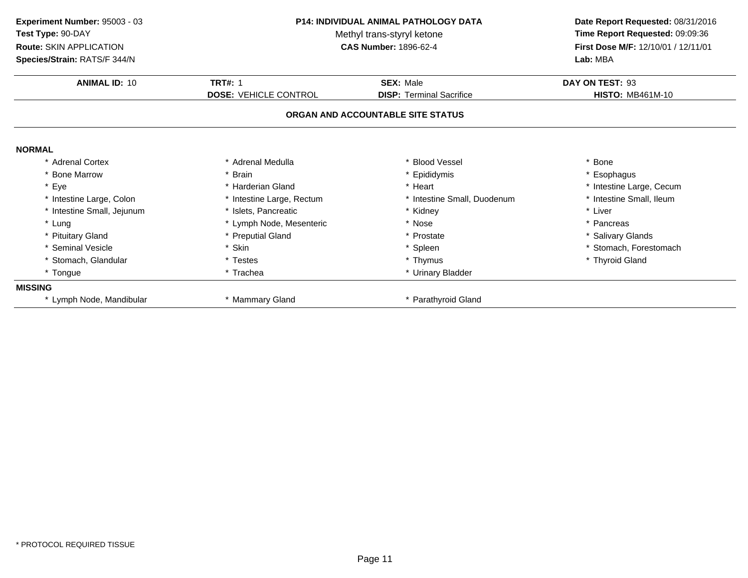| Experiment Number: 95003 - 03<br>Test Type: 90-DAY<br>Route: SKIN APPLICATION<br>Species/Strain: RATS/F 344/N | <b>P14: INDIVIDUAL ANIMAL PATHOLOGY DATA</b><br>Methyl trans-styryl ketone<br><b>CAS Number: 1896-62-4</b> |                                                     | Date Report Requested: 08/31/2016<br>Time Report Requested: 09:09:36<br>First Dose M/F: 12/10/01 / 12/11/01<br>Lab: MBA |
|---------------------------------------------------------------------------------------------------------------|------------------------------------------------------------------------------------------------------------|-----------------------------------------------------|-------------------------------------------------------------------------------------------------------------------------|
|                                                                                                               |                                                                                                            |                                                     |                                                                                                                         |
| <b>ANIMAL ID: 10</b>                                                                                          | <b>TRT#: 1</b><br><b>DOSE: VEHICLE CONTROL</b>                                                             | <b>SEX: Male</b><br><b>DISP: Terminal Sacrifice</b> | DAY ON TEST: 93<br><b>HISTO: MB461M-10</b>                                                                              |
|                                                                                                               |                                                                                                            | ORGAN AND ACCOUNTABLE SITE STATUS                   |                                                                                                                         |
| <b>NORMAL</b>                                                                                                 |                                                                                                            |                                                     |                                                                                                                         |
| * Adrenal Cortex                                                                                              | * Adrenal Medulla                                                                                          | * Blood Vessel                                      | * Bone                                                                                                                  |
| * Bone Marrow                                                                                                 | * Brain                                                                                                    | * Epididymis                                        | * Esophagus                                                                                                             |
| * Eye                                                                                                         | * Harderian Gland                                                                                          | * Heart                                             | * Intestine Large, Cecum                                                                                                |
| * Intestine Large, Colon                                                                                      | * Intestine Large, Rectum                                                                                  | * Intestine Small, Duodenum                         | * Intestine Small, Ileum                                                                                                |
| * Intestine Small, Jejunum                                                                                    | * Islets. Pancreatic                                                                                       | * Kidney                                            | * Liver                                                                                                                 |
| * Lung                                                                                                        | * Lymph Node, Mesenteric                                                                                   | * Nose                                              | * Pancreas                                                                                                              |
| * Pituitary Gland                                                                                             | * Preputial Gland                                                                                          | * Prostate                                          | * Salivary Glands                                                                                                       |
| * Seminal Vesicle                                                                                             | * Skin                                                                                                     | * Spleen                                            | * Stomach, Forestomach                                                                                                  |
| * Stomach, Glandular                                                                                          | * Testes                                                                                                   | * Thymus                                            | * Thyroid Gland                                                                                                         |
| * Tongue                                                                                                      | * Trachea                                                                                                  | * Urinary Bladder                                   |                                                                                                                         |
| <b>MISSING</b>                                                                                                |                                                                                                            |                                                     |                                                                                                                         |
| * Lymph Node, Mandibular                                                                                      | * Mammary Gland                                                                                            | * Parathyroid Gland                                 |                                                                                                                         |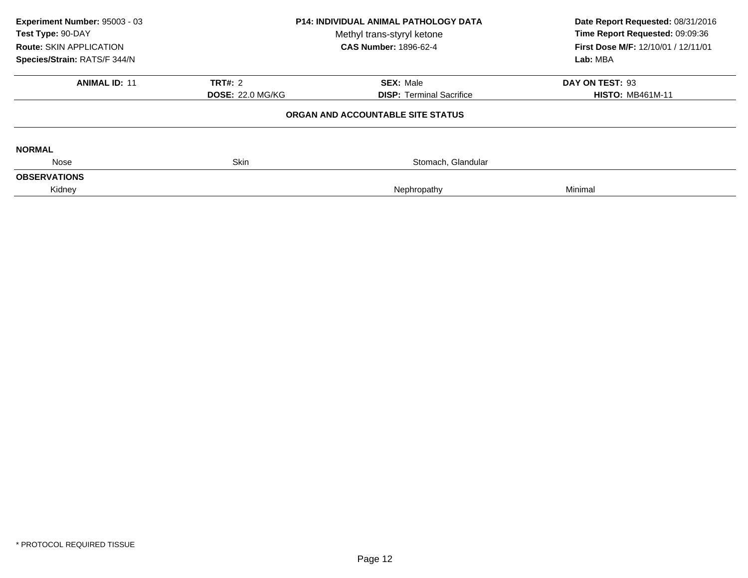| Experiment Number: 95003 - 03<br>Test Type: 90-DAY<br>Route: SKIN APPLICATION<br>Species/Strain: RATS/F 344/N | <b>P14: INDIVIDUAL ANIMAL PATHOLOGY DATA</b><br>Methyl trans-styryl ketone<br><b>CAS Number: 1896-62-4</b><br><b>TRT#: 2</b><br><b>SEX: Male</b><br><b>DOSE: 22.0 MG/KG</b><br><b>DISP:</b> Terminal Sacrifice |                                   | Date Report Requested: 08/31/2016<br>Time Report Requested: 09:09:36<br>First Dose M/F: 12/10/01 / 12/11/01<br>Lab: MBA |
|---------------------------------------------------------------------------------------------------------------|----------------------------------------------------------------------------------------------------------------------------------------------------------------------------------------------------------------|-----------------------------------|-------------------------------------------------------------------------------------------------------------------------|
| <b>ANIMAL ID: 11</b>                                                                                          |                                                                                                                                                                                                                |                                   | DAY ON TEST: 93<br><b>HISTO: MB461M-11</b>                                                                              |
|                                                                                                               |                                                                                                                                                                                                                | ORGAN AND ACCOUNTABLE SITE STATUS |                                                                                                                         |
| <b>NORMAL</b>                                                                                                 |                                                                                                                                                                                                                |                                   |                                                                                                                         |
| Nose                                                                                                          | <b>Skin</b>                                                                                                                                                                                                    | Stomach, Glandular                |                                                                                                                         |
| <b>OBSERVATIONS</b><br>Kidney                                                                                 |                                                                                                                                                                                                                | Nephropathy                       | Minimal                                                                                                                 |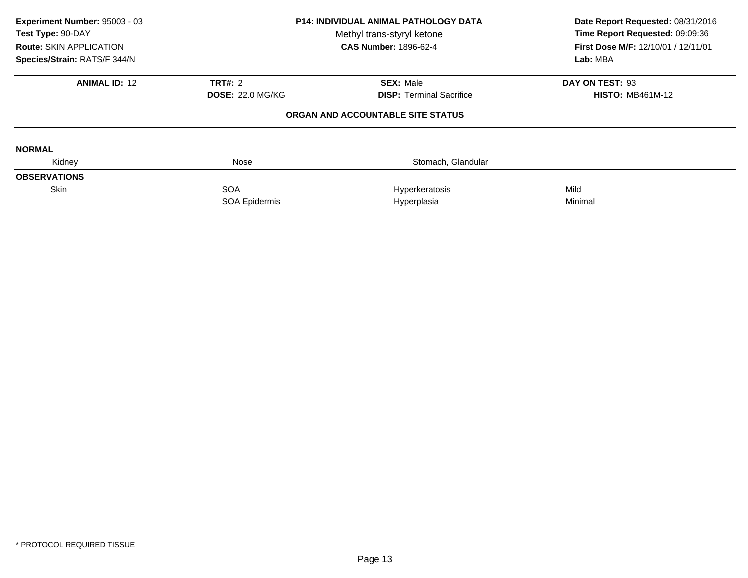| Experiment Number: 95003 - 03<br>Test Type: 90-DAY<br><b>Route: SKIN APPLICATION</b><br>Species/Strain: RATS/F 344/N | <b>P14: INDIVIDUAL ANIMAL PATHOLOGY DATA</b><br>Methyl trans-styryl ketone<br><b>CAS Number: 1896-62-4</b> |                                   | Date Report Requested: 08/31/2016<br>Time Report Requested: 09:09:36<br>First Dose M/F: 12/10/01 / 12/11/01<br>Lab: MBA |
|----------------------------------------------------------------------------------------------------------------------|------------------------------------------------------------------------------------------------------------|-----------------------------------|-------------------------------------------------------------------------------------------------------------------------|
| <b>ANIMAL ID: 12</b>                                                                                                 | <b>TRT#: 2</b>                                                                                             | <b>SEX: Male</b>                  | DAY ON TEST: 93                                                                                                         |
|                                                                                                                      | <b>DOSE: 22.0 MG/KG</b>                                                                                    | <b>DISP:</b> Terminal Sacrifice   | <b>HISTO: MB461M-12</b>                                                                                                 |
|                                                                                                                      |                                                                                                            | ORGAN AND ACCOUNTABLE SITE STATUS |                                                                                                                         |
| <b>NORMAL</b>                                                                                                        |                                                                                                            |                                   |                                                                                                                         |
| Kidney                                                                                                               | Nose                                                                                                       | Stomach, Glandular                |                                                                                                                         |
| <b>OBSERVATIONS</b>                                                                                                  |                                                                                                            |                                   |                                                                                                                         |
| Skin                                                                                                                 | <b>SOA</b>                                                                                                 | Hyperkeratosis                    | Mild                                                                                                                    |
|                                                                                                                      | SOA Epidermis                                                                                              | Hyperplasia                       | Minimal                                                                                                                 |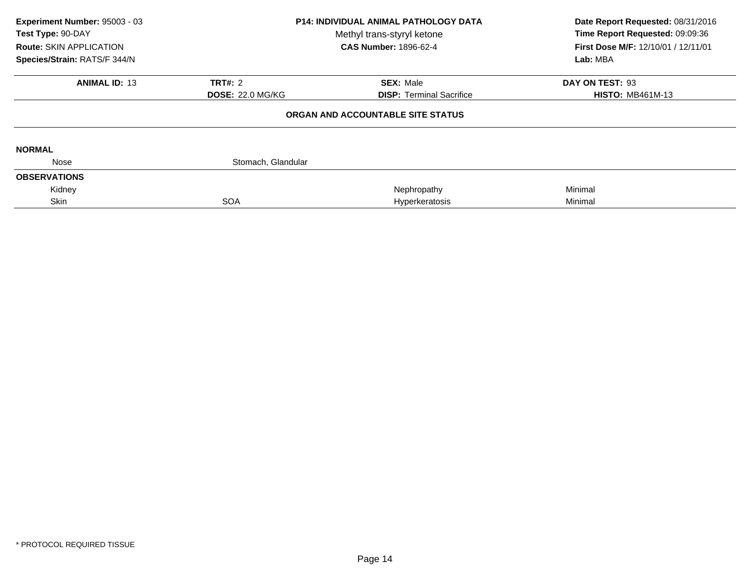| Experiment Number: 95003 - 03<br>Test Type: 90-DAY<br><b>Route: SKIN APPLICATION</b><br>Species/Strain: RATS/F 344/N | <b>P14: INDIVIDUAL ANIMAL PATHOLOGY DATA</b><br>Methyl trans-styryl ketone<br><b>CAS Number: 1896-62-4</b> |                                   | Date Report Requested: 08/31/2016<br>Time Report Requested: 09:09:36<br>First Dose M/F: 12/10/01 / 12/11/01<br>Lab: MBA |
|----------------------------------------------------------------------------------------------------------------------|------------------------------------------------------------------------------------------------------------|-----------------------------------|-------------------------------------------------------------------------------------------------------------------------|
| <b>ANIMAL ID: 13</b>                                                                                                 | <b>TRT#: 2</b>                                                                                             | <b>SEX: Male</b>                  | DAY ON TEST: 93                                                                                                         |
|                                                                                                                      | <b>DOSE: 22.0 MG/KG</b>                                                                                    | <b>DISP:</b> Terminal Sacrifice   | <b>HISTO: MB461M-13</b>                                                                                                 |
|                                                                                                                      |                                                                                                            | ORGAN AND ACCOUNTABLE SITE STATUS |                                                                                                                         |
| <b>NORMAL</b>                                                                                                        |                                                                                                            |                                   |                                                                                                                         |
| Nose                                                                                                                 | Stomach, Glandular                                                                                         |                                   |                                                                                                                         |
| <b>OBSERVATIONS</b>                                                                                                  |                                                                                                            |                                   |                                                                                                                         |
| Kidney                                                                                                               |                                                                                                            | Nephropathy                       | Minimal                                                                                                                 |
| Skin                                                                                                                 | <b>SOA</b>                                                                                                 | Hyperkeratosis                    | Minimal                                                                                                                 |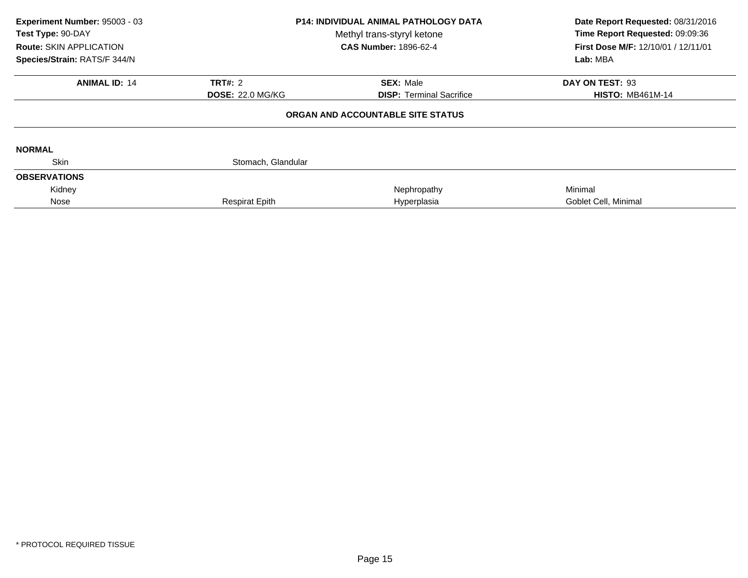| Experiment Number: 95003 - 03<br>Test Type: 90-DAY<br>Route: SKIN APPLICATION<br>Species/Strain: RATS/F 344/N | <b>P14: INDIVIDUAL ANIMAL PATHOLOGY DATA</b><br>Methyl trans-styryl ketone<br><b>CAS Number: 1896-62-4</b> |                                   | Date Report Requested: 08/31/2016<br>Time Report Requested: 09:09:36<br>First Dose M/F: 12/10/01 / 12/11/01<br>Lab: MBA |  |
|---------------------------------------------------------------------------------------------------------------|------------------------------------------------------------------------------------------------------------|-----------------------------------|-------------------------------------------------------------------------------------------------------------------------|--|
| <b>ANIMAL ID: 14</b>                                                                                          | <b>TRT#: 2</b>                                                                                             | <b>SEX: Male</b>                  | DAY ON TEST: 93                                                                                                         |  |
|                                                                                                               | <b>DOSE: 22.0 MG/KG</b>                                                                                    | <b>DISP:</b> Terminal Sacrifice   | <b>HISTO: MB461M-14</b>                                                                                                 |  |
|                                                                                                               |                                                                                                            | ORGAN AND ACCOUNTABLE SITE STATUS |                                                                                                                         |  |
| <b>NORMAL</b>                                                                                                 |                                                                                                            |                                   |                                                                                                                         |  |
| <b>Skin</b>                                                                                                   | Stomach, Glandular                                                                                         |                                   |                                                                                                                         |  |
| <b>OBSERVATIONS</b>                                                                                           |                                                                                                            |                                   |                                                                                                                         |  |
| Kidney                                                                                                        |                                                                                                            | Nephropathy                       | Minimal                                                                                                                 |  |
| Nose                                                                                                          | <b>Respirat Epith</b>                                                                                      | Hyperplasia                       | Goblet Cell, Minimal                                                                                                    |  |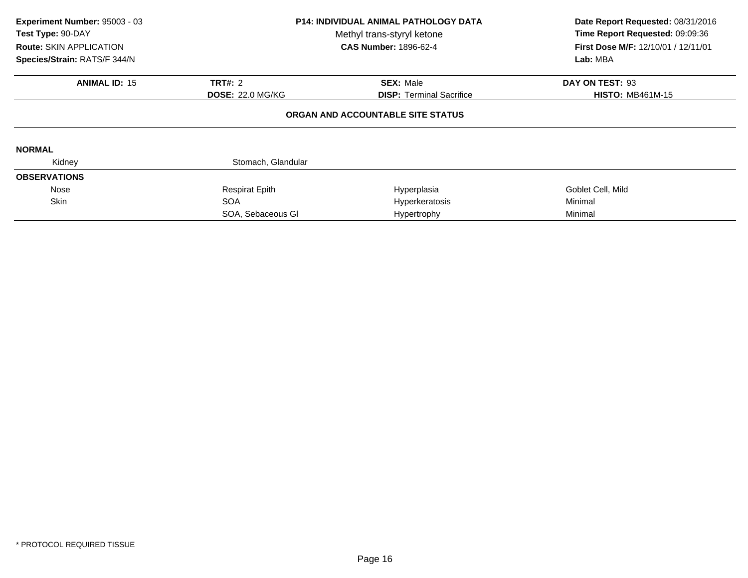| Experiment Number: 95003 - 03<br>Test Type: 90-DAY<br><b>Route: SKIN APPLICATION</b><br>Species/Strain: RATS/F 344/N | <b>P14: INDIVIDUAL ANIMAL PATHOLOGY DATA</b><br>Methyl trans-styryl ketone<br><b>CAS Number: 1896-62-4</b> |                                   | Date Report Requested: 08/31/2016<br>Time Report Requested: 09:09:36<br><b>First Dose M/F: 12/10/01 / 12/11/01</b><br>Lab: MBA |
|----------------------------------------------------------------------------------------------------------------------|------------------------------------------------------------------------------------------------------------|-----------------------------------|--------------------------------------------------------------------------------------------------------------------------------|
| <b>ANIMAL ID: 15</b>                                                                                                 | <b>TRT#: 2</b>                                                                                             | <b>SEX: Male</b>                  | DAY ON TEST: 93                                                                                                                |
|                                                                                                                      | <b>DOSE: 22.0 MG/KG</b>                                                                                    | <b>DISP:</b> Terminal Sacrifice   | <b>HISTO: MB461M-15</b>                                                                                                        |
|                                                                                                                      |                                                                                                            | ORGAN AND ACCOUNTABLE SITE STATUS |                                                                                                                                |
| <b>NORMAL</b>                                                                                                        |                                                                                                            |                                   |                                                                                                                                |
| Kidney                                                                                                               | Stomach, Glandular                                                                                         |                                   |                                                                                                                                |
| <b>OBSERVATIONS</b>                                                                                                  |                                                                                                            |                                   |                                                                                                                                |
| Nose                                                                                                                 | <b>Respirat Epith</b>                                                                                      | Hyperplasia                       | Goblet Cell, Mild                                                                                                              |
| <b>Skin</b>                                                                                                          | <b>SOA</b>                                                                                                 | Hyperkeratosis                    | Minimal                                                                                                                        |
|                                                                                                                      | SOA, Sebaceous Gl                                                                                          | Hypertrophy                       | Minimal                                                                                                                        |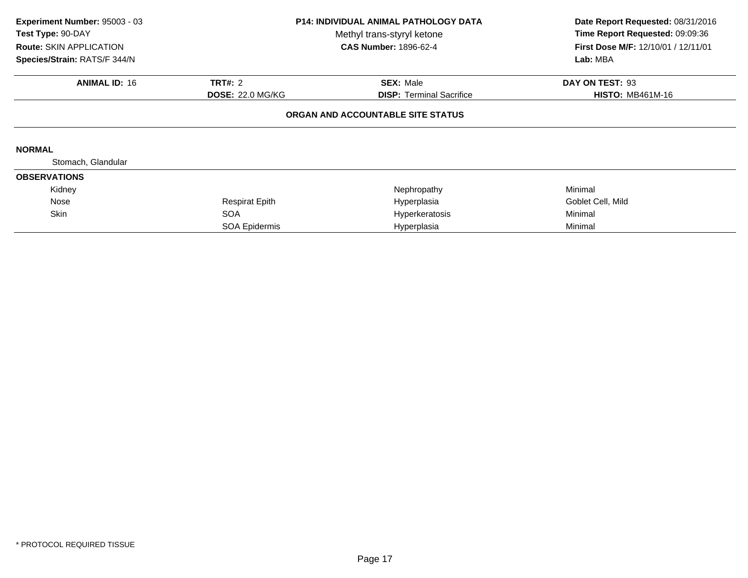| Experiment Number: 95003 - 03<br>Test Type: 90-DAY<br><b>Route: SKIN APPLICATION</b><br>Species/Strain: RATS/F 344/N | <b>P14: INDIVIDUAL ANIMAL PATHOLOGY DATA</b><br>Methyl trans-styryl ketone<br><b>CAS Number: 1896-62-4</b> |                                   | Date Report Requested: 08/31/2016<br>Time Report Requested: 09:09:36<br>First Dose M/F: 12/10/01 / 12/11/01<br>Lab: MBA |
|----------------------------------------------------------------------------------------------------------------------|------------------------------------------------------------------------------------------------------------|-----------------------------------|-------------------------------------------------------------------------------------------------------------------------|
| <b>ANIMAL ID: 16</b>                                                                                                 | <b>TRT#: 2</b>                                                                                             | <b>SEX: Male</b>                  | DAY ON TEST: 93                                                                                                         |
|                                                                                                                      | <b>DOSE: 22.0 MG/KG</b>                                                                                    | <b>DISP:</b> Terminal Sacrifice   | <b>HISTO: MB461M-16</b>                                                                                                 |
|                                                                                                                      |                                                                                                            | ORGAN AND ACCOUNTABLE SITE STATUS |                                                                                                                         |
| <b>NORMAL</b>                                                                                                        |                                                                                                            |                                   |                                                                                                                         |
| Stomach, Glandular                                                                                                   |                                                                                                            |                                   |                                                                                                                         |
| <b>OBSERVATIONS</b>                                                                                                  |                                                                                                            |                                   |                                                                                                                         |
| Kidney                                                                                                               |                                                                                                            | Nephropathy                       | Minimal                                                                                                                 |
| Nose                                                                                                                 | <b>Respirat Epith</b>                                                                                      | Hyperplasia                       | Goblet Cell, Mild                                                                                                       |
| <b>Skin</b>                                                                                                          | <b>SOA</b>                                                                                                 | Hyperkeratosis                    | Minimal                                                                                                                 |
|                                                                                                                      | SOA Epidermis                                                                                              | Hyperplasia                       | Minimal                                                                                                                 |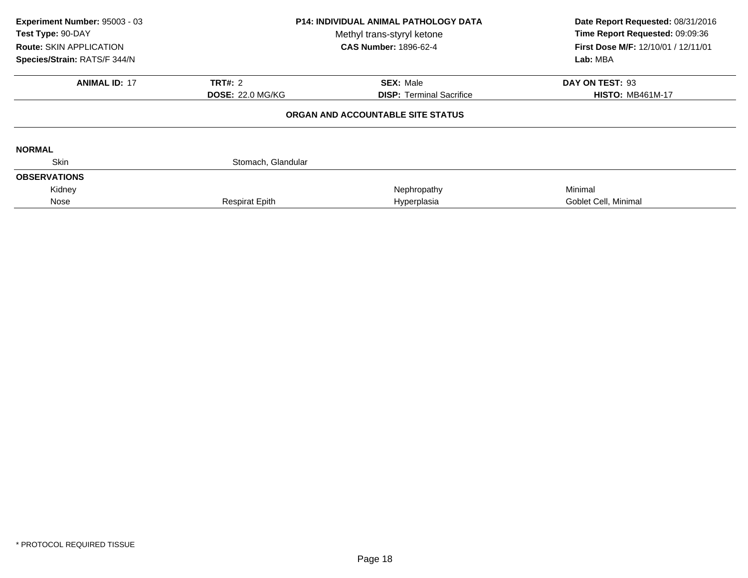| Experiment Number: 95003 - 03<br>Test Type: 90-DAY<br><b>Route: SKIN APPLICATION</b><br>Species/Strain: RATS/F 344/N | <b>P14: INDIVIDUAL ANIMAL PATHOLOGY DATA</b><br>Methyl trans-styryl ketone<br><b>CAS Number: 1896-62-4</b> |                                   | Date Report Requested: 08/31/2016<br>Time Report Requested: 09:09:36<br>First Dose M/F: 12/10/01 / 12/11/01<br>Lab: MBA |  |
|----------------------------------------------------------------------------------------------------------------------|------------------------------------------------------------------------------------------------------------|-----------------------------------|-------------------------------------------------------------------------------------------------------------------------|--|
| <b>ANIMAL ID: 17</b>                                                                                                 | <b>TRT#: 2</b>                                                                                             | <b>SEX: Male</b>                  | DAY ON TEST: 93                                                                                                         |  |
|                                                                                                                      | <b>DOSE: 22.0 MG/KG</b>                                                                                    | <b>DISP:</b> Terminal Sacrifice   | <b>HISTO: MB461M-17</b>                                                                                                 |  |
|                                                                                                                      |                                                                                                            | ORGAN AND ACCOUNTABLE SITE STATUS |                                                                                                                         |  |
| <b>NORMAL</b>                                                                                                        |                                                                                                            |                                   |                                                                                                                         |  |
| <b>Skin</b>                                                                                                          | Stomach, Glandular                                                                                         |                                   |                                                                                                                         |  |
| <b>OBSERVATIONS</b>                                                                                                  |                                                                                                            |                                   |                                                                                                                         |  |
| Kidney                                                                                                               |                                                                                                            | Nephropathy                       | Minimal                                                                                                                 |  |
| Nose                                                                                                                 | <b>Respirat Epith</b>                                                                                      | Hyperplasia                       | Goblet Cell, Minimal                                                                                                    |  |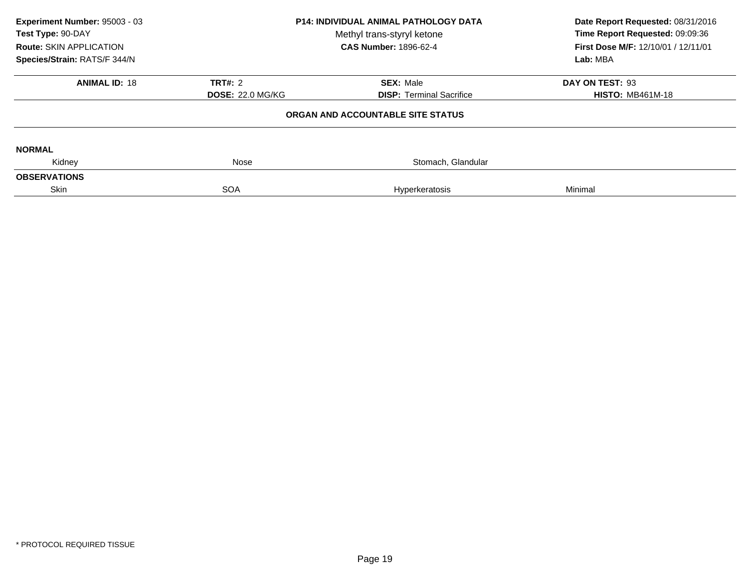| Experiment Number: 95003 - 03<br>Test Type: 90-DAY<br><b>Route: SKIN APPLICATION</b><br>Species/Strain: RATS/F 344/N | <b>P14: INDIVIDUAL ANIMAL PATHOLOGY DATA</b><br>Methyl trans-styryl ketone<br><b>CAS Number: 1896-62-4</b> |                                   | Date Report Requested: 08/31/2016<br>Time Report Requested: 09:09:36<br>First Dose M/F: 12/10/01 / 12/11/01<br>Lab: MBA |
|----------------------------------------------------------------------------------------------------------------------|------------------------------------------------------------------------------------------------------------|-----------------------------------|-------------------------------------------------------------------------------------------------------------------------|
| <b>ANIMAL ID: 18</b>                                                                                                 | <b>TRT#: 2</b>                                                                                             | <b>SEX: Male</b>                  | DAY ON TEST: 93                                                                                                         |
|                                                                                                                      | <b>DOSE: 22.0 MG/KG</b>                                                                                    | <b>DISP: Terminal Sacrifice</b>   | <b>HISTO: MB461M-18</b>                                                                                                 |
|                                                                                                                      |                                                                                                            | ORGAN AND ACCOUNTABLE SITE STATUS |                                                                                                                         |
| <b>NORMAL</b>                                                                                                        |                                                                                                            |                                   |                                                                                                                         |
| Kidney                                                                                                               | Nose                                                                                                       | Stomach, Glandular                |                                                                                                                         |
| <b>OBSERVATIONS</b>                                                                                                  |                                                                                                            |                                   |                                                                                                                         |
| Skin                                                                                                                 | <b>SOA</b>                                                                                                 | <b>Hyperkeratosis</b>             | Minimal                                                                                                                 |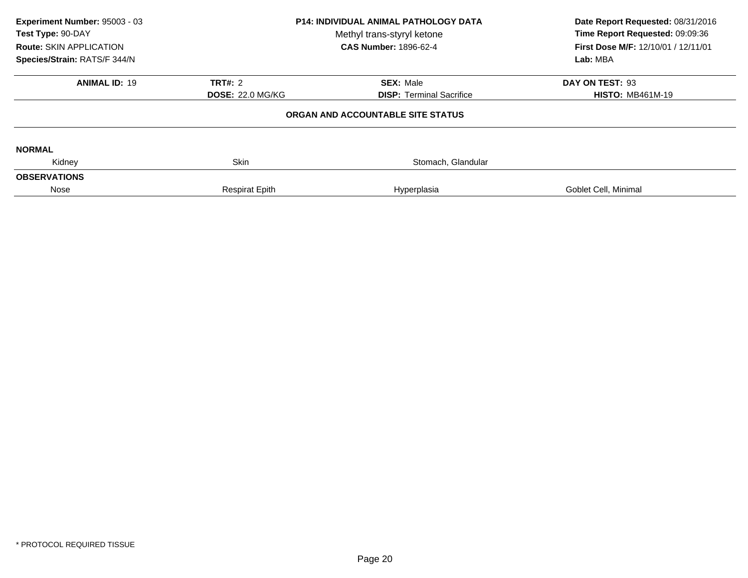| Experiment Number: 95003 - 03<br>Test Type: 90-DAY<br><b>Route: SKIN APPLICATION</b><br>Species/Strain: RATS/F 344/N | <b>P14: INDIVIDUAL ANIMAL PATHOLOGY DATA</b><br>Methyl trans-styryl ketone<br><b>CAS Number: 1896-62-4</b> |                                                     | Date Report Requested: 08/31/2016<br>Time Report Requested: 09:09:36<br>First Dose M/F: 12/10/01 / 12/11/01<br>Lab: MBA |
|----------------------------------------------------------------------------------------------------------------------|------------------------------------------------------------------------------------------------------------|-----------------------------------------------------|-------------------------------------------------------------------------------------------------------------------------|
| <b>ANIMAL ID: 19</b>                                                                                                 | TRT#: 2<br><b>DOSE: 22.0 MG/KG</b>                                                                         | <b>SEX: Male</b><br><b>DISP:</b> Terminal Sacrifice | DAY ON TEST: 93<br><b>HISTO: MB461M-19</b>                                                                              |
|                                                                                                                      |                                                                                                            | ORGAN AND ACCOUNTABLE SITE STATUS                   |                                                                                                                         |
| <b>NORMAL</b><br>Kidney                                                                                              | <b>Skin</b>                                                                                                | Stomach, Glandular                                  |                                                                                                                         |
| <b>OBSERVATIONS</b>                                                                                                  |                                                                                                            |                                                     |                                                                                                                         |
| Nose                                                                                                                 | <b>Respirat Epith</b>                                                                                      | Hyperplasia                                         | Goblet Cell, Minimal                                                                                                    |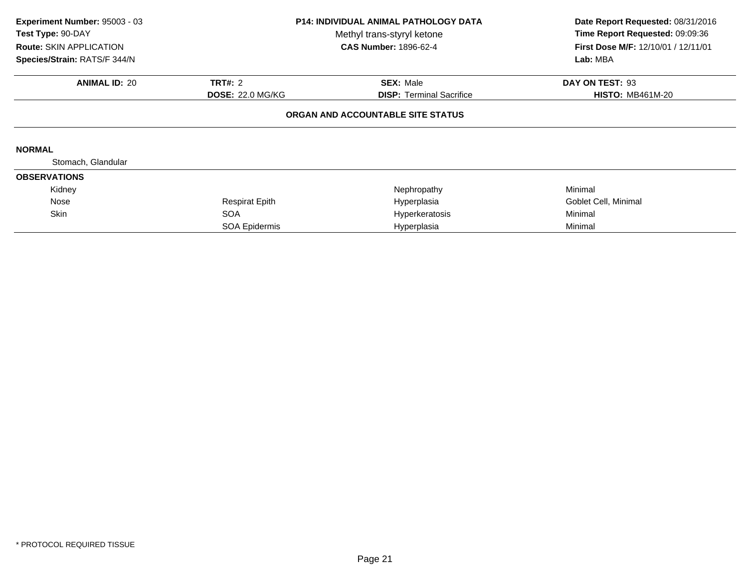| Experiment Number: 95003 - 03<br>Test Type: 90-DAY<br><b>Route: SKIN APPLICATION</b><br>Species/Strain: RATS/F 344/N | <b>P14: INDIVIDUAL ANIMAL PATHOLOGY DATA</b><br>Methyl trans-styryl ketone<br><b>CAS Number: 1896-62-4</b> |                                                     | Date Report Requested: 08/31/2016<br>Time Report Requested: 09:09:36<br>First Dose M/F: 12/10/01 / 12/11/01<br>Lab: MBA |
|----------------------------------------------------------------------------------------------------------------------|------------------------------------------------------------------------------------------------------------|-----------------------------------------------------|-------------------------------------------------------------------------------------------------------------------------|
| <b>ANIMAL ID: 20</b>                                                                                                 | <b>TRT#: 2</b><br><b>DOSE: 22.0 MG/KG</b>                                                                  | <b>SEX: Male</b><br><b>DISP: Terminal Sacrifice</b> | DAY ON TEST: 93<br><b>HISTO: MB461M-20</b>                                                                              |
|                                                                                                                      |                                                                                                            | ORGAN AND ACCOUNTABLE SITE STATUS                   |                                                                                                                         |
| <b>NORMAL</b>                                                                                                        |                                                                                                            |                                                     |                                                                                                                         |
| Stomach, Glandular                                                                                                   |                                                                                                            |                                                     |                                                                                                                         |
| <b>OBSERVATIONS</b>                                                                                                  |                                                                                                            |                                                     |                                                                                                                         |
| Kidney                                                                                                               |                                                                                                            | Nephropathy                                         | Minimal                                                                                                                 |
| Nose                                                                                                                 | <b>Respirat Epith</b>                                                                                      | Hyperplasia                                         | Goblet Cell, Minimal                                                                                                    |
| Skin                                                                                                                 | <b>SOA</b>                                                                                                 | Hyperkeratosis                                      | Minimal                                                                                                                 |
|                                                                                                                      | SOA Epidermis                                                                                              | Hyperplasia                                         | Minimal                                                                                                                 |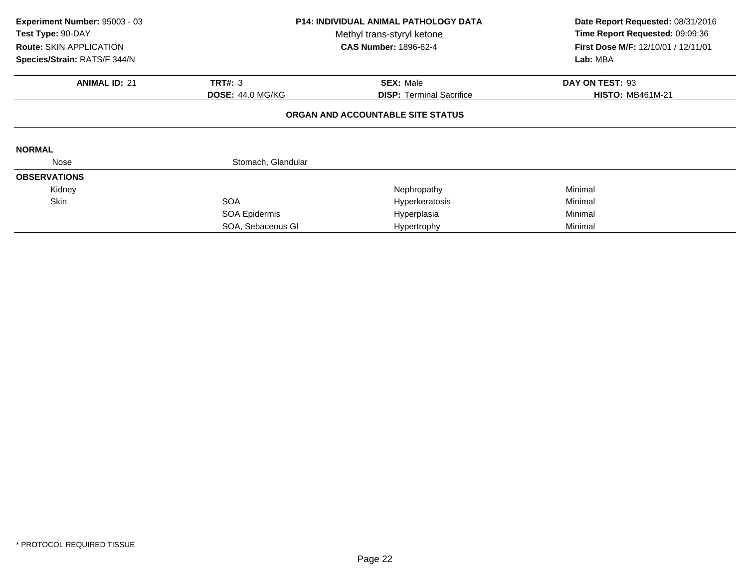| Experiment Number: 95003 - 03<br>Test Type: 90-DAY<br><b>Route: SKIN APPLICATION</b><br>Species/Strain: RATS/F 344/N | <b>P14: INDIVIDUAL ANIMAL PATHOLOGY DATA</b><br>Methyl trans-styryl ketone<br><b>CAS Number: 1896-62-4</b> |                                   | Date Report Requested: 08/31/2016<br>Time Report Requested: 09:09:36<br><b>First Dose M/F: 12/10/01 / 12/11/01</b><br>Lab: MBA |
|----------------------------------------------------------------------------------------------------------------------|------------------------------------------------------------------------------------------------------------|-----------------------------------|--------------------------------------------------------------------------------------------------------------------------------|
| <b>ANIMAL ID: 21</b>                                                                                                 | <b>TRT#: 3</b>                                                                                             | <b>SEX: Male</b>                  | DAY ON TEST: 93                                                                                                                |
|                                                                                                                      | <b>DOSE: 44.0 MG/KG</b>                                                                                    | <b>DISP:</b> Terminal Sacrifice   | <b>HISTO: MB461M-21</b>                                                                                                        |
|                                                                                                                      |                                                                                                            | ORGAN AND ACCOUNTABLE SITE STATUS |                                                                                                                                |
| <b>NORMAL</b>                                                                                                        |                                                                                                            |                                   |                                                                                                                                |
| Nose                                                                                                                 | Stomach, Glandular                                                                                         |                                   |                                                                                                                                |
| <b>OBSERVATIONS</b>                                                                                                  |                                                                                                            |                                   |                                                                                                                                |
| Kidney                                                                                                               |                                                                                                            | Nephropathy                       | Minimal                                                                                                                        |
| <b>Skin</b>                                                                                                          | <b>SOA</b>                                                                                                 | Hyperkeratosis                    | Minimal                                                                                                                        |
|                                                                                                                      | SOA Epidermis                                                                                              | Hyperplasia                       | Minimal                                                                                                                        |
|                                                                                                                      | SOA, Sebaceous GI                                                                                          | Hypertrophy                       | Minimal                                                                                                                        |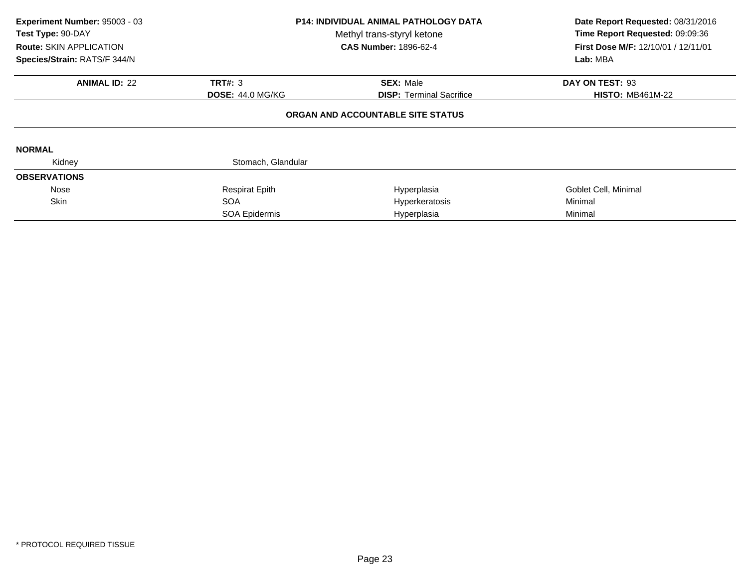| Experiment Number: 95003 - 03<br>Test Type: 90-DAY<br><b>Route: SKIN APPLICATION</b><br>Species/Strain: RATS/F 344/N | <b>P14: INDIVIDUAL ANIMAL PATHOLOGY DATA</b><br>Methyl trans-styryl ketone<br><b>CAS Number: 1896-62-4</b> |                                                                      | Date Report Requested: 08/31/2016<br>Time Report Requested: 09:09:36<br><b>First Dose M/F: 12/10/01 / 12/11/01</b><br>Lab: MBA |
|----------------------------------------------------------------------------------------------------------------------|------------------------------------------------------------------------------------------------------------|----------------------------------------------------------------------|--------------------------------------------------------------------------------------------------------------------------------|
| <b>ANIMAL ID: 22</b>                                                                                                 | TRT#: 3                                                                                                    | <b>SEX: Male</b>                                                     | DAY ON TEST: 93                                                                                                                |
|                                                                                                                      | <b>DOSE: 44.0 MG/KG</b>                                                                                    | <b>DISP:</b> Terminal Sacrifice<br>ORGAN AND ACCOUNTABLE SITE STATUS | <b>HISTO: MB461M-22</b>                                                                                                        |
| <b>NORMAL</b>                                                                                                        |                                                                                                            |                                                                      |                                                                                                                                |
| Kidney                                                                                                               | Stomach, Glandular                                                                                         |                                                                      |                                                                                                                                |
| <b>OBSERVATIONS</b>                                                                                                  |                                                                                                            |                                                                      |                                                                                                                                |
| Nose                                                                                                                 | <b>Respirat Epith</b>                                                                                      | Hyperplasia                                                          | Goblet Cell, Minimal                                                                                                           |
| <b>Skin</b>                                                                                                          | <b>SOA</b>                                                                                                 | Hyperkeratosis                                                       | Minimal                                                                                                                        |
|                                                                                                                      | SOA Epidermis                                                                                              | Hyperplasia                                                          | Minimal                                                                                                                        |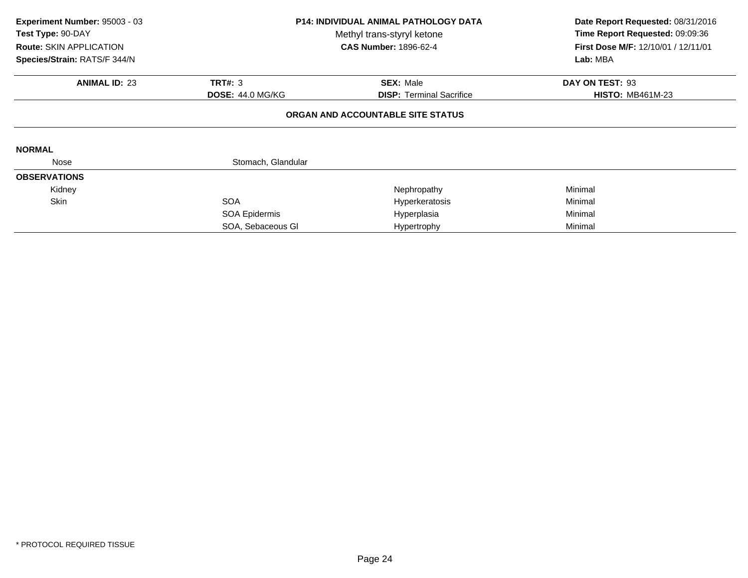| Experiment Number: 95003 - 03<br>Test Type: 90-DAY<br>Route: SKIN APPLICATION<br>Species/Strain: RATS/F 344/N | <b>P14: INDIVIDUAL ANIMAL PATHOLOGY DATA</b><br>Methyl trans-styryl ketone<br><b>CAS Number: 1896-62-4</b> |                                   | Date Report Requested: 08/31/2016<br>Time Report Requested: 09:09:36<br>First Dose M/F: 12/10/01 / 12/11/01<br>Lab: MBA |
|---------------------------------------------------------------------------------------------------------------|------------------------------------------------------------------------------------------------------------|-----------------------------------|-------------------------------------------------------------------------------------------------------------------------|
| <b>ANIMAL ID: 23</b>                                                                                          | <b>TRT#: 3</b>                                                                                             | <b>SEX: Male</b>                  | DAY ON TEST: 93                                                                                                         |
|                                                                                                               | <b>DOSE: 44.0 MG/KG</b>                                                                                    | <b>DISP:</b> Terminal Sacrifice   | <b>HISTO: MB461M-23</b>                                                                                                 |
|                                                                                                               |                                                                                                            | ORGAN AND ACCOUNTABLE SITE STATUS |                                                                                                                         |
| <b>NORMAL</b>                                                                                                 |                                                                                                            |                                   |                                                                                                                         |
| Nose                                                                                                          | Stomach, Glandular                                                                                         |                                   |                                                                                                                         |
| <b>OBSERVATIONS</b>                                                                                           |                                                                                                            |                                   |                                                                                                                         |
| Kidney                                                                                                        |                                                                                                            | Nephropathy                       | Minimal                                                                                                                 |
| <b>Skin</b>                                                                                                   | <b>SOA</b>                                                                                                 | Hyperkeratosis                    | Minimal                                                                                                                 |
|                                                                                                               | SOA Epidermis                                                                                              | Hyperplasia                       | Minimal                                                                                                                 |
|                                                                                                               | SOA, Sebaceous GI                                                                                          | Hypertrophy                       | Minimal                                                                                                                 |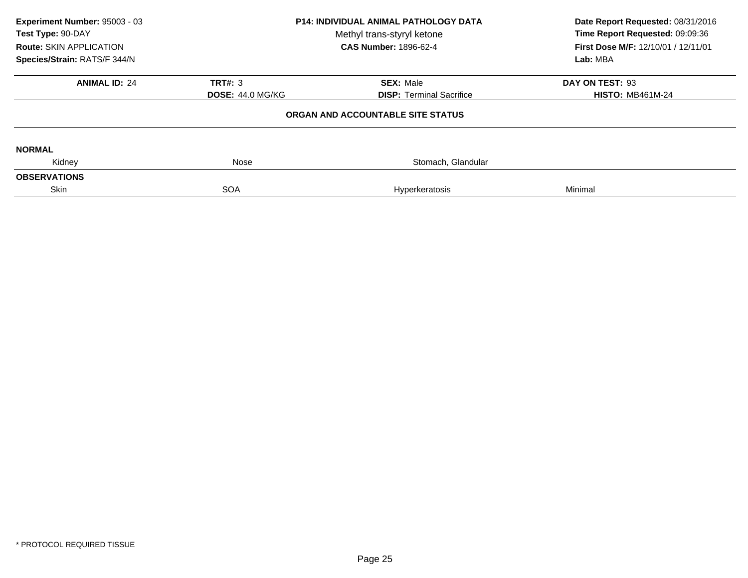| Experiment Number: 95003 - 03<br>Test Type: 90-DAY<br><b>Route: SKIN APPLICATION</b><br>Species/Strain: RATS/F 344/N | P14: INDIVIDUAL ANIMAL PATHOLOGY DATA<br>Methyl trans-styryl ketone<br><b>CAS Number: 1896-62-4</b> |                                   | Date Report Requested: 08/31/2016<br>Time Report Requested: 09:09:36<br>First Dose M/F: 12/10/01 / 12/11/01<br>Lab: MBA |
|----------------------------------------------------------------------------------------------------------------------|-----------------------------------------------------------------------------------------------------|-----------------------------------|-------------------------------------------------------------------------------------------------------------------------|
| <b>ANIMAL ID: 24</b>                                                                                                 | <b>TRT#: 3</b>                                                                                      | <b>SEX: Male</b>                  | DAY ON TEST: 93                                                                                                         |
|                                                                                                                      | <b>DOSE: 44.0 MG/KG</b>                                                                             | <b>DISP: Terminal Sacrifice</b>   | <b>HISTO: MB461M-24</b>                                                                                                 |
|                                                                                                                      |                                                                                                     | ORGAN AND ACCOUNTABLE SITE STATUS |                                                                                                                         |
| <b>NORMAL</b>                                                                                                        |                                                                                                     |                                   |                                                                                                                         |
| Kidney                                                                                                               | Nose                                                                                                | Stomach, Glandular                |                                                                                                                         |
| <b>OBSERVATIONS</b>                                                                                                  |                                                                                                     |                                   |                                                                                                                         |
| Skin                                                                                                                 | <b>SOA</b>                                                                                          | Hyperkeratosis                    | Minimal                                                                                                                 |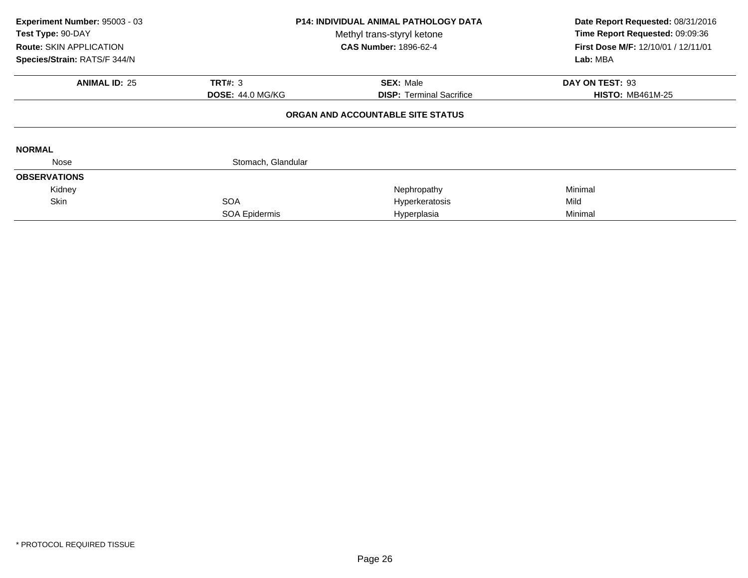| Experiment Number: 95003 - 03<br>Test Type: 90-DAY<br>Route: SKIN APPLICATION<br>Species/Strain: RATS/F 344/N | <b>P14: INDIVIDUAL ANIMAL PATHOLOGY DATA</b><br>Methyl trans-styryl ketone<br><b>CAS Number: 1896-62-4</b> |                                   | Date Report Requested: 08/31/2016<br>Time Report Requested: 09:09:36<br>First Dose M/F: 12/10/01 / 12/11/01<br>Lab: MBA |
|---------------------------------------------------------------------------------------------------------------|------------------------------------------------------------------------------------------------------------|-----------------------------------|-------------------------------------------------------------------------------------------------------------------------|
| <b>ANIMAL ID: 25</b>                                                                                          | <b>TRT#: 3</b>                                                                                             | <b>SEX: Male</b>                  | DAY ON TEST: 93                                                                                                         |
|                                                                                                               | <b>DOSE: 44.0 MG/KG</b>                                                                                    | <b>DISP:</b> Terminal Sacrifice   | <b>HISTO: MB461M-25</b>                                                                                                 |
|                                                                                                               |                                                                                                            | ORGAN AND ACCOUNTABLE SITE STATUS |                                                                                                                         |
| <b>NORMAL</b>                                                                                                 |                                                                                                            |                                   |                                                                                                                         |
| Nose                                                                                                          | Stomach, Glandular                                                                                         |                                   |                                                                                                                         |
| <b>OBSERVATIONS</b>                                                                                           |                                                                                                            |                                   |                                                                                                                         |
| Kidney                                                                                                        |                                                                                                            | Nephropathy                       | Minimal                                                                                                                 |
| <b>Skin</b>                                                                                                   | <b>SOA</b>                                                                                                 | Hyperkeratosis                    | Mild                                                                                                                    |
|                                                                                                               | SOA Epidermis                                                                                              | Hyperplasia                       | Minimal                                                                                                                 |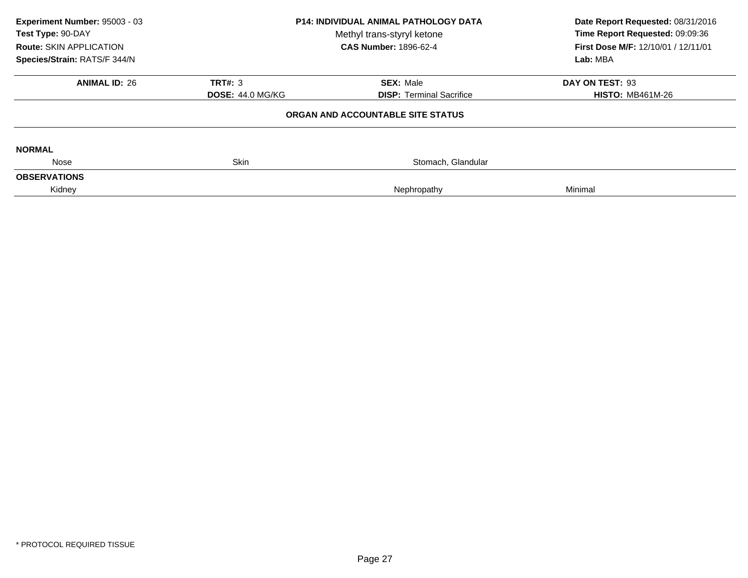| Experiment Number: 95003 - 03<br>Test Type: 90-DAY<br><b>Route: SKIN APPLICATION</b><br>Species/Strain: RATS/F 344/N | <b>P14: INDIVIDUAL ANIMAL PATHOLOGY DATA</b><br>Methyl trans-styryl ketone<br><b>CAS Number: 1896-62-4</b> |                                                     | Date Report Requested: 08/31/2016<br>Time Report Requested: 09:09:36<br>First Dose M/F: 12/10/01 / 12/11/01<br>Lab: MBA |
|----------------------------------------------------------------------------------------------------------------------|------------------------------------------------------------------------------------------------------------|-----------------------------------------------------|-------------------------------------------------------------------------------------------------------------------------|
|                                                                                                                      |                                                                                                            |                                                     |                                                                                                                         |
| <b>ANIMAL ID: 26</b>                                                                                                 | <b>TRT#: 3</b><br><b>DOSE: 44.0 MG/KG</b>                                                                  | <b>SEX: Male</b><br><b>DISP:</b> Terminal Sacrifice | DAY ON TEST: 93<br><b>HISTO: MB461M-26</b>                                                                              |
|                                                                                                                      |                                                                                                            | ORGAN AND ACCOUNTABLE SITE STATUS                   |                                                                                                                         |
| <b>NORMAL</b>                                                                                                        |                                                                                                            |                                                     |                                                                                                                         |
| Nose                                                                                                                 | <b>Skin</b>                                                                                                | Stomach, Glandular                                  |                                                                                                                         |
| <b>OBSERVATIONS</b>                                                                                                  |                                                                                                            |                                                     |                                                                                                                         |
| Kidney                                                                                                               |                                                                                                            | Nephropathy                                         | Minimal                                                                                                                 |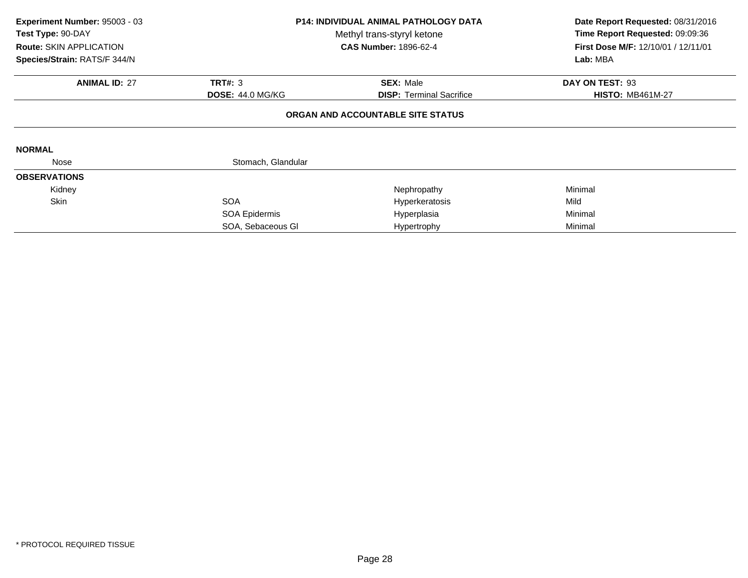| Experiment Number: 95003 - 03<br>Test Type: 90-DAY<br><b>Route: SKIN APPLICATION</b><br>Species/Strain: RATS/F 344/N | <b>P14: INDIVIDUAL ANIMAL PATHOLOGY DATA</b><br>Methyl trans-styryl ketone<br><b>CAS Number: 1896-62-4</b> |                                   | Date Report Requested: 08/31/2016<br>Time Report Requested: 09:09:36<br>First Dose M/F: 12/10/01 / 12/11/01<br>Lab: MBA |
|----------------------------------------------------------------------------------------------------------------------|------------------------------------------------------------------------------------------------------------|-----------------------------------|-------------------------------------------------------------------------------------------------------------------------|
| <b>ANIMAL ID: 27</b>                                                                                                 | <b>TRT#: 3</b>                                                                                             | <b>SEX: Male</b>                  | DAY ON TEST: 93                                                                                                         |
|                                                                                                                      | <b>DOSE: 44.0 MG/KG</b>                                                                                    | <b>DISP:</b> Terminal Sacrifice   | <b>HISTO: MB461M-27</b>                                                                                                 |
|                                                                                                                      |                                                                                                            | ORGAN AND ACCOUNTABLE SITE STATUS |                                                                                                                         |
| <b>NORMAL</b>                                                                                                        |                                                                                                            |                                   |                                                                                                                         |
| Nose                                                                                                                 | Stomach, Glandular                                                                                         |                                   |                                                                                                                         |
| <b>OBSERVATIONS</b>                                                                                                  |                                                                                                            |                                   |                                                                                                                         |
| Kidney                                                                                                               |                                                                                                            | Nephropathy                       | Minimal                                                                                                                 |
| <b>Skin</b>                                                                                                          | <b>SOA</b>                                                                                                 | Hyperkeratosis                    | Mild                                                                                                                    |
|                                                                                                                      | SOA Epidermis                                                                                              | Hyperplasia                       | Minimal                                                                                                                 |
|                                                                                                                      | SOA, Sebaceous GI                                                                                          | Hypertrophy                       | Minimal                                                                                                                 |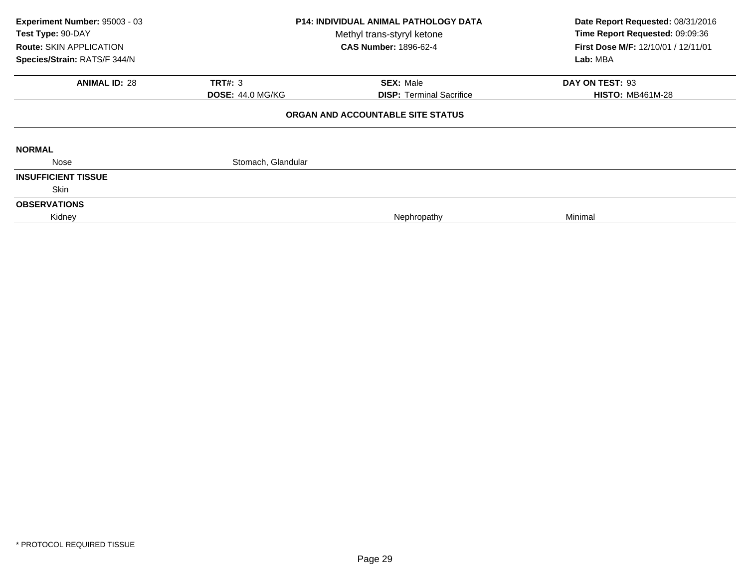| Experiment Number: 95003 - 03<br>Test Type: 90-DAY<br><b>Route: SKIN APPLICATION</b><br>Species/Strain: RATS/F 344/N | <b>P14: INDIVIDUAL ANIMAL PATHOLOGY DATA</b><br>Methyl trans-styryl ketone<br><b>CAS Number: 1896-62-4</b> |                                   | Date Report Requested: 08/31/2016<br>Time Report Requested: 09:09:36<br>First Dose M/F: 12/10/01 / 12/11/01<br>Lab: MBA |
|----------------------------------------------------------------------------------------------------------------------|------------------------------------------------------------------------------------------------------------|-----------------------------------|-------------------------------------------------------------------------------------------------------------------------|
| <b>ANIMAL ID: 28</b>                                                                                                 | <b>TRT#: 3</b>                                                                                             | <b>SEX: Male</b>                  | DAY ON TEST: 93                                                                                                         |
|                                                                                                                      | <b>DOSE: 44.0 MG/KG</b>                                                                                    | <b>DISP:</b> Terminal Sacrifice   | <b>HISTO: MB461M-28</b>                                                                                                 |
|                                                                                                                      |                                                                                                            | ORGAN AND ACCOUNTABLE SITE STATUS |                                                                                                                         |
| <b>NORMAL</b>                                                                                                        |                                                                                                            |                                   |                                                                                                                         |
| Nose                                                                                                                 | Stomach, Glandular                                                                                         |                                   |                                                                                                                         |
| <b>INSUFFICIENT TISSUE</b>                                                                                           |                                                                                                            |                                   |                                                                                                                         |
| <b>Skin</b>                                                                                                          |                                                                                                            |                                   |                                                                                                                         |
| <b>OBSERVATIONS</b>                                                                                                  |                                                                                                            |                                   |                                                                                                                         |
| Kidney                                                                                                               |                                                                                                            | Nephropathy                       | Minimal                                                                                                                 |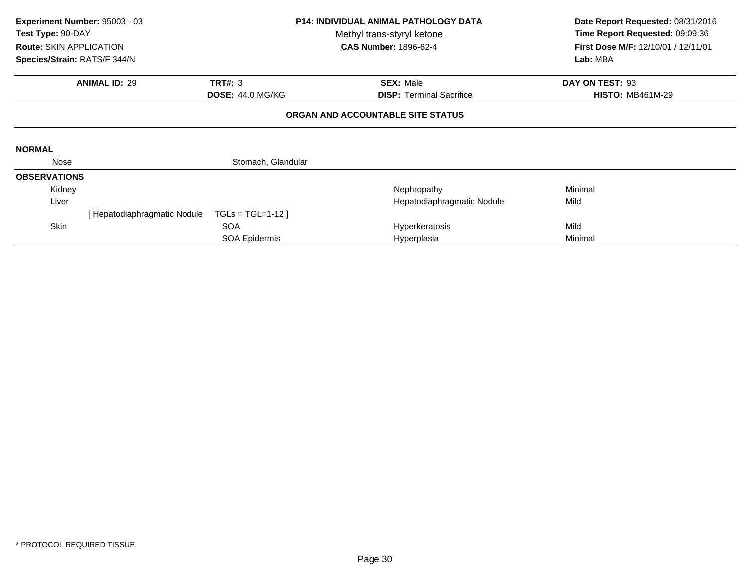| Experiment Number: 95003 - 03<br>Test Type: 90-DAY<br><b>Route: SKIN APPLICATION</b> |                             | <b>P14: INDIVIDUAL ANIMAL PATHOLOGY DATA</b><br>Methyl trans-styryl ketone<br><b>CAS Number: 1896-62-4</b> |                                   | Date Report Requested: 08/31/2016<br>Time Report Requested: 09:09:36<br>First Dose M/F: 12/10/01 / 12/11/01 |  |
|--------------------------------------------------------------------------------------|-----------------------------|------------------------------------------------------------------------------------------------------------|-----------------------------------|-------------------------------------------------------------------------------------------------------------|--|
| Species/Strain: RATS/F 344/N                                                         |                             |                                                                                                            |                                   | Lab: MBA                                                                                                    |  |
|                                                                                      | <b>ANIMAL ID: 29</b>        | <b>TRT#: 3</b>                                                                                             | <b>SEX: Male</b>                  | DAY ON TEST: 93                                                                                             |  |
|                                                                                      |                             | <b>DOSE: 44.0 MG/KG</b>                                                                                    | <b>DISP:</b> Terminal Sacrifice   | <b>HISTO: MB461M-29</b>                                                                                     |  |
|                                                                                      |                             |                                                                                                            | ORGAN AND ACCOUNTABLE SITE STATUS |                                                                                                             |  |
| <b>NORMAL</b>                                                                        |                             |                                                                                                            |                                   |                                                                                                             |  |
| Nose                                                                                 |                             | Stomach, Glandular                                                                                         |                                   |                                                                                                             |  |
| <b>OBSERVATIONS</b>                                                                  |                             |                                                                                                            |                                   |                                                                                                             |  |
| Kidney                                                                               |                             |                                                                                                            | Nephropathy                       | Minimal                                                                                                     |  |
| Liver                                                                                |                             |                                                                                                            | Hepatodiaphragmatic Nodule        | Mild                                                                                                        |  |
|                                                                                      | [Hepatodiaphragmatic Nodule | $TGLs = TGL=1-12$                                                                                          |                                   |                                                                                                             |  |
| Skin                                                                                 |                             | <b>SOA</b>                                                                                                 | Hyperkeratosis                    | Mild                                                                                                        |  |
|                                                                                      |                             | <b>SOA Epidermis</b>                                                                                       | Hyperplasia                       | Minimal                                                                                                     |  |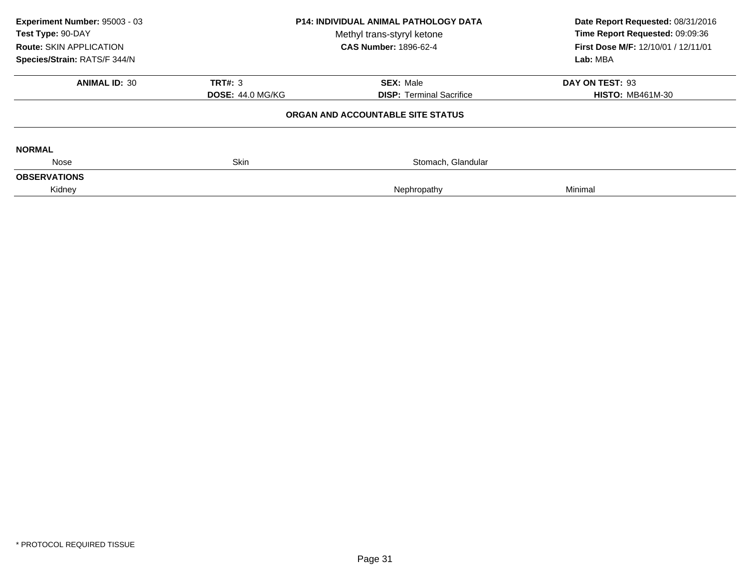| Experiment Number: 95003 - 03<br>Test Type: 90-DAY<br><b>Route: SKIN APPLICATION</b><br>Species/Strain: RATS/F 344/N | <b>P14: INDIVIDUAL ANIMAL PATHOLOGY DATA</b><br>Methyl trans-styryl ketone<br><b>CAS Number: 1896-62-4</b> |                                   | Date Report Requested: 08/31/2016<br>Time Report Requested: 09:09:36<br>First Dose M/F: 12/10/01 / 12/11/01<br>Lab: MBA |
|----------------------------------------------------------------------------------------------------------------------|------------------------------------------------------------------------------------------------------------|-----------------------------------|-------------------------------------------------------------------------------------------------------------------------|
| <b>ANIMAL ID: 30</b>                                                                                                 | <b>TRT#: 3</b>                                                                                             | <b>SEX: Male</b>                  | DAY ON TEST: 93                                                                                                         |
|                                                                                                                      | <b>DOSE: 44.0 MG/KG</b>                                                                                    | <b>DISP:</b> Terminal Sacrifice   | <b>HISTO: MB461M-30</b>                                                                                                 |
|                                                                                                                      |                                                                                                            | ORGAN AND ACCOUNTABLE SITE STATUS |                                                                                                                         |
| <b>NORMAL</b>                                                                                                        |                                                                                                            |                                   |                                                                                                                         |
| Nose                                                                                                                 | <b>Skin</b>                                                                                                | Stomach, Glandular                |                                                                                                                         |
| <b>OBSERVATIONS</b>                                                                                                  |                                                                                                            |                                   |                                                                                                                         |
| Kidney                                                                                                               |                                                                                                            | Nephropathy                       | Minimal                                                                                                                 |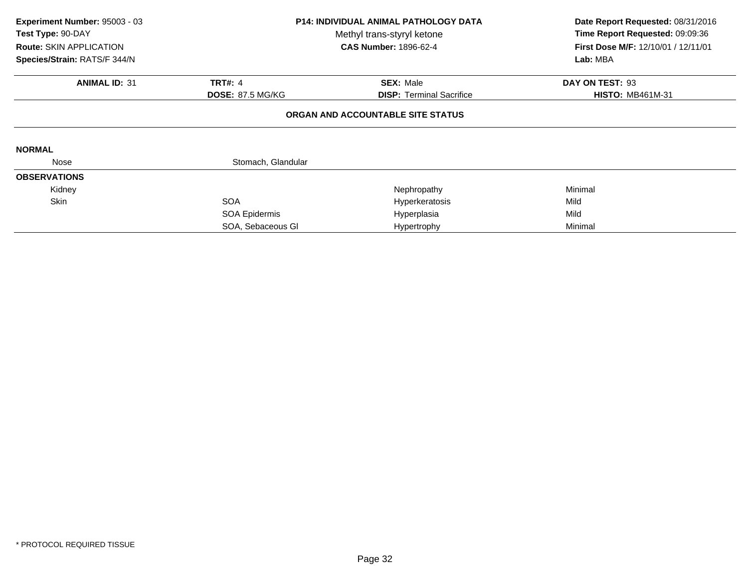| Experiment Number: 95003 - 03<br>Test Type: 90-DAY<br>Route: SKIN APPLICATION<br>Species/Strain: RATS/F 344/N | <b>P14: INDIVIDUAL ANIMAL PATHOLOGY DATA</b><br>Methyl trans-styryl ketone<br><b>CAS Number: 1896-62-4</b> |                                   | Date Report Requested: 08/31/2016<br>Time Report Requested: 09:09:36<br>First Dose M/F: 12/10/01 / 12/11/01<br>Lab: MBA |
|---------------------------------------------------------------------------------------------------------------|------------------------------------------------------------------------------------------------------------|-----------------------------------|-------------------------------------------------------------------------------------------------------------------------|
| <b>ANIMAL ID: 31</b>                                                                                          | <b>TRT#: 4</b>                                                                                             | <b>SEX: Male</b>                  | DAY ON TEST: 93                                                                                                         |
|                                                                                                               | <b>DOSE: 87.5 MG/KG</b>                                                                                    | <b>DISP:</b> Terminal Sacrifice   | <b>HISTO: MB461M-31</b>                                                                                                 |
|                                                                                                               |                                                                                                            | ORGAN AND ACCOUNTABLE SITE STATUS |                                                                                                                         |
| <b>NORMAL</b>                                                                                                 |                                                                                                            |                                   |                                                                                                                         |
| Nose                                                                                                          | Stomach, Glandular                                                                                         |                                   |                                                                                                                         |
| <b>OBSERVATIONS</b>                                                                                           |                                                                                                            |                                   |                                                                                                                         |
| Kidney                                                                                                        |                                                                                                            | Nephropathy                       | Minimal                                                                                                                 |
| Skin                                                                                                          | <b>SOA</b>                                                                                                 | Hyperkeratosis                    | Mild                                                                                                                    |
|                                                                                                               | SOA Epidermis                                                                                              | Hyperplasia                       | Mild                                                                                                                    |
|                                                                                                               | SOA, Sebaceous GI                                                                                          | Hypertrophy                       | Minimal                                                                                                                 |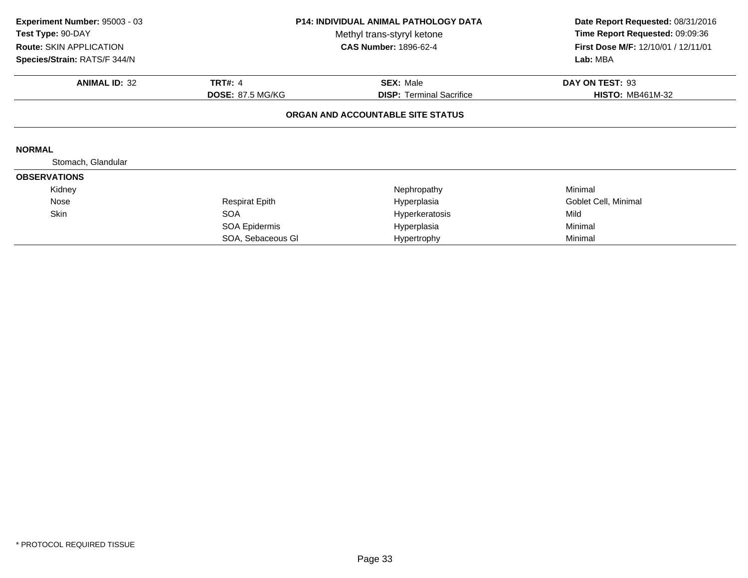| Experiment Number: 95003 - 03<br>Test Type: 90-DAY<br>Route: SKIN APPLICATION<br>Species/Strain: RATS/F 344/N | <b>P14: INDIVIDUAL ANIMAL PATHOLOGY DATA</b><br>Methyl trans-styryl ketone<br><b>CAS Number: 1896-62-4</b> |                                   | Date Report Requested: 08/31/2016<br>Time Report Requested: 09:09:36<br>First Dose M/F: 12/10/01 / 12/11/01<br>Lab: MBA |
|---------------------------------------------------------------------------------------------------------------|------------------------------------------------------------------------------------------------------------|-----------------------------------|-------------------------------------------------------------------------------------------------------------------------|
| <b>ANIMAL ID: 32</b>                                                                                          | <b>TRT#: 4</b>                                                                                             | <b>SEX: Male</b>                  | DAY ON TEST: 93                                                                                                         |
|                                                                                                               | <b>DOSE: 87.5 MG/KG</b>                                                                                    | <b>DISP:</b> Terminal Sacrifice   | <b>HISTO: MB461M-32</b>                                                                                                 |
|                                                                                                               |                                                                                                            | ORGAN AND ACCOUNTABLE SITE STATUS |                                                                                                                         |
| <b>NORMAL</b>                                                                                                 |                                                                                                            |                                   |                                                                                                                         |
| Stomach, Glandular                                                                                            |                                                                                                            |                                   |                                                                                                                         |
| <b>OBSERVATIONS</b>                                                                                           |                                                                                                            |                                   |                                                                                                                         |
| Kidney                                                                                                        |                                                                                                            | Nephropathy                       | Minimal                                                                                                                 |
| Nose                                                                                                          | <b>Respirat Epith</b>                                                                                      | Hyperplasia                       | Goblet Cell, Minimal                                                                                                    |
| <b>Skin</b>                                                                                                   | <b>SOA</b>                                                                                                 | Hyperkeratosis                    | Mild                                                                                                                    |
|                                                                                                               | SOA Epidermis                                                                                              | Hyperplasia                       | Minimal                                                                                                                 |
|                                                                                                               | SOA, Sebaceous GI                                                                                          | Hypertrophy                       | Minimal                                                                                                                 |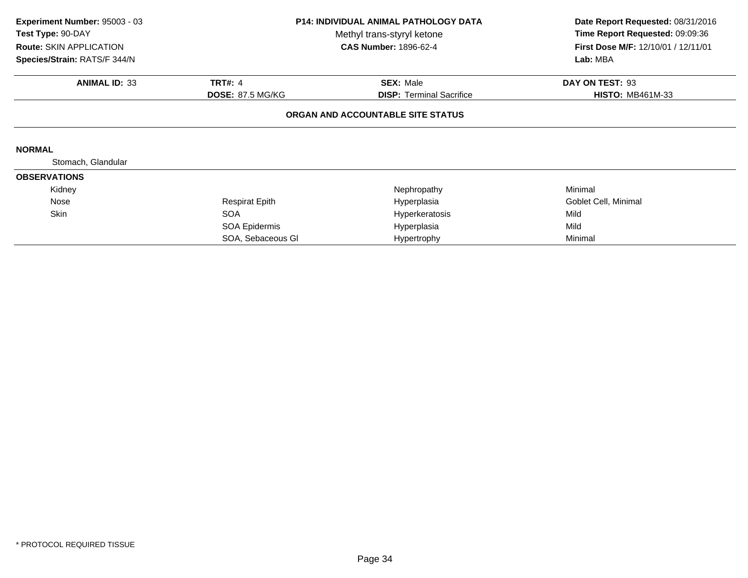| Experiment Number: 95003 - 03<br>Test Type: 90-DAY<br>Route: SKIN APPLICATION<br>Species/Strain: RATS/F 344/N | <b>P14: INDIVIDUAL ANIMAL PATHOLOGY DATA</b><br>Methyl trans-styryl ketone<br><b>CAS Number: 1896-62-4</b> |                                   | Date Report Requested: 08/31/2016<br>Time Report Requested: 09:09:36<br>First Dose M/F: 12/10/01 / 12/11/01<br>Lab: MBA |
|---------------------------------------------------------------------------------------------------------------|------------------------------------------------------------------------------------------------------------|-----------------------------------|-------------------------------------------------------------------------------------------------------------------------|
| <b>ANIMAL ID: 33</b>                                                                                          | <b>TRT#: 4</b>                                                                                             | <b>SEX: Male</b>                  | DAY ON TEST: 93                                                                                                         |
|                                                                                                               | <b>DOSE: 87.5 MG/KG</b>                                                                                    | <b>DISP:</b> Terminal Sacrifice   | <b>HISTO: MB461M-33</b>                                                                                                 |
|                                                                                                               |                                                                                                            | ORGAN AND ACCOUNTABLE SITE STATUS |                                                                                                                         |
| <b>NORMAL</b>                                                                                                 |                                                                                                            |                                   |                                                                                                                         |
| Stomach, Glandular                                                                                            |                                                                                                            |                                   |                                                                                                                         |
| <b>OBSERVATIONS</b>                                                                                           |                                                                                                            |                                   |                                                                                                                         |
| Kidney                                                                                                        |                                                                                                            | Nephropathy                       | Minimal                                                                                                                 |
| Nose                                                                                                          | Respirat Epith                                                                                             | Hyperplasia                       | Goblet Cell, Minimal                                                                                                    |
| <b>Skin</b>                                                                                                   | <b>SOA</b>                                                                                                 | Hyperkeratosis                    | Mild                                                                                                                    |
|                                                                                                               | SOA Epidermis                                                                                              | Hyperplasia                       | Mild                                                                                                                    |
|                                                                                                               | SOA, Sebaceous GI                                                                                          | Hypertrophy                       | Minimal                                                                                                                 |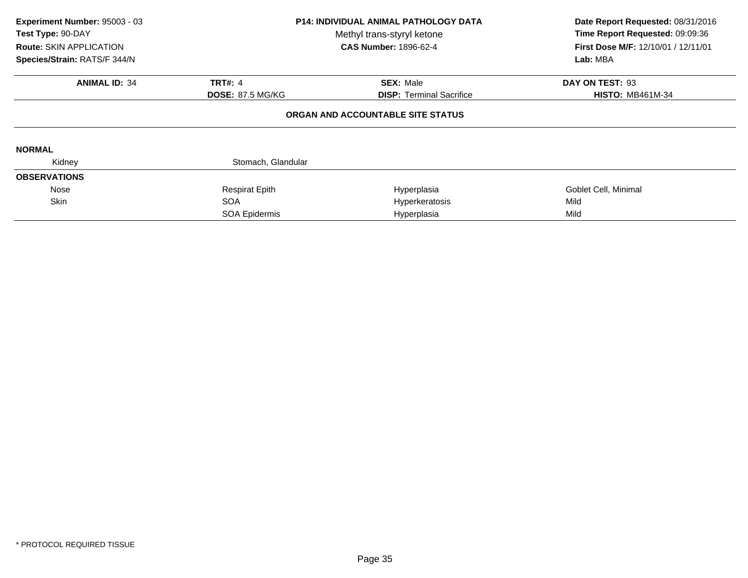| Experiment Number: 95003 - 03<br>Test Type: 90-DAY<br><b>Route: SKIN APPLICATION</b><br>Species/Strain: RATS/F 344/N | <b>P14: INDIVIDUAL ANIMAL PATHOLOGY DATA</b><br>Methyl trans-styryl ketone<br><b>CAS Number: 1896-62-4</b> |                                   | Date Report Requested: 08/31/2016<br>Time Report Requested: 09:09:36<br><b>First Dose M/F: 12/10/01 / 12/11/01</b><br>Lab: MBA |
|----------------------------------------------------------------------------------------------------------------------|------------------------------------------------------------------------------------------------------------|-----------------------------------|--------------------------------------------------------------------------------------------------------------------------------|
| <b>ANIMAL ID: 34</b>                                                                                                 | <b>TRT#: 4</b>                                                                                             | <b>SEX: Male</b>                  | DAY ON TEST: 93                                                                                                                |
|                                                                                                                      | <b>DOSE: 87.5 MG/KG</b>                                                                                    | <b>DISP:</b> Terminal Sacrifice   | <b>HISTO: MB461M-34</b>                                                                                                        |
|                                                                                                                      |                                                                                                            | ORGAN AND ACCOUNTABLE SITE STATUS |                                                                                                                                |
| <b>NORMAL</b>                                                                                                        |                                                                                                            |                                   |                                                                                                                                |
| Kidney                                                                                                               | Stomach, Glandular                                                                                         |                                   |                                                                                                                                |
| <b>OBSERVATIONS</b>                                                                                                  |                                                                                                            |                                   |                                                                                                                                |
| Nose                                                                                                                 | <b>Respirat Epith</b>                                                                                      | Hyperplasia                       | Goblet Cell, Minimal                                                                                                           |
| <b>Skin</b>                                                                                                          | <b>SOA</b>                                                                                                 | Hyperkeratosis                    | Mild                                                                                                                           |
|                                                                                                                      | SOA Epidermis                                                                                              | Hyperplasia                       | Mild                                                                                                                           |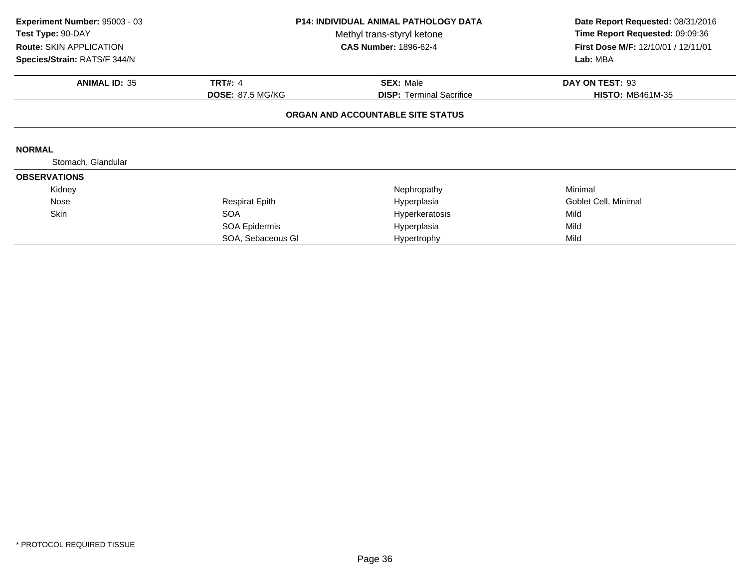| Experiment Number: 95003 - 03<br>Test Type: 90-DAY<br>Route: SKIN APPLICATION<br>Species/Strain: RATS/F 344/N | P14: INDIVIDUAL ANIMAL PATHOLOGY DATA<br>Methyl trans-styryl ketone<br><b>CAS Number: 1896-62-4</b> |                                   | Date Report Requested: 08/31/2016<br>Time Report Requested: 09:09:36<br>First Dose M/F: 12/10/01 / 12/11/01<br>Lab: MBA |
|---------------------------------------------------------------------------------------------------------------|-----------------------------------------------------------------------------------------------------|-----------------------------------|-------------------------------------------------------------------------------------------------------------------------|
| <b>ANIMAL ID: 35</b>                                                                                          | <b>TRT#: 4</b>                                                                                      | <b>SEX: Male</b>                  | DAY ON TEST: 93                                                                                                         |
|                                                                                                               | <b>DOSE: 87.5 MG/KG</b>                                                                             | <b>DISP:</b> Terminal Sacrifice   | <b>HISTO: MB461M-35</b>                                                                                                 |
|                                                                                                               |                                                                                                     | ORGAN AND ACCOUNTABLE SITE STATUS |                                                                                                                         |
| <b>NORMAL</b>                                                                                                 |                                                                                                     |                                   |                                                                                                                         |
| Stomach, Glandular                                                                                            |                                                                                                     |                                   |                                                                                                                         |
| <b>OBSERVATIONS</b>                                                                                           |                                                                                                     |                                   |                                                                                                                         |
| Kidney                                                                                                        |                                                                                                     | Nephropathy                       | Minimal                                                                                                                 |
| Nose                                                                                                          | <b>Respirat Epith</b>                                                                               | Hyperplasia                       | Goblet Cell, Minimal                                                                                                    |
| <b>Skin</b>                                                                                                   | <b>SOA</b>                                                                                          | Hyperkeratosis                    | Mild                                                                                                                    |
|                                                                                                               | SOA Epidermis                                                                                       | Hyperplasia                       | Mild                                                                                                                    |
|                                                                                                               | SOA, Sebaceous GI                                                                                   | Hypertrophy                       | Mild                                                                                                                    |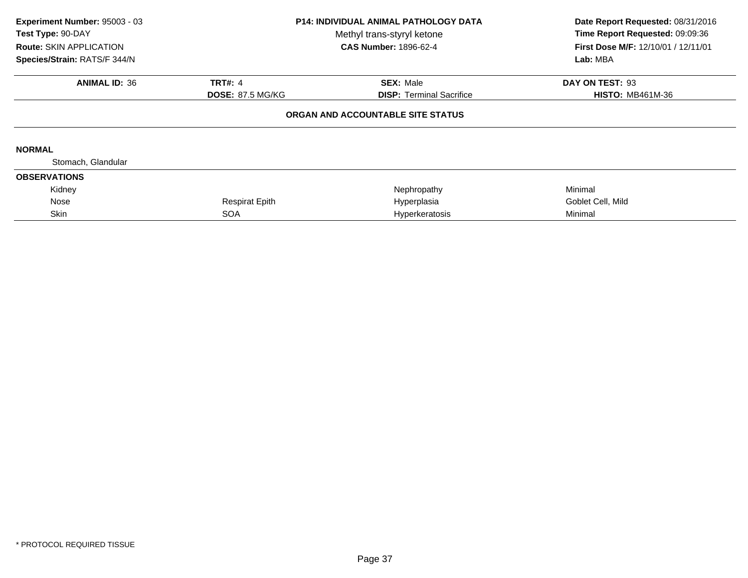| Experiment Number: 95003 - 03<br>Test Type: 90-DAY<br>Route: SKIN APPLICATION<br>Species/Strain: RATS/F 344/N | <b>P14: INDIVIDUAL ANIMAL PATHOLOGY DATA</b><br>Methyl trans-styryl ketone<br><b>CAS Number: 1896-62-4</b> |                                   | Date Report Requested: 08/31/2016<br>Time Report Requested: 09:09:36<br><b>First Dose M/F: 12/10/01 / 12/11/01</b><br>Lab: MBA |
|---------------------------------------------------------------------------------------------------------------|------------------------------------------------------------------------------------------------------------|-----------------------------------|--------------------------------------------------------------------------------------------------------------------------------|
| <b>ANIMAL ID: 36</b>                                                                                          | <b>TRT#: 4</b>                                                                                             | <b>SEX: Male</b>                  | DAY ON TEST: 93                                                                                                                |
|                                                                                                               | <b>DOSE: 87.5 MG/KG</b>                                                                                    | <b>DISP:</b> Terminal Sacrifice   | <b>HISTO: MB461M-36</b>                                                                                                        |
|                                                                                                               |                                                                                                            | ORGAN AND ACCOUNTABLE SITE STATUS |                                                                                                                                |
| <b>NORMAL</b>                                                                                                 |                                                                                                            |                                   |                                                                                                                                |
| Stomach, Glandular                                                                                            |                                                                                                            |                                   |                                                                                                                                |
| <b>OBSERVATIONS</b>                                                                                           |                                                                                                            |                                   |                                                                                                                                |
| Kidney                                                                                                        |                                                                                                            | Nephropathy                       | Minimal                                                                                                                        |
| Nose                                                                                                          | <b>Respirat Epith</b>                                                                                      | Hyperplasia                       | Goblet Cell, Mild                                                                                                              |
| Skin                                                                                                          | <b>SOA</b>                                                                                                 | Hyperkeratosis                    | Minimal                                                                                                                        |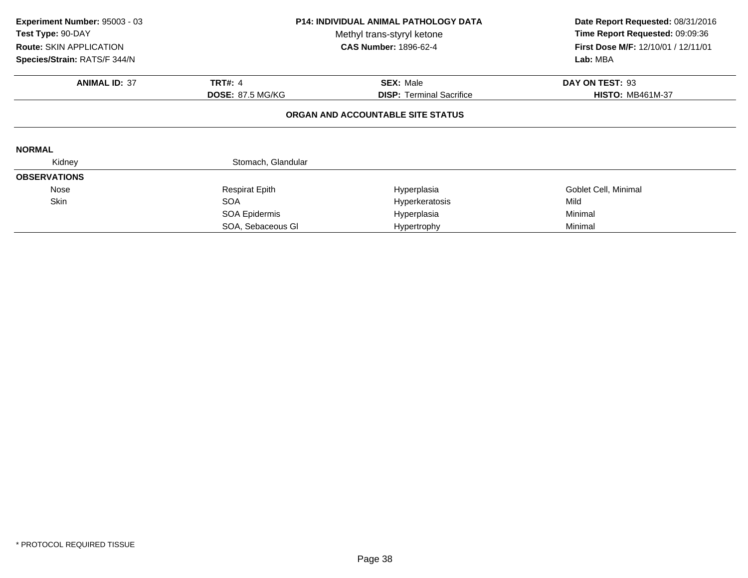| Experiment Number: 95003 - 03<br>Test Type: 90-DAY<br><b>Route: SKIN APPLICATION</b><br>Species/Strain: RATS/F 344/N | <b>P14: INDIVIDUAL ANIMAL PATHOLOGY DATA</b><br>Methyl trans-styryl ketone<br><b>CAS Number: 1896-62-4</b> |                                   | Date Report Requested: 08/31/2016<br>Time Report Requested: 09:09:36<br>First Dose M/F: 12/10/01 / 12/11/01<br>Lab: MBA |
|----------------------------------------------------------------------------------------------------------------------|------------------------------------------------------------------------------------------------------------|-----------------------------------|-------------------------------------------------------------------------------------------------------------------------|
| <b>ANIMAL ID: 37</b>                                                                                                 | <b>TRT#: 4</b>                                                                                             | <b>SEX: Male</b>                  | DAY ON TEST: 93                                                                                                         |
|                                                                                                                      | <b>DOSE: 87.5 MG/KG</b>                                                                                    | <b>DISP:</b> Terminal Sacrifice   | <b>HISTO: MB461M-37</b>                                                                                                 |
|                                                                                                                      |                                                                                                            | ORGAN AND ACCOUNTABLE SITE STATUS |                                                                                                                         |
| <b>NORMAL</b>                                                                                                        |                                                                                                            |                                   |                                                                                                                         |
| Kidney                                                                                                               | Stomach, Glandular                                                                                         |                                   |                                                                                                                         |
| <b>OBSERVATIONS</b>                                                                                                  |                                                                                                            |                                   |                                                                                                                         |
| Nose                                                                                                                 | <b>Respirat Epith</b>                                                                                      | Hyperplasia                       | Goblet Cell, Minimal                                                                                                    |
| Skin                                                                                                                 | <b>SOA</b>                                                                                                 | Hyperkeratosis                    | Mild                                                                                                                    |
|                                                                                                                      | SOA Epidermis                                                                                              | Hyperplasia                       | Minimal                                                                                                                 |
|                                                                                                                      | SOA, Sebaceous GI                                                                                          | Hypertrophy                       | Minimal                                                                                                                 |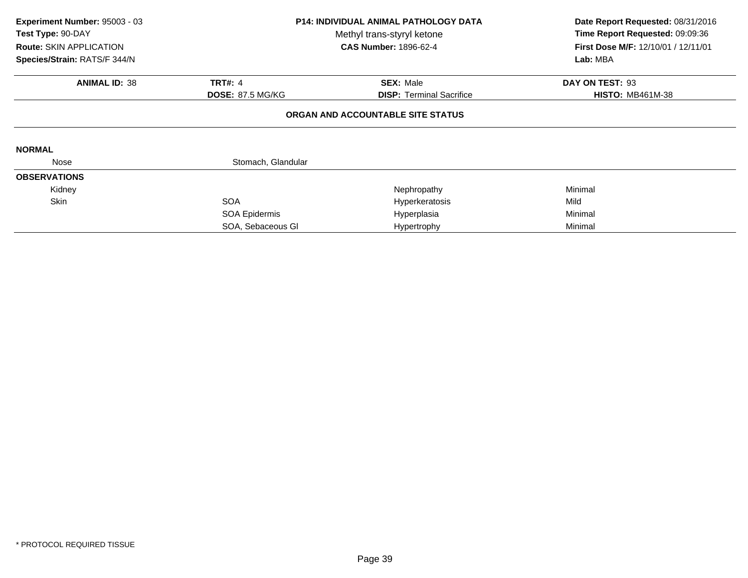| Experiment Number: 95003 - 03<br>Test Type: 90-DAY<br><b>Route: SKIN APPLICATION</b><br>Species/Strain: RATS/F 344/N | <b>P14: INDIVIDUAL ANIMAL PATHOLOGY DATA</b><br>Methyl trans-styryl ketone<br><b>CAS Number: 1896-62-4</b> |                                   | Date Report Requested: 08/31/2016<br>Time Report Requested: 09:09:36<br>First Dose M/F: 12/10/01 / 12/11/01<br>Lab: MBA |
|----------------------------------------------------------------------------------------------------------------------|------------------------------------------------------------------------------------------------------------|-----------------------------------|-------------------------------------------------------------------------------------------------------------------------|
| <b>ANIMAL ID: 38</b>                                                                                                 | <b>TRT#: 4</b>                                                                                             | <b>SEX: Male</b>                  | DAY ON TEST: 93                                                                                                         |
|                                                                                                                      | <b>DOSE: 87.5 MG/KG</b>                                                                                    | <b>DISP:</b> Terminal Sacrifice   | <b>HISTO: MB461M-38</b>                                                                                                 |
|                                                                                                                      |                                                                                                            | ORGAN AND ACCOUNTABLE SITE STATUS |                                                                                                                         |
| <b>NORMAL</b>                                                                                                        |                                                                                                            |                                   |                                                                                                                         |
| Nose                                                                                                                 | Stomach, Glandular                                                                                         |                                   |                                                                                                                         |
| <b>OBSERVATIONS</b>                                                                                                  |                                                                                                            |                                   |                                                                                                                         |
| Kidney                                                                                                               |                                                                                                            | Nephropathy                       | Minimal                                                                                                                 |
| Skin                                                                                                                 | <b>SOA</b>                                                                                                 | Hyperkeratosis                    | Mild                                                                                                                    |
|                                                                                                                      | SOA Epidermis                                                                                              | Hyperplasia                       | Minimal                                                                                                                 |
|                                                                                                                      | SOA, Sebaceous GI                                                                                          | Hypertrophy                       | Minimal                                                                                                                 |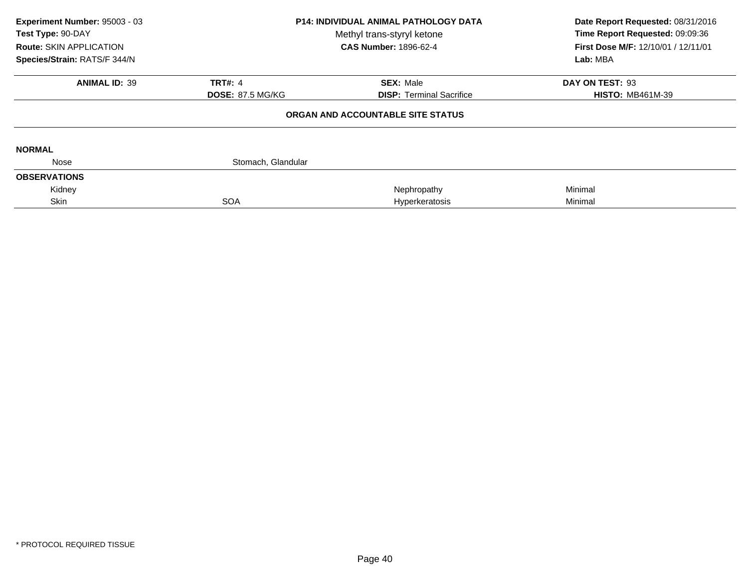| Experiment Number: 95003 - 03<br>Test Type: 90-DAY<br><b>Route: SKIN APPLICATION</b><br>Species/Strain: RATS/F 344/N | <b>P14: INDIVIDUAL ANIMAL PATHOLOGY DATA</b><br>Methyl trans-styryl ketone<br><b>CAS Number: 1896-62-4</b> |                                   | Date Report Requested: 08/31/2016<br>Time Report Requested: 09:09:36<br>First Dose M/F: 12/10/01 / 12/11/01<br>Lab: MBA |
|----------------------------------------------------------------------------------------------------------------------|------------------------------------------------------------------------------------------------------------|-----------------------------------|-------------------------------------------------------------------------------------------------------------------------|
| <b>ANIMAL ID: 39</b>                                                                                                 | <b>TRT#: 4</b>                                                                                             | <b>SEX: Male</b>                  | DAY ON TEST: 93                                                                                                         |
|                                                                                                                      | <b>DOSE: 87.5 MG/KG</b>                                                                                    | <b>DISP:</b> Terminal Sacrifice   | <b>HISTO: MB461M-39</b>                                                                                                 |
|                                                                                                                      |                                                                                                            | ORGAN AND ACCOUNTABLE SITE STATUS |                                                                                                                         |
| <b>NORMAL</b>                                                                                                        |                                                                                                            |                                   |                                                                                                                         |
| Nose                                                                                                                 | Stomach, Glandular                                                                                         |                                   |                                                                                                                         |
| <b>OBSERVATIONS</b>                                                                                                  |                                                                                                            |                                   |                                                                                                                         |
| Kidney                                                                                                               |                                                                                                            | Nephropathy                       | Minimal                                                                                                                 |
| Skin                                                                                                                 | <b>SOA</b>                                                                                                 | Hyperkeratosis                    | Minimal                                                                                                                 |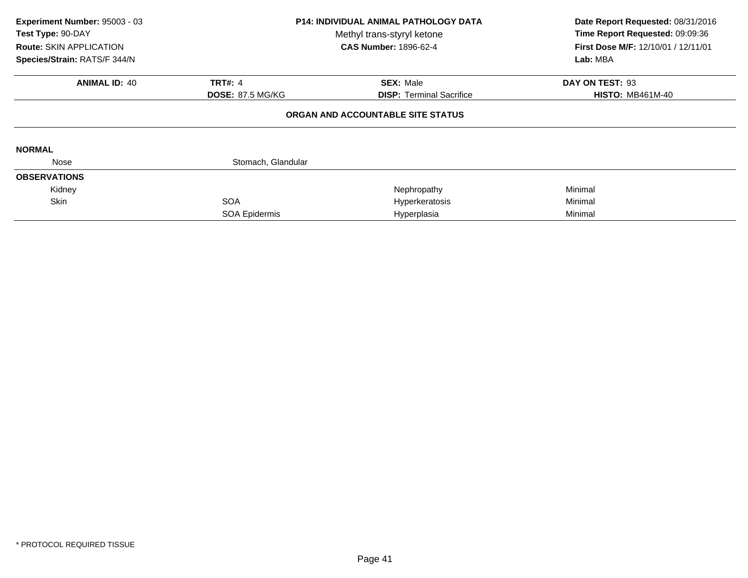| Experiment Number: 95003 - 03<br>Test Type: 90-DAY<br><b>Route: SKIN APPLICATION</b><br>Species/Strain: RATS/F 344/N | <b>P14: INDIVIDUAL ANIMAL PATHOLOGY DATA</b><br>Methyl trans-styryl ketone<br><b>CAS Number: 1896-62-4</b> |                                                     | Date Report Requested: 08/31/2016<br>Time Report Requested: 09:09:36<br>First Dose M/F: 12/10/01 / 12/11/01<br>Lab: MBA |
|----------------------------------------------------------------------------------------------------------------------|------------------------------------------------------------------------------------------------------------|-----------------------------------------------------|-------------------------------------------------------------------------------------------------------------------------|
| <b>ANIMAL ID: 40</b>                                                                                                 | <b>TRT#: 4</b><br><b>DOSE: 87.5 MG/KG</b>                                                                  | <b>SEX: Male</b><br><b>DISP:</b> Terminal Sacrifice | DAY ON TEST: 93<br><b>HISTO: MB461M-40</b>                                                                              |
|                                                                                                                      |                                                                                                            | ORGAN AND ACCOUNTABLE SITE STATUS                   |                                                                                                                         |
| <b>NORMAL</b>                                                                                                        |                                                                                                            |                                                     |                                                                                                                         |
| Nose                                                                                                                 | Stomach, Glandular                                                                                         |                                                     |                                                                                                                         |
| <b>OBSERVATIONS</b>                                                                                                  |                                                                                                            |                                                     |                                                                                                                         |
| Kidney                                                                                                               |                                                                                                            | Nephropathy                                         | Minimal                                                                                                                 |
| <b>Skin</b>                                                                                                          | <b>SOA</b>                                                                                                 | Hyperkeratosis                                      | Minimal                                                                                                                 |
|                                                                                                                      | SOA Epidermis                                                                                              | Hyperplasia                                         | Minimal                                                                                                                 |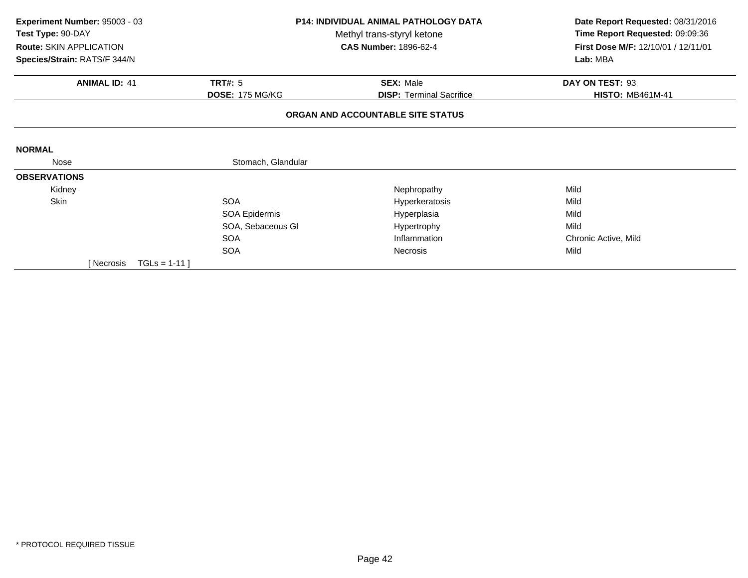| Experiment Number: 95003 - 03<br>Test Type: 90-DAY<br><b>Route: SKIN APPLICATION</b> | <b>P14: INDIVIDUAL ANIMAL PATHOLOGY DATA</b><br>Methyl trans-styryl ketone<br><b>CAS Number: 1896-62-4</b> |                                   | Date Report Requested: 08/31/2016<br>Time Report Requested: 09:09:36<br>First Dose M/F: 12/10/01 / 12/11/01 |
|--------------------------------------------------------------------------------------|------------------------------------------------------------------------------------------------------------|-----------------------------------|-------------------------------------------------------------------------------------------------------------|
| Species/Strain: RATS/F 344/N                                                         |                                                                                                            |                                   | Lab: MBA                                                                                                    |
| <b>ANIMAL ID: 41</b>                                                                 | TRT#: $5$                                                                                                  | <b>SEX: Male</b>                  | DAY ON TEST: 93                                                                                             |
|                                                                                      | <b>DOSE: 175 MG/KG</b>                                                                                     | <b>DISP: Terminal Sacrifice</b>   | <b>HISTO: MB461M-41</b>                                                                                     |
|                                                                                      |                                                                                                            | ORGAN AND ACCOUNTABLE SITE STATUS |                                                                                                             |
| <b>NORMAL</b>                                                                        |                                                                                                            |                                   |                                                                                                             |
| Nose                                                                                 | Stomach, Glandular                                                                                         |                                   |                                                                                                             |
| <b>OBSERVATIONS</b>                                                                  |                                                                                                            |                                   |                                                                                                             |
| Kidney                                                                               |                                                                                                            | Nephropathy                       | Mild                                                                                                        |
| Skin                                                                                 | <b>SOA</b>                                                                                                 | Hyperkeratosis                    | Mild                                                                                                        |
|                                                                                      | SOA Epidermis                                                                                              | Hyperplasia                       | Mild                                                                                                        |
|                                                                                      | SOA, Sebaceous GI                                                                                          | Hypertrophy                       | Mild                                                                                                        |
|                                                                                      | <b>SOA</b>                                                                                                 | Inflammation                      | Chronic Active, Mild                                                                                        |
|                                                                                      | <b>SOA</b>                                                                                                 | Necrosis                          | Mild                                                                                                        |
| $TGLs = 1-11$<br>[ Necrosis                                                          |                                                                                                            |                                   |                                                                                                             |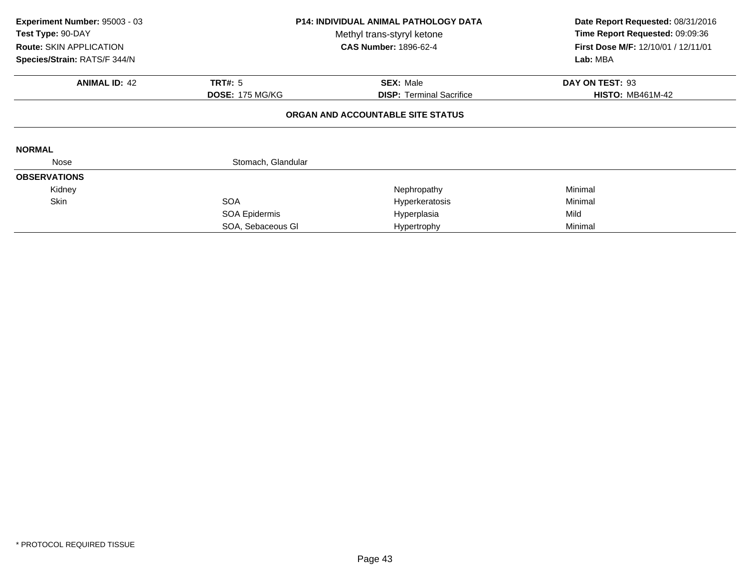| Experiment Number: 95003 - 03<br>Test Type: 90-DAY<br>Route: SKIN APPLICATION<br>Species/Strain: RATS/F 344/N | <b>P14: INDIVIDUAL ANIMAL PATHOLOGY DATA</b><br>Methyl trans-styryl ketone<br><b>CAS Number: 1896-62-4</b> |                                   | Date Report Requested: 08/31/2016<br>Time Report Requested: 09:09:36<br>First Dose M/F: 12/10/01 / 12/11/01<br>Lab: MBA |
|---------------------------------------------------------------------------------------------------------------|------------------------------------------------------------------------------------------------------------|-----------------------------------|-------------------------------------------------------------------------------------------------------------------------|
| <b>ANIMAL ID: 42</b>                                                                                          | <b>TRT#: 5</b>                                                                                             | <b>SEX: Male</b>                  | DAY ON TEST: 93                                                                                                         |
|                                                                                                               | <b>DOSE: 175 MG/KG</b>                                                                                     | <b>DISP:</b> Terminal Sacrifice   | <b>HISTO: MB461M-42</b>                                                                                                 |
|                                                                                                               |                                                                                                            | ORGAN AND ACCOUNTABLE SITE STATUS |                                                                                                                         |
| <b>NORMAL</b>                                                                                                 |                                                                                                            |                                   |                                                                                                                         |
| Nose                                                                                                          | Stomach, Glandular                                                                                         |                                   |                                                                                                                         |
| <b>OBSERVATIONS</b>                                                                                           |                                                                                                            |                                   |                                                                                                                         |
| Kidney                                                                                                        |                                                                                                            | Nephropathy                       | Minimal                                                                                                                 |
| Skin                                                                                                          | <b>SOA</b>                                                                                                 | Hyperkeratosis                    | Minimal                                                                                                                 |
|                                                                                                               | SOA Epidermis                                                                                              | Hyperplasia                       | Mild                                                                                                                    |
|                                                                                                               | SOA, Sebaceous GI                                                                                          | Hypertrophy                       | Minimal                                                                                                                 |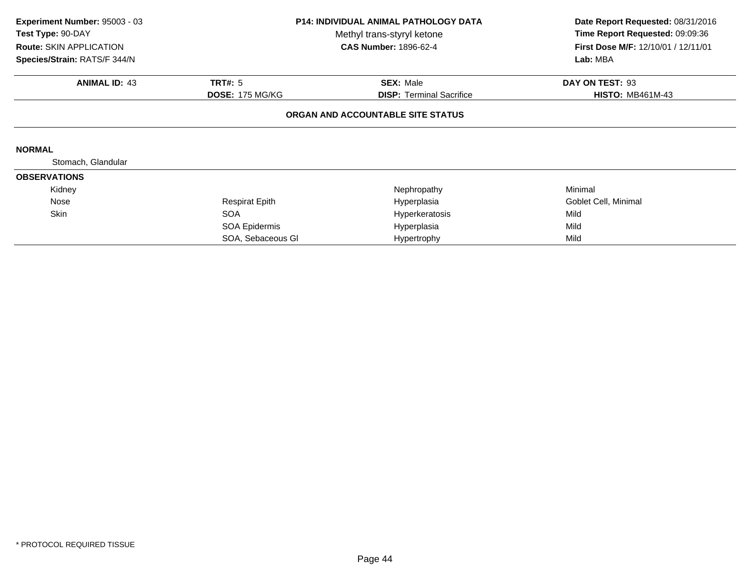| Experiment Number: 95003 - 03<br>Test Type: 90-DAY<br><b>Route: SKIN APPLICATION</b><br>Species/Strain: RATS/F 344/N | P14: INDIVIDUAL ANIMAL PATHOLOGY DATA<br>Methyl trans-styryl ketone<br><b>CAS Number: 1896-62-4</b> |                                   | Date Report Requested: 08/31/2016<br>Time Report Requested: 09:09:36<br>First Dose M/F: 12/10/01 / 12/11/01<br>Lab: MBA |
|----------------------------------------------------------------------------------------------------------------------|-----------------------------------------------------------------------------------------------------|-----------------------------------|-------------------------------------------------------------------------------------------------------------------------|
| <b>ANIMAL ID: 43</b>                                                                                                 | <b>TRT#: 5</b>                                                                                      | <b>SEX: Male</b>                  | DAY ON TEST: 93                                                                                                         |
|                                                                                                                      | <b>DOSE: 175 MG/KG</b>                                                                              | <b>DISP:</b> Terminal Sacrifice   | <b>HISTO: MB461M-43</b>                                                                                                 |
|                                                                                                                      |                                                                                                     | ORGAN AND ACCOUNTABLE SITE STATUS |                                                                                                                         |
| <b>NORMAL</b>                                                                                                        |                                                                                                     |                                   |                                                                                                                         |
| Stomach, Glandular                                                                                                   |                                                                                                     |                                   |                                                                                                                         |
| <b>OBSERVATIONS</b>                                                                                                  |                                                                                                     |                                   |                                                                                                                         |
| Kidney                                                                                                               |                                                                                                     | Nephropathy                       | Minimal                                                                                                                 |
| Nose                                                                                                                 | <b>Respirat Epith</b>                                                                               | Hyperplasia                       | Goblet Cell, Minimal                                                                                                    |
| Skin                                                                                                                 | <b>SOA</b>                                                                                          | Hyperkeratosis                    | Mild                                                                                                                    |
|                                                                                                                      | SOA Epidermis                                                                                       | Hyperplasia                       | Mild                                                                                                                    |
|                                                                                                                      | SOA, Sebaceous GI                                                                                   | Hypertrophy                       | Mild                                                                                                                    |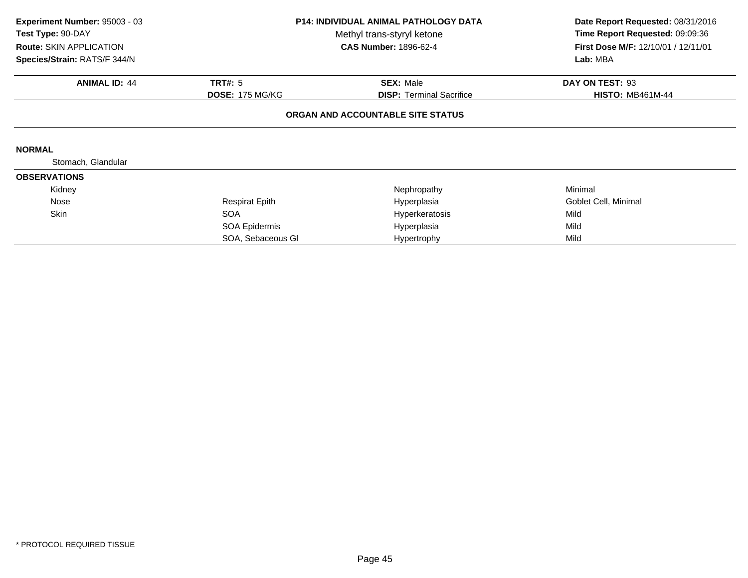| Experiment Number: 95003 - 03<br>Test Type: 90-DAY<br>Route: SKIN APPLICATION<br>Species/Strain: RATS/F 344/N | <b>P14: INDIVIDUAL ANIMAL PATHOLOGY DATA</b><br>Methyl trans-styryl ketone<br><b>CAS Number: 1896-62-4</b> |                                   | Date Report Requested: 08/31/2016<br>Time Report Requested: 09:09:36<br>First Dose M/F: 12/10/01 / 12/11/01<br>Lab: MBA |
|---------------------------------------------------------------------------------------------------------------|------------------------------------------------------------------------------------------------------------|-----------------------------------|-------------------------------------------------------------------------------------------------------------------------|
| <b>ANIMAL ID: 44</b>                                                                                          | <b>TRT#: 5</b>                                                                                             | <b>SEX: Male</b>                  | DAY ON TEST: 93                                                                                                         |
|                                                                                                               | <b>DOSE: 175 MG/KG</b>                                                                                     | <b>DISP:</b> Terminal Sacrifice   | <b>HISTO: MB461M-44</b>                                                                                                 |
|                                                                                                               |                                                                                                            | ORGAN AND ACCOUNTABLE SITE STATUS |                                                                                                                         |
| <b>NORMAL</b>                                                                                                 |                                                                                                            |                                   |                                                                                                                         |
| Stomach, Glandular                                                                                            |                                                                                                            |                                   |                                                                                                                         |
| <b>OBSERVATIONS</b>                                                                                           |                                                                                                            |                                   |                                                                                                                         |
| Kidney                                                                                                        |                                                                                                            | Nephropathy                       | Minimal                                                                                                                 |
| Nose                                                                                                          | <b>Respirat Epith</b>                                                                                      | Hyperplasia                       | Goblet Cell, Minimal                                                                                                    |
| Skin                                                                                                          | <b>SOA</b>                                                                                                 | Hyperkeratosis                    | Mild                                                                                                                    |
|                                                                                                               | SOA Epidermis                                                                                              | Hyperplasia                       | Mild                                                                                                                    |
|                                                                                                               | SOA, Sebaceous GI                                                                                          | Hypertrophy                       | Mild                                                                                                                    |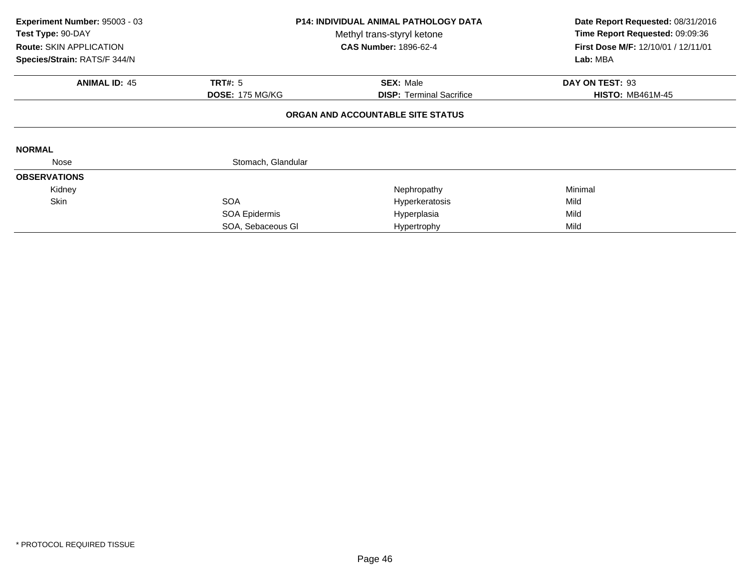| Experiment Number: 95003 - 03<br>Test Type: 90-DAY<br>Route: SKIN APPLICATION<br>Species/Strain: RATS/F 344/N | <b>P14: INDIVIDUAL ANIMAL PATHOLOGY DATA</b><br>Methyl trans-styryl ketone<br><b>CAS Number: 1896-62-4</b> |                                   | Date Report Requested: 08/31/2016<br>Time Report Requested: 09:09:36<br>First Dose M/F: 12/10/01 / 12/11/01<br>Lab: MBA |
|---------------------------------------------------------------------------------------------------------------|------------------------------------------------------------------------------------------------------------|-----------------------------------|-------------------------------------------------------------------------------------------------------------------------|
| <b>ANIMAL ID: 45</b>                                                                                          | <b>TRT#: 5</b>                                                                                             | <b>SEX: Male</b>                  | DAY ON TEST: 93                                                                                                         |
|                                                                                                               | <b>DOSE: 175 MG/KG</b>                                                                                     | <b>DISP:</b> Terminal Sacrifice   | <b>HISTO: MB461M-45</b>                                                                                                 |
|                                                                                                               |                                                                                                            | ORGAN AND ACCOUNTABLE SITE STATUS |                                                                                                                         |
| <b>NORMAL</b>                                                                                                 |                                                                                                            |                                   |                                                                                                                         |
| Nose                                                                                                          | Stomach, Glandular                                                                                         |                                   |                                                                                                                         |
| <b>OBSERVATIONS</b>                                                                                           |                                                                                                            |                                   |                                                                                                                         |
| Kidney                                                                                                        |                                                                                                            | Nephropathy                       | Minimal                                                                                                                 |
| Skin                                                                                                          | <b>SOA</b>                                                                                                 | Hyperkeratosis                    | Mild                                                                                                                    |
|                                                                                                               | SOA Epidermis                                                                                              | Hyperplasia                       | Mild                                                                                                                    |
|                                                                                                               | SOA, Sebaceous GI                                                                                          | Hypertrophy                       | Mild                                                                                                                    |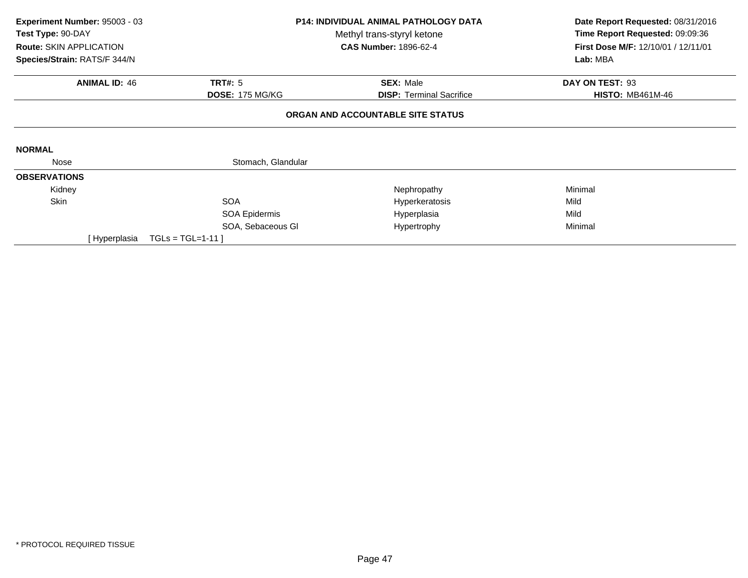| Experiment Number: 95003 - 03<br>Test Type: 90-DAY<br><b>Route: SKIN APPLICATION</b> | <b>P14: INDIVIDUAL ANIMAL PATHOLOGY DATA</b><br>Methyl trans-styryl ketone<br><b>CAS Number: 1896-62-4</b> |                                   | Date Report Requested: 08/31/2016<br>Time Report Requested: 09:09:36<br>First Dose M/F: 12/10/01 / 12/11/01 |  |
|--------------------------------------------------------------------------------------|------------------------------------------------------------------------------------------------------------|-----------------------------------|-------------------------------------------------------------------------------------------------------------|--|
| Species/Strain: RATS/F 344/N                                                         |                                                                                                            |                                   | Lab: MBA                                                                                                    |  |
| <b>ANIMAL ID: 46</b>                                                                 | <b>TRT#: 5</b>                                                                                             | <b>SEX: Male</b>                  | DAY ON TEST: 93                                                                                             |  |
|                                                                                      | <b>DOSE: 175 MG/KG</b>                                                                                     | <b>DISP: Terminal Sacrifice</b>   | <b>HISTO: MB461M-46</b>                                                                                     |  |
|                                                                                      |                                                                                                            | ORGAN AND ACCOUNTABLE SITE STATUS |                                                                                                             |  |
| <b>NORMAL</b>                                                                        |                                                                                                            |                                   |                                                                                                             |  |
| Nose                                                                                 | Stomach, Glandular                                                                                         |                                   |                                                                                                             |  |
| <b>OBSERVATIONS</b>                                                                  |                                                                                                            |                                   |                                                                                                             |  |
| Kidney                                                                               |                                                                                                            | Nephropathy                       | Minimal                                                                                                     |  |
| <b>Skin</b>                                                                          | <b>SOA</b>                                                                                                 | Hyperkeratosis                    | Mild                                                                                                        |  |
|                                                                                      | SOA Epidermis                                                                                              | Hyperplasia                       | Mild                                                                                                        |  |
|                                                                                      | SOA, Sebaceous GI                                                                                          | Hypertrophy                       | Minimal                                                                                                     |  |
| [ Hyperplasia                                                                        | $TGLs = TGL=1-11$                                                                                          |                                   |                                                                                                             |  |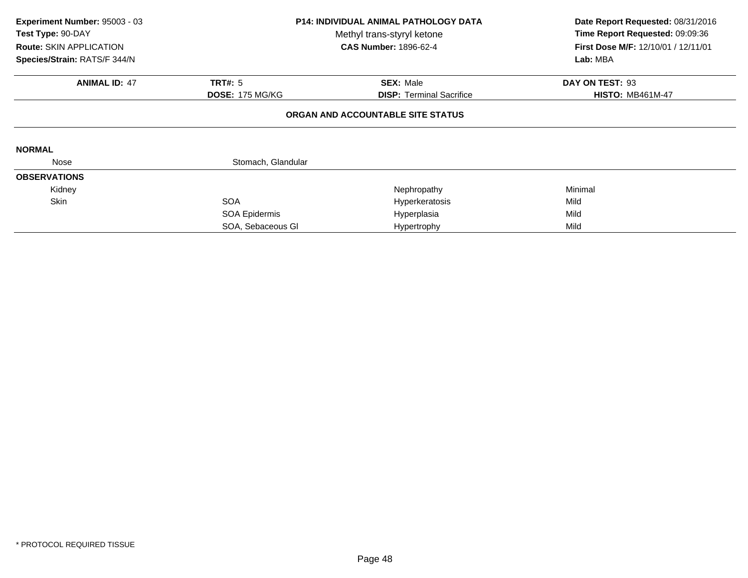| Experiment Number: 95003 - 03<br>Test Type: 90-DAY<br><b>Route: SKIN APPLICATION</b><br>Species/Strain: RATS/F 344/N | <b>P14: INDIVIDUAL ANIMAL PATHOLOGY DATA</b><br>Methyl trans-styryl ketone<br><b>CAS Number: 1896-62-4</b> |                                   | Date Report Requested: 08/31/2016<br>Time Report Requested: 09:09:36<br>First Dose M/F: 12/10/01 / 12/11/01<br>Lab: MBA |
|----------------------------------------------------------------------------------------------------------------------|------------------------------------------------------------------------------------------------------------|-----------------------------------|-------------------------------------------------------------------------------------------------------------------------|
| <b>ANIMAL ID: 47</b>                                                                                                 | <b>TRT#: 5</b>                                                                                             | <b>SEX: Male</b>                  | DAY ON TEST: 93                                                                                                         |
|                                                                                                                      | <b>DOSE: 175 MG/KG</b>                                                                                     | <b>DISP:</b> Terminal Sacrifice   | <b>HISTO: MB461M-47</b>                                                                                                 |
|                                                                                                                      |                                                                                                            | ORGAN AND ACCOUNTABLE SITE STATUS |                                                                                                                         |
| <b>NORMAL</b>                                                                                                        |                                                                                                            |                                   |                                                                                                                         |
| Nose                                                                                                                 | Stomach, Glandular                                                                                         |                                   |                                                                                                                         |
| <b>OBSERVATIONS</b>                                                                                                  |                                                                                                            |                                   |                                                                                                                         |
| Kidney                                                                                                               |                                                                                                            | Nephropathy                       | Minimal                                                                                                                 |
| Skin                                                                                                                 | <b>SOA</b>                                                                                                 | Hyperkeratosis                    | Mild                                                                                                                    |
|                                                                                                                      | SOA Epidermis                                                                                              | Hyperplasia                       | Mild                                                                                                                    |
|                                                                                                                      | SOA, Sebaceous GI                                                                                          | Hypertrophy                       | Mild                                                                                                                    |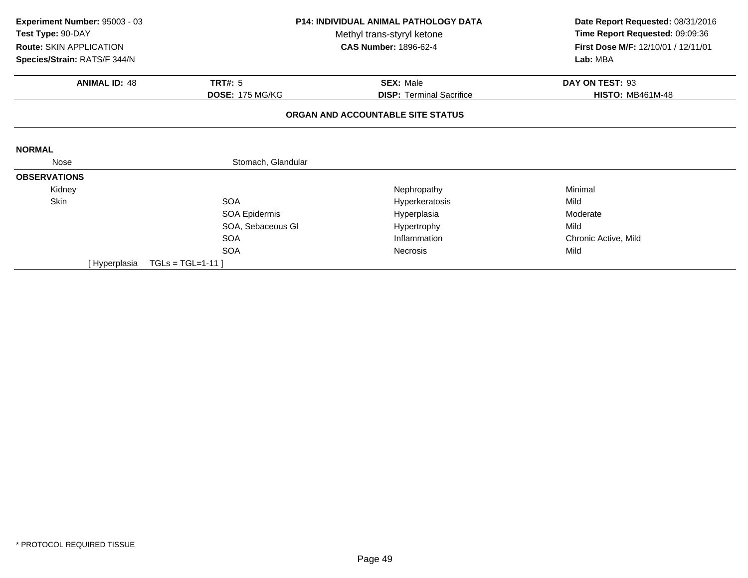| Experiment Number: 95003 - 03<br>Test Type: 90-DAY<br>Route: SKIN APPLICATION<br>Species/Strain: RATS/F 344/N |                                          | <b>P14: INDIVIDUAL ANIMAL PATHOLOGY DATA</b><br>Methyl trans-styryl ketone<br><b>CAS Number: 1896-62-4</b> |                                            |
|---------------------------------------------------------------------------------------------------------------|------------------------------------------|------------------------------------------------------------------------------------------------------------|--------------------------------------------|
| <b>ANIMAL ID: 48</b>                                                                                          | <b>TRT#: 5</b><br><b>DOSE: 175 MG/KG</b> | <b>SEX: Male</b><br><b>DISP: Terminal Sacrifice</b>                                                        | DAY ON TEST: 93<br><b>HISTO: MB461M-48</b> |
|                                                                                                               |                                          | ORGAN AND ACCOUNTABLE SITE STATUS                                                                          |                                            |
| <b>NORMAL</b>                                                                                                 |                                          |                                                                                                            |                                            |
| Nose                                                                                                          | Stomach, Glandular                       |                                                                                                            |                                            |
| <b>OBSERVATIONS</b>                                                                                           |                                          |                                                                                                            |                                            |
| Kidney                                                                                                        |                                          | Nephropathy                                                                                                | Minimal                                    |
| Skin                                                                                                          | <b>SOA</b>                               | Hyperkeratosis                                                                                             | Mild                                       |
|                                                                                                               | SOA Epidermis                            | Hyperplasia                                                                                                | Moderate                                   |
|                                                                                                               | SOA, Sebaceous GI                        | Hypertrophy                                                                                                | Mild                                       |
|                                                                                                               | <b>SOA</b>                               | Inflammation                                                                                               | Chronic Active, Mild                       |
|                                                                                                               | <b>SOA</b>                               | <b>Necrosis</b>                                                                                            | Mild                                       |
| [Hyperplasia                                                                                                  | $TGLs = TGL=1-11$                        |                                                                                                            |                                            |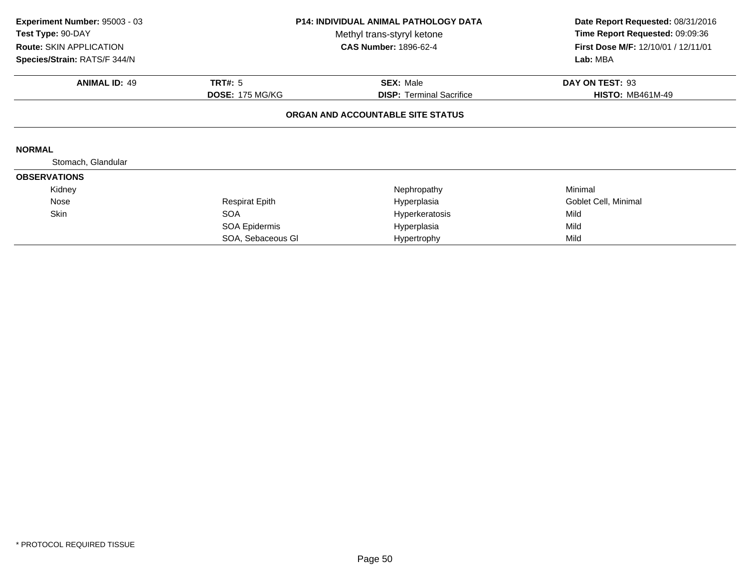| Experiment Number: 95003 - 03<br>Test Type: 90-DAY<br><b>Route: SKIN APPLICATION</b><br>Species/Strain: RATS/F 344/N | P14: INDIVIDUAL ANIMAL PATHOLOGY DATA<br>Methyl trans-styryl ketone<br><b>CAS Number: 1896-62-4</b> |                                   | Date Report Requested: 08/31/2016<br>Time Report Requested: 09:09:36<br>First Dose M/F: 12/10/01 / 12/11/01<br>Lab: MBA |
|----------------------------------------------------------------------------------------------------------------------|-----------------------------------------------------------------------------------------------------|-----------------------------------|-------------------------------------------------------------------------------------------------------------------------|
| <b>ANIMAL ID: 49</b>                                                                                                 | <b>TRT#: 5</b>                                                                                      | <b>SEX: Male</b>                  | DAY ON TEST: 93                                                                                                         |
|                                                                                                                      | <b>DOSE: 175 MG/KG</b>                                                                              | <b>DISP:</b> Terminal Sacrifice   | <b>HISTO: MB461M-49</b>                                                                                                 |
|                                                                                                                      |                                                                                                     | ORGAN AND ACCOUNTABLE SITE STATUS |                                                                                                                         |
| <b>NORMAL</b>                                                                                                        |                                                                                                     |                                   |                                                                                                                         |
| Stomach, Glandular                                                                                                   |                                                                                                     |                                   |                                                                                                                         |
| <b>OBSERVATIONS</b>                                                                                                  |                                                                                                     |                                   |                                                                                                                         |
| Kidney                                                                                                               |                                                                                                     | Nephropathy                       | Minimal                                                                                                                 |
| Nose                                                                                                                 | <b>Respirat Epith</b>                                                                               | Hyperplasia                       | Goblet Cell, Minimal                                                                                                    |
| Skin                                                                                                                 | <b>SOA</b>                                                                                          | Hyperkeratosis                    | Mild                                                                                                                    |
|                                                                                                                      | SOA Epidermis                                                                                       | Hyperplasia                       | Mild                                                                                                                    |
|                                                                                                                      | SOA, Sebaceous GI                                                                                   | Hypertrophy                       | Mild                                                                                                                    |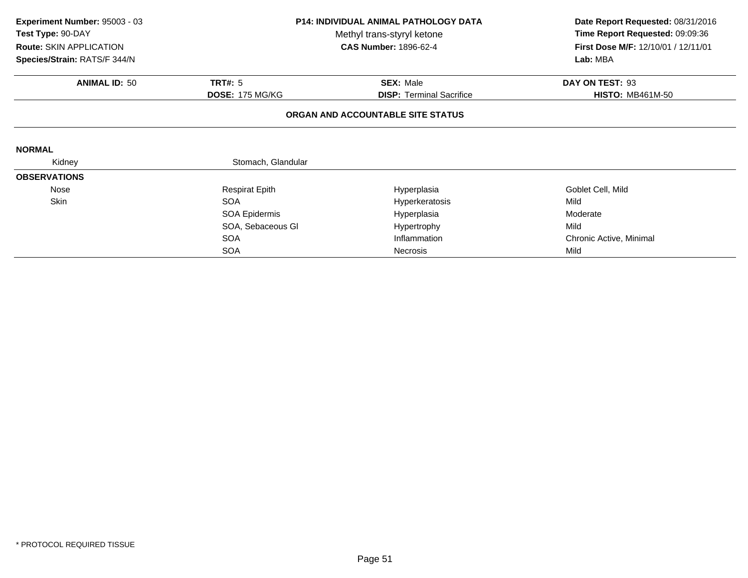| Experiment Number: 95003 - 03<br>Test Type: 90-DAY | <b>P14: INDIVIDUAL ANIMAL PATHOLOGY DATA</b><br>Methyl trans-styryl ketone |                                   | Date Report Requested: 08/31/2016<br>Time Report Requested: 09:09:36 |  |
|----------------------------------------------------|----------------------------------------------------------------------------|-----------------------------------|----------------------------------------------------------------------|--|
| Route: SKIN APPLICATION                            |                                                                            | <b>CAS Number: 1896-62-4</b>      | First Dose M/F: 12/10/01 / 12/11/01                                  |  |
| Species/Strain: RATS/F 344/N                       |                                                                            |                                   | Lab: MBA                                                             |  |
| <b>ANIMAL ID: 50</b>                               | <b>TRT#: 5</b>                                                             | <b>SEX: Male</b>                  | DAY ON TEST: 93                                                      |  |
|                                                    | <b>DOSE: 175 MG/KG</b>                                                     | <b>DISP: Terminal Sacrifice</b>   | <b>HISTO: MB461M-50</b>                                              |  |
|                                                    |                                                                            | ORGAN AND ACCOUNTABLE SITE STATUS |                                                                      |  |
| <b>NORMAL</b>                                      |                                                                            |                                   |                                                                      |  |
| Kidney                                             | Stomach, Glandular                                                         |                                   |                                                                      |  |
| <b>OBSERVATIONS</b>                                |                                                                            |                                   |                                                                      |  |
| Nose                                               | <b>Respirat Epith</b>                                                      | Hyperplasia                       | Goblet Cell, Mild                                                    |  |
| Skin                                               | <b>SOA</b>                                                                 | Hyperkeratosis                    | Mild                                                                 |  |
|                                                    | SOA Epidermis                                                              | Hyperplasia                       | Moderate                                                             |  |
|                                                    | SOA, Sebaceous GI                                                          | Hypertrophy                       | Mild                                                                 |  |
|                                                    | <b>SOA</b>                                                                 | Inflammation                      | Chronic Active, Minimal                                              |  |
|                                                    | <b>SOA</b>                                                                 | <b>Necrosis</b>                   | Mild                                                                 |  |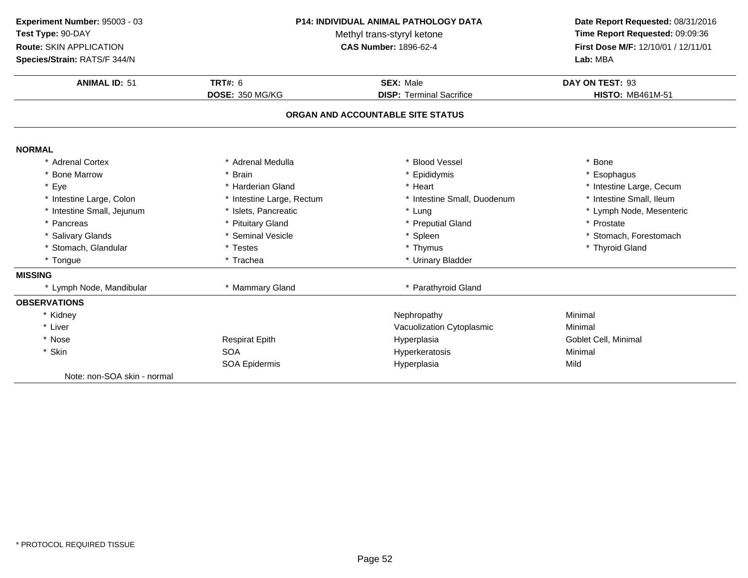**ANIMAL ID:** <sup>51</sup> **TRT#:** <sup>6</sup> **SEX:** Male **DAY ON TEST:** <sup>93</sup> **DOSE:** 350 MG/KG**DISP:** Terminal Sacrifice **HISTO:** MB461M-51 **ORGAN AND ACCOUNTABLE SITE STATUSNORMAL** \* Adrenal Cortex \* Adrenal Medullaa the set of the set of the set of the set of the set of the set of the set of the set of the set of the set o<br>Set of the set of the set of the set of the set of the set of the set of the set of the set of the set of the s \* Bone Marrow \* Brain \* Epididymis \* Esophagus \* Eyee the second of the second term in the second term in the second term in the second term in the second term in the second term in the second term in the second term in the second term in the second term in the second term \* Intestine Small, Ileum \* Intestine Large, Colon\* Intestine Large, Rectum<br>\* Islets, Pancreatic \* Intestine Small, Duodenum \* 11testine Small, Ileum<br>\* Lung \* Lymph Node, Mesenteric \* Intestine Small, Jejunumm \* Islets, Pancreatic \* Lung \* Lymph Node, Mesenteric \* Pancreas \* Pituitary Gland\* Preputial Gland \* \* Prostate \* Prostate \* Spleen \* Salivary Glands \* Seminal Vesicle\* Spleen \* Stomach, Forestomach<br>\* Thymus \* Thymus \* Thyroid Gland \* Stomach, Glandular \* Testes \* Thymus \* Thyroid Gland\* Tongue\* Urinary Bladder **MISSING**\* Lymph Node, Mandibular \* \* Mammary Gland \* Mammary Gland  $\overline{ }$  \* Parathyroid Gland **OBSERVATIONS**\* Kidneyy the contract of the contract of the Mephropathy the Minimal Minimal Sepan $\sim$  Minimal Minimal Sepan $\sim$ \* Liver Vacuolization Cytoplasmic Minimal \* Nose Respirat Epith Hyperplasia Goblet Cell, Minimal \* Skinn SOA SOA SOA COMENSIS EXAMPLE THE MINIMUM HYPERATORIS CONFIDENTIAL MINIMUM HYPEROLES HYPEROLES AND HYPEROLES HYPEROLES<br>
HYPEROLES AND HYPEROLES HYPEROLES AND HYPEROLES AND HYPEROLES AND HYPEROLES AND MINIMUM HYPEROLES AND HYPER SOA Epidermis Hyperplasiaa Mild Note: non-SOA skin - normal**Experiment Number:** 95003 - 03 **P14: INDIVIDUAL ANIMAL PATHOLOGY DATA Date Report Requested:** 08/31/2016 **Test Type:** 90-DAYMethyl trans-styryl ketone<br>CAS Number: 1896-62-4 **Time Report Requested:** 09:09:36 **Route:** SKIN APPLICATION**First Dose M/F:** 12/10/01 / 12/11/01<br>**Lab:** MBA **Species/Strain:** RATS/F 344/N**Lab:** MBA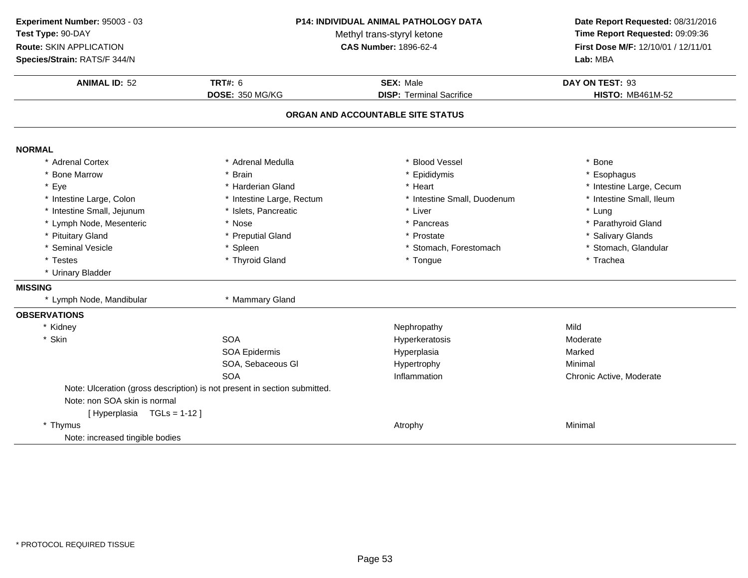**ANIMAL ID:** <sup>52</sup> **TRT#:** <sup>6</sup> **SEX:** Male **DAY ON TEST:** <sup>93</sup> **DOSE:** 350 MG/KG**DISP:** Terminal Sacrifice **HISTO:** MB461M-52 **ORGAN AND ACCOUNTABLE SITE STATUSNORMAL** \* Adrenal Cortex \* Adrenal Medullaa the set of the set of the set of the set of the set of the set of the set of the set of the set of the set o<br>Set of the set of the set of the set of the set of the set of the set of the set of the set of the set of the s \* Bone Marrow \* Brain \* Epididymis \* Esophagus \* Eyee the second of the second term in the second term in the second term in the second term in the second term in the second term in the second term in the second term in the second term in the second term in the second term \* Intestine Small, Ileum \* Intestine Large, Colon\* Intestine Large, Rectum<br>\* Islets, Pancreatic \* Intestine Small, Duodenum \* 11test<br>
\* Liver \* 11testine Small, Puodenum \* 12tes \* Intestine Small, Jejunumm \* Islets, Pancreatic \* Liver \* Lung \* Lymph Node, Mesenteric \* Nose \* Pancreas \* Parathyroid Gland \* Pituitary Glandd **business of the Contract Contract Automobile 19 and 19 and 19 and 19 and 19 and 19 and 19 and 19 and 19 and 19 and 19 and 19 and 19 and 19 and 19 and 19 and 19 and 19 and 19 and 19 and 19 and 19 and 19 and 19 and 19 and** \* Seminal Vesiclee the state of the Spleen term of the stomach, Forestomach term of the stomach, Glandular term of the Stomach, Glandular \* Testes \* Thyroid Gland \* Tongue \* Trachea \* Urinary Bladder **MISSING**\* Lymph Node, Mandibular \* \* Mammary Gland **OBSERVATIONS**\* Kidneyy and the Mephropathy Mephropathy Mild Mild Street and the Mild Street and the Mild Street and Mild Street and Mild Moderate \* Skinn SOA SOA SOA COMEXANDER SOA Hyperkeratosis COMETA Moderatosis Moderatosis Moderatosis<br>SOA Epidermis COMETA Hyperplasia Hyperatosis Marked SOA Epidermis Hyperplasiaa Marked SOA, Sebaceous Gl Hypertrophy Minimal **SOA**  Inflammation Chronic Active, Moderate Note: Ulceration (gross description) is not present in section submitted.Note: non SOA skin is normal[ Hyperplasia TGLs = 1-12 ]\* Thymus Atrophy Minimal Note: increased tingible bodies**Experiment Number:** 95003 - 03 **P14: INDIVIDUAL ANIMAL PATHOLOGY DATA Date Report Requested:** 08/31/2016 **Test Type:** 90-DAYMethyl trans-styryl ketone<br>CAS Number: 1896-62-4 **Time Report Requested:** 09:09:36 **Route:** SKIN APPLICATION**First Dose M/F:** 12/10/01 / 12/11/01<br>**Lab:** MBA **Species/Strain:** RATS/F 344/N**Lab:** MBA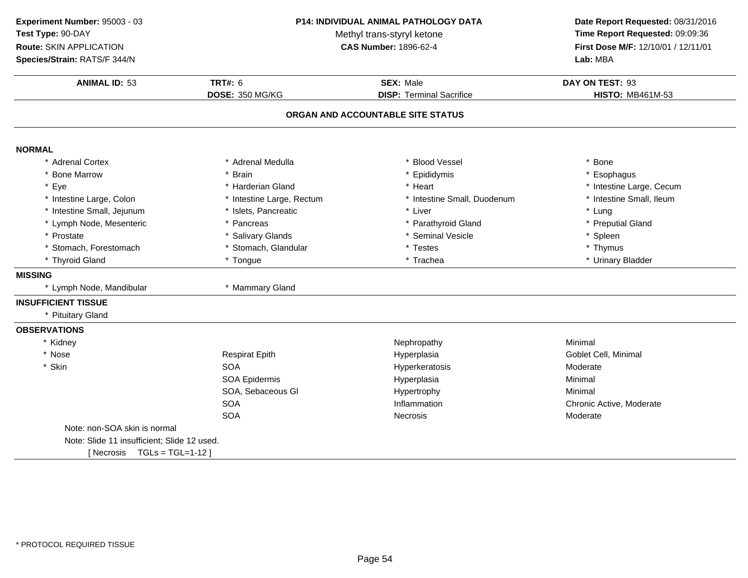**ANIMAL ID:** <sup>53</sup> **TRT#:** <sup>6</sup> **SEX:** Male **DAY ON TEST:** <sup>93</sup> **DOSE:** 350 MG/KG**DISP:** Terminal Sacrifice **HISTO:** MB461M-53 **ORGAN AND ACCOUNTABLE SITE STATUSNORMAL** \* Adrenal Cortex \* Adrenal Medullaa the set of the set of the set of the set of the set of the set of the set of the set of the set of the set o<br>Set of the set of the set of the set of the set of the set of the set of the set of the set of the set of the s \* Bone Marrow \* Brain \* Epididymis \* Esophagus \* Eyee the second of the second term in the second term in the second term in the second term in the second term in the second term in the second term in the second term in the second term in the second term in the second term \* Intestine Small, Ileum \* Intestine Large, Colon\* Intestine Large, Rectum<br>\* Islets, Pancreatic \* Intestine Small, Duodenum \* \* Intest<br>
\* Liver \* \* Lung \* Intestine Small, Jejunumm \* Islets, Pancreatic \* Liver \* Lung \* Lymph Node, Mesenteric\* Pancreas \* Parathyroid Gland<br>
\* Salivary Glands \* Seminal Vesicle \* Preputial Gland<br>\* Spleen \* Prostatee the state of the Salivary Glands the seminal Vesicle the state of the spleen  $^*$  Spleen \* Stomach, Forestomach\* Stomach, Glandular \* \* Testes \* Testes \* Thymus \* Tongue \* Thymus \* Thymus \* Thymus \* Thymus \* Trachea \* Thyroid Gland \* Tongue \* Trachea \* Urinary Bladder **MISSING**\* Lymph Node, Mandibular \* \* Mammary Gland **INSUFFICIENT TISSUE** \* Pituitary Gland**OBSERVATIONS**\* Kidneyy the contract of the contract of the Mephropathy the Minimal Minimal of the Minimal  $\mathsf{M}_1$ \* Nosee and the Respirat Epith Andreas Hyperplasia Hyperplasia Coblet Cell, Minimal \* Skinn SOA A and the contract of the Hyperkeratosis and the moderate Moderate Moderate SOA Epidermis Hyperplasiaa Minimal SOA, Sebaceous Gl Hypertrophyy Minimal SOAInflammation Chronic Active, Moderate<br>
Necrosis Moderate<br>
Moderate SOAA contract to the Necrosis Contract of the Moderate Moderate Note: non-SOA skin is normalNote: Slide 11 insufficient; Slide 12 used.[ Necrosis TGLs = TGL=1-12 ]**Experiment Number:** 95003 - 03 **P14: INDIVIDUAL ANIMAL PATHOLOGY DATA Date Report Requested:** 08/31/2016 **Test Type:** 90-DAYMethyl trans-styryl ketone<br>CAS Number: 1896-62-4 **Time Report Requested:** 09:09:36 **Route:** SKIN APPLICATION**First Dose M/F:** 12/10/01 / 12/11/01<br>**Lab:** MBA **Species/Strain:** RATS/F 344/N**Lab:** MBA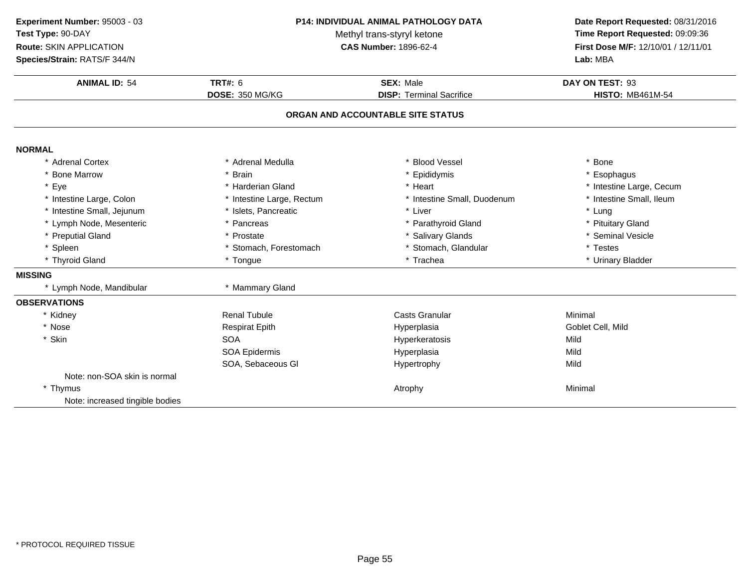**ANIMAL ID:** <sup>54</sup> **TRT#:** <sup>6</sup> **SEX:** Male **DAY ON TEST:** <sup>93</sup> **DOSE:** 350 MG/KG**DISP:** Terminal Sacrifice **HISTO:** MB461M-54 **ORGAN AND ACCOUNTABLE SITE STATUSNORMAL** \* Adrenal Cortex \* Adrenal Medullaa the set of the set of the set of the set of the set of the set of the set of the set of the set of the set o<br>Set of the set of the set of the set of the set of the set of the set of the set of the set of the set of the s \* Bone Marrow \* Brain \* Epididymis \* Esophagus \* Eyee the second of the second term in the second term in the second term in the second term in the second term in the second term in the second term in the second term in the second term in the second term in the second term \* Intestine Small, Ileum \* Intestine Large, Colon\* Intestine Large, Rectum<br>\* Islets, Pancreatic \* Intestine Small, Duodenum \* \* Intest<br>
\* Liver \* \* Lung \* Intestine Small, Jejunumm \* Islets, Pancreatic \* Liver \* Lung \* Lymph Node, Mesenteric\* Pancreas \* Parathyroid Gland<br>\* Prostate \* Prostate \* Prostate \* Salivary Glands \* Pituitary Gland \* Preputial Gland \* Prostate \* Salivary Glands \* Seminal Vesicle \* Spleen\* Stomach, Forestomach \* \* Stomach, Glandular \* Testes \* Testes \* Testes \* Tongue \* Trachea \* Trachea \* Trachea \* Urinary Bladder \* Thyroid Gland \* Tongue \* Trachea \* Urinary Bladder **MISSING**\* Lymph Node, Mandibular \* \* Mammary Gland **OBSERVATIONS**\* Kidney Renal Tubulee Casts Granular Context Constants Constants Constants and Minimal \* Nose Respirat Epith Hyperplasia Goblet Cell, Mild \* Skinn SOA SOA SOA SOA COMEXANDER ENTERTY OF THE HYPERETATOSIS SOA EDIDERETATISM HYPERETATISM HYPERETATISM HYPERETATISM H<br>SOA EDIDERETATISM HYPERETATISM HYPERETATISM HYPERETATISM HYPERETATISM HYPERETATISM HYPERETATISM HYPERETATISM H SOA Epidermis Hyperplasiaa Mild SOA, Sebaceous Gl Hypertrophyy Mild Note: non-SOA skin is normal\* Thymus Atrophy Minimal Note: increased tingible bodies**Experiment Number:** 95003 - 03 **P14: INDIVIDUAL ANIMAL PATHOLOGY DATA Date Report Requested:** 08/31/2016 **Test Type:** 90-DAYMethyl trans-styryl ketone<br>CAS Number: 1896-62-4 **Time Report Requested:** 09:09:36 **Route:** SKIN APPLICATION**First Dose M/F:** 12/10/01 / 12/11/01<br>**Lab:** MBA **Species/Strain:** RATS/F 344/N**Lab:** MBA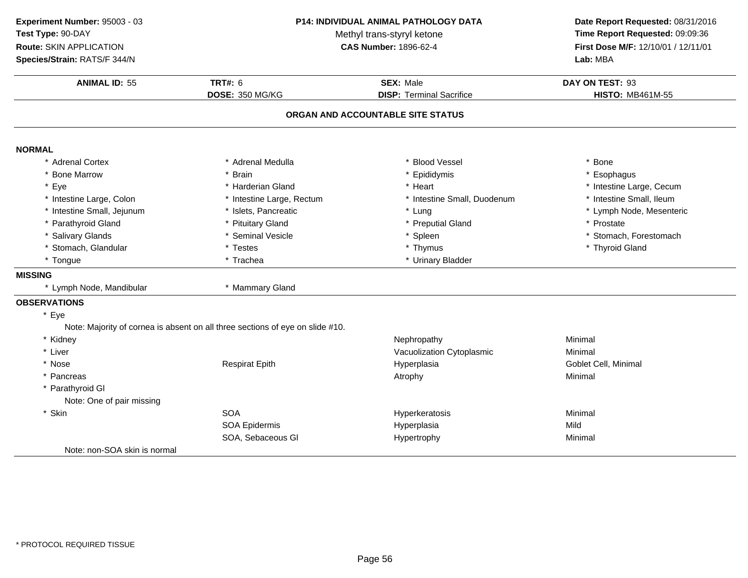**ANIMAL ID:** <sup>55</sup> **TRT#:** <sup>6</sup> **SEX:** Male **DAY ON TEST:** <sup>93</sup> **DOSE:** 350 MG/KG**DISP:** Terminal Sacrifice **HISTO:** MB461M-55 **ORGAN AND ACCOUNTABLE SITE STATUSNORMAL** \* Adrenal Cortex \* Adrenal Medullaa the set of the set of the set of the set of the set of the set of the set of the set of the set of the set o<br>Set of the set of the set of the set of the set of the set of the set of the set of the set of the set of the s \* Bone Marrow \* Brain \* Epididymis \* Esophagus \* Eyee the second of the second term in the second term in the second term in the second term in the second term in the second term in the second term in the second term in the second term in the second term in the second term \* Intestine Small, Ileum \* Intestine Large, Colon\* Intestine Large, Rectum<br>\* Islets, Pancreatic \* Intestine Small, Duodenum \* 11testine Small, Ileum<br>\* Lung \* Lymph Node, Mesenteric \* Intestine Small, Jejunumm \* Islets, Pancreatic \* Lung \* Lymph Node, Mesenteric \* Parathyroid Glandd **the set of the set of the set of the set of the set of the set of the set of the set of the set of the set of the set of the set of the set of the set of the set of the set of the set of the set of the set of the set of** \* Salivary Glands \* Seminal Vesicle\* Spleen \* Stomach, Forestomach<br>\* Thymus \* Thymus \* Thymus \* Thymus \* Thymus \* Thymus \* Thymus \* Thymus \* Thymus \* Thymus \* Thymus \* Thymus \* Th \* Stomach, Glandular \* Testes \* Thymus \* Thyroid Gland\* Tongue\* Urinary Bladder **MISSING**\* Lymph Node, Mandibular \* \* Mammary Gland **OBSERVATIONS**\* EyeNote: Majority of cornea is absent on all three sections of eye on slide #10.\* Kidneyy the contract of the contract of the Mephropathy the Minimal Minimal of the Minimal  $\mathsf{M}_1$ \* Liver Vacuolization Cytoplasmic Minimal \* Nose Respirat Epith Hyperplasia Goblet Cell, Minimal \* Pancreas Atrophy Minimal \* Parathyroid Gl Note: One of pair missing\* Skinn SOA A Research Minimal Research Hyperkeratosis and the Minimal Minimal Research Minimal Research Minimal Research M<br>A Research Minimal Research Minimal Research Minimal Research Minimal Research Minimal Research Minimal Resear SOA Epidermis Hyperplasiaa Mild SOA, Sebaceous Gl Hypertrophy Minimal Note: non-SOA skin is normal**Experiment Number:** 95003 - 03 **P14: INDIVIDUAL ANIMAL PATHOLOGY DATA Date Report Requested:** 08/31/2016 **Test Type:** 90-DAYMethyl trans-styryl ketone<br>CAS Number: 1896-62-4 **Time Report Requested:** 09:09:36 **Route:** SKIN APPLICATION**First Dose M/F:** 12/10/01 / 12/11/01<br>**Lab:** MBA **Species/Strain:** RATS/F 344/N**Lab:** MBA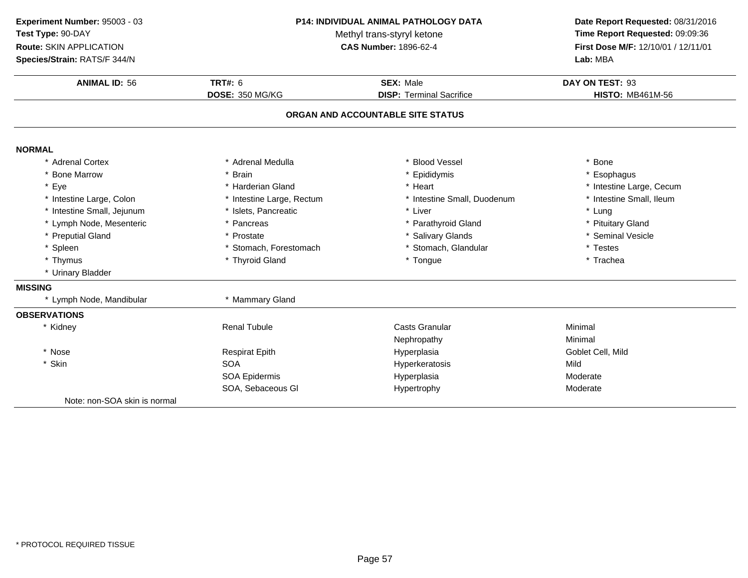| Experiment Number: 95003 - 03<br>Test Type: 90-DAY<br>Route: SKIN APPLICATION<br>Species/Strain: RATS/F 344/N | P14: INDIVIDUAL ANIMAL PATHOLOGY DATA<br>Methyl trans-styryl ketone<br><b>CAS Number: 1896-62-4</b> |                                   | Date Report Requested: 08/31/2016<br>Time Report Requested: 09:09:36<br>First Dose M/F: 12/10/01 / 12/11/01<br>Lab: MBA |
|---------------------------------------------------------------------------------------------------------------|-----------------------------------------------------------------------------------------------------|-----------------------------------|-------------------------------------------------------------------------------------------------------------------------|
| <b>ANIMAL ID: 56</b>                                                                                          | <b>TRT#: 6</b>                                                                                      | <b>SEX: Male</b>                  | DAY ON TEST: 93                                                                                                         |
|                                                                                                               | <b>DOSE: 350 MG/KG</b>                                                                              | <b>DISP: Terminal Sacrifice</b>   | <b>HISTO: MB461M-56</b>                                                                                                 |
|                                                                                                               |                                                                                                     | ORGAN AND ACCOUNTABLE SITE STATUS |                                                                                                                         |
|                                                                                                               |                                                                                                     |                                   |                                                                                                                         |
| <b>NORMAL</b><br>* Adrenal Cortex                                                                             | * Adrenal Medulla                                                                                   | * Blood Vessel                    | * Bone                                                                                                                  |
| * Bone Marrow                                                                                                 | * Brain                                                                                             | * Epididymis                      | Esophagus                                                                                                               |
| * Eye                                                                                                         | * Harderian Gland                                                                                   | * Heart                           | * Intestine Large, Cecum                                                                                                |
| * Intestine Large, Colon                                                                                      | * Intestine Large, Rectum                                                                           | * Intestine Small, Duodenum       | * Intestine Small, Ileum                                                                                                |
| * Intestine Small, Jejunum                                                                                    | * Islets, Pancreatic                                                                                | * Liver                           | * Lung                                                                                                                  |
| * Lymph Node, Mesenteric                                                                                      | * Pancreas                                                                                          | * Parathyroid Gland               | * Pituitary Gland                                                                                                       |
| * Preputial Gland                                                                                             | * Prostate                                                                                          | * Salivary Glands                 | * Seminal Vesicle                                                                                                       |
| * Spleen                                                                                                      | * Stomach, Forestomach                                                                              | * Stomach, Glandular              | * Testes                                                                                                                |
| * Thymus                                                                                                      | * Thyroid Gland                                                                                     | * Tongue                          | * Trachea                                                                                                               |
| * Urinary Bladder                                                                                             |                                                                                                     |                                   |                                                                                                                         |
| <b>MISSING</b>                                                                                                |                                                                                                     |                                   |                                                                                                                         |
| * Lymph Node, Mandibular                                                                                      | * Mammary Gland                                                                                     |                                   |                                                                                                                         |
| <b>OBSERVATIONS</b>                                                                                           |                                                                                                     |                                   |                                                                                                                         |
| * Kidney                                                                                                      | <b>Renal Tubule</b>                                                                                 | Casts Granular                    | Minimal                                                                                                                 |
|                                                                                                               |                                                                                                     | Nephropathy                       | Minimal                                                                                                                 |
| * Nose                                                                                                        | <b>Respirat Epith</b>                                                                               | Hyperplasia                       | Goblet Cell, Mild                                                                                                       |
| * Skin                                                                                                        | <b>SOA</b>                                                                                          | Hyperkeratosis                    | Mild                                                                                                                    |
|                                                                                                               | <b>SOA Epidermis</b>                                                                                | Hyperplasia                       | Moderate                                                                                                                |
|                                                                                                               | SOA, Sebaceous GI                                                                                   | Hypertrophy                       | Moderate                                                                                                                |
| Note: non-SOA skin is normal                                                                                  |                                                                                                     |                                   |                                                                                                                         |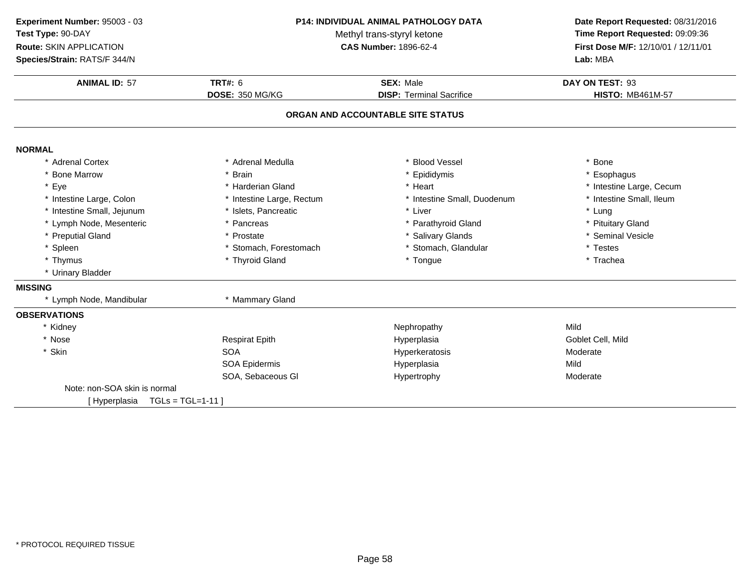**ANIMAL ID:** <sup>57</sup> **TRT#:** <sup>6</sup> **SEX:** Male **DAY ON TEST:** <sup>93</sup> **DOSE:** 350 MG/KG**DISP:** Terminal Sacrifice **HISTO:** MB461M-57 **ORGAN AND ACCOUNTABLE SITE STATUSNORMAL** \* Adrenal Cortex \* Adrenal Medullaa the set of the set of the set of the set of the set of the set of the set of the set of the set of the set o<br>Set of the set of the set of the set of the set of the set of the set of the set of the set of the set of the s \* Bone Marrow \* Brain \* Epididymis \* Esophagus \* Eyee the second of the second term in the second term in the second term in the second term in the second term in the second term in the second term in the second term in the second term in the second term in the second term \* Intestine Small, Ileum \* Intestine Large, Colon\* Intestine Large, Rectum<br>\* Islets, Pancreatic \* Intestine Small, Duodenum \* \* Intest<br>\* Liver \* \* Lung \* Intestine Small, Jejunumm \* Islets, Pancreatic \* Liver \* Lung \* Lymph Node, Mesenteric\* Pancreas \* Parathyroid Gland<br>
\* Prostate \* Prostate \* Salivary Glands \* Pituitary Gland<br>\* Seminal Vesicle \* Preputial Gland \* Prostate \* Salivary Glands \* Seminal Vesicle \* Spleen\* Stomach, Forestomach \* \* Stomach, Glandular \* Testes \* Testes \* Testes \* Trachea \* Thymus \* Thyroid Gland \* Tongue \* Trachea \* Urinary Bladder **MISSING**\* Lymph Node, Mandibular \* \* Mammary Gland **OBSERVATIONS**\* Kidneyy and the Mephropathy Mephropathy Mild Mild Street and the Mild Street and the Mild Street and Mild Street and Mild Goblet Cell. Mild \* Nose Respirat Epith Hyperplasia Goblet Cell, Mild \* Skinn SOA SOA SOA COMEXANDER EXTERNAL EXTERNAL HYPERATOSIS CONFIDENTIAL MODERATE SOA Epidemis<br>SOA Epidermis COMEXANDER HYPEROLESIA SOA Epidermis Hyperplasiaa Mild SOA, Sebaceous Gl Hypertrophy ModerateNote: non-SOA skin is normal[ Hyperplasia TGLs = TGL=1-11 ]**Experiment Number:** 95003 - 03 **P14: INDIVIDUAL ANIMAL PATHOLOGY DATA Date Report Requested:** 08/31/2016 **Test Type:** 90-DAYMethyl trans-styryl ketone<br>CAS Number: 1896-62-4 **Time Report Requested:** 09:09:36 **Route:** SKIN APPLICATION**First Dose M/F:** 12/10/01 / 12/11/01<br>**Lab:** MBA **Species/Strain:** RATS/F 344/N**Lab:** MBA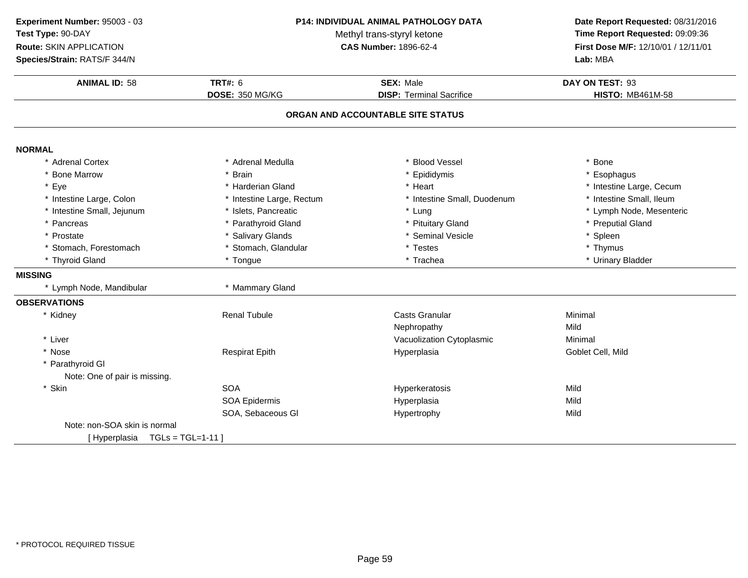| Experiment Number: 95003 - 03<br>Test Type: 90-DAY<br>Route: SKIN APPLICATION<br>Species/Strain: RATS/F 344/N | P14: INDIVIDUAL ANIMAL PATHOLOGY DATA<br>Methyl trans-styryl ketone<br><b>CAS Number: 1896-62-4</b> |                                   | Date Report Requested: 08/31/2016<br>Time Report Requested: 09:09:36<br>First Dose M/F: 12/10/01 / 12/11/01<br>Lab: MBA |
|---------------------------------------------------------------------------------------------------------------|-----------------------------------------------------------------------------------------------------|-----------------------------------|-------------------------------------------------------------------------------------------------------------------------|
| <b>ANIMAL ID: 58</b>                                                                                          | <b>TRT#: 6</b>                                                                                      | <b>SEX: Male</b>                  | DAY ON TEST: 93                                                                                                         |
|                                                                                                               | DOSE: 350 MG/KG                                                                                     | <b>DISP: Terminal Sacrifice</b>   | <b>HISTO: MB461M-58</b>                                                                                                 |
|                                                                                                               |                                                                                                     | ORGAN AND ACCOUNTABLE SITE STATUS |                                                                                                                         |
| <b>NORMAL</b>                                                                                                 |                                                                                                     |                                   |                                                                                                                         |
| * Adrenal Cortex                                                                                              | * Adrenal Medulla                                                                                   | <b>Blood Vessel</b>               | * Bone                                                                                                                  |
| <b>Bone Marrow</b>                                                                                            | * Brain                                                                                             | * Epididymis                      | * Esophagus                                                                                                             |
| * Eye                                                                                                         | * Harderian Gland                                                                                   | * Heart                           | * Intestine Large, Cecum                                                                                                |
| * Intestine Large, Colon                                                                                      | * Intestine Large, Rectum                                                                           | * Intestine Small, Duodenum       | * Intestine Small, Ileum                                                                                                |
| * Intestine Small, Jejunum                                                                                    | * Islets, Pancreatic                                                                                | * Lung                            | * Lymph Node, Mesenteric                                                                                                |
| * Pancreas                                                                                                    | * Parathyroid Gland                                                                                 | * Pituitary Gland                 | * Preputial Gland                                                                                                       |
| * Prostate                                                                                                    | * Salivary Glands                                                                                   | * Seminal Vesicle                 | * Spleen                                                                                                                |
| * Stomach, Forestomach                                                                                        | * Stomach, Glandular                                                                                | * Testes                          | * Thymus                                                                                                                |
| * Thyroid Gland                                                                                               | * Tongue                                                                                            | * Trachea                         | * Urinary Bladder                                                                                                       |
| <b>MISSING</b>                                                                                                |                                                                                                     |                                   |                                                                                                                         |
| * Lymph Node, Mandibular                                                                                      | * Mammary Gland                                                                                     |                                   |                                                                                                                         |
| <b>OBSERVATIONS</b>                                                                                           |                                                                                                     |                                   |                                                                                                                         |
| * Kidney                                                                                                      | <b>Renal Tubule</b>                                                                                 | <b>Casts Granular</b>             | Minimal                                                                                                                 |
|                                                                                                               |                                                                                                     | Nephropathy                       | Mild                                                                                                                    |
| * Liver                                                                                                       |                                                                                                     | Vacuolization Cytoplasmic         | Minimal                                                                                                                 |
| * Nose                                                                                                        | <b>Respirat Epith</b>                                                                               | Hyperplasia                       | Goblet Cell, Mild                                                                                                       |
| * Parathyroid GI                                                                                              |                                                                                                     |                                   |                                                                                                                         |
| Note: One of pair is missing.                                                                                 |                                                                                                     |                                   |                                                                                                                         |
| * Skin                                                                                                        | <b>SOA</b>                                                                                          | Hyperkeratosis                    | Mild                                                                                                                    |
|                                                                                                               | <b>SOA Epidermis</b>                                                                                | Hyperplasia                       | Mild                                                                                                                    |
|                                                                                                               | SOA, Sebaceous GI                                                                                   | Hypertrophy                       | Mild                                                                                                                    |
| Note: non-SOA skin is normal                                                                                  |                                                                                                     |                                   |                                                                                                                         |
| [Hyperplasia TGLs = TGL=1-11]                                                                                 |                                                                                                     |                                   |                                                                                                                         |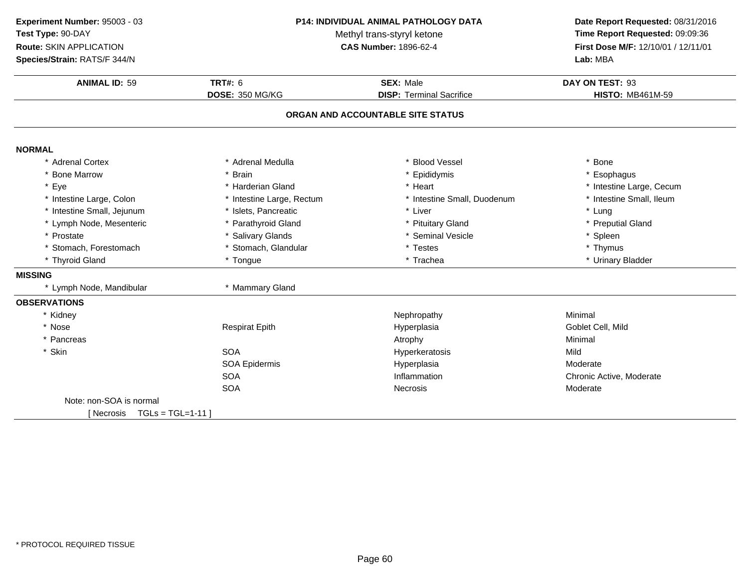**ANIMAL ID:** <sup>59</sup> **TRT#:** <sup>6</sup> **SEX:** Male **DAY ON TEST:** <sup>93</sup> **DOSE:** 350 MG/KG**DISP:** Terminal Sacrifice **HISTO:** MB461M-59 **ORGAN AND ACCOUNTABLE SITE STATUSNORMAL** \* Adrenal Cortex \* Adrenal Medullaa the set of the set of the set of the set of the set of the set of the set of the set of the set of the set o<br>Set of the set of the set of the set of the set of the set of the set of the set of the set of the set of the s \* Bone Marrow \* Brain \* Epididymis \* Esophagus \* Eyee the second of the second term in the second term in the second term in the second term in the second term in the second term in the second term in the second term in the second term in the second term in the second term \* Intestine Small, Ileum \* Intestine Large, Colon\* Intestine Large, Rectum<br>\* Islets, Pancreatic \* Intestine Small, Duodenum \* \* Intest<br>
\* Liver \* \* Lung \* Intestine Small, Jejunum \* Islets, Pancreatic \* Liver \* Lung \* Lymph Node, Mesenteric \* Parathyroid Gland\* Pituitary Gland  $\hspace{1cm}$  \* Preputial Gland \* Seminal Vesicle  $\hspace{1cm}$  \* Seminal Vesicle \* Prostatee the state of the Salivary Glands the seminal Vesicle the state of the spleen  $^*$  Spleen \* Stomach, Forestomach\* Stomach, Glandular \* \* Testes \* Testes \* Thymus \* Tongue \* Thymus \* Thymus \* Thymus \* Thymus \* Trachea \* Thyroid Gland \* Tongue \* Trachea \* Urinary Bladder **MISSING**\* Lymph Node, Mandibular \* \* Mammary Gland **OBSERVATIONS**\* Kidneyy the contract of the contract of the Mephropathy the Minimal Minimal Sepan $\sim$  Minimal Minimal Sepan $\sim$ \* Nose Respirat Epith Hyperplasia Goblet Cell, Mild \* Pancreas Atrophy Minimal \* Skinn SOA SOA Nyperkeratosis Mild SOA Epidermis HyperplasiaHyperplasia Moderate<br>
Inflammation and the Chronic A SOAInflammation Chronic Active, Moderate<br>
Necrosis Moderate<br>
Moderate SOAA contract of the experience of the Necrosis contract of the Moderate Moderate Note: non-SOA is normal $[$  Necrosis  $TGL = TGL = 1-11$  ] **Experiment Number:** 95003 - 03 **P14: INDIVIDUAL ANIMAL PATHOLOGY DATA Date Report Requested:** 08/31/2016 **Test Type:** 90-DAYMethyl trans-styryl ketone<br>CAS Number: 1896-62-4 **Time Report Requested:** 09:09:36 **Route:** SKIN APPLICATION**First Dose M/F:** 12/10/01 / 12/11/01<br>**Lab:** MBA **Species/Strain:** RATS/F 344/N**Lab:** MBA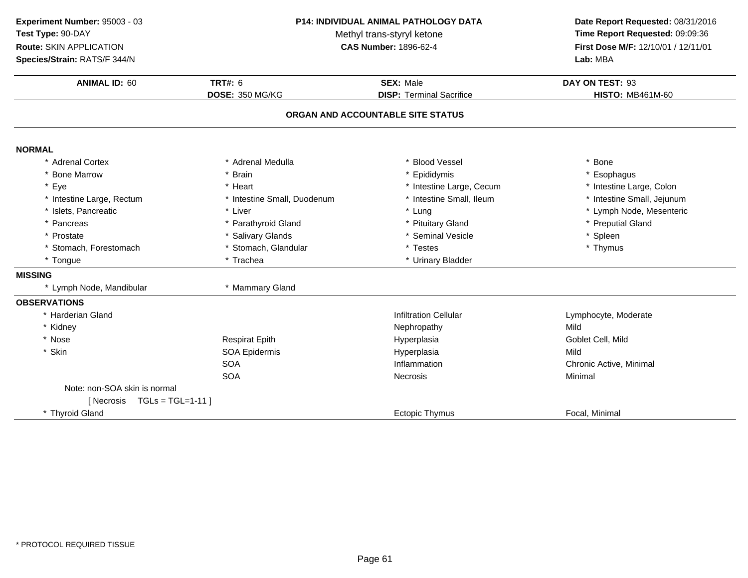**ANIMAL ID:** <sup>60</sup>**TRT#:** 6 **SEX:** Male **DAY ON TEST:** 93 **DOSE:** 350 MG/KG**DISP:** Terminal Sacrifice **HISTO:** MB461M-60 **ORGAN AND ACCOUNTABLE SITE STATUSNORMAL** \* Adrenal Cortex \* Adrenal Medullaa the set of the set of the set of the set of the set of the set of the set of the set of the set of the set o<br>Set of the set of the set of the set of the set of the set of the set of the set of the set of the set of the s \* Bone Marrow \* Brain \* Epididymis \* Esophagus \* Eye\* Heart \* 11testine Large, Cecum<br>\* Intestine Small, Duodenum \* 1testine Small, Ileum \* Intestine Large, Colon<br>\* Intestine Small, Jejunum \* Intestine Large, Rectum\* Intestine Small, Duodenum \* 1ntestine Small, Duodenum \* Intestine Small, Intesting \* Intesting \* Intesting \* Intesting \* Intesting \* Intesting \* Intesting \* Intesting \* Intesting \* Intesting \* Intesting \* Intesting \* Int \* Islets, Pancreaticc \* Liver \* Liver \* Lung \* Lung \* Lymph Node, Mesenteric<br>\* Pituitarv Gland \* Preputial Gland \* Pancreas \* Parathyroid Gland\* Pituitary Gland  $\overline{ }$  \* Preputial Gland  $\overline{ }$  \* Preputial Gland \* Seminal Vesicle \* Prostatee the state of the Salivary Glands the seminal Vesicle the state of the spleen  $^*$  Spleen \* Stomach, Forestomach \* Stomach, Glandular \* Testes \* Thymus \* Tongue\* Urinary Bladder **MISSING**\* Lymph Node, Mandibular \* \* Mammary Gland **OBSERVATIONS** \* Harderian Glandd and the state of the limit of the limit of the limit of the limit of the limit of the limit of the limit of the limit of the limit of the limit of the limit of the limit of the limit of the limit of the limit of the limi \* Kidneyy and the Mephropathy Mephropathy Mild Mild Street and the Mild Street and the Mild Street and Mild Street and Mild Goblet Cell, Mild \* Nose Respirat Epith Hyperplasia Goblet Cell, Mild \* Skinn and the SOA Epidermis and the Hyperplasia Hyperplasia and the Mild SOAInflammation **Inflammation** Chronic Active, Minimal<br>Necrosis Minimal SOAA Contract Contract Necrosis Contract Contract Contract Contract Contract Contract Contract Contract Contract Contract Contract Contract Contract Contract Contract Contract Contract Contract Contract Contract Contract Cont Note: non-SOA skin is normal $[$  Necrosis  $TGL = TGL = 1-11$  ] \* Thyroid Gland Ectopic Thymus Focal, Minimal **Experiment Number:** 95003 - 03 **P14: INDIVIDUAL ANIMAL PATHOLOGY DATA Date Report Requested:** 08/31/2016 **Test Type:** 90-DAYMethyl trans-styryl ketone<br>CAS Number: 1896-62-4 **Time Report Requested:** 09:09:36 **Route:** SKIN APPLICATION**First Dose M/F:** 12/10/01 / 12/11/01<br>**Lab:** MBA **Species/Strain:** RATS/F 344/N**Lab:** MBA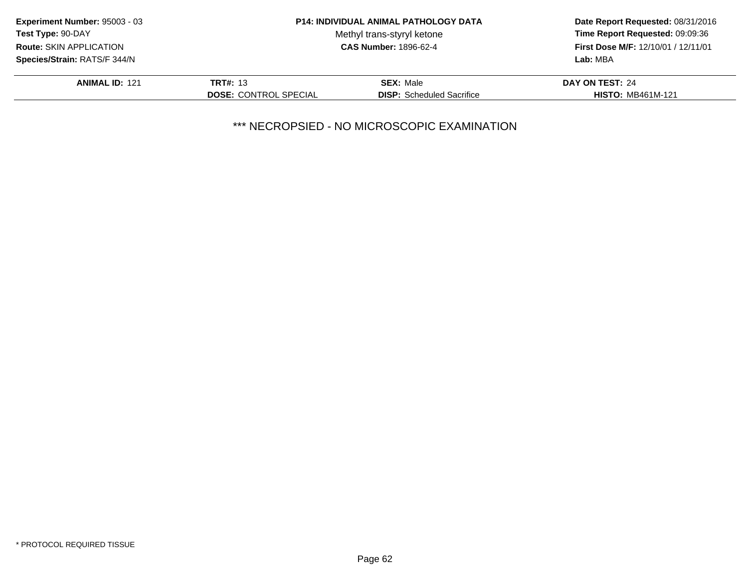| Experiment Number: 95003 - 03  |                              | <b>P14: INDIVIDUAL ANIMAL PATHOLOGY DATA</b> | Date Report Requested: 08/31/2016          |
|--------------------------------|------------------------------|----------------------------------------------|--------------------------------------------|
| <b>Test Type: 90-DAY</b>       |                              | Methyl trans-styryl ketone                   | Time Report Requested: 09:09:36            |
| <b>Route: SKIN APPLICATION</b> |                              | <b>CAS Number: 1896-62-4</b>                 | <b>First Dose M/F: 12/10/01 / 12/11/01</b> |
| Species/Strain: RATS/F 344/N   |                              |                                              | Lab: MBA                                   |
| <b>ANIMAL ID: 121</b>          | <b>TRT#: 13</b>              | <b>SEX: Male</b>                             | DAY ON TEST: 24                            |
|                                | <b>DOSE: CONTROL SPECIAL</b> | <b>DISP:</b> Scheduled Sacrifice             | <b>HISTO: MB461M-121</b>                   |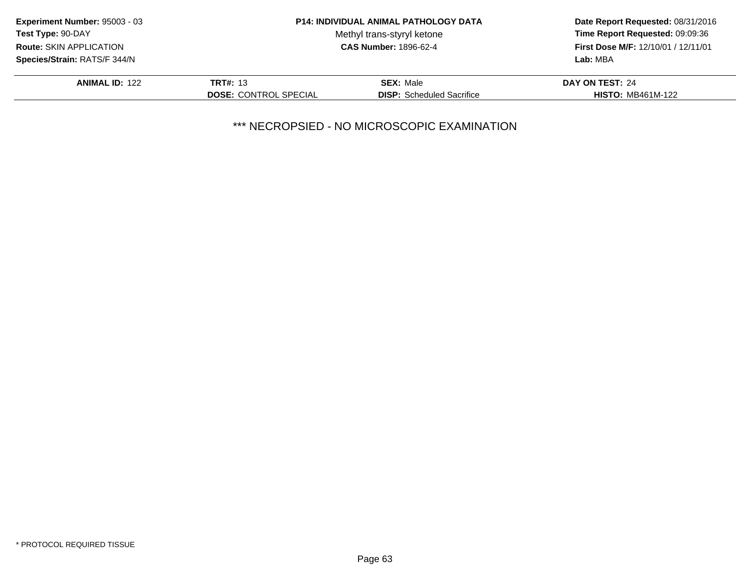| Experiment Number: 95003 - 03  | <b>P14: INDIVIDUAL ANIMAL PATHOLOGY DATA</b> |                                  | Date Report Requested: 08/31/2016          |
|--------------------------------|----------------------------------------------|----------------------------------|--------------------------------------------|
| <b>Test Type: 90-DAY</b>       |                                              | Methyl trans-styryl ketone       | Time Report Requested: 09:09:36            |
| <b>Route: SKIN APPLICATION</b> | <b>CAS Number: 1896-62-4</b>                 |                                  | <b>First Dose M/F: 12/10/01 / 12/11/01</b> |
| Species/Strain: RATS/F 344/N   |                                              |                                  | Lab: MBA                                   |
| <b>ANIMAL ID: 122</b>          | <b>TRT#: 13</b>                              | <b>SEX: Male</b>                 | DAY ON TEST: 24                            |
|                                | <b>DOSE: CONTROL SPECIAL</b>                 | <b>DISP:</b> Scheduled Sacrifice | <b>HISTO: MB461M-122</b>                   |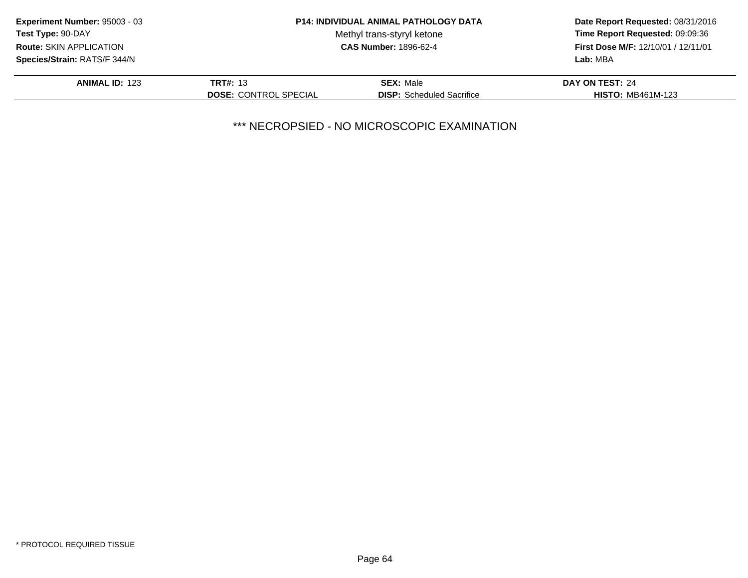| Experiment Number: 95003 - 03  |                              | <b>P14: INDIVIDUAL ANIMAL PATHOLOGY DATA</b> | Date Report Requested: 08/31/2016          |
|--------------------------------|------------------------------|----------------------------------------------|--------------------------------------------|
| <b>Test Type: 90-DAY</b>       |                              | Methyl trans-styryl ketone                   | Time Report Requested: 09:09:36            |
| <b>Route: SKIN APPLICATION</b> | <b>CAS Number: 1896-62-4</b> |                                              | <b>First Dose M/F: 12/10/01 / 12/11/01</b> |
| Species/Strain: RATS/F 344/N   |                              |                                              | Lab: MBA                                   |
| <b>ANIMAL ID: 123</b>          | <b>TRT#: 13</b>              | <b>SEX: Male</b>                             | DAY ON TEST: 24                            |
|                                | <b>DOSE: CONTROL SPECIAL</b> | <b>DISP:</b> Scheduled Sacrifice             | <b>HISTO: MB461M-123</b>                   |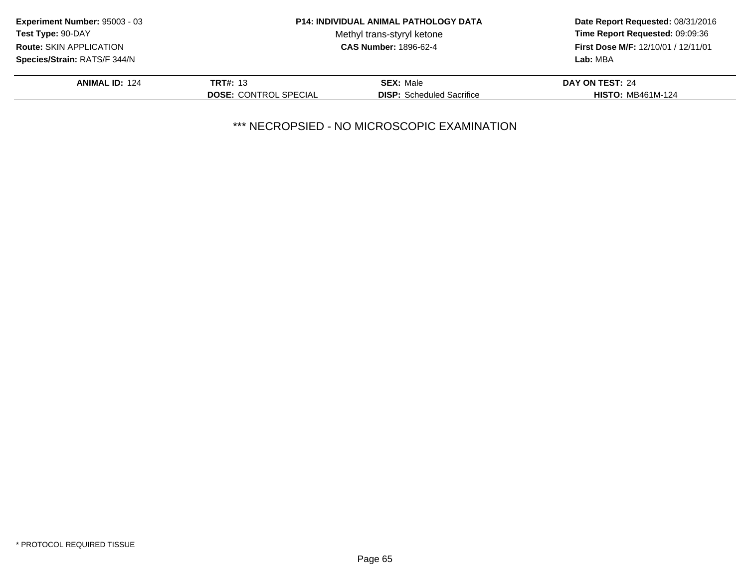| <b>Experiment Number: 95003 - 03</b> |                              | <b>P14: INDIVIDUAL ANIMAL PATHOLOGY DATA</b> | Date Report Requested: 08/31/2016          |
|--------------------------------------|------------------------------|----------------------------------------------|--------------------------------------------|
| Test Type: 90-DAY                    |                              | Methyl trans-styryl ketone                   | Time Report Requested: 09:09:36            |
| <b>Route: SKIN APPLICATION</b>       | <b>CAS Number: 1896-62-4</b> |                                              | <b>First Dose M/F: 12/10/01 / 12/11/01</b> |
| <b>Species/Strain: RATS/F 344/N</b>  |                              |                                              | Lab: MBA                                   |
| <b>ANIMAL ID: 124</b>                | <b>TRT#: 13</b>              | <b>SEX: Male</b>                             | DAY ON TEST: 24                            |
|                                      | <b>DOSE: CONTROL SPECIAL</b> | <b>DISP:</b> Scheduled Sacrifice             | <b>HISTO: MB461M-124</b>                   |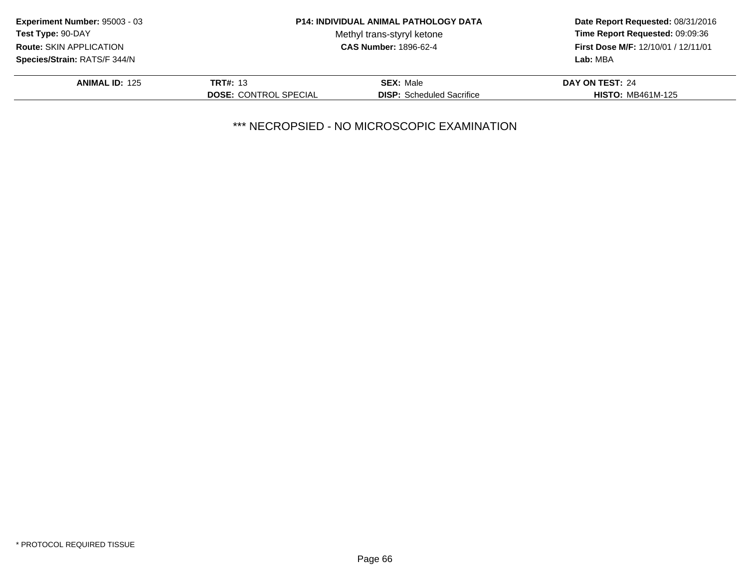| Experiment Number: 95003 - 03<br><b>P14: INDIVIDUAL ANIMAL PATHOLOGY DATA</b> |                              |                                  | Date Report Requested: 08/31/2016          |  |
|-------------------------------------------------------------------------------|------------------------------|----------------------------------|--------------------------------------------|--|
| <b>Test Type: 90-DAY</b>                                                      |                              | Methyl trans-styryl ketone       | Time Report Requested: 09:09:36            |  |
| <b>Route: SKIN APPLICATION</b>                                                | <b>CAS Number: 1896-62-4</b> |                                  | <b>First Dose M/F: 12/10/01 / 12/11/01</b> |  |
| Species/Strain: RATS/F 344/N                                                  |                              |                                  | Lab: MBA                                   |  |
| <b>ANIMAL ID: 125</b>                                                         | <b>TRT#: 13</b>              | <b>SEX: Male</b>                 | DAY ON TEST: 24                            |  |
|                                                                               | <b>DOSE: CONTROL SPECIAL</b> | <b>DISP:</b> Scheduled Sacrifice | <b>HISTO: MB461M-125</b>                   |  |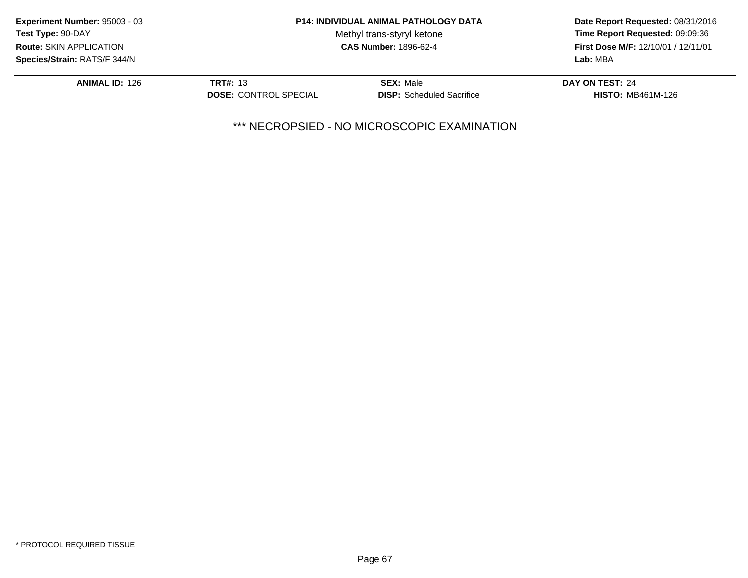| Experiment Number: 95003 - 03  |                              | <b>P14: INDIVIDUAL ANIMAL PATHOLOGY DATA</b> | Date Report Requested: 08/31/2016          |
|--------------------------------|------------------------------|----------------------------------------------|--------------------------------------------|
| <b>Test Type: 90-DAY</b>       |                              | Methyl trans-styryl ketone                   | Time Report Requested: 09:09:36            |
| <b>Route: SKIN APPLICATION</b> | <b>CAS Number: 1896-62-4</b> |                                              | <b>First Dose M/F: 12/10/01 / 12/11/01</b> |
| Species/Strain: RATS/F 344/N   |                              |                                              | Lab: MBA                                   |
| <b>ANIMAL ID: 126</b>          | <b>TRT#: 13</b>              | <b>SEX: Male</b>                             | DAY ON TEST: 24                            |
|                                | <b>DOSE: CONTROL SPECIAL</b> | <b>DISP:</b> Scheduled Sacrifice             | <b>HISTO: MB461M-126</b>                   |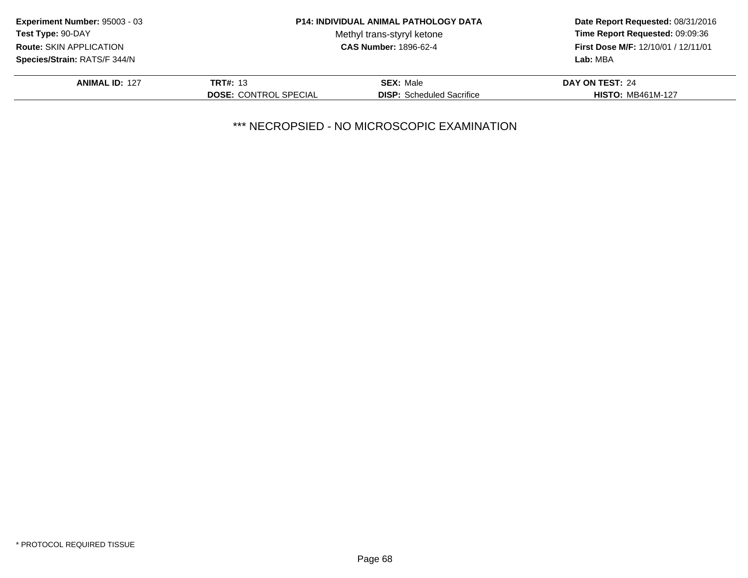| Experiment Number: 95003 - 03                                  |                              | <b>P14: INDIVIDUAL ANIMAL PATHOLOGY DATA</b> | Date Report Requested: 08/31/2016 |
|----------------------------------------------------------------|------------------------------|----------------------------------------------|-----------------------------------|
| Test Type: 90-DAY                                              |                              | Methyl trans-styryl ketone                   | Time Report Requested: 09:09:36   |
| <b>CAS Number: 1896-62-4</b><br><b>Route: SKIN APPLICATION</b> |                              | <b>First Dose M/F: 12/10/01 / 12/11/01</b>   |                                   |
| Species/Strain: RATS/F 344/N                                   |                              |                                              | Lab: MBA                          |
| <b>ANIMAL ID: 127</b>                                          | <b>TRT#: 13</b>              | <b>SEX: Male</b>                             | DAY ON TEST: 24                   |
|                                                                | <b>DOSE: CONTROL SPECIAL</b> | <b>DISP:</b> Scheduled Sacrifice             | <b>HISTO: MB461M-127</b>          |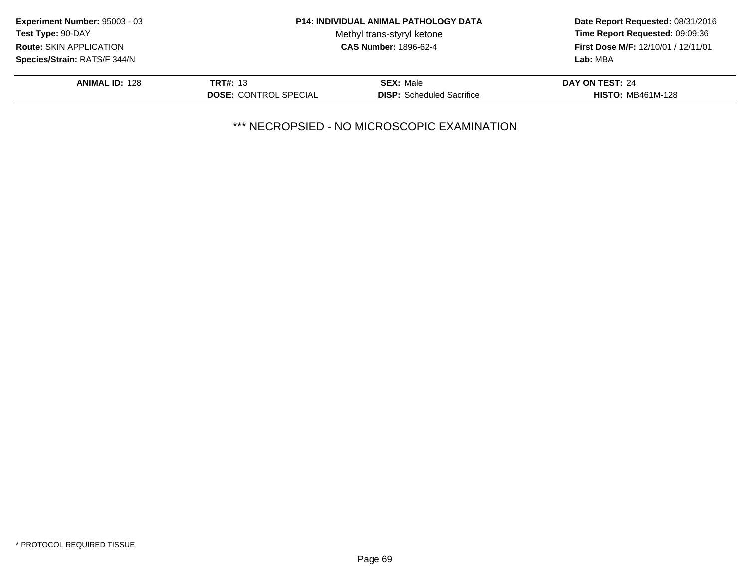| Experiment Number: 95003 - 03  | <b>P14: INDIVIDUAL ANIMAL PATHOLOGY DATA</b><br>Methyl trans-styryl ketone<br><b>CAS Number: 1896-62-4</b> |                                  | Date Report Requested: 08/31/2016                                             |  |
|--------------------------------|------------------------------------------------------------------------------------------------------------|----------------------------------|-------------------------------------------------------------------------------|--|
| <b>Test Type: 90-DAY</b>       |                                                                                                            |                                  | Time Report Requested: 09:09:36<br><b>First Dose M/F: 12/10/01 / 12/11/01</b> |  |
| <b>Route: SKIN APPLICATION</b> |                                                                                                            |                                  |                                                                               |  |
| Species/Strain: RATS/F 344/N   |                                                                                                            |                                  | Lab: MBA                                                                      |  |
| <b>ANIMAL ID: 128</b>          | <b>TRT#: 13</b>                                                                                            | <b>SEX: Male</b>                 | DAY ON TEST: 24                                                               |  |
|                                | <b>DOSE: CONTROL SPECIAL</b>                                                                               | <b>DISP:</b> Scheduled Sacrifice | <b>HISTO: MB461M-128</b>                                                      |  |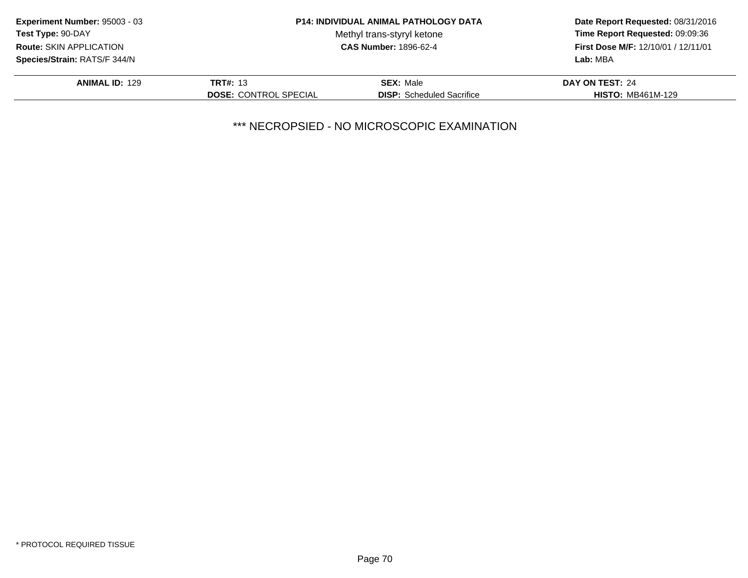| Experiment Number: 95003 - 03  | <b>P14: INDIVIDUAL ANIMAL PATHOLOGY DATA</b><br>Methyl trans-styryl ketone<br><b>CAS Number: 1896-62-4</b> |                                  | Date Report Requested: 08/31/2016                                             |  |
|--------------------------------|------------------------------------------------------------------------------------------------------------|----------------------------------|-------------------------------------------------------------------------------|--|
| <b>Test Type: 90-DAY</b>       |                                                                                                            |                                  | Time Report Requested: 09:09:36<br><b>First Dose M/F: 12/10/01 / 12/11/01</b> |  |
| <b>Route: SKIN APPLICATION</b> |                                                                                                            |                                  |                                                                               |  |
| Species/Strain: RATS/F 344/N   |                                                                                                            |                                  | Lab: MBA                                                                      |  |
| <b>ANIMAL ID: 129</b>          | <b>TRT#: 13</b>                                                                                            | <b>SEX: Male</b>                 | DAY ON TEST: 24                                                               |  |
|                                | <b>DOSE: CONTROL SPECIAL</b>                                                                               | <b>DISP:</b> Scheduled Sacrifice | <b>HISTO: MB461M-129</b>                                                      |  |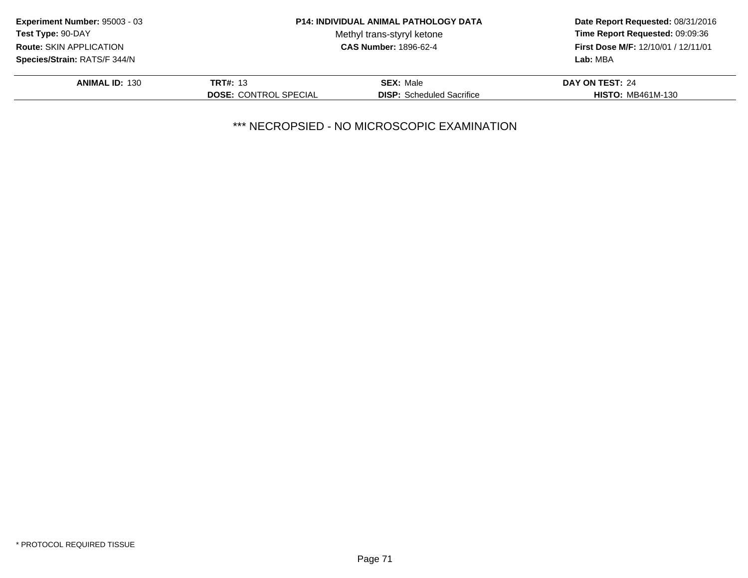| Experiment Number: 95003 - 03  |                                                            | <b>P14: INDIVIDUAL ANIMAL PATHOLOGY DATA</b> | Date Report Requested: 08/31/2016                                             |
|--------------------------------|------------------------------------------------------------|----------------------------------------------|-------------------------------------------------------------------------------|
| <b>Test Type: 90-DAY</b>       | Methyl trans-styryl ketone<br><b>CAS Number: 1896-62-4</b> |                                              | Time Report Requested: 09:09:36<br><b>First Dose M/F: 12/10/01 / 12/11/01</b> |
| <b>Route: SKIN APPLICATION</b> |                                                            |                                              |                                                                               |
| Species/Strain: RATS/F 344/N   |                                                            |                                              | Lab: MBA                                                                      |
| <b>ANIMAL ID: 130</b>          | <b>TRT#: 13</b>                                            | <b>SEX: Male</b>                             | DAY ON TEST: 24                                                               |
|                                | <b>DOSE: CONTROL SPECIAL</b>                               | <b>DISP:</b> Scheduled Sacrifice             | <b>HISTO: MB461M-130</b>                                                      |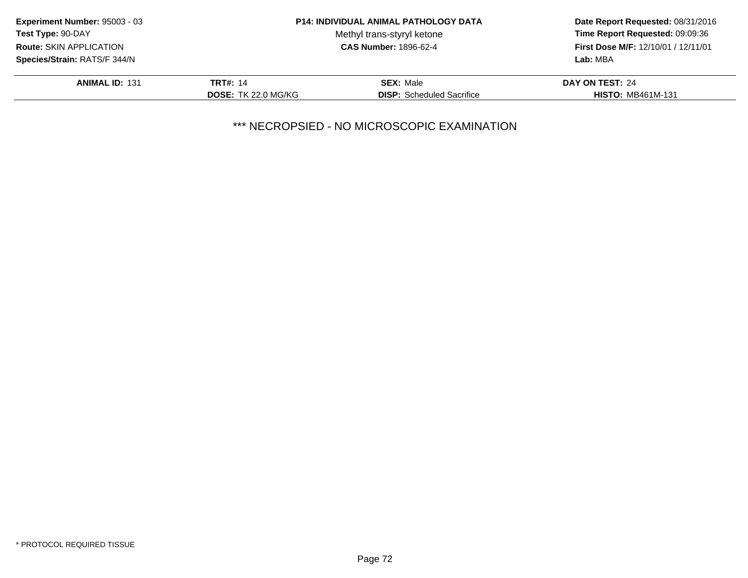| <b>Experiment Number: 95003 - 03</b> | <b>P14: INDIVIDUAL ANIMAL PATHOLOGY DATA</b> |                                  | Date Report Requested: 08/31/2016                                      |  |
|--------------------------------------|----------------------------------------------|----------------------------------|------------------------------------------------------------------------|--|
| <b>Test Type: 90-DAY</b>             |                                              | Methyl trans-styryl ketone       | Time Report Requested: 09:09:36<br>First Dose M/F: 12/10/01 / 12/11/01 |  |
| Route: SKIN APPLICATION              |                                              | <b>CAS Number: 1896-62-4</b>     |                                                                        |  |
| Species/Strain: RATS/F 344/N         |                                              |                                  | Lab: MBA                                                               |  |
| <b>ANIMAL ID: 131</b>                | <b>TRT#: 14</b>                              | <b>SEX: Male</b>                 | DAY ON TEST: 24                                                        |  |
|                                      | <b>DOSE: TK 22.0 MG/KG</b>                   | <b>DISP:</b> Scheduled Sacrifice | <b>HISTO: MB461M-131</b>                                               |  |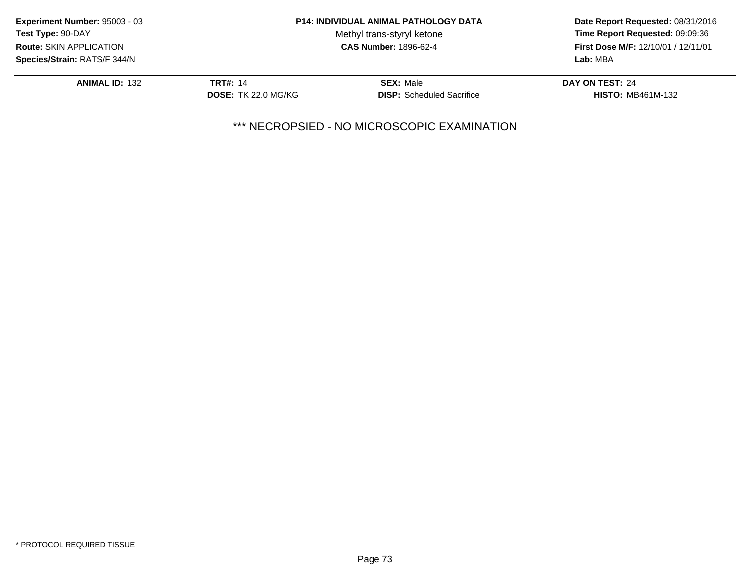| <b>Experiment Number: 95003 - 03</b> |                            | <b>P14: INDIVIDUAL ANIMAL PATHOLOGY DATA</b> | Date Report Requested: 08/31/2016<br>Time Report Requested: 09:09:36 |
|--------------------------------------|----------------------------|----------------------------------------------|----------------------------------------------------------------------|
| <b>Test Type: 90-DAY</b>             |                            | Methyl trans-styryl ketone                   |                                                                      |
| <b>Route: SKIN APPLICATION</b>       |                            | <b>CAS Number: 1896-62-4</b>                 | First Dose M/F: 12/10/01 / 12/11/01                                  |
| Species/Strain: RATS/F 344/N         |                            |                                              | Lab: MBA                                                             |
| <b>ANIMAL ID: 132</b>                | <b>TRT#: 14</b>            | <b>SEX: Male</b>                             | DAY ON TEST: 24                                                      |
|                                      | <b>DOSE: TK 22.0 MG/KG</b> | <b>DISP:</b> Scheduled Sacrifice             | <b>HISTO: MB461M-132</b>                                             |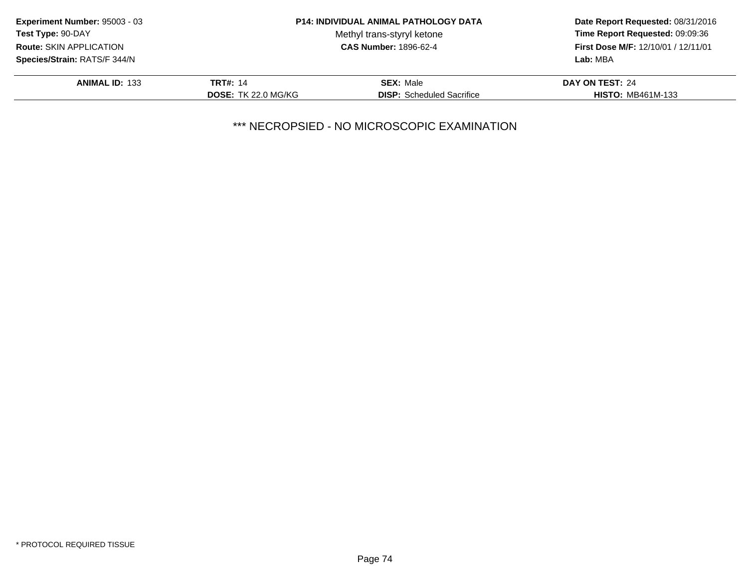| <b>Experiment Number: 95003 - 03</b> |                            | <b>P14: INDIVIDUAL ANIMAL PATHOLOGY DATA</b> | Date Report Requested: 08/31/2016<br>Time Report Requested: 09:09:36 |
|--------------------------------------|----------------------------|----------------------------------------------|----------------------------------------------------------------------|
| Test Type: 90-DAY                    |                            | Methyl trans-styryl ketone                   |                                                                      |
| <b>Route: SKIN APPLICATION</b>       |                            | <b>CAS Number: 1896-62-4</b>                 | <b>First Dose M/F: 12/10/01 / 12/11/01</b>                           |
| Species/Strain: RATS/F 344/N         |                            |                                              | Lab: MBA                                                             |
| <b>ANIMAL ID: 133</b>                | <b>TRT#: 14</b>            | <b>SEX: Male</b>                             | DAY ON TEST: 24                                                      |
|                                      | <b>DOSE: TK 22.0 MG/KG</b> | <b>DISP:</b> Scheduled Sacrifice             | <b>HISTO: MB461M-133</b>                                             |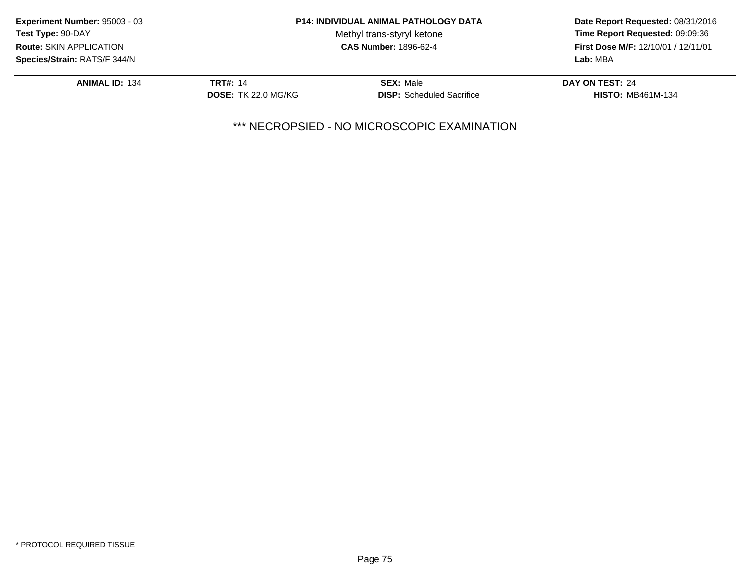| <b>Experiment Number: 95003 - 03</b> |                            | <b>P14: INDIVIDUAL ANIMAL PATHOLOGY DATA</b> | Date Report Requested: 08/31/2016<br>Time Report Requested: 09:09:36 |
|--------------------------------------|----------------------------|----------------------------------------------|----------------------------------------------------------------------|
| <b>Test Type: 90-DAY</b>             |                            | Methyl trans-styryl ketone                   |                                                                      |
| <b>Route: SKIN APPLICATION</b>       |                            | <b>CAS Number: 1896-62-4</b>                 | First Dose M/F: 12/10/01 / 12/11/01                                  |
| Species/Strain: RATS/F 344/N         |                            |                                              | Lab: MBA                                                             |
| <b>ANIMAL ID: 134</b>                | <b>TRT#: 14</b>            | <b>SEX: Male</b>                             | DAY ON TEST: 24                                                      |
|                                      | <b>DOSE: TK 22.0 MG/KG</b> | <b>DISP:</b> Scheduled Sacrifice             | <b>HISTO: MB461M-134</b>                                             |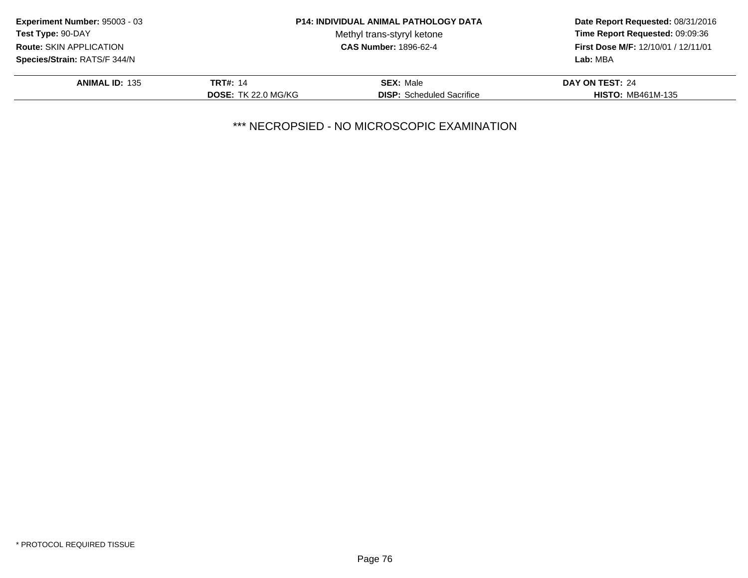| <b>Experiment Number: 95003 - 03</b> |                            | <b>P14: INDIVIDUAL ANIMAL PATHOLOGY DATA</b> | Date Report Requested: 08/31/2016<br>Time Report Requested: 09:09:36 |
|--------------------------------------|----------------------------|----------------------------------------------|----------------------------------------------------------------------|
| <b>Test Type: 90-DAY</b>             |                            | Methyl trans-styryl ketone                   |                                                                      |
| <b>Route: SKIN APPLICATION</b>       |                            | <b>CAS Number: 1896-62-4</b>                 | First Dose M/F: 12/10/01 / 12/11/01                                  |
| <b>Species/Strain: RATS/F 344/N</b>  |                            |                                              | Lab: MBA                                                             |
| <b>ANIMAL ID: 135</b>                | <b>TRT#: 14</b>            | <b>SEX: Male</b>                             | DAY ON TEST: 24                                                      |
|                                      | <b>DOSE: TK 22.0 MG/KG</b> | <b>DISP:</b> Scheduled Sacrifice             | <b>HISTO: MB461M-135</b>                                             |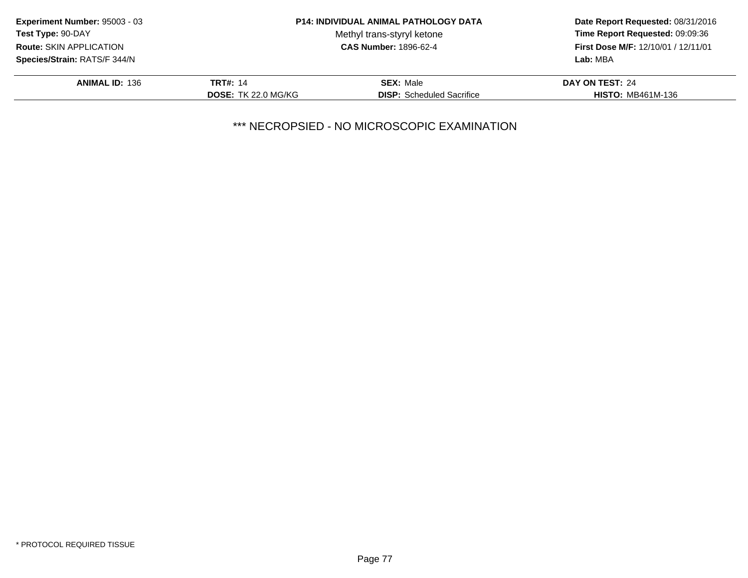| <b>Experiment Number: 95003 - 03</b> |                            | <b>P14: INDIVIDUAL ANIMAL PATHOLOGY DATA</b> | Date Report Requested: 08/31/2016<br>Time Report Requested: 09:09:36 |
|--------------------------------------|----------------------------|----------------------------------------------|----------------------------------------------------------------------|
| <b>Test Type: 90-DAY</b>             |                            | Methyl trans-styryl ketone                   |                                                                      |
| <b>Route: SKIN APPLICATION</b>       |                            | <b>CAS Number: 1896-62-4</b>                 | First Dose M/F: 12/10/01 / 12/11/01                                  |
| <b>Species/Strain: RATS/F 344/N</b>  |                            |                                              | Lab: MBA                                                             |
| <b>ANIMAL ID: 136</b>                | <b>TRT#: 14</b>            | <b>SEX: Male</b>                             | DAY ON TEST: 24                                                      |
|                                      | <b>DOSE: TK 22.0 MG/KG</b> | <b>DISP:</b> Scheduled Sacrifice             | <b>HISTO: MB461M-136</b>                                             |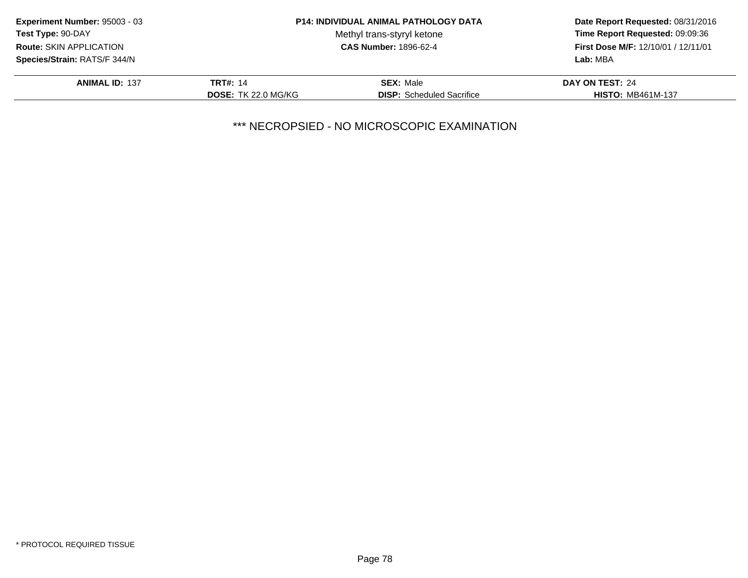| <b>Experiment Number: 95003 - 03</b> |                            | <b>P14: INDIVIDUAL ANIMAL PATHOLOGY DATA</b> | Date Report Requested: 08/31/2016<br>Time Report Requested: 09:09:36<br>First Dose M/F: 12/10/01 / 12/11/01 |
|--------------------------------------|----------------------------|----------------------------------------------|-------------------------------------------------------------------------------------------------------------|
| Test Type: 90-DAY                    |                            | Methyl trans-styryl ketone                   |                                                                                                             |
| Route: SKIN APPLICATION              |                            | <b>CAS Number: 1896-62-4</b>                 |                                                                                                             |
| Species/Strain: RATS/F 344/N         |                            |                                              | Lab: MBA                                                                                                    |
| <b>ANIMAL ID: 137</b>                | <b>TRT#: 14</b>            | <b>SEX: Male</b>                             | DAY ON TEST: 24                                                                                             |
|                                      | <b>DOSE: TK 22.0 MG/KG</b> | <b>DISP:</b> Scheduled Sacrifice             | <b>HISTO: MB461M-137</b>                                                                                    |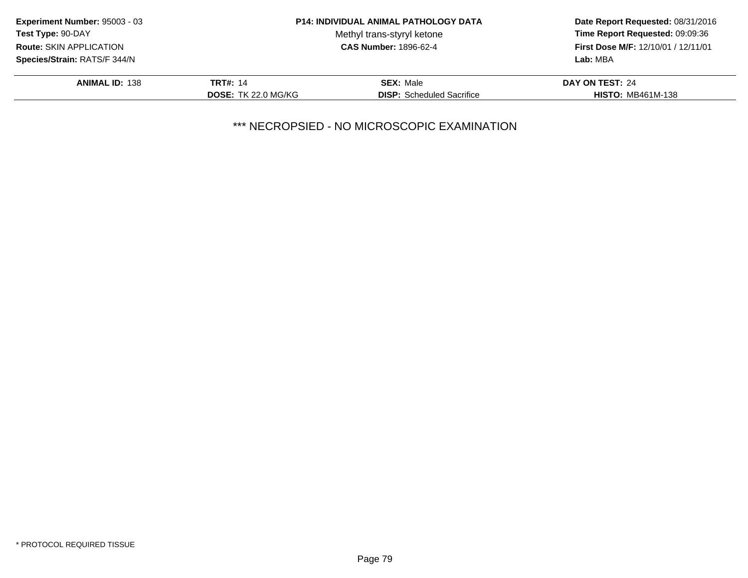| <b>Experiment Number: 95003 - 03</b> |                            | <b>P14: INDIVIDUAL ANIMAL PATHOLOGY DATA</b> | Date Report Requested: 08/31/2016<br>Time Report Requested: 09:09:36 |
|--------------------------------------|----------------------------|----------------------------------------------|----------------------------------------------------------------------|
| <b>Test Type: 90-DAY</b>             |                            | Methyl trans-styryl ketone                   |                                                                      |
| <b>Route: SKIN APPLICATION</b>       |                            | <b>CAS Number: 1896-62-4</b>                 | First Dose M/F: 12/10/01 / 12/11/01                                  |
| <b>Species/Strain: RATS/F 344/N</b>  |                            |                                              | Lab: MBA                                                             |
| <b>ANIMAL ID: 138</b>                | <b>TRT#: 14</b>            | <b>SEX: Male</b>                             | DAY ON TEST: 24                                                      |
|                                      | <b>DOSE: TK 22.0 MG/KG</b> | <b>DISP:</b> Scheduled Sacrifice             | <b>HISTO: MB461M-138</b>                                             |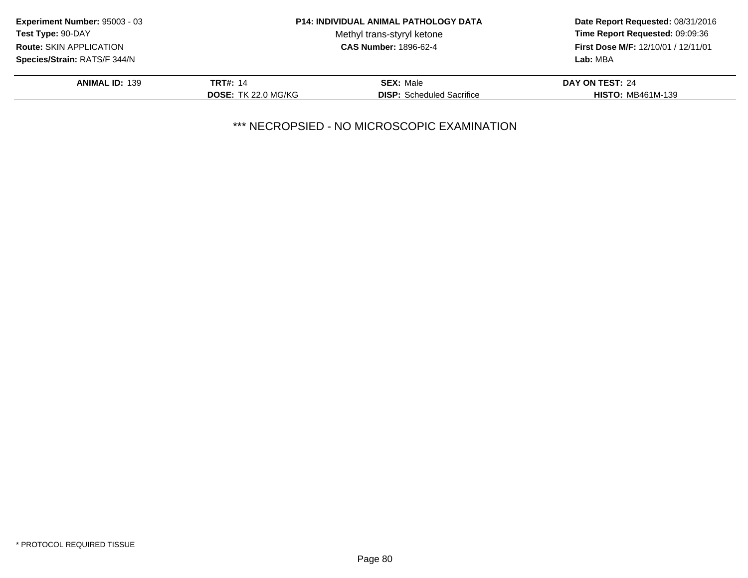| <b>Experiment Number: 95003 - 03</b> |                            | <b>P14: INDIVIDUAL ANIMAL PATHOLOGY DATA</b> | Date Report Requested: 08/31/2016<br>Time Report Requested: 09:09:36 |
|--------------------------------------|----------------------------|----------------------------------------------|----------------------------------------------------------------------|
| <b>Test Type: 90-DAY</b>             |                            | Methyl trans-styryl ketone                   |                                                                      |
| <b>Route: SKIN APPLICATION</b>       |                            | <b>CAS Number: 1896-62-4</b>                 | First Dose M/F: 12/10/01 / 12/11/01                                  |
| <b>Species/Strain: RATS/F 344/N</b>  |                            |                                              | Lab: MBA                                                             |
| <b>ANIMAL ID: 139</b>                | <b>TRT#: 14</b>            | <b>SEX: Male</b>                             | DAY ON TEST: 24                                                      |
|                                      | <b>DOSE: TK 22.0 MG/KG</b> | <b>DISP:</b> Scheduled Sacrifice             | <b>HISTO: MB461M-139</b>                                             |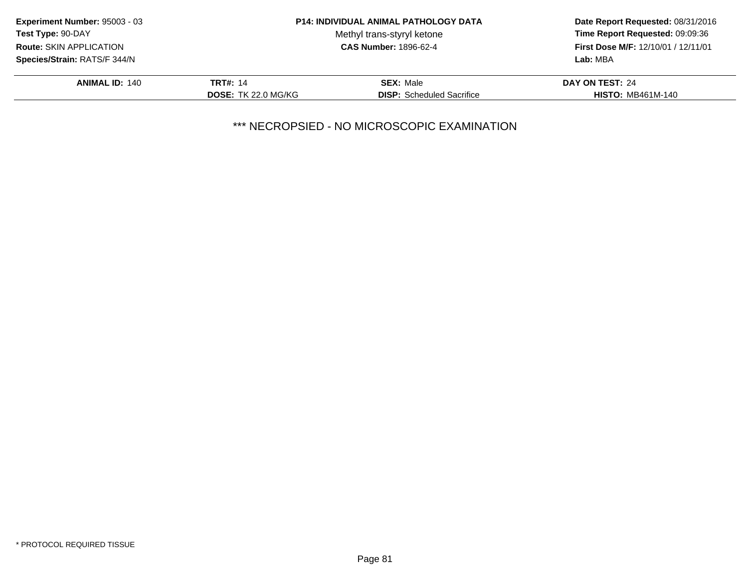| <b>Experiment Number: 95003 - 03</b> |                            | <b>P14: INDIVIDUAL ANIMAL PATHOLOGY DATA</b> | Date Report Requested: 08/31/2016<br>Time Report Requested: 09:09:36<br>First Dose M/F: 12/10/01 / 12/11/01 |
|--------------------------------------|----------------------------|----------------------------------------------|-------------------------------------------------------------------------------------------------------------|
| Test Type: 90-DAY                    |                            | Methyl trans-styryl ketone                   |                                                                                                             |
| Route: SKIN APPLICATION              |                            | <b>CAS Number: 1896-62-4</b>                 |                                                                                                             |
| Species/Strain: RATS/F 344/N         |                            |                                              | Lab: MBA                                                                                                    |
| <b>ANIMAL ID: 140</b>                | <b>TRT#: 14</b>            | <b>SEX: Male</b>                             | DAY ON TEST: 24                                                                                             |
|                                      | <b>DOSE: TK 22.0 MG/KG</b> | <b>DISP:</b> Scheduled Sacrifice             | <b>HISTO: MB461M-140</b>                                                                                    |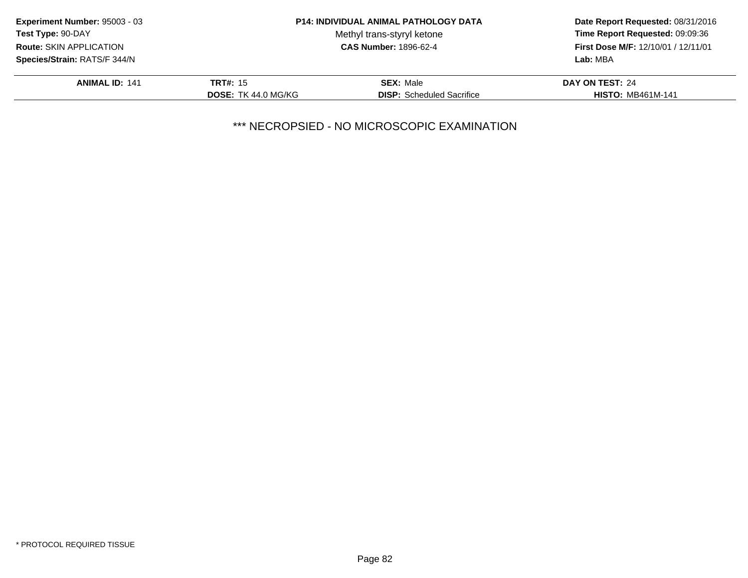| <b>Experiment Number: 95003 - 03</b> |                            | <b>P14: INDIVIDUAL ANIMAL PATHOLOGY DATA</b> | Date Report Requested: 08/31/2016<br>Time Report Requested: 09:09:36<br>First Dose M/F: 12/10/01 / 12/11/01 |
|--------------------------------------|----------------------------|----------------------------------------------|-------------------------------------------------------------------------------------------------------------|
| <b>Test Type: 90-DAY</b>             |                            | Methyl trans-styryl ketone                   |                                                                                                             |
| Route: SKIN APPLICATION              |                            | <b>CAS Number: 1896-62-4</b>                 |                                                                                                             |
| Species/Strain: RATS/F 344/N         |                            |                                              | Lab: MBA                                                                                                    |
| <b>ANIMAL ID: 141</b>                | <b>TRT#: 15</b>            | <b>SEX: Male</b>                             | DAY ON TEST: 24                                                                                             |
|                                      | <b>DOSE: TK 44.0 MG/KG</b> | <b>DISP:</b> Scheduled Sacrifice             | <b>HISTO: MB461M-141</b>                                                                                    |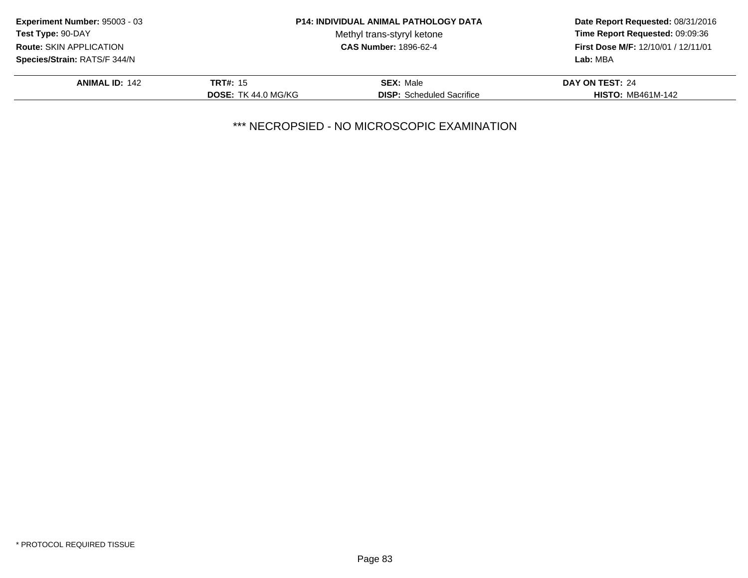| Experiment Number: 95003 - 03  |                            | <b>P14: INDIVIDUAL ANIMAL PATHOLOGY DATA</b> | Date Report Requested: 08/31/2016<br>Time Report Requested: 09:09:36<br>First Dose M/F: 12/10/01 / 12/11/01 |
|--------------------------------|----------------------------|----------------------------------------------|-------------------------------------------------------------------------------------------------------------|
| Test Type: 90-DAY              |                            | Methyl trans-styryl ketone                   |                                                                                                             |
| <b>Route: SKIN APPLICATION</b> |                            | <b>CAS Number: 1896-62-4</b>                 |                                                                                                             |
| Species/Strain: RATS/F 344/N   |                            |                                              | Lab: MBA                                                                                                    |
| <b>ANIMAL ID: 142</b>          | <b>TRT#: 15</b>            | <b>SEX: Male</b>                             | DAY ON TEST: 24                                                                                             |
|                                | <b>DOSE: TK 44.0 MG/KG</b> | <b>DISP:</b> Scheduled Sacrifice             | <b>HISTO: MB461M-142</b>                                                                                    |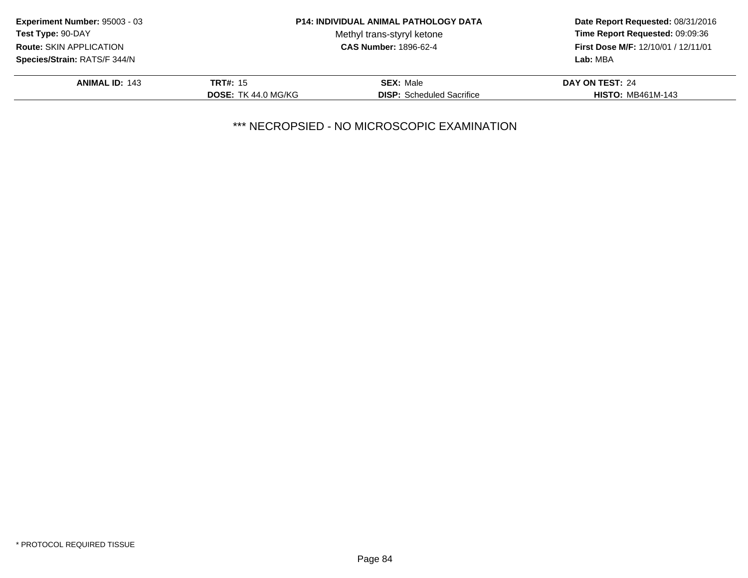| <b>Experiment Number: 95003 - 03</b> |                            | <b>P14: INDIVIDUAL ANIMAL PATHOLOGY DATA</b> | Date Report Requested: 08/31/2016<br>Time Report Requested: 09:09:36<br>First Dose M/F: 12/10/01 / 12/11/01 |
|--------------------------------------|----------------------------|----------------------------------------------|-------------------------------------------------------------------------------------------------------------|
| <b>Test Type: 90-DAY</b>             |                            | Methyl trans-styryl ketone                   |                                                                                                             |
| Route: SKIN APPLICATION              |                            | <b>CAS Number: 1896-62-4</b>                 |                                                                                                             |
| Species/Strain: RATS/F 344/N         |                            |                                              | Lab: MBA                                                                                                    |
| <b>ANIMAL ID: 143</b>                | <b>TRT#: 15</b>            | <b>SEX: Male</b>                             | DAY ON TEST: 24                                                                                             |
|                                      | <b>DOSE: TK 44.0 MG/KG</b> | <b>DISP:</b> Scheduled Sacrifice             | <b>HISTO: MB461M-143</b>                                                                                    |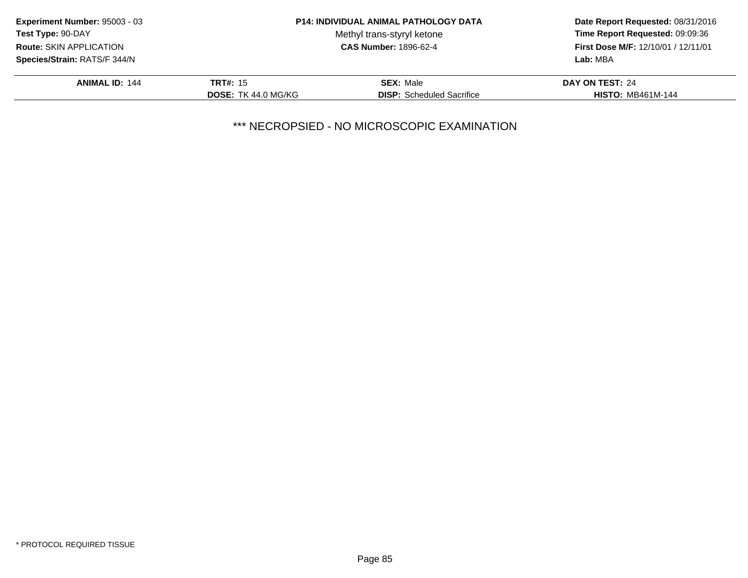| <b>Experiment Number: 95003 - 03</b> |                            | <b>P14: INDIVIDUAL ANIMAL PATHOLOGY DATA</b> | Date Report Requested: 08/31/2016<br>Time Report Requested: 09:09:36<br>First Dose M/F: 12/10/01 / 12/11/01 |
|--------------------------------------|----------------------------|----------------------------------------------|-------------------------------------------------------------------------------------------------------------|
| <b>Test Type: 90-DAY</b>             |                            | Methyl trans-styryl ketone                   |                                                                                                             |
| Route: SKIN APPLICATION              |                            | <b>CAS Number: 1896-62-4</b>                 |                                                                                                             |
| Species/Strain: RATS/F 344/N         |                            |                                              | Lab: MBA                                                                                                    |
| <b>ANIMAL ID: 144</b>                | <b>TRT#: 15</b>            | <b>SEX: Male</b>                             | DAY ON TEST: 24                                                                                             |
|                                      | <b>DOSE: TK 44.0 MG/KG</b> | <b>DISP:</b> Scheduled Sacrifice             | <b>HISTO: MB461M-144</b>                                                                                    |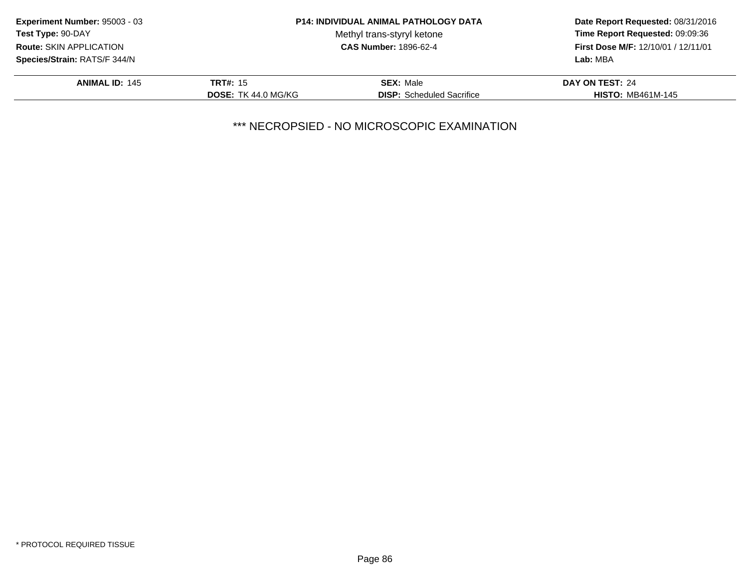| <b>Experiment Number: 95003 - 03</b> |                            | <b>P14: INDIVIDUAL ANIMAL PATHOLOGY DATA</b> | Date Report Requested: 08/31/2016<br>Time Report Requested: 09:09:36<br>First Dose M/F: 12/10/01 / 12/11/01 |
|--------------------------------------|----------------------------|----------------------------------------------|-------------------------------------------------------------------------------------------------------------|
| <b>Test Type: 90-DAY</b>             |                            | Methyl trans-styryl ketone                   |                                                                                                             |
| Route: SKIN APPLICATION              |                            | <b>CAS Number: 1896-62-4</b>                 |                                                                                                             |
| Species/Strain: RATS/F 344/N         |                            |                                              | Lab: MBA                                                                                                    |
| <b>ANIMAL ID: 145</b>                | <b>TRT#: 15</b>            | <b>SEX: Male</b>                             | DAY ON TEST: 24                                                                                             |
|                                      | <b>DOSE: TK 44.0 MG/KG</b> | <b>DISP:</b> Scheduled Sacrifice             | <b>HISTO: MB461M-145</b>                                                                                    |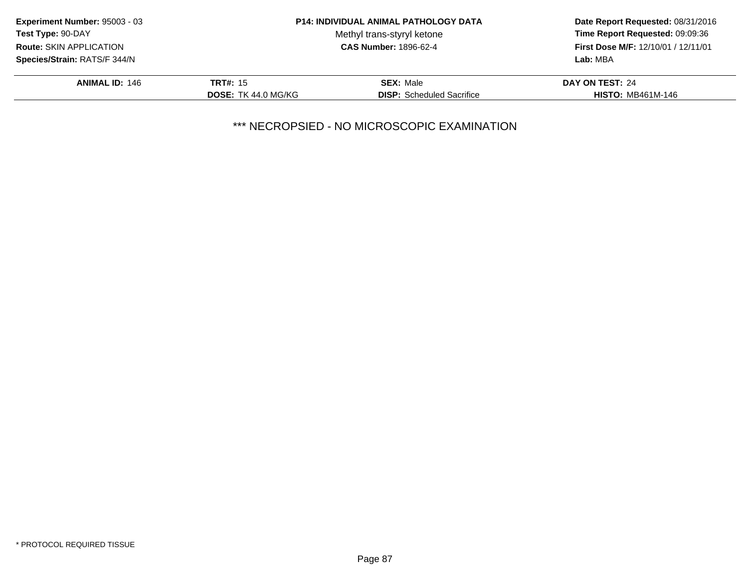| <b>Experiment Number: 95003 - 03</b> |                            | <b>P14: INDIVIDUAL ANIMAL PATHOLOGY DATA</b> | Date Report Requested: 08/31/2016<br>Time Report Requested: 09:09:36<br>First Dose M/F: 12/10/01 / 12/11/01 |
|--------------------------------------|----------------------------|----------------------------------------------|-------------------------------------------------------------------------------------------------------------|
| <b>Test Type: 90-DAY</b>             |                            | Methyl trans-styryl ketone                   |                                                                                                             |
| Route: SKIN APPLICATION              |                            | <b>CAS Number: 1896-62-4</b>                 |                                                                                                             |
| Species/Strain: RATS/F 344/N         |                            |                                              | Lab: MBA                                                                                                    |
| <b>ANIMAL ID: 146</b>                | <b>TRT#: 15</b>            | <b>SEX: Male</b>                             | DAY ON TEST: 24                                                                                             |
|                                      | <b>DOSE: TK 44.0 MG/KG</b> | <b>DISP:</b> Scheduled Sacrifice             | <b>HISTO: MB461M-146</b>                                                                                    |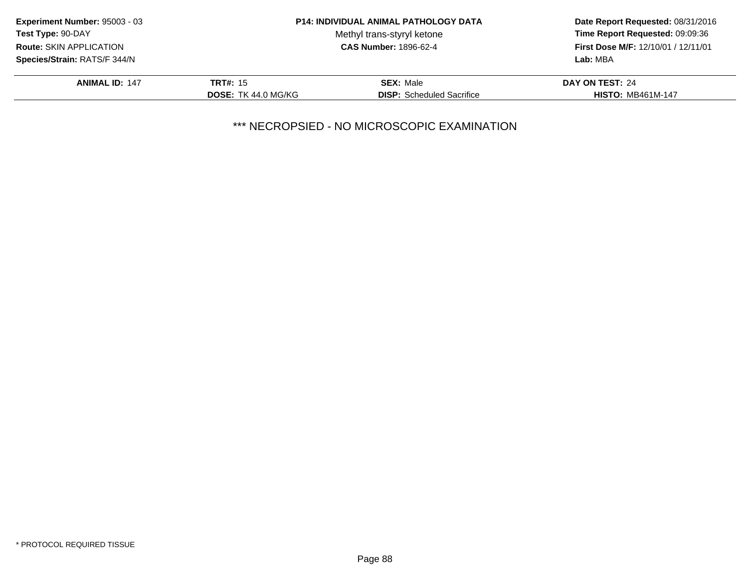| <b>Experiment Number: 95003 - 03</b> |                            | <b>P14: INDIVIDUAL ANIMAL PATHOLOGY DATA</b> | Date Report Requested: 08/31/2016<br>Time Report Requested: 09:09:36<br>First Dose M/F: 12/10/01 / 12/11/01 |
|--------------------------------------|----------------------------|----------------------------------------------|-------------------------------------------------------------------------------------------------------------|
| Test Type: 90-DAY                    |                            | Methyl trans-styryl ketone                   |                                                                                                             |
| Route: SKIN APPLICATION              |                            | <b>CAS Number: 1896-62-4</b>                 |                                                                                                             |
| Species/Strain: RATS/F 344/N         |                            |                                              | Lab: MBA                                                                                                    |
| <b>ANIMAL ID: 147</b>                | <b>TRT#: 15</b>            | <b>SEX: Male</b>                             | DAY ON TEST: 24                                                                                             |
|                                      | <b>DOSE: TK 44.0 MG/KG</b> | <b>DISP:</b> Scheduled Sacrifice             | <b>HISTO: MB461M-147</b>                                                                                    |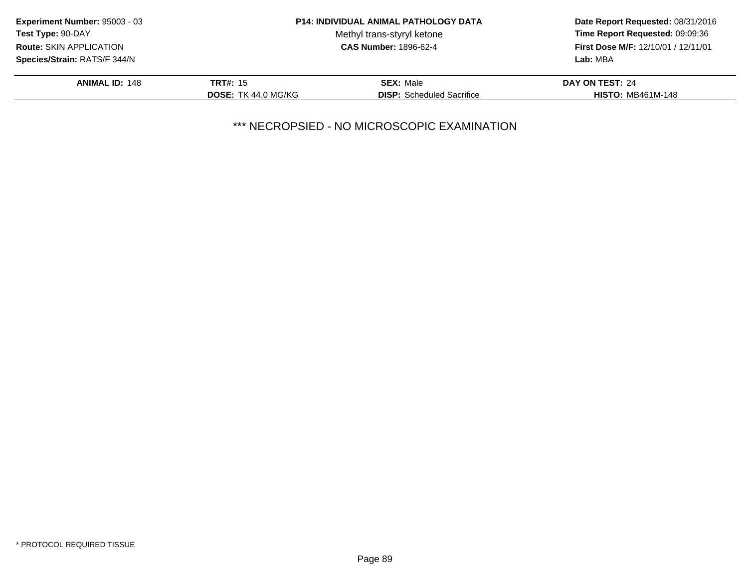| <b>Experiment Number: 95003 - 03</b> |                            | <b>P14: INDIVIDUAL ANIMAL PATHOLOGY DATA</b> | Date Report Requested: 08/31/2016<br>Time Report Requested: 09:09:36<br>First Dose M/F: 12/10/01 / 12/11/01 |
|--------------------------------------|----------------------------|----------------------------------------------|-------------------------------------------------------------------------------------------------------------|
| <b>Test Type: 90-DAY</b>             |                            | Methyl trans-styryl ketone                   |                                                                                                             |
| Route: SKIN APPLICATION              |                            | <b>CAS Number: 1896-62-4</b>                 |                                                                                                             |
| Species/Strain: RATS/F 344/N         |                            |                                              | Lab: MBA                                                                                                    |
| <b>ANIMAL ID: 148</b>                | <b>TRT#: 15</b>            | <b>SEX: Male</b>                             | DAY ON TEST: 24                                                                                             |
|                                      | <b>DOSE: TK 44.0 MG/KG</b> | <b>DISP:</b> Scheduled Sacrifice             | <b>HISTO: MB461M-148</b>                                                                                    |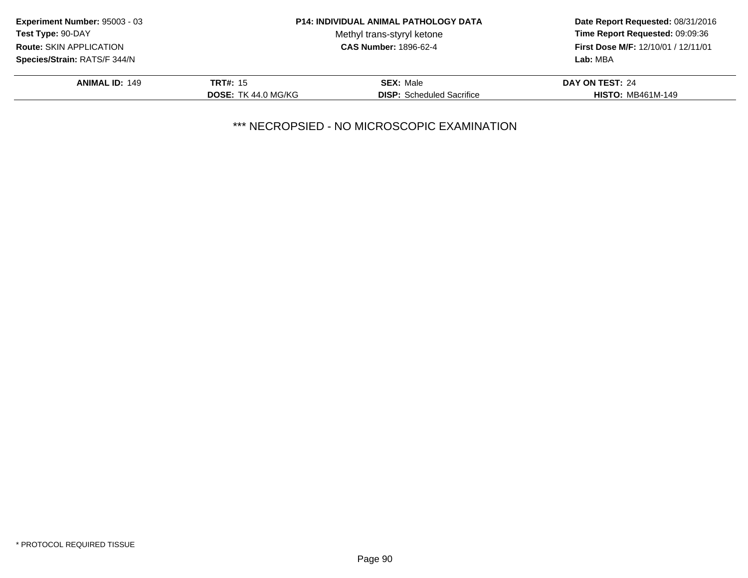| <b>Experiment Number: 95003 - 03</b> |                            | <b>P14: INDIVIDUAL ANIMAL PATHOLOGY DATA</b> | Date Report Requested: 08/31/2016<br>Time Report Requested: 09:09:36<br>First Dose M/F: 12/10/01 / 12/11/01 |
|--------------------------------------|----------------------------|----------------------------------------------|-------------------------------------------------------------------------------------------------------------|
| <b>Test Type: 90-DAY</b>             |                            | Methyl trans-styryl ketone                   |                                                                                                             |
| Route: SKIN APPLICATION              |                            | <b>CAS Number: 1896-62-4</b>                 |                                                                                                             |
| Species/Strain: RATS/F 344/N         |                            |                                              | Lab: MBA                                                                                                    |
| <b>ANIMAL ID: 149</b>                | <b>TRT#: 15</b>            | <b>SEX: Male</b>                             | DAY ON TEST: 24                                                                                             |
|                                      | <b>DOSE: TK 44.0 MG/KG</b> | <b>DISP:</b> Scheduled Sacrifice             | <b>HISTO: MB461M-149</b>                                                                                    |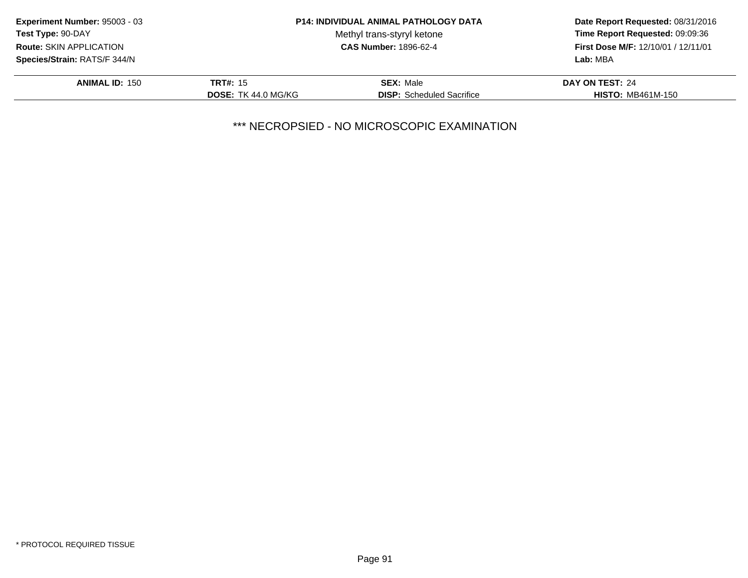| <b>Experiment Number: 95003 - 03</b> |                            | <b>P14: INDIVIDUAL ANIMAL PATHOLOGY DATA</b> | Date Report Requested: 08/31/2016<br>Time Report Requested: 09:09:36<br>First Dose M/F: 12/10/01 / 12/11/01 |
|--------------------------------------|----------------------------|----------------------------------------------|-------------------------------------------------------------------------------------------------------------|
| <b>Test Type: 90-DAY</b>             |                            | Methyl trans-styryl ketone                   |                                                                                                             |
| <b>Route: SKIN APPLICATION</b>       |                            | <b>CAS Number: 1896-62-4</b>                 |                                                                                                             |
| Species/Strain: RATS/F 344/N         |                            |                                              | Lab: MBA                                                                                                    |
| <b>ANIMAL ID: 150</b>                | <b>TRT#: 15</b>            | <b>SEX: Male</b>                             | DAY ON TEST: 24                                                                                             |
|                                      | <b>DOSE: TK 44.0 MG/KG</b> | <b>DISP:</b> Scheduled Sacrifice             | <b>HISTO: MB461M-150</b>                                                                                    |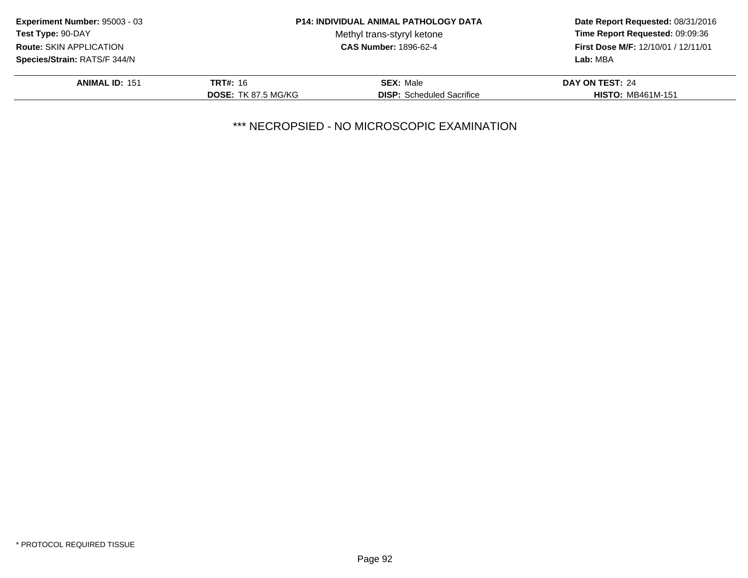| <b>Experiment Number: 95003 - 03</b> |                            | <b>P14: INDIVIDUAL ANIMAL PATHOLOGY DATA</b> | Date Report Requested: 08/31/2016<br>Time Report Requested: 09:09:36<br>First Dose M/F: 12/10/01 / 12/11/01 |
|--------------------------------------|----------------------------|----------------------------------------------|-------------------------------------------------------------------------------------------------------------|
| <b>Test Type: 90-DAY</b>             |                            | Methyl trans-styryl ketone                   |                                                                                                             |
| Route: SKIN APPLICATION              |                            | <b>CAS Number: 1896-62-4</b>                 |                                                                                                             |
| Species/Strain: RATS/F 344/N         |                            |                                              | Lab: MBA                                                                                                    |
| <b>ANIMAL ID: 151</b>                | <b>TRT#: 16</b>            | <b>SEX: Male</b>                             | DAY ON TEST: 24                                                                                             |
|                                      | <b>DOSE: TK 87.5 MG/KG</b> | <b>DISP:</b> Scheduled Sacrifice             | <b>HISTO: MB461M-151</b>                                                                                    |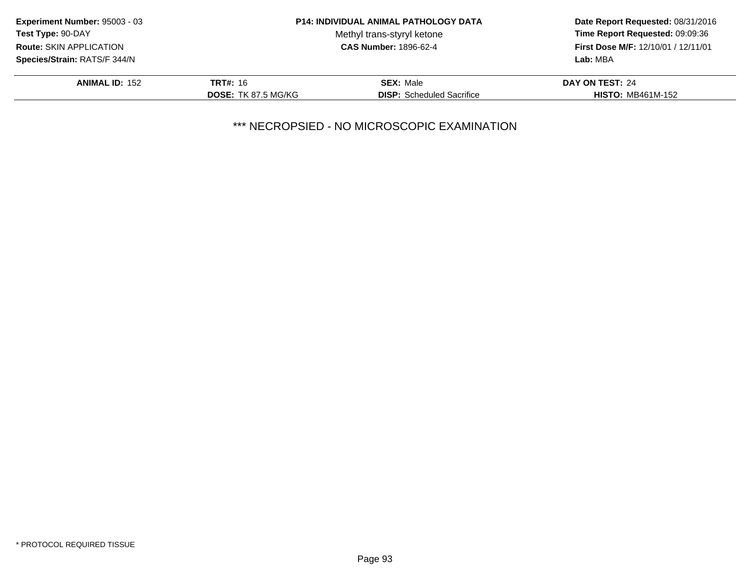| <b>Experiment Number: 95003 - 03</b> |                            | <b>P14: INDIVIDUAL ANIMAL PATHOLOGY DATA</b> | Date Report Requested: 08/31/2016<br>Time Report Requested: 09:09:36<br>First Dose M/F: 12/10/01 / 12/11/01 |
|--------------------------------------|----------------------------|----------------------------------------------|-------------------------------------------------------------------------------------------------------------|
| <b>Test Type: 90-DAY</b>             |                            | Methyl trans-styryl ketone                   |                                                                                                             |
| <b>Route: SKIN APPLICATION</b>       |                            | <b>CAS Number: 1896-62-4</b>                 |                                                                                                             |
| Species/Strain: RATS/F 344/N         |                            |                                              | Lab: MBA                                                                                                    |
| <b>ANIMAL ID: 152</b>                | <b>TRT#: 16</b>            | <b>SEX: Male</b>                             | DAY ON TEST: 24                                                                                             |
|                                      | <b>DOSE: TK 87.5 MG/KG</b> | <b>DISP:</b> Scheduled Sacrifice             | <b>HISTO: MB461M-152</b>                                                                                    |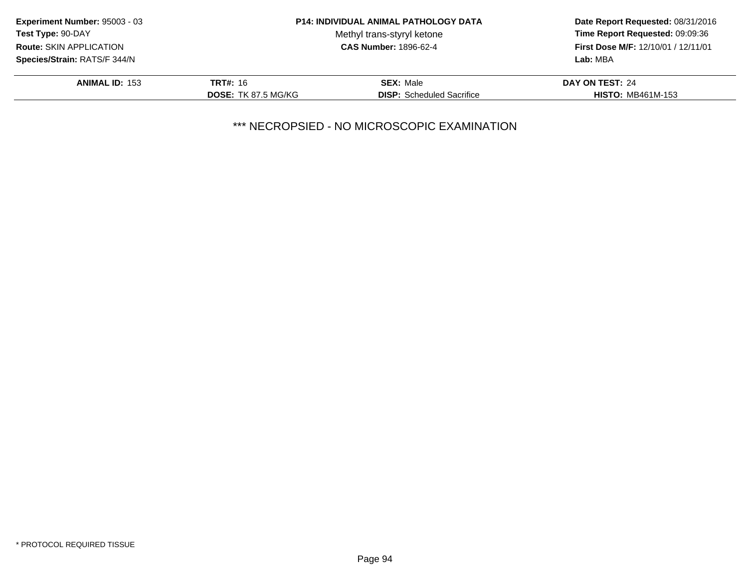| <b>Experiment Number: 95003 - 03</b> |                            | <b>P14: INDIVIDUAL ANIMAL PATHOLOGY DATA</b> | Date Report Requested: 08/31/2016<br>Time Report Requested: 09:09:36<br>First Dose M/F: 12/10/01 / 12/11/01 |
|--------------------------------------|----------------------------|----------------------------------------------|-------------------------------------------------------------------------------------------------------------|
| <b>Test Type: 90-DAY</b>             |                            | Methyl trans-styryl ketone                   |                                                                                                             |
| <b>Route: SKIN APPLICATION</b>       |                            | <b>CAS Number: 1896-62-4</b>                 |                                                                                                             |
| Species/Strain: RATS/F 344/N         |                            |                                              | Lab: MBA                                                                                                    |
| <b>ANIMAL ID: 153</b>                | <b>TRT#: 16</b>            | <b>SEX: Male</b>                             | DAY ON TEST: 24                                                                                             |
|                                      | <b>DOSE: TK 87.5 MG/KG</b> | <b>DISP:</b> Scheduled Sacrifice             | <b>HISTO: MB461M-153</b>                                                                                    |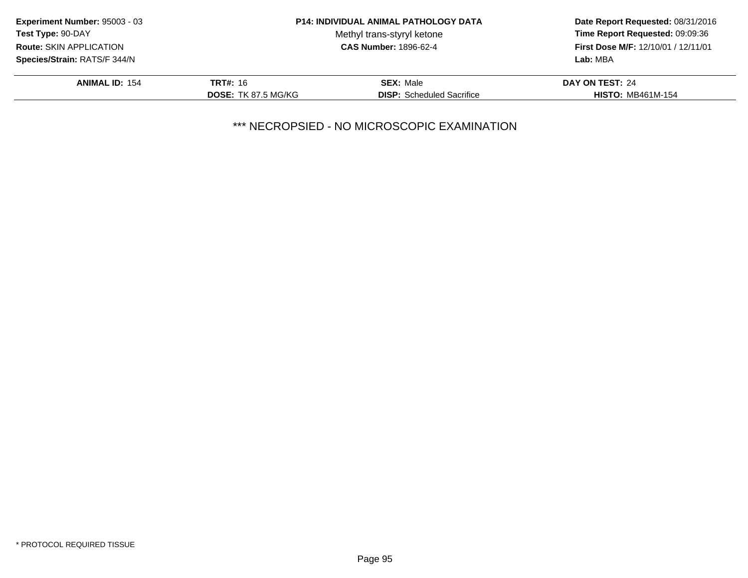| <b>Experiment Number: 95003 - 03</b> |                            | <b>P14: INDIVIDUAL ANIMAL PATHOLOGY DATA</b> | Date Report Requested: 08/31/2016<br>Time Report Requested: 09:09:36<br>First Dose M/F: 12/10/01 / 12/11/01 |
|--------------------------------------|----------------------------|----------------------------------------------|-------------------------------------------------------------------------------------------------------------|
| <b>Test Type: 90-DAY</b>             |                            | Methyl trans-styryl ketone                   |                                                                                                             |
| <b>Route: SKIN APPLICATION</b>       |                            | <b>CAS Number: 1896-62-4</b>                 |                                                                                                             |
| Species/Strain: RATS/F 344/N         |                            |                                              | Lab: MBA                                                                                                    |
| <b>ANIMAL ID: 154</b>                | <b>TRT#: 16</b>            | <b>SEX: Male</b>                             | DAY ON TEST: 24                                                                                             |
|                                      | <b>DOSE: TK 87.5 MG/KG</b> | <b>DISP:</b> Scheduled Sacrifice             | <b>HISTO: MB461M-154</b>                                                                                    |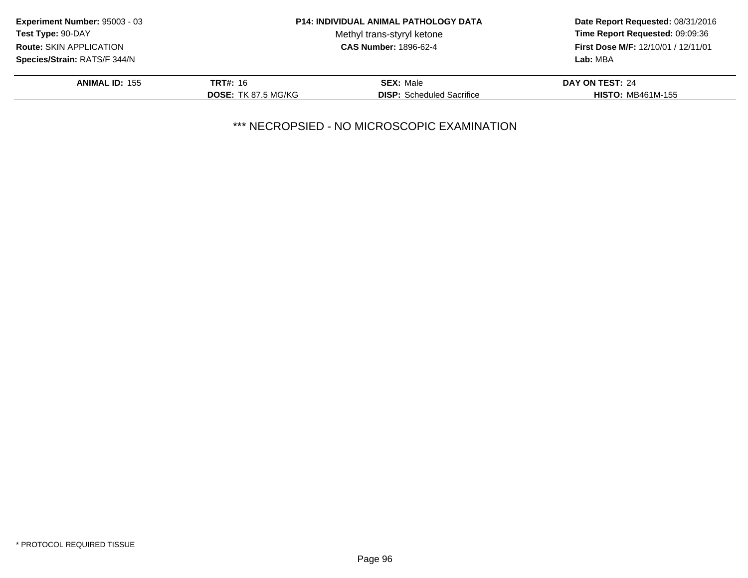| <b>Experiment Number: 95003 - 03</b> |                            | <b>P14: INDIVIDUAL ANIMAL PATHOLOGY DATA</b> | Date Report Requested: 08/31/2016<br>Time Report Requested: 09:09:36 |
|--------------------------------------|----------------------------|----------------------------------------------|----------------------------------------------------------------------|
| <b>Test Type: 90-DAY</b>             |                            | Methyl trans-styryl ketone                   |                                                                      |
| <b>Route: SKIN APPLICATION</b>       |                            | <b>CAS Number: 1896-62-4</b>                 | First Dose M/F: 12/10/01 / 12/11/01                                  |
| <b>Species/Strain: RATS/F 344/N</b>  |                            |                                              | Lab: MBA                                                             |
| <b>ANIMAL ID: 155</b>                | <b>TRT#: 16</b>            | <b>SEX: Male</b>                             | DAY ON TEST: 24                                                      |
|                                      | <b>DOSE: TK 87.5 MG/KG</b> | <b>DISP:</b> Scheduled Sacrifice             | <b>HISTO: MB461M-155</b>                                             |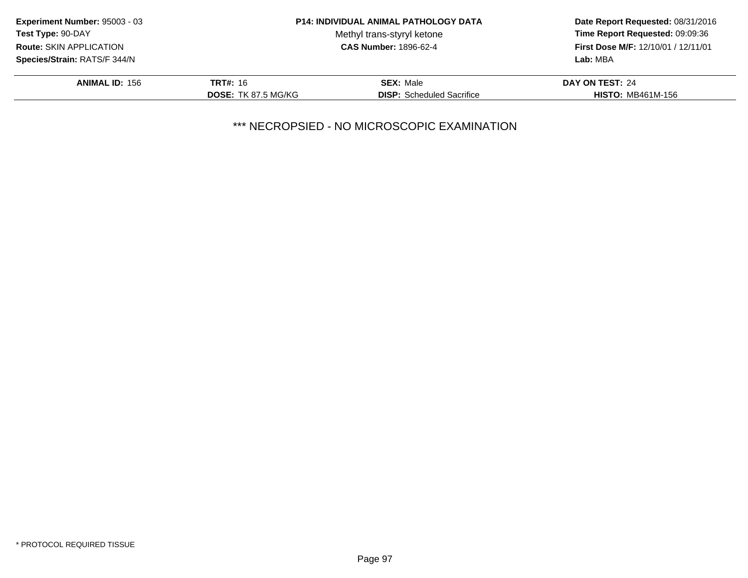| <b>Experiment Number: 95003 - 03</b> |                            | <b>P14: INDIVIDUAL ANIMAL PATHOLOGY DATA</b> | Date Report Requested: 08/31/2016<br>Time Report Requested: 09:09:36<br>First Dose M/F: 12/10/01 / 12/11/01 |
|--------------------------------------|----------------------------|----------------------------------------------|-------------------------------------------------------------------------------------------------------------|
| <b>Test Type: 90-DAY</b>             |                            | Methyl trans-styryl ketone                   |                                                                                                             |
| <b>Route: SKIN APPLICATION</b>       |                            | <b>CAS Number: 1896-62-4</b>                 |                                                                                                             |
| Species/Strain: RATS/F 344/N         |                            |                                              | Lab: MBA                                                                                                    |
| <b>ANIMAL ID: 156</b>                | <b>TRT#: 16</b>            | <b>SEX: Male</b>                             | DAY ON TEST: 24                                                                                             |
|                                      | <b>DOSE: TK 87.5 MG/KG</b> | <b>DISP:</b> Scheduled Sacrifice             | <b>HISTO: MB461M-156</b>                                                                                    |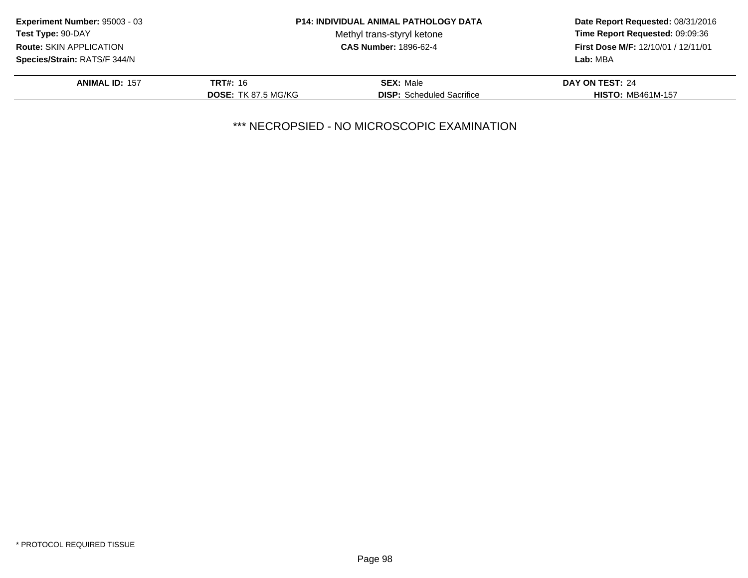| <b>Experiment Number: 95003 - 03</b> |                            | <b>P14: INDIVIDUAL ANIMAL PATHOLOGY DATA</b> | Date Report Requested: 08/31/2016<br>Time Report Requested: 09:09:36<br>First Dose M/F: 12/10/01 / 12/11/01 |
|--------------------------------------|----------------------------|----------------------------------------------|-------------------------------------------------------------------------------------------------------------|
| Test Type: 90-DAY                    |                            | Methyl trans-styryl ketone                   |                                                                                                             |
| Route: SKIN APPLICATION              |                            | <b>CAS Number: 1896-62-4</b>                 |                                                                                                             |
| Species/Strain: RATS/F 344/N         |                            |                                              | Lab: MBA                                                                                                    |
| <b>ANIMAL ID: 157</b>                | <b>TRT#: 16</b>            | <b>SEX: Male</b>                             | DAY ON TEST: 24                                                                                             |
|                                      | <b>DOSE: TK 87.5 MG/KG</b> | <b>DISP:</b> Scheduled Sacrifice             | <b>HISTO: MB461M-157</b>                                                                                    |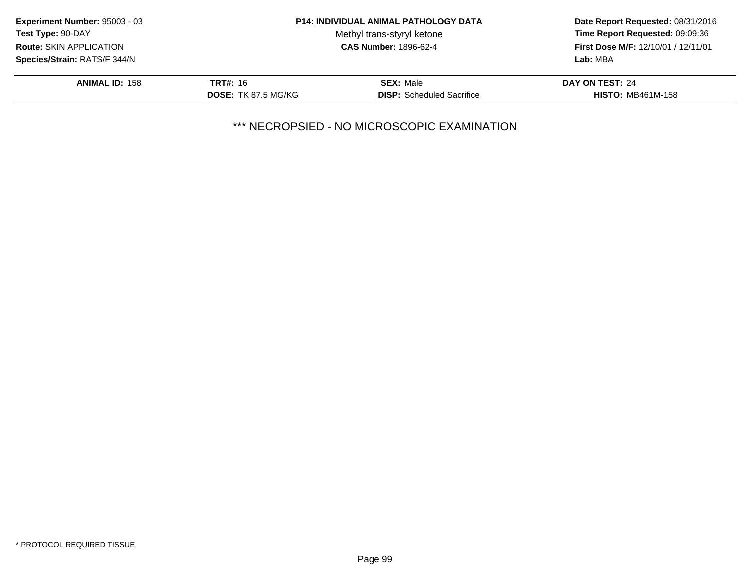| <b>Experiment Number: 95003 - 03</b> |                            | <b>P14: INDIVIDUAL ANIMAL PATHOLOGY DATA</b> | Date Report Requested: 08/31/2016<br>Time Report Requested: 09:09:36 |
|--------------------------------------|----------------------------|----------------------------------------------|----------------------------------------------------------------------|
| <b>Test Type: 90-DAY</b>             |                            | Methyl trans-styryl ketone                   |                                                                      |
| <b>Route: SKIN APPLICATION</b>       |                            | <b>CAS Number: 1896-62-4</b>                 | First Dose M/F: 12/10/01 / 12/11/01                                  |
| <b>Species/Strain: RATS/F 344/N</b>  |                            |                                              | Lab: MBA                                                             |
| <b>ANIMAL ID: 158</b>                | <b>TRT#: 16</b>            | <b>SEX: Male</b>                             | DAY ON TEST: 24                                                      |
|                                      | <b>DOSE: TK 87.5 MG/KG</b> | <b>DISP:</b> Scheduled Sacrifice             | <b>HISTO: MB461M-158</b>                                             |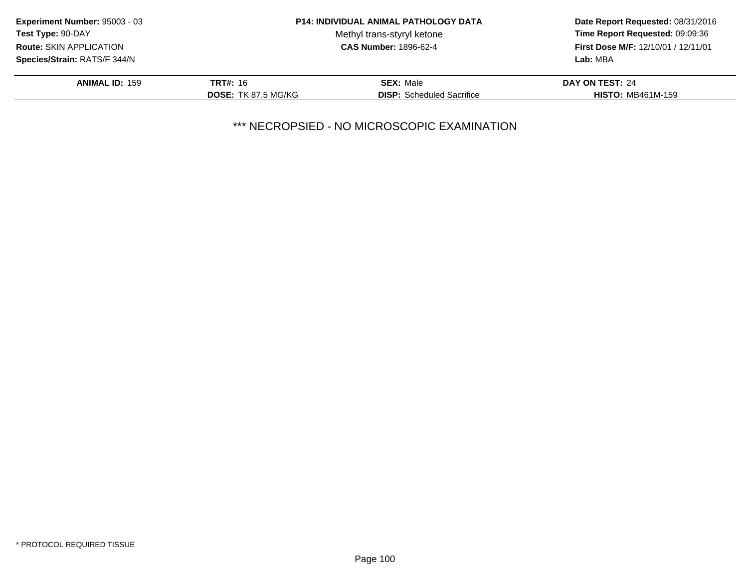| <b>Experiment Number: 95003 - 03</b> |                            | <b>P14: INDIVIDUAL ANIMAL PATHOLOGY DATA</b> | Date Report Requested: 08/31/2016<br>Time Report Requested: 09:09:36<br>First Dose M/F: 12/10/01 / 12/11/01 |
|--------------------------------------|----------------------------|----------------------------------------------|-------------------------------------------------------------------------------------------------------------|
| <b>Test Type: 90-DAY</b>             |                            | Methyl trans-styryl ketone                   |                                                                                                             |
| <b>Route: SKIN APPLICATION</b>       |                            | <b>CAS Number: 1896-62-4</b>                 |                                                                                                             |
| Species/Strain: RATS/F 344/N         |                            |                                              | Lab: MBA                                                                                                    |
| <b>ANIMAL ID: 159</b>                | <b>TRT#: 16</b>            | <b>SEX: Male</b>                             | DAY ON TEST: 24                                                                                             |
|                                      | <b>DOSE: TK 87.5 MG/KG</b> | <b>DISP:</b> Scheduled Sacrifice             | <b>HISTO: MB461M-159</b>                                                                                    |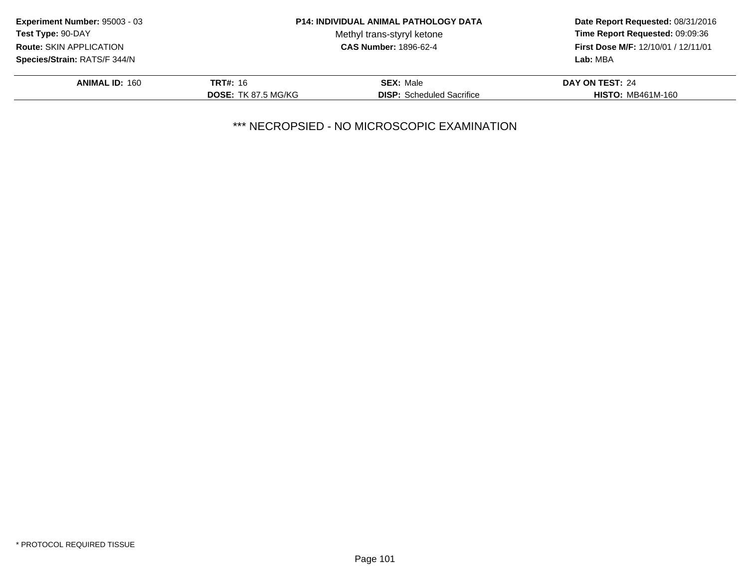| <b>Experiment Number: 95003 - 03</b> |                            | <b>P14: INDIVIDUAL ANIMAL PATHOLOGY DATA</b> | Date Report Requested: 08/31/2016<br>Time Report Requested: 09:09:36<br>First Dose M/F: 12/10/01 / 12/11/01 |
|--------------------------------------|----------------------------|----------------------------------------------|-------------------------------------------------------------------------------------------------------------|
| <b>Test Type: 90-DAY</b>             |                            | Methyl trans-styryl ketone                   |                                                                                                             |
| <b>Route: SKIN APPLICATION</b>       |                            | <b>CAS Number: 1896-62-4</b>                 |                                                                                                             |
| Species/Strain: RATS/F 344/N         |                            |                                              | Lab: MBA                                                                                                    |
| <b>ANIMAL ID: 160</b>                | <b>TRT#: 16</b>            | <b>SEX: Male</b>                             | DAY ON TEST: 24                                                                                             |
|                                      | <b>DOSE: TK 87.5 MG/KG</b> | <b>DISP:</b> Scheduled Sacrifice             | <b>HISTO: MB461M-160</b>                                                                                    |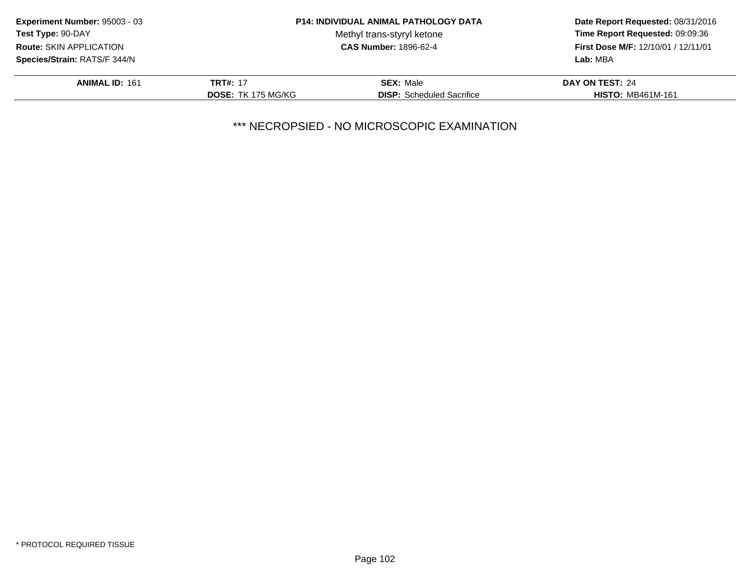| <b>Experiment Number: 95003 - 03</b> |                           | <b>P14: INDIVIDUAL ANIMAL PATHOLOGY DATA</b> | Date Report Requested: 08/31/2016<br>Time Report Requested: 09:09:36<br>First Dose M/F: 12/10/01 / 12/11/01 |
|--------------------------------------|---------------------------|----------------------------------------------|-------------------------------------------------------------------------------------------------------------|
| Test Type: 90-DAY                    |                           | Methyl trans-styryl ketone                   |                                                                                                             |
| <b>Route: SKIN APPLICATION</b>       |                           | <b>CAS Number: 1896-62-4</b>                 |                                                                                                             |
| Species/Strain: RATS/F 344/N         |                           |                                              | Lab: MBA                                                                                                    |
| <b>ANIMAL ID: 161</b>                | <b>TRT#: 17</b>           | <b>SEX: Male</b>                             | DAY ON TEST: 24                                                                                             |
|                                      | <b>DOSE: TK 175 MG/KG</b> | <b>DISP:</b> Scheduled Sacrifice             | <b>HISTO: MB461M-161</b>                                                                                    |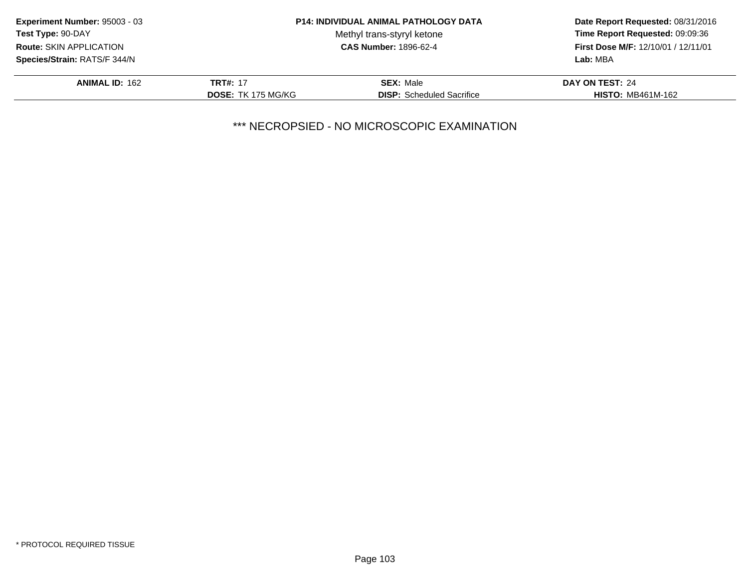| <b>Experiment Number: 95003 - 03</b> |                           | <b>P14: INDIVIDUAL ANIMAL PATHOLOGY DATA</b> | Date Report Requested: 08/31/2016                                             |  |
|--------------------------------------|---------------------------|----------------------------------------------|-------------------------------------------------------------------------------|--|
| Test Type: 90-DAY                    |                           | Methyl trans-styryl ketone                   | Time Report Requested: 09:09:36<br><b>First Dose M/F: 12/10/01 / 12/11/01</b> |  |
| <b>Route: SKIN APPLICATION</b>       |                           | <b>CAS Number: 1896-62-4</b>                 |                                                                               |  |
| Species/Strain: RATS/F 344/N         |                           |                                              | Lab: MBA                                                                      |  |
| <b>ANIMAL ID: 162</b>                | <b>TRT#: 17</b>           | <b>SEX: Male</b>                             | DAY ON TEST: 24                                                               |  |
|                                      | <b>DOSE: TK 175 MG/KG</b> | <b>DISP:</b> Scheduled Sacrifice             | <b>HISTO: MB461M-162</b>                                                      |  |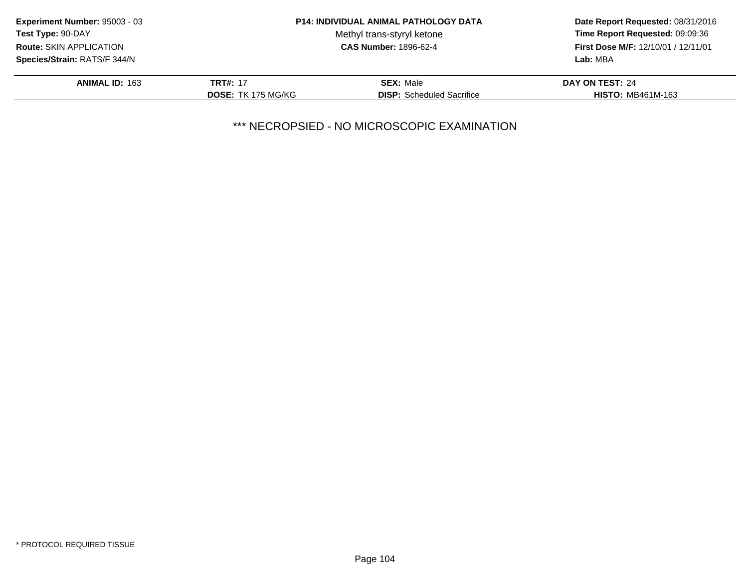| <b>Experiment Number: 95003 - 03</b> |                           | <b>P14: INDIVIDUAL ANIMAL PATHOLOGY DATA</b> | Date Report Requested: 08/31/2016<br>Time Report Requested: 09:09:36<br><b>First Dose M/F: 12/10/01 / 12/11/01</b> |
|--------------------------------------|---------------------------|----------------------------------------------|--------------------------------------------------------------------------------------------------------------------|
| Test Type: 90-DAY                    |                           | Methyl trans-styryl ketone                   |                                                                                                                    |
| <b>Route: SKIN APPLICATION</b>       |                           | <b>CAS Number: 1896-62-4</b>                 |                                                                                                                    |
| Species/Strain: RATS/F 344/N         |                           |                                              | Lab: MBA                                                                                                           |
| <b>ANIMAL ID: 163</b>                | <b>TRT#: 17</b>           | <b>SEX: Male</b>                             | DAY ON TEST: 24                                                                                                    |
|                                      | <b>DOSE: TK 175 MG/KG</b> | <b>DISP:</b> Scheduled Sacrifice             | <b>HISTO: MB461M-163</b>                                                                                           |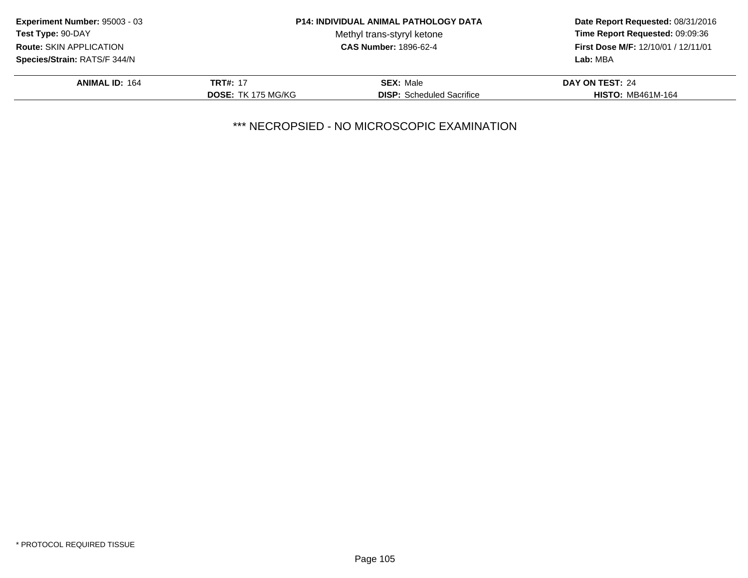| <b>Experiment Number: 95003 - 03</b> |                           | <b>P14: INDIVIDUAL ANIMAL PATHOLOGY DATA</b> | Date Report Requested: 08/31/2016                                      |  |
|--------------------------------------|---------------------------|----------------------------------------------|------------------------------------------------------------------------|--|
| Test Type: 90-DAY                    |                           | Methyl trans-styryl ketone                   | Time Report Requested: 09:09:36<br>First Dose M/F: 12/10/01 / 12/11/01 |  |
| <b>Route: SKIN APPLICATION</b>       |                           | <b>CAS Number: 1896-62-4</b>                 |                                                                        |  |
| Species/Strain: RATS/F 344/N         |                           |                                              | Lab: MBA                                                               |  |
| <b>ANIMAL ID: 164</b>                | <b>TRT#: 17</b>           | <b>SEX: Male</b>                             | DAY ON TEST: 24                                                        |  |
|                                      | <b>DOSE: TK 175 MG/KG</b> | <b>DISP:</b> Scheduled Sacrifice             | <b>HISTO: MB461M-164</b>                                               |  |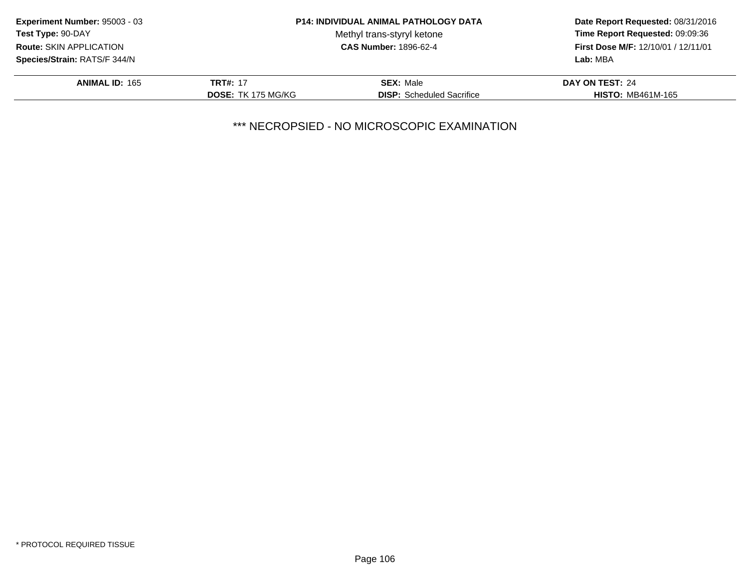| <b>Experiment Number: 95003 - 03</b> |                           | <b>P14: INDIVIDUAL ANIMAL PATHOLOGY DATA</b> | Date Report Requested: 08/31/2016<br>Time Report Requested: 09:09:36 |
|--------------------------------------|---------------------------|----------------------------------------------|----------------------------------------------------------------------|
| Test Type: 90-DAY                    |                           | Methyl trans-styryl ketone                   |                                                                      |
| <b>Route: SKIN APPLICATION</b>       |                           | <b>CAS Number: 1896-62-4</b>                 | First Dose M/F: 12/10/01 / 12/11/01                                  |
| Species/Strain: RATS/F 344/N         |                           |                                              | Lab: MBA                                                             |
| <b>ANIMAL ID: 165</b>                | <b>TRT#: 17</b>           | <b>SEX: Male</b>                             | DAY ON TEST: 24                                                      |
|                                      | <b>DOSE: TK 175 MG/KG</b> | <b>DISP:</b> Scheduled Sacrifice             | <b>HISTO: MB461M-165</b>                                             |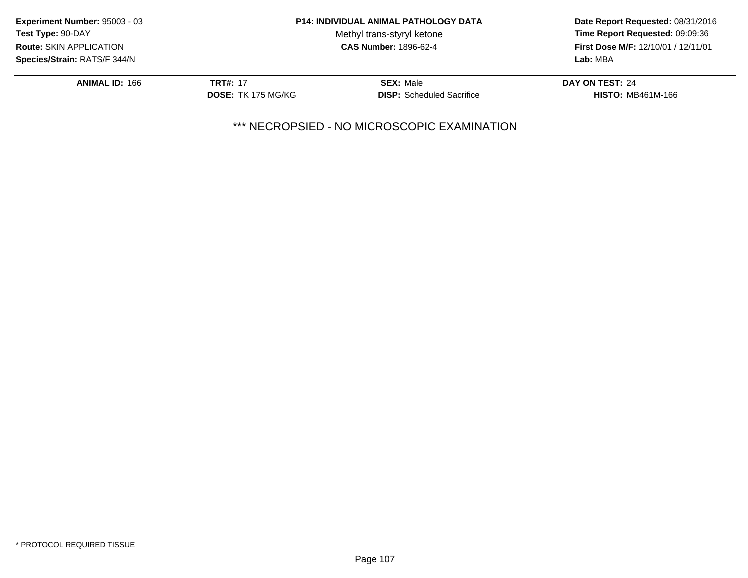| <b>Experiment Number: 95003 - 03</b> |                           | <b>P14: INDIVIDUAL ANIMAL PATHOLOGY DATA</b> | Date Report Requested: 08/31/2016<br>Time Report Requested: 09:09:36<br><b>First Dose M/F: 12/10/01 / 12/11/01</b> |
|--------------------------------------|---------------------------|----------------------------------------------|--------------------------------------------------------------------------------------------------------------------|
| Test Type: 90-DAY                    |                           | Methyl trans-styryl ketone                   |                                                                                                                    |
| <b>Route: SKIN APPLICATION</b>       |                           | <b>CAS Number: 1896-62-4</b>                 |                                                                                                                    |
| Species/Strain: RATS/F 344/N         |                           |                                              | Lab: MBA                                                                                                           |
| <b>ANIMAL ID: 166</b>                | <b>TRT#: 17</b>           | <b>SEX: Male</b>                             | DAY ON TEST: 24                                                                                                    |
|                                      | <b>DOSE: TK 175 MG/KG</b> | <b>DISP:</b> Scheduled Sacrifice             | <b>HISTO: MB461M-166</b>                                                                                           |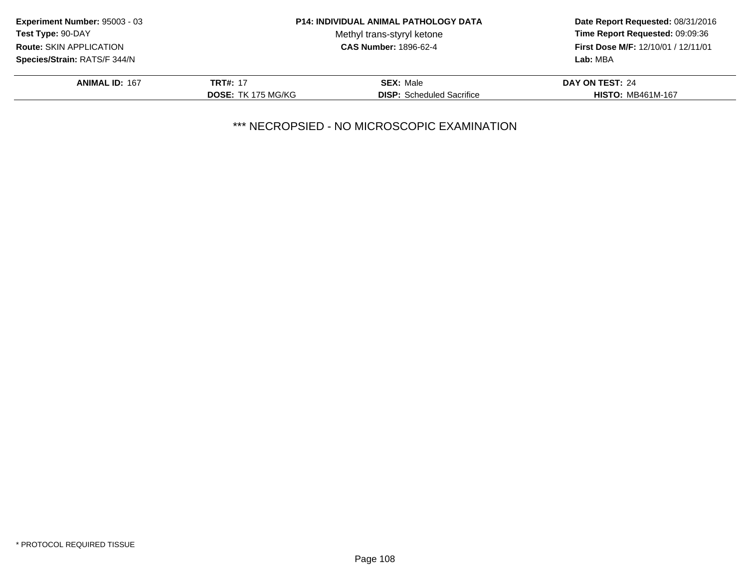| <b>Experiment Number: 95003 - 03</b> |                           | <b>P14: INDIVIDUAL ANIMAL PATHOLOGY DATA</b> | Date Report Requested: 08/31/2016<br>Time Report Requested: 09:09:36<br>First Dose M/F: 12/10/01 / 12/11/01 |
|--------------------------------------|---------------------------|----------------------------------------------|-------------------------------------------------------------------------------------------------------------|
| Test Type: 90-DAY                    |                           | Methyl trans-styryl ketone                   |                                                                                                             |
| <b>Route: SKIN APPLICATION</b>       |                           | <b>CAS Number: 1896-62-4</b>                 |                                                                                                             |
| Species/Strain: RATS/F 344/N         |                           |                                              | Lab: MBA                                                                                                    |
| <b>ANIMAL ID: 167</b>                | <b>TRT#: 17</b>           | <b>SEX: Male</b>                             | DAY ON TEST: 24                                                                                             |
|                                      | <b>DOSE: TK 175 MG/KG</b> | <b>DISP:</b> Scheduled Sacrifice             | <b>HISTO: MB461M-167</b>                                                                                    |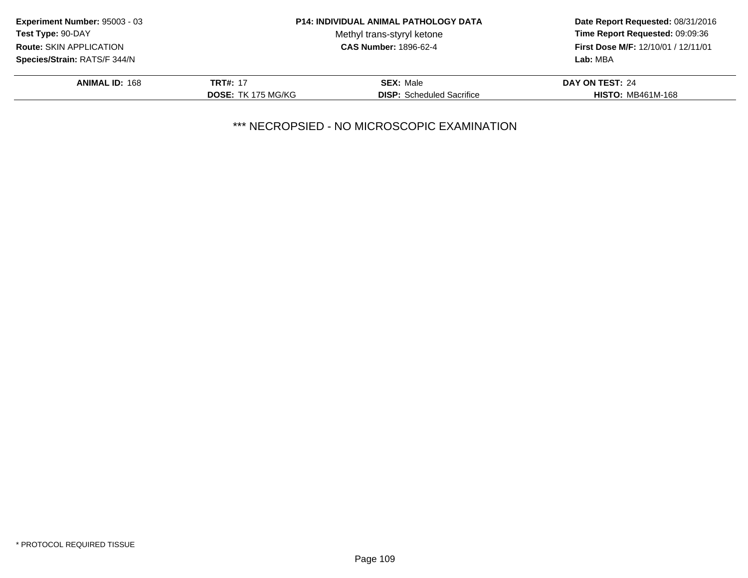| <b>Experiment Number: 95003 - 03</b> |                           | <b>P14: INDIVIDUAL ANIMAL PATHOLOGY DATA</b> | Date Report Requested: 08/31/2016<br>Time Report Requested: 09:09:36<br><b>First Dose M/F: 12/10/01 / 12/11/01</b> |
|--------------------------------------|---------------------------|----------------------------------------------|--------------------------------------------------------------------------------------------------------------------|
| Test Type: 90-DAY                    |                           | Methyl trans-styryl ketone                   |                                                                                                                    |
| <b>Route: SKIN APPLICATION</b>       |                           | <b>CAS Number: 1896-62-4</b>                 |                                                                                                                    |
| Species/Strain: RATS/F 344/N         |                           |                                              | Lab: MBA                                                                                                           |
| <b>ANIMAL ID: 168</b>                | <b>TRT#: 17</b>           | <b>SEX: Male</b>                             | DAY ON TEST: 24                                                                                                    |
|                                      | <b>DOSE: TK 175 MG/KG</b> | <b>DISP:</b> Scheduled Sacrifice             | <b>HISTO: MB461M-168</b>                                                                                           |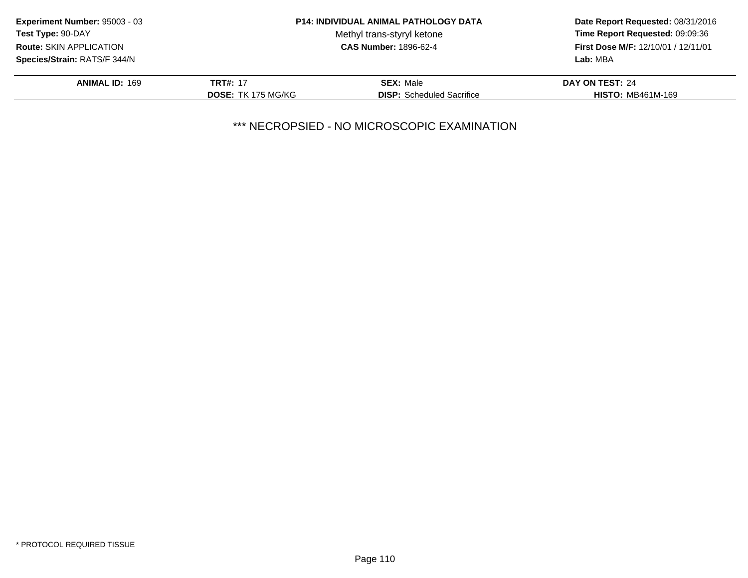| <b>Experiment Number: 95003 - 03</b> |                           | <b>P14: INDIVIDUAL ANIMAL PATHOLOGY DATA</b> | Date Report Requested: 08/31/2016<br>Time Report Requested: 09:09:36<br><b>First Dose M/F: 12/10/01 / 12/11/01</b> |
|--------------------------------------|---------------------------|----------------------------------------------|--------------------------------------------------------------------------------------------------------------------|
| Test Type: 90-DAY                    |                           | Methyl trans-styryl ketone                   |                                                                                                                    |
| <b>Route: SKIN APPLICATION</b>       |                           | <b>CAS Number: 1896-62-4</b>                 |                                                                                                                    |
| Species/Strain: RATS/F 344/N         |                           |                                              | Lab: MBA                                                                                                           |
| <b>ANIMAL ID: 169</b>                | <b>TRT#: 17</b>           | <b>SEX: Male</b>                             | DAY ON TEST: 24                                                                                                    |
|                                      | <b>DOSE: TK 175 MG/KG</b> | <b>DISP:</b> Scheduled Sacrifice             | <b>HISTO: MB461M-169</b>                                                                                           |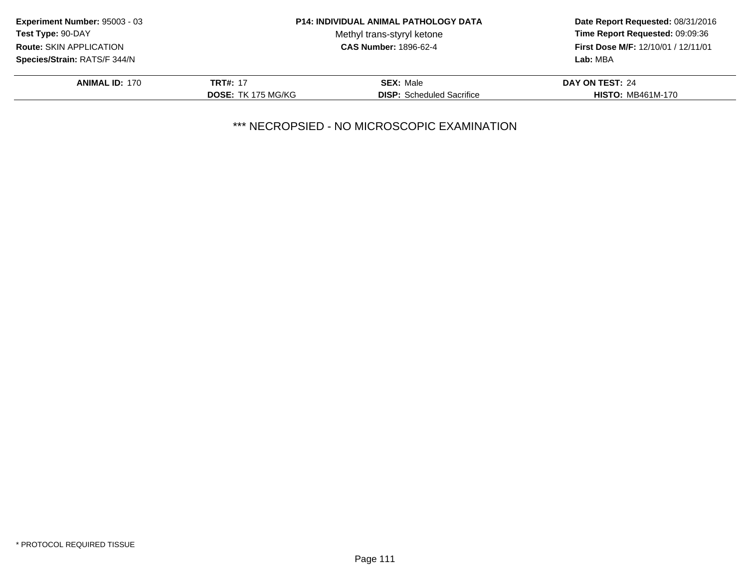| <b>Experiment Number: 95003 - 03</b> |                           | <b>P14: INDIVIDUAL ANIMAL PATHOLOGY DATA</b> | Date Report Requested: 08/31/2016<br>Time Report Requested: 09:09:36<br>First Dose M/F: 12/10/01 / 12/11/01 |
|--------------------------------------|---------------------------|----------------------------------------------|-------------------------------------------------------------------------------------------------------------|
| Test Type: 90-DAY                    |                           | Methyl trans-styryl ketone                   |                                                                                                             |
| <b>Route: SKIN APPLICATION</b>       |                           | <b>CAS Number: 1896-62-4</b>                 |                                                                                                             |
| Species/Strain: RATS/F 344/N         |                           |                                              | Lab: MBA                                                                                                    |
| <b>ANIMAL ID: 170</b>                | <b>TRT#: 17</b>           | <b>SEX: Male</b>                             | DAY ON TEST: 24                                                                                             |
|                                      | <b>DOSE: TK 175 MG/KG</b> | <b>DISP:</b> Scheduled Sacrifice             | <b>HISTO: MB461M-170</b>                                                                                    |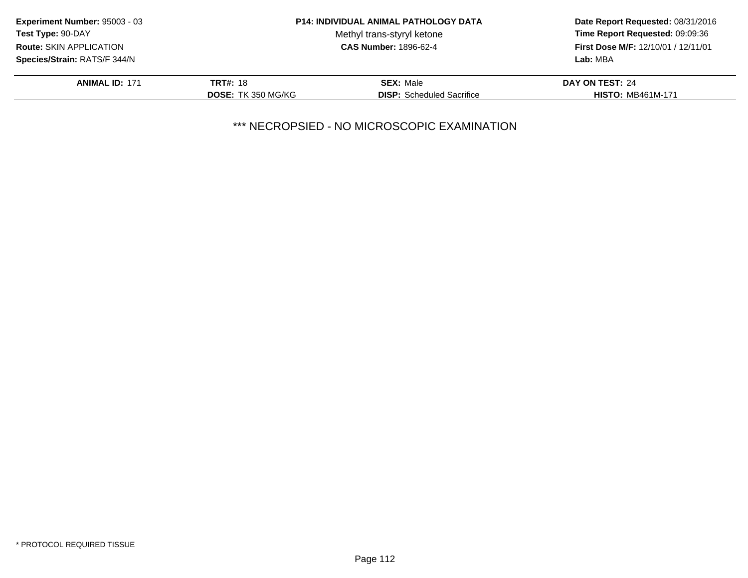| <b>Experiment Number: 95003 - 03</b> |                           | <b>P14: INDIVIDUAL ANIMAL PATHOLOGY DATA</b> | Date Report Requested: 08/31/2016<br>Time Report Requested: 09:09:36<br>First Dose M/F: 12/10/01 / 12/11/01 |
|--------------------------------------|---------------------------|----------------------------------------------|-------------------------------------------------------------------------------------------------------------|
| <b>Test Type: 90-DAY</b>             |                           | Methyl trans-styryl ketone                   |                                                                                                             |
| Route: SKIN APPLICATION              |                           | <b>CAS Number: 1896-62-4</b>                 |                                                                                                             |
| Species/Strain: RATS/F 344/N         |                           |                                              | Lab: MBA                                                                                                    |
| <b>ANIMAL ID: 171</b>                | <b>TRT#: 18</b>           | <b>SEX: Male</b>                             | DAY ON TEST: 24                                                                                             |
|                                      | <b>DOSE: TK 350 MG/KG</b> | <b>DISP:</b> Scheduled Sacrifice             | <b>HISTO: MB461M-171</b>                                                                                    |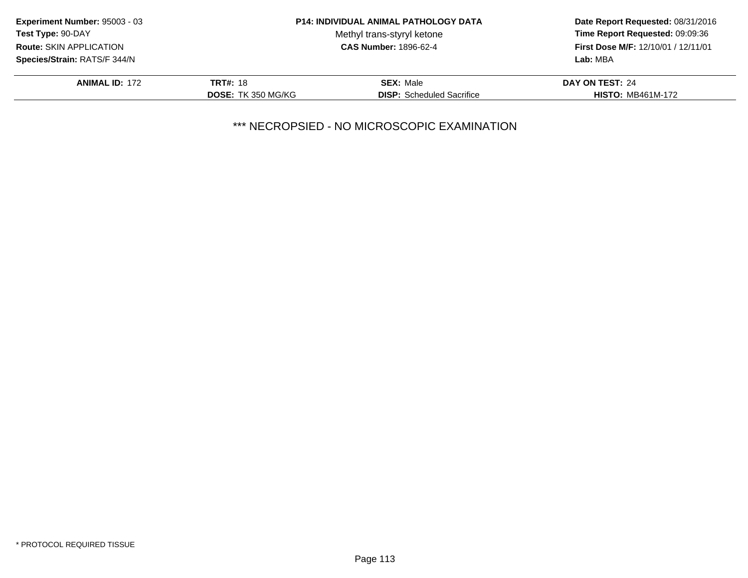| <b>Experiment Number: 95003 - 03</b> |                           | <b>P14: INDIVIDUAL ANIMAL PATHOLOGY DATA</b> | Date Report Requested: 08/31/2016<br>Time Report Requested: 09:09:36<br>First Dose M/F: 12/10/01 / 12/11/01 |
|--------------------------------------|---------------------------|----------------------------------------------|-------------------------------------------------------------------------------------------------------------|
| <b>Test Type: 90-DAY</b>             |                           | Methyl trans-styryl ketone                   |                                                                                                             |
| <b>Route: SKIN APPLICATION</b>       |                           | <b>CAS Number: 1896-62-4</b>                 |                                                                                                             |
| Species/Strain: RATS/F 344/N         |                           |                                              | Lab: MBA                                                                                                    |
| <b>ANIMAL ID: 172</b>                | <b>TRT#: 18</b>           | <b>SEX: Male</b>                             | DAY ON TEST: 24                                                                                             |
|                                      | <b>DOSE: TK 350 MG/KG</b> | <b>DISP:</b> Scheduled Sacrifice             | <b>HISTO: MB461M-172</b>                                                                                    |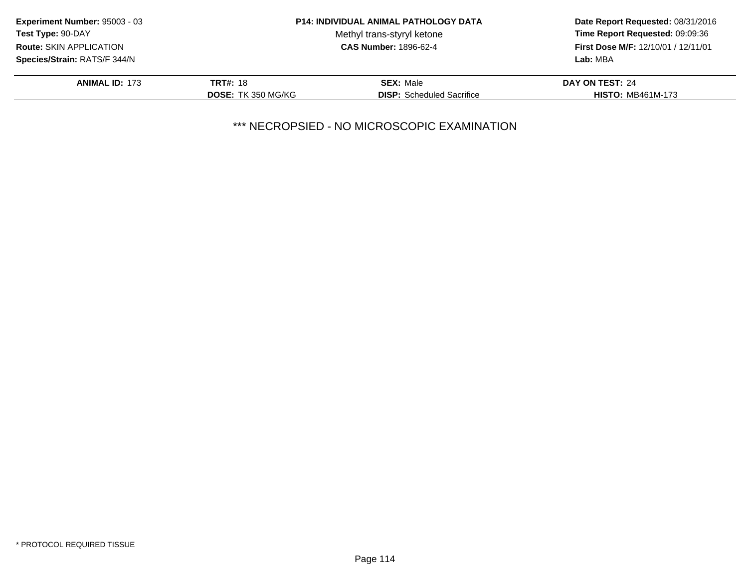| <b>Experiment Number: 95003 - 03</b> |                           | <b>P14: INDIVIDUAL ANIMAL PATHOLOGY DATA</b> | Date Report Requested: 08/31/2016<br>Time Report Requested: 09:09:36<br>First Dose M/F: 12/10/01 / 12/11/01 |
|--------------------------------------|---------------------------|----------------------------------------------|-------------------------------------------------------------------------------------------------------------|
| <b>Test Type: 90-DAY</b>             |                           | Methyl trans-styryl ketone                   |                                                                                                             |
| <b>Route: SKIN APPLICATION</b>       |                           | <b>CAS Number: 1896-62-4</b>                 |                                                                                                             |
| Species/Strain: RATS/F 344/N         |                           |                                              | Lab: MBA                                                                                                    |
| <b>ANIMAL ID: 173</b>                | <b>TRT#: 18</b>           | <b>SEX: Male</b>                             | DAY ON TEST: 24                                                                                             |
|                                      | <b>DOSE: TK 350 MG/KG</b> | <b>DISP:</b> Scheduled Sacrifice             | <b>HISTO: MB461M-173</b>                                                                                    |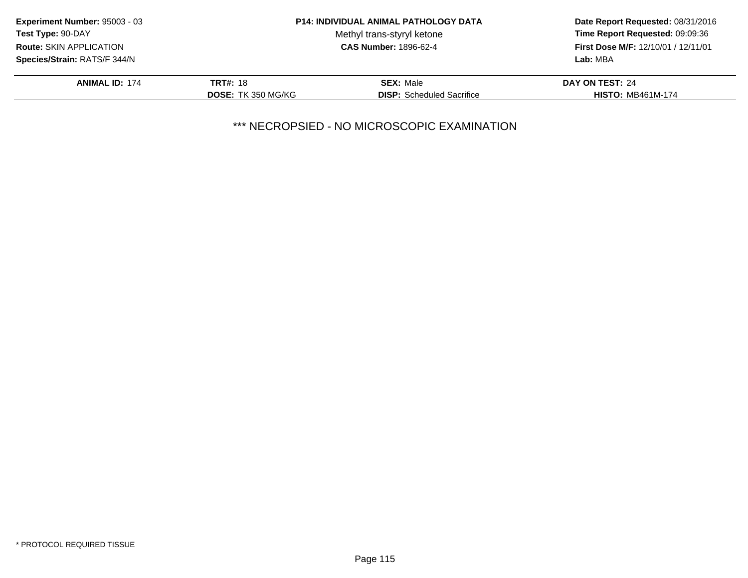| <b>Experiment Number: 95003 - 03</b> |                           | <b>P14: INDIVIDUAL ANIMAL PATHOLOGY DATA</b> | Date Report Requested: 08/31/2016<br>Time Report Requested: 09:09:36<br>First Dose M/F: 12/10/01 / 12/11/01 |
|--------------------------------------|---------------------------|----------------------------------------------|-------------------------------------------------------------------------------------------------------------|
| <b>Test Type: 90-DAY</b>             |                           | Methyl trans-styryl ketone                   |                                                                                                             |
| <b>Route: SKIN APPLICATION</b>       |                           | <b>CAS Number: 1896-62-4</b>                 |                                                                                                             |
| Species/Strain: RATS/F 344/N         |                           |                                              | Lab: MBA                                                                                                    |
| <b>ANIMAL ID: 174</b>                | <b>TRT#: 18</b>           | <b>SEX: Male</b>                             | <b>DAY ON TEST: 24</b>                                                                                      |
|                                      | <b>DOSE: TK 350 MG/KG</b> | <b>DISP:</b> Scheduled Sacrifice             | <b>HISTO: MB461M-174</b>                                                                                    |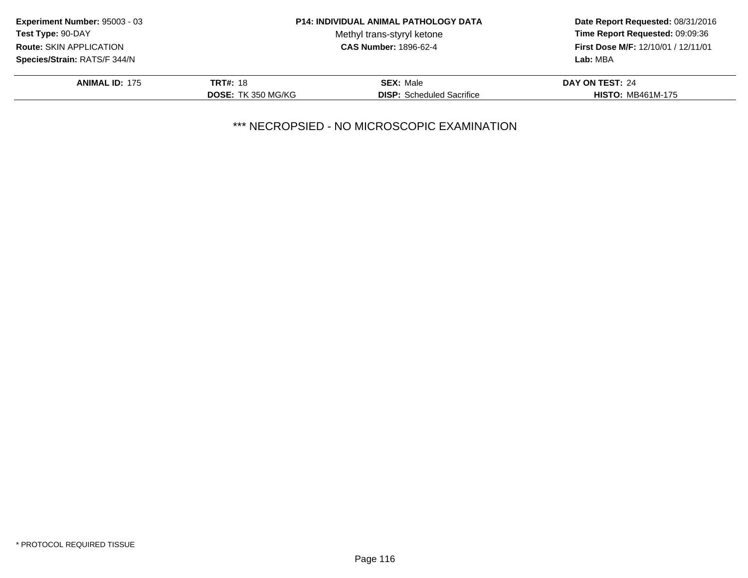| <b>Experiment Number: 95003 - 03</b> |                           | <b>P14: INDIVIDUAL ANIMAL PATHOLOGY DATA</b> | Date Report Requested: 08/31/2016<br>Time Report Requested: 09:09:36<br>First Dose M/F: 12/10/01 / 12/11/01 |
|--------------------------------------|---------------------------|----------------------------------------------|-------------------------------------------------------------------------------------------------------------|
| <b>Test Type: 90-DAY</b>             |                           | Methyl trans-styryl ketone                   |                                                                                                             |
| <b>Route: SKIN APPLICATION</b>       |                           | <b>CAS Number: 1896-62-4</b>                 |                                                                                                             |
| Species/Strain: RATS/F 344/N         |                           |                                              | Lab: MBA                                                                                                    |
| <b>ANIMAL ID: 175</b>                | <b>TRT#: 18</b>           | <b>SEX: Male</b>                             | DAY ON TEST: 24                                                                                             |
|                                      | <b>DOSE: TK 350 MG/KG</b> | <b>DISP:</b> Scheduled Sacrifice             | <b>HISTO: MB461M-175</b>                                                                                    |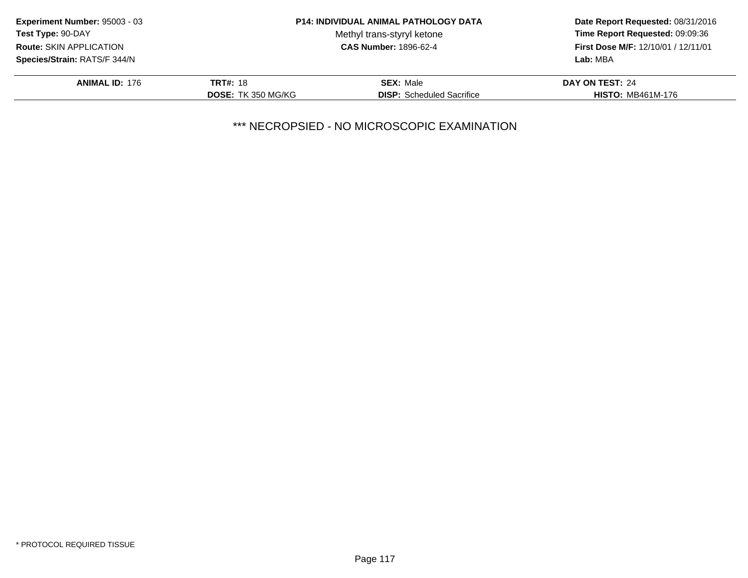| Experiment Number: 95003 - 03       |                           | <b>P14: INDIVIDUAL ANIMAL PATHOLOGY DATA</b> | Date Report Requested: 08/31/2016<br>Time Report Requested: 09:09:36 |
|-------------------------------------|---------------------------|----------------------------------------------|----------------------------------------------------------------------|
| <b>Test Type: 90-DAY</b>            |                           | Methyl trans-styryl ketone                   |                                                                      |
| <b>Route: SKIN APPLICATION</b>      |                           | <b>CAS Number: 1896-62-4</b>                 | First Dose M/F: 12/10/01 / 12/11/01                                  |
| <b>Species/Strain: RATS/F 344/N</b> |                           |                                              | Lab: MBA                                                             |
| <b>ANIMAL ID: 176</b>               | <b>TRT#: 18</b>           | <b>SEX: Male</b>                             | DAY ON TEST: 24                                                      |
|                                     | <b>DOSE: TK 350 MG/KG</b> | <b>DISP:</b> Scheduled Sacrifice             | <b>HISTO: MB461M-176</b>                                             |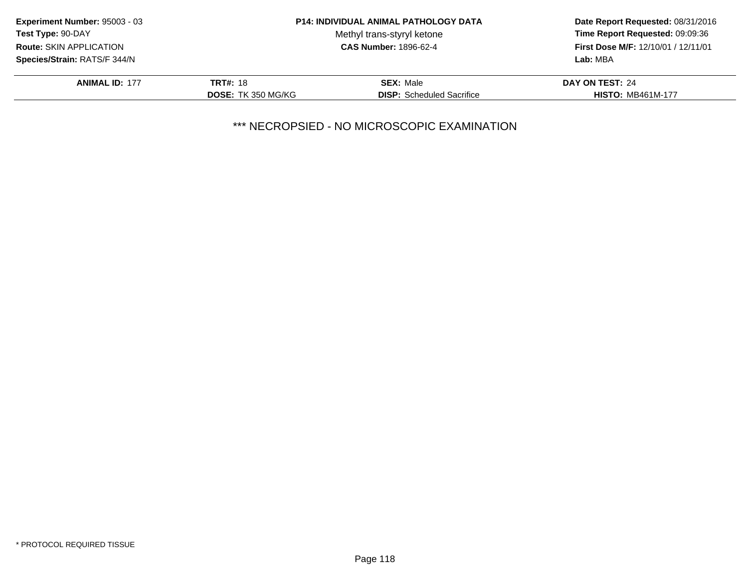| <b>Experiment Number: 95003 - 03</b> |                           | <b>P14: INDIVIDUAL ANIMAL PATHOLOGY DATA</b> | Date Report Requested: 08/31/2016<br>Time Report Requested: 09:09:36<br>First Dose M/F: 12/10/01 / 12/11/01 |
|--------------------------------------|---------------------------|----------------------------------------------|-------------------------------------------------------------------------------------------------------------|
| <b>Test Type: 90-DAY</b>             |                           | Methyl trans-styryl ketone                   |                                                                                                             |
| <b>Route: SKIN APPLICATION</b>       |                           | <b>CAS Number: 1896-62-4</b>                 |                                                                                                             |
| Species/Strain: RATS/F 344/N         |                           |                                              | Lab: MBA                                                                                                    |
| <b>ANIMAL ID: 177</b>                | <b>TRT#: 18</b>           | <b>SEX: Male</b>                             | DAY ON TEST: 24                                                                                             |
|                                      | <b>DOSE: TK 350 MG/KG</b> | <b>DISP:</b> Scheduled Sacrifice             | <b>HISTO: MB461M-177</b>                                                                                    |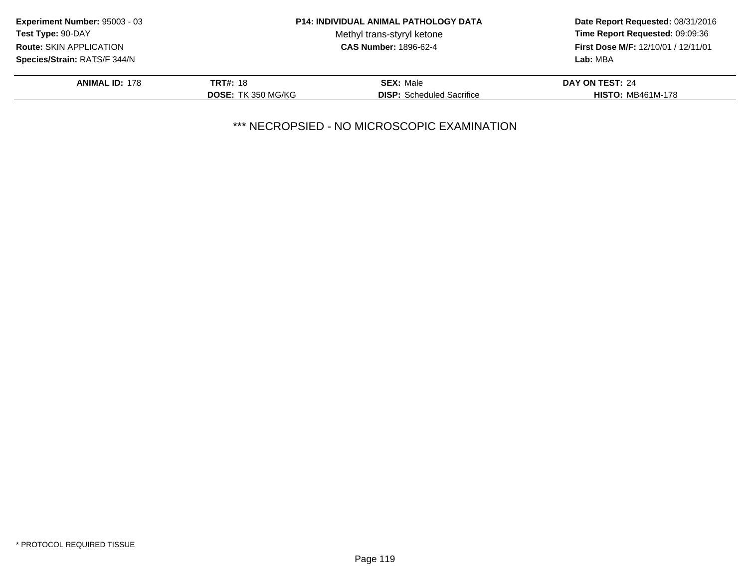| <b>Experiment Number: 95003 - 03</b> |                           | <b>P14: INDIVIDUAL ANIMAL PATHOLOGY DATA</b> | Date Report Requested: 08/31/2016<br>Time Report Requested: 09:09:36 |
|--------------------------------------|---------------------------|----------------------------------------------|----------------------------------------------------------------------|
| <b>Test Type: 90-DAY</b>             |                           | Methyl trans-styryl ketone                   |                                                                      |
| <b>Route: SKIN APPLICATION</b>       |                           | <b>CAS Number: 1896-62-4</b>                 | First Dose M/F: 12/10/01 / 12/11/01                                  |
| <b>Species/Strain: RATS/F 344/N</b>  |                           |                                              | Lab: MBA                                                             |
| <b>ANIMAL ID: 178</b>                | <b>TRT#: 18</b>           | <b>SEX: Male</b>                             | DAY ON TEST: 24                                                      |
|                                      | <b>DOSE: TK 350 MG/KG</b> | <b>DISP:</b> Scheduled Sacrifice             | <b>HISTO: MB461M-178</b>                                             |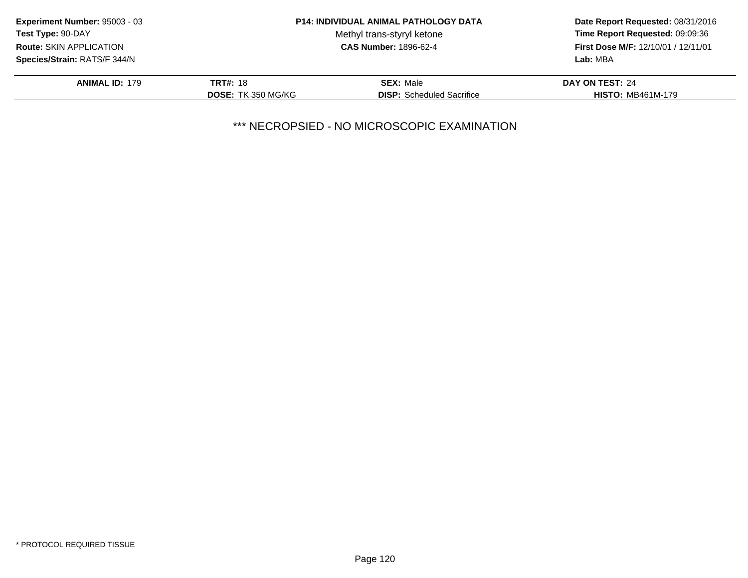| <b>Experiment Number: 95003 - 03</b> |                           | <b>P14: INDIVIDUAL ANIMAL PATHOLOGY DATA</b> | Date Report Requested: 08/31/2016<br>Time Report Requested: 09:09:36<br><b>First Dose M/F: 12/10/01 / 12/11/01</b> |
|--------------------------------------|---------------------------|----------------------------------------------|--------------------------------------------------------------------------------------------------------------------|
| Test Type: 90-DAY                    |                           | Methyl trans-styryl ketone                   |                                                                                                                    |
| <b>Route: SKIN APPLICATION</b>       |                           | <b>CAS Number: 1896-62-4</b>                 |                                                                                                                    |
| Species/Strain: RATS/F 344/N         |                           |                                              | Lab: MBA                                                                                                           |
| <b>ANIMAL ID: 179</b>                | <b>TRT#: 18</b>           | <b>SEX: Male</b>                             | DAY ON TEST: 24                                                                                                    |
|                                      | <b>DOSE: TK 350 MG/KG</b> | <b>DISP:</b> Scheduled Sacrifice             | <b>HISTO: MB461M-179</b>                                                                                           |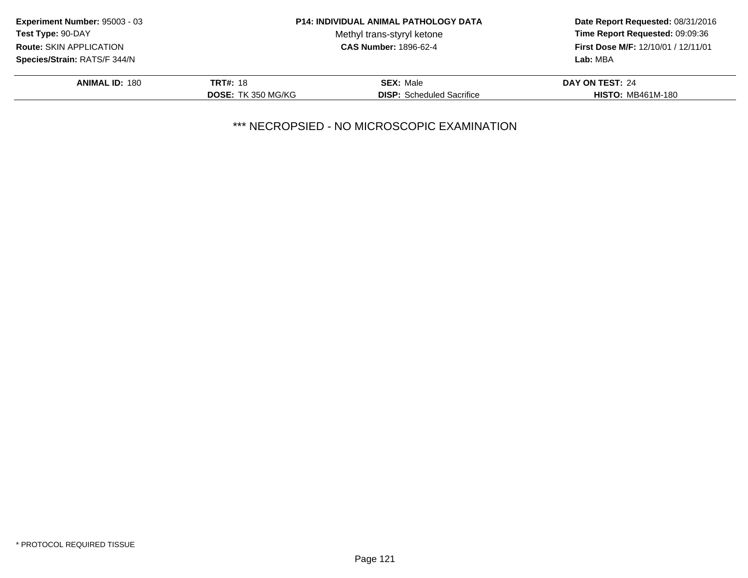| <b>Experiment Number: 95003 - 03</b>            | <b>P14: INDIVIDUAL ANIMAL PATHOLOGY DATA</b> |                                  | Date Report Requested: 08/31/2016   |
|-------------------------------------------------|----------------------------------------------|----------------------------------|-------------------------------------|
| Test Type: 90-DAY<br>Methyl trans-styryl ketone |                                              | Time Report Requested: 09:09:36  |                                     |
| <b>Route: SKIN APPLICATION</b>                  |                                              | <b>CAS Number: 1896-62-4</b>     | First Dose M/F: 12/10/01 / 12/11/01 |
| Species/Strain: RATS/F 344/N                    |                                              |                                  | Lab: MBA                            |
| <b>ANIMAL ID: 180</b>                           | <b>TRT#: 18</b>                              | <b>SEX: Male</b>                 | DAY ON TEST: 24                     |
|                                                 | <b>DOSE: TK 350 MG/KG</b>                    | <b>DISP:</b> Scheduled Sacrifice | <b>HISTO: MB461M-180</b>            |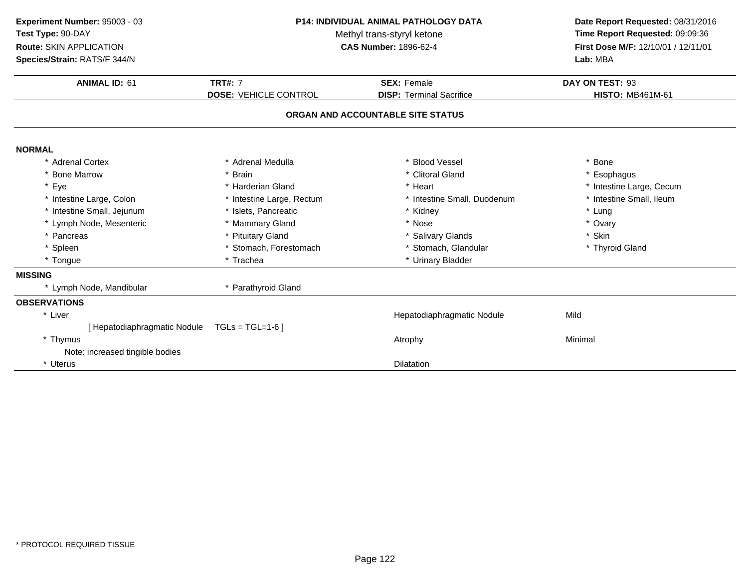| Experiment Number: 95003 - 03<br>Test Type: 90-DAY<br>Route: SKIN APPLICATION | P14: INDIVIDUAL ANIMAL PATHOLOGY DATA<br>Methyl trans-styryl ketone<br><b>CAS Number: 1896-62-4</b> |                                   | Date Report Requested: 08/31/2016<br>Time Report Requested: 09:09:36<br>First Dose M/F: 12/10/01 / 12/11/01 |
|-------------------------------------------------------------------------------|-----------------------------------------------------------------------------------------------------|-----------------------------------|-------------------------------------------------------------------------------------------------------------|
| Species/Strain: RATS/F 344/N                                                  |                                                                                                     |                                   | Lab: MBA                                                                                                    |
| <b>ANIMAL ID: 61</b>                                                          | <b>TRT#: 7</b>                                                                                      | <b>SEX: Female</b>                | DAY ON TEST: 93                                                                                             |
|                                                                               | <b>DOSE: VEHICLE CONTROL</b>                                                                        | <b>DISP: Terminal Sacrifice</b>   | <b>HISTO: MB461M-61</b>                                                                                     |
|                                                                               |                                                                                                     | ORGAN AND ACCOUNTABLE SITE STATUS |                                                                                                             |
| <b>NORMAL</b>                                                                 |                                                                                                     |                                   |                                                                                                             |
| * Adrenal Cortex                                                              | * Adrenal Medulla                                                                                   | * Blood Vessel                    | * Bone                                                                                                      |
| * Bone Marrow                                                                 | * Brain                                                                                             | * Clitoral Gland                  | * Esophagus                                                                                                 |
| * Eye                                                                         | * Harderian Gland                                                                                   | * Heart                           | * Intestine Large, Cecum                                                                                    |
| * Intestine Large, Colon                                                      | * Intestine Large, Rectum                                                                           | * Intestine Small, Duodenum       | * Intestine Small, Ileum                                                                                    |
| * Intestine Small, Jejunum                                                    | * Islets, Pancreatic                                                                                | * Kidney                          | * Lung                                                                                                      |
| * Lymph Node, Mesenteric                                                      | * Mammary Gland                                                                                     | * Nose                            | * Ovary                                                                                                     |
| * Pancreas                                                                    | * Pituitary Gland                                                                                   | * Salivary Glands                 | * Skin                                                                                                      |
| * Spleen                                                                      | * Stomach, Forestomach                                                                              | * Stomach, Glandular              | * Thyroid Gland                                                                                             |
| * Tongue                                                                      | * Trachea                                                                                           | * Urinary Bladder                 |                                                                                                             |
| <b>MISSING</b>                                                                |                                                                                                     |                                   |                                                                                                             |
| * Lymph Node, Mandibular                                                      | * Parathyroid Gland                                                                                 |                                   |                                                                                                             |
| <b>OBSERVATIONS</b>                                                           |                                                                                                     |                                   |                                                                                                             |
| * Liver                                                                       |                                                                                                     | Hepatodiaphragmatic Nodule        | Mild                                                                                                        |
| [ Hepatodiaphragmatic Nodule                                                  | $TGLs = TGL=1-6$                                                                                    |                                   |                                                                                                             |
| * Thymus                                                                      |                                                                                                     | Atrophy                           | Minimal                                                                                                     |
| Note: increased tingible bodies                                               |                                                                                                     |                                   |                                                                                                             |
| * Uterus                                                                      |                                                                                                     | <b>Dilatation</b>                 |                                                                                                             |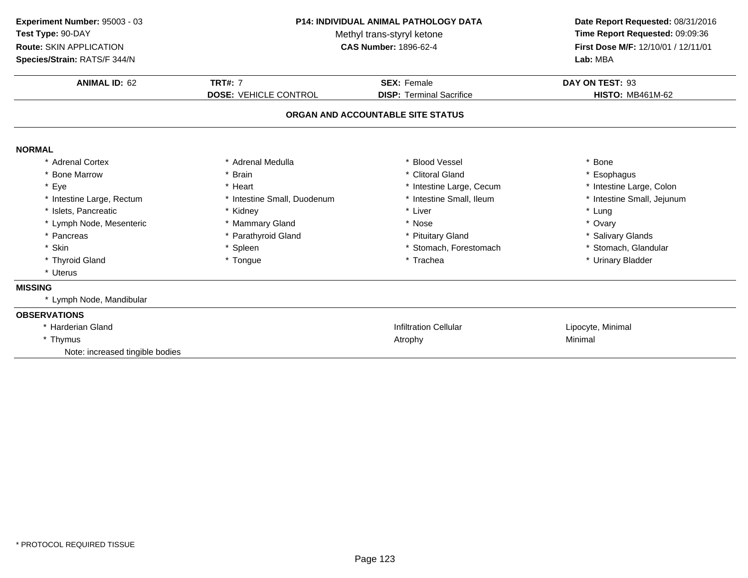| Experiment Number: 95003 - 03<br>Test Type: 90-DAY<br>Route: SKIN APPLICATION<br>Species/Strain: RATS/F 344/N | P14: INDIVIDUAL ANIMAL PATHOLOGY DATA<br>Methyl trans-styryl ketone<br><b>CAS Number: 1896-62-4</b> |                                                       | Date Report Requested: 08/31/2016<br>Time Report Requested: 09:09:36<br>First Dose M/F: 12/10/01 / 12/11/01<br>Lab: MBA |
|---------------------------------------------------------------------------------------------------------------|-----------------------------------------------------------------------------------------------------|-------------------------------------------------------|-------------------------------------------------------------------------------------------------------------------------|
| <b>ANIMAL ID: 62</b>                                                                                          | <b>TRT#: 7</b><br><b>DOSE: VEHICLE CONTROL</b>                                                      | <b>SEX: Female</b><br><b>DISP: Terminal Sacrifice</b> | DAY ON TEST: 93<br><b>HISTO: MB461M-62</b>                                                                              |
|                                                                                                               |                                                                                                     | ORGAN AND ACCOUNTABLE SITE STATUS                     |                                                                                                                         |
| <b>NORMAL</b>                                                                                                 |                                                                                                     |                                                       |                                                                                                                         |
| * Adrenal Cortex                                                                                              | * Adrenal Medulla                                                                                   | * Blood Vessel                                        | * Bone                                                                                                                  |
| * Bone Marrow                                                                                                 | * Brain                                                                                             | * Clitoral Gland                                      | * Esophagus                                                                                                             |
| * Eye                                                                                                         | * Heart                                                                                             | * Intestine Large, Cecum                              | * Intestine Large, Colon                                                                                                |
| * Intestine Large, Rectum                                                                                     | * Intestine Small, Duodenum                                                                         | * Intestine Small, Ileum                              | * Intestine Small, Jejunum                                                                                              |
| * Islets, Pancreatic                                                                                          | * Kidney                                                                                            | * Liver                                               | * Lung                                                                                                                  |
| * Lymph Node, Mesenteric                                                                                      | * Mammary Gland                                                                                     | * Nose                                                | * Ovary                                                                                                                 |
| * Pancreas                                                                                                    | * Parathyroid Gland                                                                                 | * Pituitary Gland                                     | * Salivary Glands                                                                                                       |
| * Skin                                                                                                        | * Spleen                                                                                            | * Stomach, Forestomach                                | * Stomach, Glandular                                                                                                    |
| * Thyroid Gland                                                                                               | * Tongue                                                                                            | * Trachea                                             | * Urinary Bladder                                                                                                       |
| * Uterus                                                                                                      |                                                                                                     |                                                       |                                                                                                                         |
| <b>MISSING</b>                                                                                                |                                                                                                     |                                                       |                                                                                                                         |
| * Lymph Node, Mandibular                                                                                      |                                                                                                     |                                                       |                                                                                                                         |
| <b>OBSERVATIONS</b>                                                                                           |                                                                                                     |                                                       |                                                                                                                         |
| * Harderian Gland                                                                                             |                                                                                                     | <b>Infiltration Cellular</b>                          | Lipocyte, Minimal                                                                                                       |
| * Thymus                                                                                                      |                                                                                                     | Atrophy                                               | Minimal                                                                                                                 |
| Note: increased tingible bodies                                                                               |                                                                                                     |                                                       |                                                                                                                         |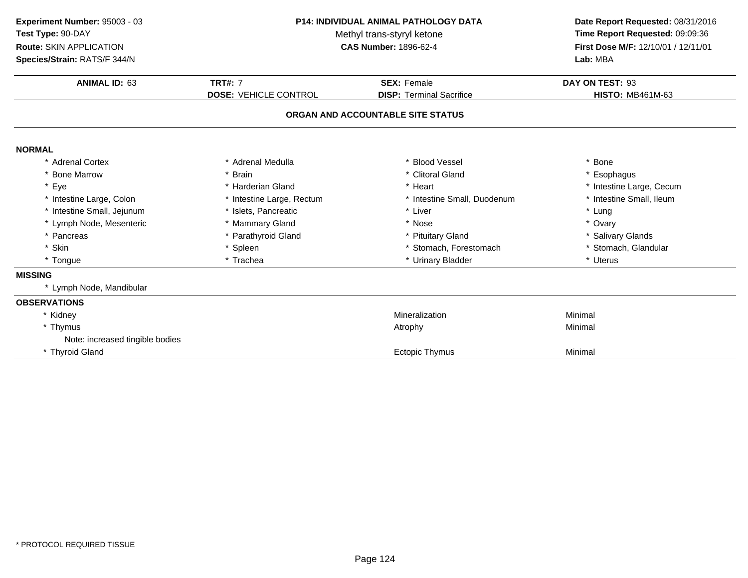| Time Report Requested: 09:09:36<br>First Dose M/F: 12/10/01 / 12/11/01 |
|------------------------------------------------------------------------|
|                                                                        |
|                                                                        |
|                                                                        |
|                                                                        |
|                                                                        |
|                                                                        |
|                                                                        |
|                                                                        |
|                                                                        |
|                                                                        |
|                                                                        |
|                                                                        |
|                                                                        |
|                                                                        |
|                                                                        |
|                                                                        |
|                                                                        |
|                                                                        |
|                                                                        |
|                                                                        |
|                                                                        |
|                                                                        |
|                                                                        |
|                                                                        |
|                                                                        |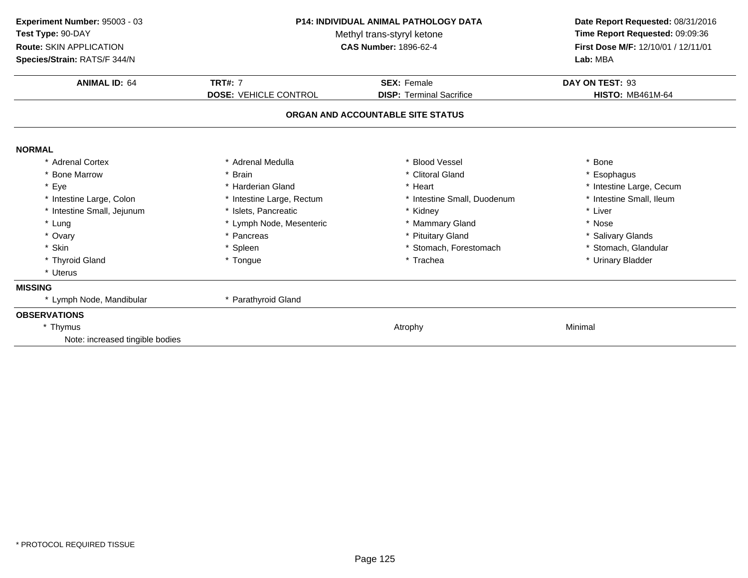| Experiment Number: 95003 - 03<br>Test Type: 90-DAY<br>Route: SKIN APPLICATION<br>Species/Strain: RATS/F 344/N | <b>P14: INDIVIDUAL ANIMAL PATHOLOGY DATA</b><br>Methyl trans-styryl ketone<br><b>CAS Number: 1896-62-4</b> |                                   | Date Report Requested: 08/31/2016<br>Time Report Requested: 09:09:36<br>First Dose M/F: 12/10/01 / 12/11/01<br>Lab: MBA |
|---------------------------------------------------------------------------------------------------------------|------------------------------------------------------------------------------------------------------------|-----------------------------------|-------------------------------------------------------------------------------------------------------------------------|
| <b>ANIMAL ID: 64</b>                                                                                          | <b>TRT#: 7</b>                                                                                             | <b>SEX: Female</b>                | DAY ON TEST: 93                                                                                                         |
|                                                                                                               | <b>DOSE: VEHICLE CONTROL</b>                                                                               | <b>DISP: Terminal Sacrifice</b>   | <b>HISTO: MB461M-64</b>                                                                                                 |
|                                                                                                               |                                                                                                            | ORGAN AND ACCOUNTABLE SITE STATUS |                                                                                                                         |
| <b>NORMAL</b>                                                                                                 |                                                                                                            |                                   |                                                                                                                         |
| * Adrenal Cortex                                                                                              | * Adrenal Medulla                                                                                          | * Blood Vessel                    | * Bone                                                                                                                  |
| * Bone Marrow                                                                                                 | * Brain                                                                                                    | * Clitoral Gland                  | * Esophagus                                                                                                             |
| * Eye                                                                                                         | * Harderian Gland                                                                                          | * Heart                           | * Intestine Large, Cecum                                                                                                |
| * Intestine Large, Colon                                                                                      | * Intestine Large, Rectum                                                                                  | * Intestine Small, Duodenum       | * Intestine Small, Ileum                                                                                                |
| * Intestine Small, Jejunum                                                                                    | * Islets, Pancreatic                                                                                       | * Kidney                          | * Liver                                                                                                                 |
| * Lung                                                                                                        | * Lymph Node, Mesenteric                                                                                   | * Mammary Gland                   | * Nose                                                                                                                  |
| * Ovary                                                                                                       | * Pancreas                                                                                                 | * Pituitary Gland                 | * Salivary Glands                                                                                                       |
| * Skin                                                                                                        | * Spleen                                                                                                   | * Stomach, Forestomach            | * Stomach, Glandular                                                                                                    |
| * Thyroid Gland                                                                                               | * Tongue                                                                                                   | * Trachea                         | * Urinary Bladder                                                                                                       |
| * Uterus                                                                                                      |                                                                                                            |                                   |                                                                                                                         |
| <b>MISSING</b>                                                                                                |                                                                                                            |                                   |                                                                                                                         |
| * Lymph Node, Mandibular                                                                                      | * Parathyroid Gland                                                                                        |                                   |                                                                                                                         |
| <b>OBSERVATIONS</b>                                                                                           |                                                                                                            |                                   |                                                                                                                         |
| * Thymus                                                                                                      |                                                                                                            | Atrophy                           | Minimal                                                                                                                 |
| Note: increased tingible bodies                                                                               |                                                                                                            |                                   |                                                                                                                         |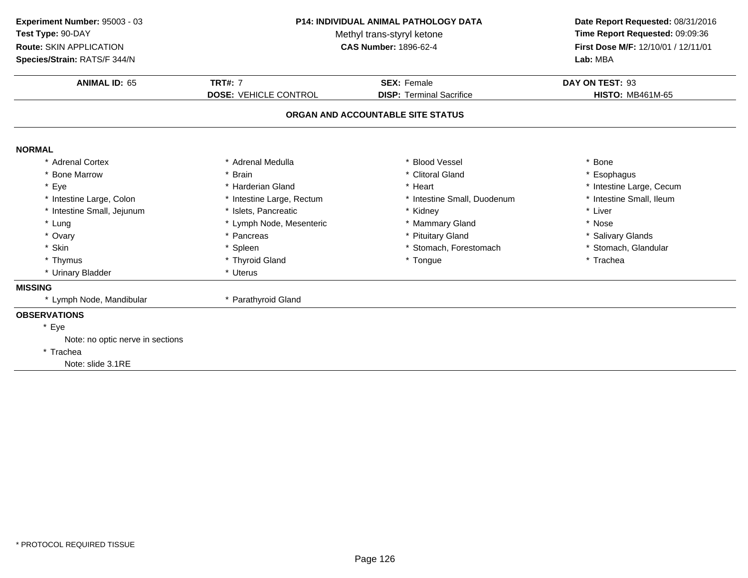| Experiment Number: 95003 - 03<br>Test Type: 90-DAY<br>Route: SKIN APPLICATION<br>Species/Strain: RATS/F 344/N | <b>P14: INDIVIDUAL ANIMAL PATHOLOGY DATA</b><br>Methyl trans-styryl ketone<br><b>CAS Number: 1896-62-4</b> |                                                       | Date Report Requested: 08/31/2016<br>Time Report Requested: 09:09:36<br>First Dose M/F: 12/10/01 / 12/11/01<br>Lab: MBA |
|---------------------------------------------------------------------------------------------------------------|------------------------------------------------------------------------------------------------------------|-------------------------------------------------------|-------------------------------------------------------------------------------------------------------------------------|
| <b>ANIMAL ID: 65</b>                                                                                          | <b>TRT#: 7</b><br><b>DOSE: VEHICLE CONTROL</b>                                                             | <b>SEX: Female</b><br><b>DISP: Terminal Sacrifice</b> | DAY ON TEST: 93<br><b>HISTO: MB461M-65</b>                                                                              |
|                                                                                                               |                                                                                                            | ORGAN AND ACCOUNTABLE SITE STATUS                     |                                                                                                                         |
| <b>NORMAL</b>                                                                                                 |                                                                                                            |                                                       |                                                                                                                         |
| * Adrenal Cortex                                                                                              | * Adrenal Medulla                                                                                          | <b>Blood Vessel</b>                                   | * Bone                                                                                                                  |
| * Bone Marrow                                                                                                 | <b>Brain</b>                                                                                               | * Clitoral Gland                                      | * Esophagus                                                                                                             |
| * Eye                                                                                                         | * Harderian Gland                                                                                          | * Heart                                               | * Intestine Large, Cecum                                                                                                |
| * Intestine Large, Colon                                                                                      | * Intestine Large, Rectum                                                                                  | * Intestine Small, Duodenum                           | * Intestine Small, Ileum                                                                                                |
| * Intestine Small, Jejunum                                                                                    | * Islets, Pancreatic                                                                                       | * Kidney                                              | * Liver                                                                                                                 |
| * Lung                                                                                                        | * Lymph Node, Mesenteric                                                                                   | * Mammary Gland                                       | * Nose                                                                                                                  |
| * Ovary                                                                                                       | * Pancreas                                                                                                 | * Pituitary Gland                                     | * Salivary Glands                                                                                                       |
| * Skin                                                                                                        | * Spleen                                                                                                   | * Stomach, Forestomach                                | * Stomach, Glandular                                                                                                    |
| * Thymus                                                                                                      | * Thyroid Gland                                                                                            | * Tongue                                              | * Trachea                                                                                                               |
| * Urinary Bladder                                                                                             | * Uterus                                                                                                   |                                                       |                                                                                                                         |
| <b>MISSING</b>                                                                                                |                                                                                                            |                                                       |                                                                                                                         |
| * Lymph Node, Mandibular                                                                                      | * Parathyroid Gland                                                                                        |                                                       |                                                                                                                         |
| <b>OBSERVATIONS</b>                                                                                           |                                                                                                            |                                                       |                                                                                                                         |
| * Eye                                                                                                         |                                                                                                            |                                                       |                                                                                                                         |
| Note: no optic nerve in sections                                                                              |                                                                                                            |                                                       |                                                                                                                         |
| * Trachea                                                                                                     |                                                                                                            |                                                       |                                                                                                                         |
| Note: slide 3.1RE                                                                                             |                                                                                                            |                                                       |                                                                                                                         |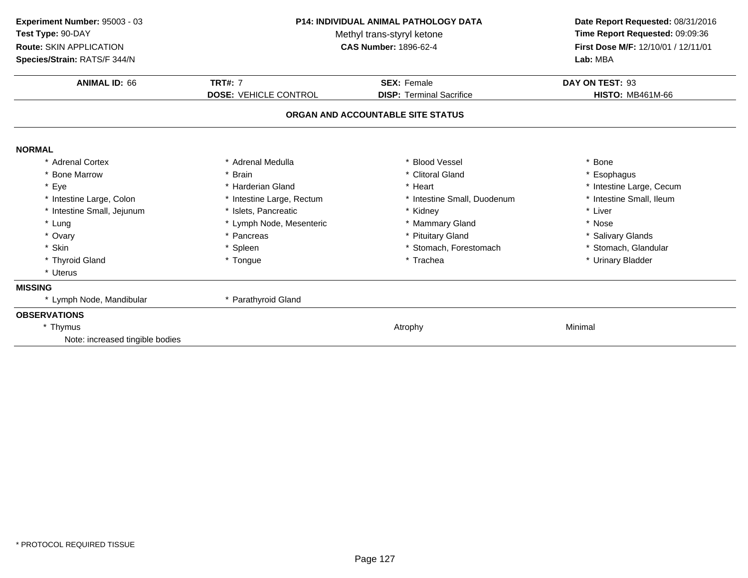| Experiment Number: 95003 - 03<br>Test Type: 90-DAY<br>Route: SKIN APPLICATION<br>Species/Strain: RATS/F 344/N | <b>P14: INDIVIDUAL ANIMAL PATHOLOGY DATA</b><br>Methyl trans-styryl ketone<br><b>CAS Number: 1896-62-4</b> |                                   | Date Report Requested: 08/31/2016<br>Time Report Requested: 09:09:36<br>First Dose M/F: 12/10/01 / 12/11/01<br>Lab: MBA |
|---------------------------------------------------------------------------------------------------------------|------------------------------------------------------------------------------------------------------------|-----------------------------------|-------------------------------------------------------------------------------------------------------------------------|
| <b>ANIMAL ID: 66</b>                                                                                          | <b>TRT#: 7</b>                                                                                             | <b>SEX: Female</b>                | DAY ON TEST: 93                                                                                                         |
|                                                                                                               | <b>DOSE: VEHICLE CONTROL</b>                                                                               | <b>DISP: Terminal Sacrifice</b>   | <b>HISTO: MB461M-66</b>                                                                                                 |
|                                                                                                               |                                                                                                            | ORGAN AND ACCOUNTABLE SITE STATUS |                                                                                                                         |
| <b>NORMAL</b>                                                                                                 |                                                                                                            |                                   |                                                                                                                         |
| * Adrenal Cortex                                                                                              | * Adrenal Medulla                                                                                          | * Blood Vessel                    | * Bone                                                                                                                  |
| * Bone Marrow                                                                                                 | * Brain                                                                                                    | * Clitoral Gland                  | * Esophagus                                                                                                             |
| * Eye                                                                                                         | * Harderian Gland                                                                                          | * Heart                           | * Intestine Large, Cecum                                                                                                |
| * Intestine Large, Colon                                                                                      | * Intestine Large, Rectum                                                                                  | * Intestine Small, Duodenum       | * Intestine Small, Ileum                                                                                                |
| * Intestine Small, Jejunum                                                                                    | * Islets. Pancreatic                                                                                       | * Kidney                          | * Liver                                                                                                                 |
| * Lung                                                                                                        | * Lymph Node, Mesenteric                                                                                   | * Mammary Gland                   | * Nose                                                                                                                  |
| * Ovary                                                                                                       | * Pancreas                                                                                                 | * Pituitary Gland                 | * Salivary Glands                                                                                                       |
| * Skin                                                                                                        | * Spleen                                                                                                   | * Stomach, Forestomach            | * Stomach, Glandular                                                                                                    |
| * Thyroid Gland                                                                                               | * Tongue                                                                                                   | * Trachea                         | * Urinary Bladder                                                                                                       |
| * Uterus                                                                                                      |                                                                                                            |                                   |                                                                                                                         |
| <b>MISSING</b>                                                                                                |                                                                                                            |                                   |                                                                                                                         |
| * Lymph Node, Mandibular                                                                                      | * Parathyroid Gland                                                                                        |                                   |                                                                                                                         |
| <b>OBSERVATIONS</b>                                                                                           |                                                                                                            |                                   |                                                                                                                         |
| * Thymus                                                                                                      |                                                                                                            | Atrophy                           | Minimal                                                                                                                 |
| Note: increased tingible bodies                                                                               |                                                                                                            |                                   |                                                                                                                         |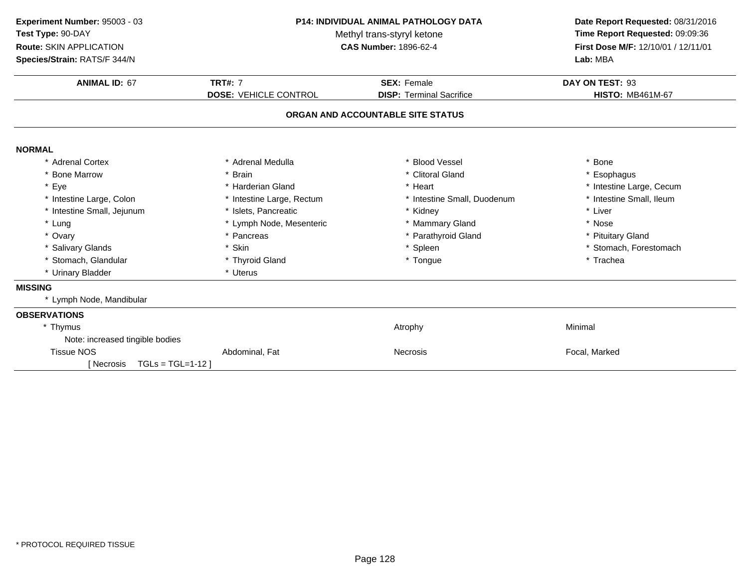| Experiment Number: 95003 - 03<br><b>P14: INDIVIDUAL ANIMAL PATHOLOGY DATA</b><br>Test Type: 90-DAY<br>Methyl trans-styryl ketone<br>Route: SKIN APPLICATION<br><b>CAS Number: 1896-62-4</b><br>Species/Strain: RATS/F 344/N |                                                | Date Report Requested: 08/31/2016<br>Time Report Requested: 09:09:36<br>First Dose M/F: 12/10/01 / 12/11/01<br>Lab: MBA |                                            |
|-----------------------------------------------------------------------------------------------------------------------------------------------------------------------------------------------------------------------------|------------------------------------------------|-------------------------------------------------------------------------------------------------------------------------|--------------------------------------------|
| <b>ANIMAL ID: 67</b>                                                                                                                                                                                                        | <b>TRT#: 7</b><br><b>DOSE: VEHICLE CONTROL</b> | <b>SEX: Female</b><br><b>DISP: Terminal Sacrifice</b>                                                                   | DAY ON TEST: 93<br><b>HISTO: MB461M-67</b> |
|                                                                                                                                                                                                                             |                                                | ORGAN AND ACCOUNTABLE SITE STATUS                                                                                       |                                            |
| <b>NORMAL</b>                                                                                                                                                                                                               |                                                |                                                                                                                         |                                            |
| * Adrenal Cortex                                                                                                                                                                                                            | * Adrenal Medulla                              | * Blood Vessel                                                                                                          | * Bone                                     |
| * Bone Marrow                                                                                                                                                                                                               | * Brain                                        | * Clitoral Gland                                                                                                        | * Esophagus                                |
| * Eye                                                                                                                                                                                                                       | * Harderian Gland                              | * Heart                                                                                                                 | * Intestine Large, Cecum                   |
| * Intestine Large, Colon                                                                                                                                                                                                    | * Intestine Large, Rectum                      | * Intestine Small, Duodenum                                                                                             | * Intestine Small, Ileum                   |
| * Intestine Small, Jejunum                                                                                                                                                                                                  | * Islets, Pancreatic                           | * Kidney                                                                                                                | * Liver                                    |
| * Lung                                                                                                                                                                                                                      | * Lymph Node, Mesenteric                       | * Mammary Gland                                                                                                         | * Nose                                     |
| * Ovary                                                                                                                                                                                                                     | * Pancreas                                     | * Parathyroid Gland                                                                                                     | * Pituitary Gland                          |
| * Salivary Glands                                                                                                                                                                                                           | * Skin                                         | * Spleen                                                                                                                | * Stomach, Forestomach                     |
| * Stomach, Glandular                                                                                                                                                                                                        | * Thyroid Gland                                | * Tongue                                                                                                                | * Trachea                                  |
| * Urinary Bladder                                                                                                                                                                                                           | * Uterus                                       |                                                                                                                         |                                            |
| <b>MISSING</b>                                                                                                                                                                                                              |                                                |                                                                                                                         |                                            |
| * Lymph Node, Mandibular                                                                                                                                                                                                    |                                                |                                                                                                                         |                                            |
| <b>OBSERVATIONS</b>                                                                                                                                                                                                         |                                                |                                                                                                                         |                                            |
| * Thymus                                                                                                                                                                                                                    |                                                | Atrophy                                                                                                                 | Minimal                                    |
| Note: increased tingible bodies                                                                                                                                                                                             |                                                |                                                                                                                         |                                            |
| <b>Tissue NOS</b><br>$TGLs = TGL=1-12$<br>[ Necrosis                                                                                                                                                                        | Abdominal, Fat                                 | <b>Necrosis</b>                                                                                                         | Focal, Marked                              |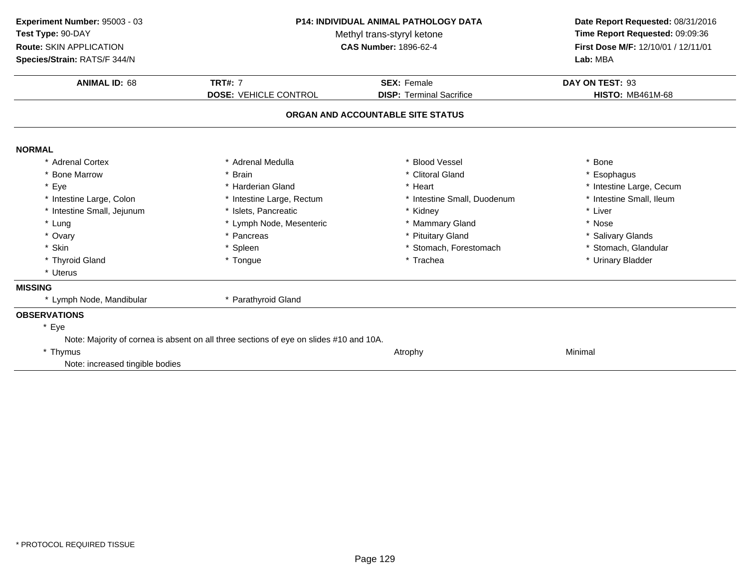| Experiment Number: 95003 - 03<br>Test Type: 90-DAY<br>Route: SKIN APPLICATION | P14: INDIVIDUAL ANIMAL PATHOLOGY DATA<br>Methyl trans-styryl ketone<br><b>CAS Number: 1896-62-4</b> |                                   | Date Report Requested: 08/31/2016<br>Time Report Requested: 09:09:36<br>First Dose M/F: 12/10/01 / 12/11/01 |
|-------------------------------------------------------------------------------|-----------------------------------------------------------------------------------------------------|-----------------------------------|-------------------------------------------------------------------------------------------------------------|
| Species/Strain: RATS/F 344/N                                                  |                                                                                                     |                                   | Lab: MBA                                                                                                    |
| <b>ANIMAL ID: 68</b>                                                          | <b>TRT#: 7</b>                                                                                      | <b>SEX: Female</b>                | DAY ON TEST: 93                                                                                             |
|                                                                               | <b>DOSE: VEHICLE CONTROL</b>                                                                        | <b>DISP: Terminal Sacrifice</b>   | <b>HISTO: MB461M-68</b>                                                                                     |
|                                                                               |                                                                                                     | ORGAN AND ACCOUNTABLE SITE STATUS |                                                                                                             |
| <b>NORMAL</b>                                                                 |                                                                                                     |                                   |                                                                                                             |
| * Adrenal Cortex                                                              | * Adrenal Medulla                                                                                   | * Blood Vessel                    | * Bone                                                                                                      |
| * Bone Marrow                                                                 | * Brain                                                                                             | * Clitoral Gland                  | * Esophagus                                                                                                 |
| * Eye                                                                         | * Harderian Gland                                                                                   | * Heart                           | * Intestine Large, Cecum                                                                                    |
| * Intestine Large, Colon                                                      | * Intestine Large, Rectum                                                                           | * Intestine Small, Duodenum       | * Intestine Small, Ileum                                                                                    |
| * Intestine Small, Jejunum                                                    | * Islets, Pancreatic                                                                                | * Kidney                          | * Liver                                                                                                     |
| * Lung                                                                        | * Lymph Node, Mesenteric                                                                            | * Mammary Gland                   | * Nose                                                                                                      |
| * Ovary                                                                       | * Pancreas                                                                                          | * Pituitary Gland                 | * Salivary Glands                                                                                           |
| * Skin                                                                        | * Spleen                                                                                            | * Stomach, Forestomach            | * Stomach, Glandular                                                                                        |
| * Thyroid Gland                                                               | * Tongue                                                                                            | * Trachea                         | * Urinary Bladder                                                                                           |
| * Uterus                                                                      |                                                                                                     |                                   |                                                                                                             |
| <b>MISSING</b>                                                                |                                                                                                     |                                   |                                                                                                             |
| * Lymph Node, Mandibular                                                      | * Parathyroid Gland                                                                                 |                                   |                                                                                                             |
| <b>OBSERVATIONS</b>                                                           |                                                                                                     |                                   |                                                                                                             |
| * Eye                                                                         |                                                                                                     |                                   |                                                                                                             |
|                                                                               | Note: Majority of cornea is absent on all three sections of eye on slides #10 and 10A.              |                                   |                                                                                                             |
| * Thymus                                                                      |                                                                                                     | Atrophy                           | Minimal                                                                                                     |
| Note: increased tingible bodies                                               |                                                                                                     |                                   |                                                                                                             |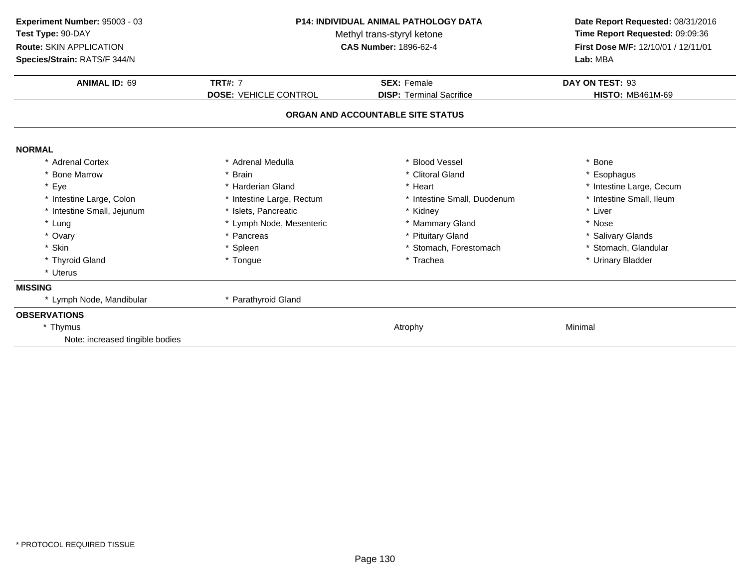| Experiment Number: 95003 - 03<br>Test Type: 90-DAY<br>Route: SKIN APPLICATION<br>Species/Strain: RATS/F 344/N | <b>P14: INDIVIDUAL ANIMAL PATHOLOGY DATA</b><br>Methyl trans-styryl ketone<br><b>CAS Number: 1896-62-4</b> |                                   | Date Report Requested: 08/31/2016<br>Time Report Requested: 09:09:36<br>First Dose M/F: 12/10/01 / 12/11/01<br>Lab: MBA |
|---------------------------------------------------------------------------------------------------------------|------------------------------------------------------------------------------------------------------------|-----------------------------------|-------------------------------------------------------------------------------------------------------------------------|
| <b>ANIMAL ID: 69</b>                                                                                          | <b>TRT#: 7</b>                                                                                             | <b>SEX: Female</b>                | DAY ON TEST: 93                                                                                                         |
|                                                                                                               | <b>DOSE: VEHICLE CONTROL</b>                                                                               | <b>DISP: Terminal Sacrifice</b>   | <b>HISTO: MB461M-69</b>                                                                                                 |
|                                                                                                               |                                                                                                            | ORGAN AND ACCOUNTABLE SITE STATUS |                                                                                                                         |
| <b>NORMAL</b>                                                                                                 |                                                                                                            |                                   |                                                                                                                         |
| * Adrenal Cortex                                                                                              | * Adrenal Medulla                                                                                          | * Blood Vessel                    | * Bone                                                                                                                  |
| * Bone Marrow                                                                                                 | * Brain                                                                                                    | * Clitoral Gland                  | * Esophagus                                                                                                             |
| * Eye                                                                                                         | * Harderian Gland                                                                                          | * Heart                           | * Intestine Large, Cecum                                                                                                |
| * Intestine Large, Colon                                                                                      | * Intestine Large, Rectum                                                                                  | * Intestine Small, Duodenum       | * Intestine Small, Ileum                                                                                                |
| * Intestine Small, Jejunum                                                                                    | * Islets, Pancreatic                                                                                       | * Kidney                          | * Liver                                                                                                                 |
| * Lung                                                                                                        | * Lymph Node, Mesenteric                                                                                   | * Mammary Gland                   | * Nose                                                                                                                  |
| * Ovary                                                                                                       | * Pancreas                                                                                                 | * Pituitary Gland                 | * Salivary Glands                                                                                                       |
| * Skin                                                                                                        | * Spleen                                                                                                   | * Stomach, Forestomach            | * Stomach, Glandular                                                                                                    |
| * Thyroid Gland                                                                                               | * Tongue                                                                                                   | * Trachea                         | * Urinary Bladder                                                                                                       |
| * Uterus                                                                                                      |                                                                                                            |                                   |                                                                                                                         |
| <b>MISSING</b>                                                                                                |                                                                                                            |                                   |                                                                                                                         |
| * Lymph Node, Mandibular                                                                                      | * Parathyroid Gland                                                                                        |                                   |                                                                                                                         |
| <b>OBSERVATIONS</b>                                                                                           |                                                                                                            |                                   |                                                                                                                         |
| * Thymus                                                                                                      |                                                                                                            | Atrophy                           | Minimal                                                                                                                 |
| Note: increased tingible bodies                                                                               |                                                                                                            |                                   |                                                                                                                         |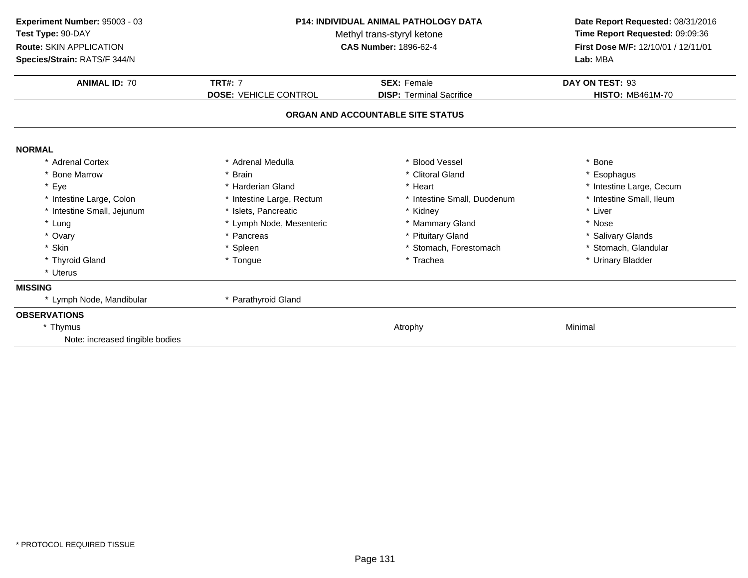| Experiment Number: 95003 - 03<br>Test Type: 90-DAY<br>Route: SKIN APPLICATION<br>Species/Strain: RATS/F 344/N | <b>P14: INDIVIDUAL ANIMAL PATHOLOGY DATA</b><br>Methyl trans-styryl ketone<br><b>CAS Number: 1896-62-4</b> |                                   | Date Report Requested: 08/31/2016<br>Time Report Requested: 09:09:36<br>First Dose M/F: 12/10/01 / 12/11/01<br>Lab: MBA |
|---------------------------------------------------------------------------------------------------------------|------------------------------------------------------------------------------------------------------------|-----------------------------------|-------------------------------------------------------------------------------------------------------------------------|
| <b>ANIMAL ID: 70</b>                                                                                          | <b>TRT#: 7</b>                                                                                             | <b>SEX: Female</b>                | DAY ON TEST: 93                                                                                                         |
|                                                                                                               | <b>DOSE: VEHICLE CONTROL</b>                                                                               | <b>DISP: Terminal Sacrifice</b>   | <b>HISTO: MB461M-70</b>                                                                                                 |
|                                                                                                               |                                                                                                            | ORGAN AND ACCOUNTABLE SITE STATUS |                                                                                                                         |
| <b>NORMAL</b>                                                                                                 |                                                                                                            |                                   |                                                                                                                         |
| * Adrenal Cortex                                                                                              | * Adrenal Medulla                                                                                          | * Blood Vessel                    | Bone                                                                                                                    |
| * Bone Marrow                                                                                                 | * Brain                                                                                                    | * Clitoral Gland                  | * Esophagus                                                                                                             |
| * Eye                                                                                                         | * Harderian Gland                                                                                          | * Heart                           | * Intestine Large, Cecum                                                                                                |
| * Intestine Large, Colon                                                                                      | * Intestine Large, Rectum                                                                                  | * Intestine Small, Duodenum       | * Intestine Small, Ileum                                                                                                |
| * Intestine Small, Jejunum                                                                                    | * Islets, Pancreatic                                                                                       | * Kidney                          | * Liver                                                                                                                 |
| * Lung                                                                                                        | * Lymph Node, Mesenteric                                                                                   | * Mammary Gland                   | * Nose                                                                                                                  |
| * Ovary                                                                                                       | * Pancreas                                                                                                 | * Pituitary Gland                 | * Salivary Glands                                                                                                       |
| * Skin                                                                                                        | * Spleen                                                                                                   | * Stomach, Forestomach            | * Stomach, Glandular                                                                                                    |
| * Thyroid Gland                                                                                               | * Tongue                                                                                                   | * Trachea                         | * Urinary Bladder                                                                                                       |
| * Uterus                                                                                                      |                                                                                                            |                                   |                                                                                                                         |
| <b>MISSING</b>                                                                                                |                                                                                                            |                                   |                                                                                                                         |
| * Lymph Node, Mandibular                                                                                      | * Parathyroid Gland                                                                                        |                                   |                                                                                                                         |
| <b>OBSERVATIONS</b>                                                                                           |                                                                                                            |                                   |                                                                                                                         |
| * Thymus                                                                                                      |                                                                                                            | Atrophy                           | Minimal                                                                                                                 |
| Note: increased tingible bodies                                                                               |                                                                                                            |                                   |                                                                                                                         |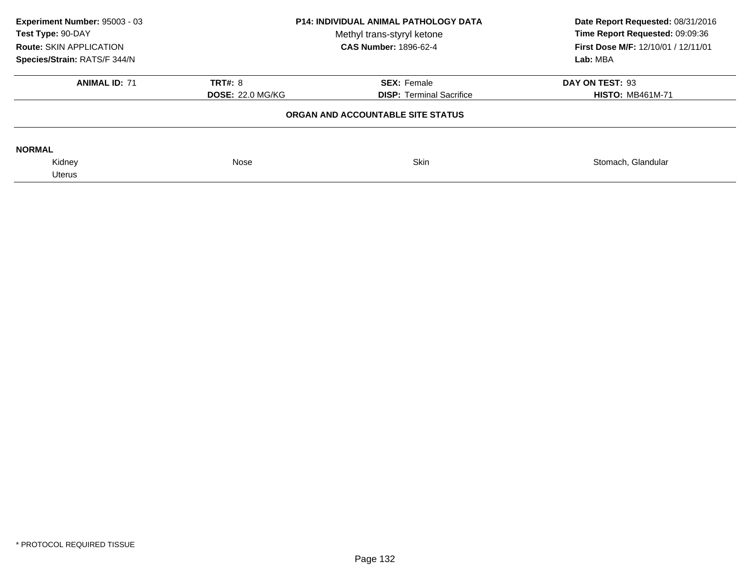| Experiment Number: 95003 - 03<br>Test Type: 90-DAY<br>Route: SKIN APPLICATION<br>Species/Strain: RATS/F 344/N | <b>P14: INDIVIDUAL ANIMAL PATHOLOGY DATA</b><br>Methyl trans-styryl ketone<br><b>CAS Number: 1896-62-4</b> |                                                       | Date Report Requested: 08/31/2016<br>Time Report Requested: 09:09:36<br>First Dose M/F: 12/10/01 / 12/11/01<br>Lab: MBA |
|---------------------------------------------------------------------------------------------------------------|------------------------------------------------------------------------------------------------------------|-------------------------------------------------------|-------------------------------------------------------------------------------------------------------------------------|
| <b>ANIMAL ID: 71</b>                                                                                          | <b>TRT#: 8</b><br><b>DOSE: 22.0 MG/KG</b>                                                                  | <b>SEX: Female</b><br><b>DISP: Terminal Sacrifice</b> | DAY ON TEST: 93<br><b>HISTO: MB461M-71</b>                                                                              |
|                                                                                                               |                                                                                                            | ORGAN AND ACCOUNTABLE SITE STATUS                     |                                                                                                                         |
| <b>NORMAL</b>                                                                                                 |                                                                                                            |                                                       |                                                                                                                         |
| Kidney                                                                                                        | Nose                                                                                                       | <b>Skin</b>                                           | Stomach, Glandular                                                                                                      |
| Uterus                                                                                                        |                                                                                                            |                                                       |                                                                                                                         |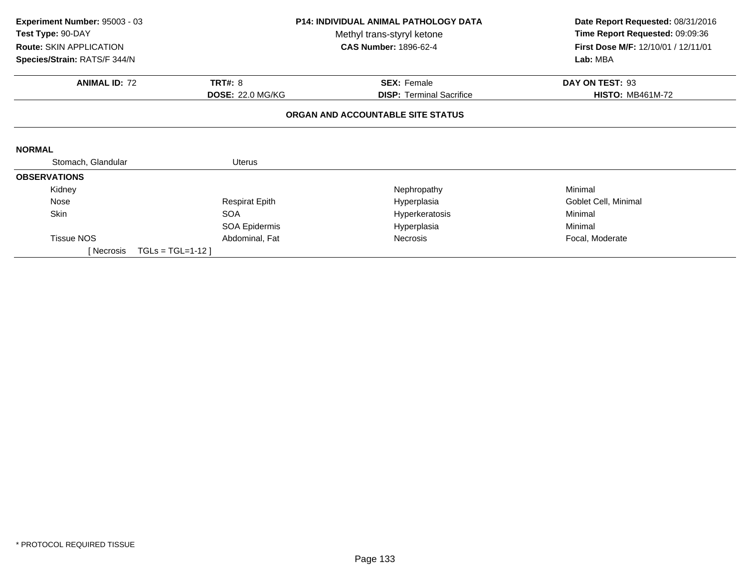| <b>P14: INDIVIDUAL ANIMAL PATHOLOGY DATA</b><br>Experiment Number: 95003 - 03 |                         | Date Report Requested: 08/31/2016 |                                     |
|-------------------------------------------------------------------------------|-------------------------|-----------------------------------|-------------------------------------|
| Test Type: 90-DAY                                                             |                         | Methyl trans-styryl ketone        | Time Report Requested: 09:09:36     |
| <b>Route: SKIN APPLICATION</b>                                                |                         | <b>CAS Number: 1896-62-4</b>      | First Dose M/F: 12/10/01 / 12/11/01 |
| Species/Strain: RATS/F 344/N                                                  |                         |                                   | Lab: MBA                            |
| <b>ANIMAL ID: 72</b>                                                          | <b>TRT#: 8</b>          | <b>SEX: Female</b>                | DAY ON TEST: 93                     |
|                                                                               | <b>DOSE: 22.0 MG/KG</b> | <b>DISP:</b> Terminal Sacrifice   | <b>HISTO: MB461M-72</b>             |
|                                                                               |                         | ORGAN AND ACCOUNTABLE SITE STATUS |                                     |
|                                                                               |                         |                                   |                                     |
| <b>NORMAL</b>                                                                 |                         |                                   |                                     |
| Stomach, Glandular                                                            | Uterus                  |                                   |                                     |
| <b>OBSERVATIONS</b>                                                           |                         |                                   |                                     |
| Kidney                                                                        |                         | Nephropathy                       | Minimal                             |
| Nose                                                                          | <b>Respirat Epith</b>   | Hyperplasia                       | Goblet Cell, Minimal                |
| Skin                                                                          | <b>SOA</b>              | Hyperkeratosis                    | Minimal                             |
|                                                                               | <b>SOA Epidermis</b>    | Hyperplasia                       | Minimal                             |
| <b>Tissue NOS</b>                                                             | Abdominal, Fat          | <b>Necrosis</b>                   | Focal, Moderate                     |
| [ Necrosis                                                                    | $TGLs = TGL=1-12$       |                                   |                                     |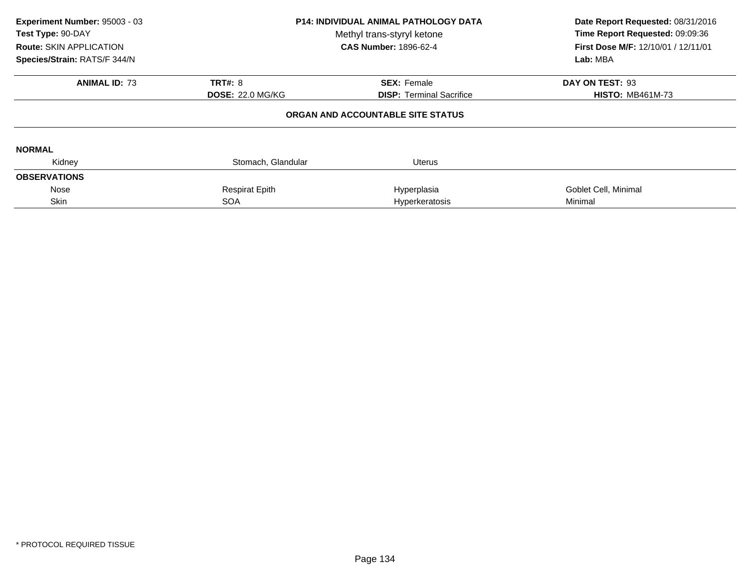| Experiment Number: 95003 - 03<br>Test Type: 90-DAY<br><b>Route: SKIN APPLICATION</b><br>Species/Strain: RATS/F 344/N | <b>P14: INDIVIDUAL ANIMAL PATHOLOGY DATA</b><br>Methyl trans-styryl ketone<br><b>CAS Number: 1896-62-4</b> |                                   | Date Report Requested: 08/31/2016<br>Time Report Requested: 09:09:36<br>First Dose M/F: 12/10/01 / 12/11/01<br>Lab: MBA |
|----------------------------------------------------------------------------------------------------------------------|------------------------------------------------------------------------------------------------------------|-----------------------------------|-------------------------------------------------------------------------------------------------------------------------|
| <b>ANIMAL ID: 73</b>                                                                                                 | <b>TRT#: 8</b>                                                                                             | <b>SEX: Female</b>                | DAY ON TEST: 93                                                                                                         |
|                                                                                                                      | <b>DOSE: 22.0 MG/KG</b>                                                                                    | <b>DISP:</b> Terminal Sacrifice   | <b>HISTO: MB461M-73</b>                                                                                                 |
|                                                                                                                      |                                                                                                            | ORGAN AND ACCOUNTABLE SITE STATUS |                                                                                                                         |
| <b>NORMAL</b>                                                                                                        |                                                                                                            |                                   |                                                                                                                         |
| Kidney                                                                                                               | Stomach, Glandular                                                                                         | <b>Uterus</b>                     |                                                                                                                         |
| <b>OBSERVATIONS</b>                                                                                                  |                                                                                                            |                                   |                                                                                                                         |
| Nose                                                                                                                 | <b>Respirat Epith</b>                                                                                      | Hyperplasia                       | Goblet Cell, Minimal                                                                                                    |
| Skin                                                                                                                 | <b>SOA</b>                                                                                                 | Hyperkeratosis                    | Minimal                                                                                                                 |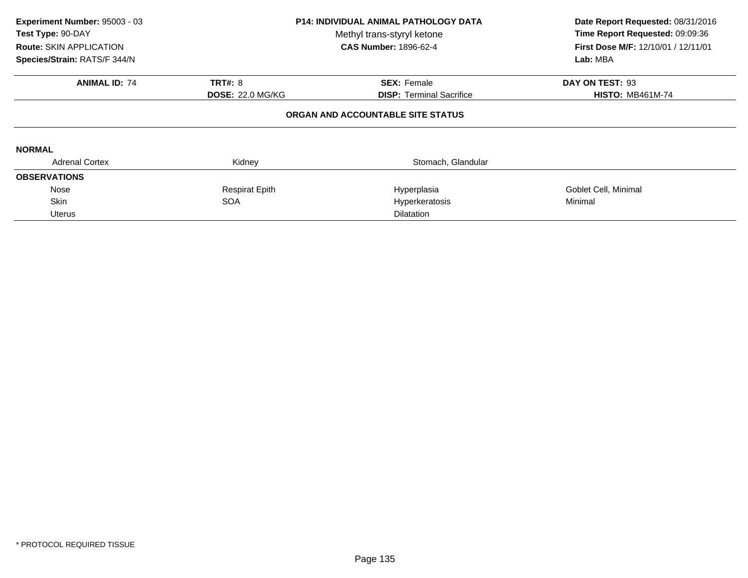| Experiment Number: 95003 - 03<br>Test Type: 90-DAY<br><b>Route: SKIN APPLICATION</b><br>Species/Strain: RATS/F 344/N       | <b>P14: INDIVIDUAL ANIMAL PATHOLOGY DATA</b><br>Methyl trans-styryl ketone<br><b>CAS Number: 1896-62-4</b> |                    | Date Report Requested: 08/31/2016<br>Time Report Requested: 09:09:36<br><b>First Dose M/F: 12/10/01 / 12/11/01</b><br>Lab: MBA |  |  |  |
|----------------------------------------------------------------------------------------------------------------------------|------------------------------------------------------------------------------------------------------------|--------------------|--------------------------------------------------------------------------------------------------------------------------------|--|--|--|
| <b>ANIMAL ID: 74</b>                                                                                                       | <b>TRT#: 8</b>                                                                                             | <b>SEX: Female</b> | DAY ON TEST: 93                                                                                                                |  |  |  |
| <b>DOSE: 22.0 MG/KG</b><br><b>DISP:</b> Terminal Sacrifice<br><b>HISTO: MB461M-74</b><br>ORGAN AND ACCOUNTABLE SITE STATUS |                                                                                                            |                    |                                                                                                                                |  |  |  |
| <b>NORMAL</b>                                                                                                              |                                                                                                            |                    |                                                                                                                                |  |  |  |
| <b>Adrenal Cortex</b>                                                                                                      | Kidney                                                                                                     | Stomach, Glandular |                                                                                                                                |  |  |  |
| <b>OBSERVATIONS</b>                                                                                                        |                                                                                                            |                    |                                                                                                                                |  |  |  |
| Nose                                                                                                                       | <b>Respirat Epith</b>                                                                                      | Hyperplasia        | Goblet Cell, Minimal                                                                                                           |  |  |  |
| Skin                                                                                                                       | <b>SOA</b>                                                                                                 | Hyperkeratosis     | Minimal                                                                                                                        |  |  |  |
| <b>Uterus</b>                                                                                                              |                                                                                                            | <b>Dilatation</b>  |                                                                                                                                |  |  |  |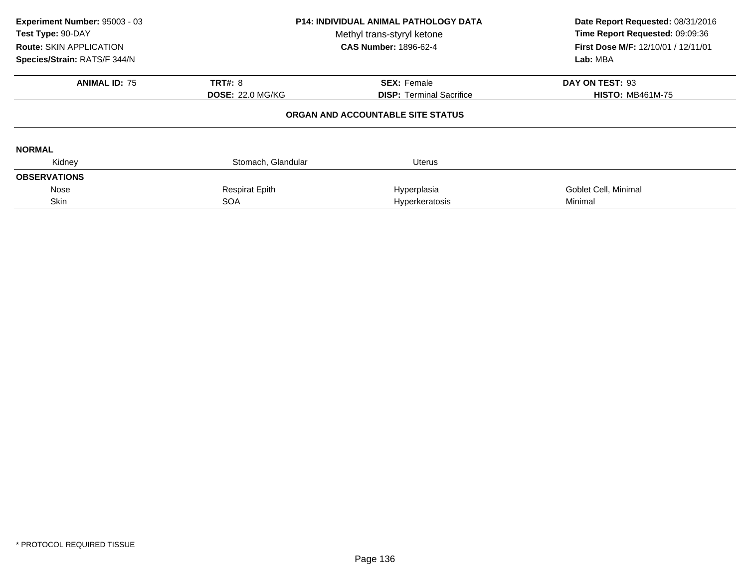| Experiment Number: 95003 - 03<br>Test Type: 90-DAY<br><b>Route: SKIN APPLICATION</b><br>Species/Strain: RATS/F 344/N | <b>P14: INDIVIDUAL ANIMAL PATHOLOGY DATA</b><br>Methyl trans-styryl ketone<br><b>CAS Number: 1896-62-4</b> |                                                       | Date Report Requested: 08/31/2016<br>Time Report Requested: 09:09:36<br>First Dose M/F: 12/10/01 / 12/11/01<br>Lab: MBA |  |
|----------------------------------------------------------------------------------------------------------------------|------------------------------------------------------------------------------------------------------------|-------------------------------------------------------|-------------------------------------------------------------------------------------------------------------------------|--|
| <b>ANIMAL ID: 75</b>                                                                                                 | <b>TRT#: 8</b><br><b>DOSE: 22.0 MG/KG</b>                                                                  | <b>SEX: Female</b><br><b>DISP: Terminal Sacrifice</b> | DAY ON TEST: 93<br><b>HISTO: MB461M-75</b>                                                                              |  |
|                                                                                                                      |                                                                                                            | ORGAN AND ACCOUNTABLE SITE STATUS                     |                                                                                                                         |  |
| <b>NORMAL</b>                                                                                                        |                                                                                                            |                                                       |                                                                                                                         |  |
| Kidney                                                                                                               | Stomach, Glandular                                                                                         | <b>Uterus</b>                                         |                                                                                                                         |  |
| <b>OBSERVATIONS</b>                                                                                                  |                                                                                                            |                                                       |                                                                                                                         |  |
| Nose                                                                                                                 | <b>Respirat Epith</b>                                                                                      | Hyperplasia                                           | Goblet Cell, Minimal                                                                                                    |  |
| Skin                                                                                                                 | <b>SOA</b>                                                                                                 | Hyperkeratosis                                        | Minimal                                                                                                                 |  |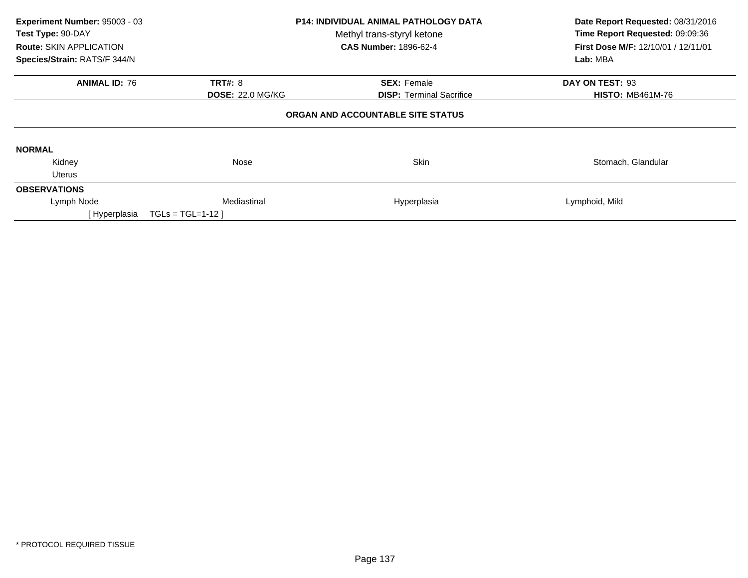| Experiment Number: 95003 - 03<br>Test Type: 90-DAY<br>Route: SKIN APPLICATION<br>Species/Strain: RATS/F 344/N              |                   | <b>P14: INDIVIDUAL ANIMAL PATHOLOGY DATA</b><br>Methyl trans-styryl ketone<br><b>CAS Number: 1896-62-4</b> | Date Report Requested: 08/31/2016<br>Time Report Requested: 09:09:36<br><b>First Dose M/F: 12/10/01 / 12/11/01</b><br>Lab: MBA |  |  |  |
|----------------------------------------------------------------------------------------------------------------------------|-------------------|------------------------------------------------------------------------------------------------------------|--------------------------------------------------------------------------------------------------------------------------------|--|--|--|
| <b>ANIMAL ID: 76</b>                                                                                                       | <b>TRT#: 8</b>    | <b>SEX: Female</b>                                                                                         | DAY ON TEST: 93                                                                                                                |  |  |  |
| <b>DOSE: 22.0 MG/KG</b><br><b>DISP:</b> Terminal Sacrifice<br><b>HISTO: MB461M-76</b><br>ORGAN AND ACCOUNTABLE SITE STATUS |                   |                                                                                                            |                                                                                                                                |  |  |  |
| <b>NORMAL</b>                                                                                                              |                   |                                                                                                            |                                                                                                                                |  |  |  |
| Kidney<br><b>Uterus</b>                                                                                                    | Nose              | <b>Skin</b>                                                                                                | Stomach, Glandular                                                                                                             |  |  |  |
| <b>OBSERVATIONS</b>                                                                                                        |                   |                                                                                                            |                                                                                                                                |  |  |  |
| Lymph Node                                                                                                                 | Mediastinal       | Hyperplasia                                                                                                | Lymphoid, Mild                                                                                                                 |  |  |  |
| [ Hyperplasia                                                                                                              | $TGLs = TGL=1-12$ |                                                                                                            |                                                                                                                                |  |  |  |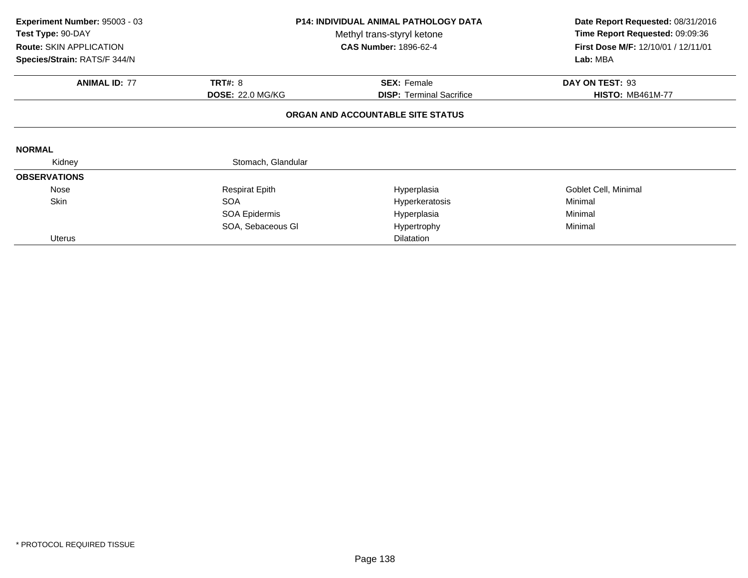| Experiment Number: 95003 - 03  |                         | <b>P14: INDIVIDUAL ANIMAL PATHOLOGY DATA</b> | Date Report Requested: 08/31/2016   |  |
|--------------------------------|-------------------------|----------------------------------------------|-------------------------------------|--|
| Test Type: 90-DAY              |                         | Methyl trans-styryl ketone                   | Time Report Requested: 09:09:36     |  |
| <b>Route: SKIN APPLICATION</b> |                         | <b>CAS Number: 1896-62-4</b>                 | First Dose M/F: 12/10/01 / 12/11/01 |  |
| Species/Strain: RATS/F 344/N   |                         |                                              | Lab: MBA                            |  |
| <b>ANIMAL ID: 77</b>           | <b>TRT#: 8</b>          | <b>SEX: Female</b>                           | DAY ON TEST: 93                     |  |
|                                | <b>DOSE: 22.0 MG/KG</b> | <b>DISP: Terminal Sacrifice</b>              | <b>HISTO: MB461M-77</b>             |  |
|                                |                         | ORGAN AND ACCOUNTABLE SITE STATUS            |                                     |  |
| <b>NORMAL</b>                  |                         |                                              |                                     |  |
| Kidney                         | Stomach, Glandular      |                                              |                                     |  |
| <b>OBSERVATIONS</b>            |                         |                                              |                                     |  |
| Nose                           | <b>Respirat Epith</b>   | Hyperplasia                                  | Goblet Cell, Minimal                |  |
| Skin                           | <b>SOA</b>              | Hyperkeratosis                               | Minimal                             |  |
|                                | SOA Epidermis           | Hyperplasia                                  | Minimal                             |  |
|                                | SOA, Sebaceous GI       | Hypertrophy                                  | Minimal                             |  |
| Uterus                         |                         | <b>Dilatation</b>                            |                                     |  |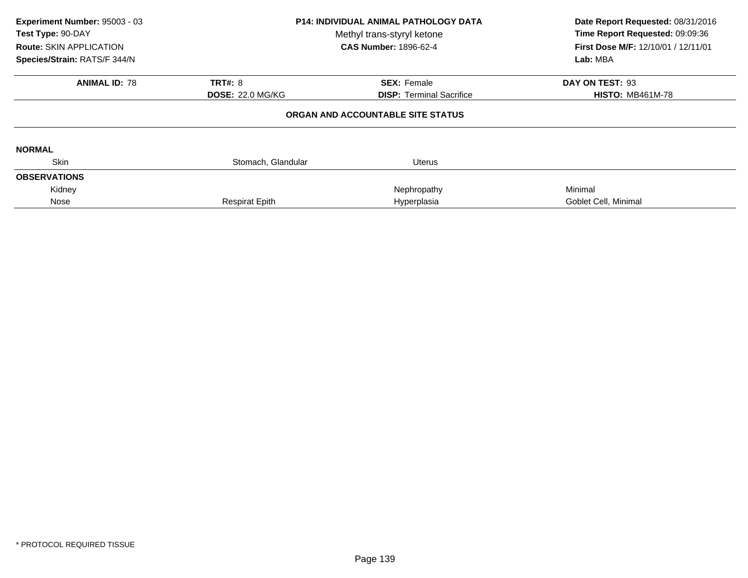| Experiment Number: 95003 - 03<br>Test Type: 90-DAY<br>Route: SKIN APPLICATION<br>Species/Strain: RATS/F 344/N | <b>P14: INDIVIDUAL ANIMAL PATHOLOGY DATA</b><br>Methyl trans-styryl ketone<br><b>CAS Number: 1896-62-4</b> |                                   | Date Report Requested: 08/31/2016<br>Time Report Requested: 09:09:36<br>First Dose M/F: 12/10/01 / 12/11/01<br>Lab: MBA |
|---------------------------------------------------------------------------------------------------------------|------------------------------------------------------------------------------------------------------------|-----------------------------------|-------------------------------------------------------------------------------------------------------------------------|
| <b>ANIMAL ID: 78</b>                                                                                          | <b>TRT#: 8</b>                                                                                             | <b>SEX: Female</b>                | DAY ON TEST: 93                                                                                                         |
|                                                                                                               | <b>DOSE: 22.0 MG/KG</b>                                                                                    | <b>DISP:</b> Terminal Sacrifice   | <b>HISTO: MB461M-78</b>                                                                                                 |
|                                                                                                               |                                                                                                            | ORGAN AND ACCOUNTABLE SITE STATUS |                                                                                                                         |
| <b>NORMAL</b>                                                                                                 |                                                                                                            |                                   |                                                                                                                         |
| <b>Skin</b>                                                                                                   | Stomach, Glandular                                                                                         | Uterus                            |                                                                                                                         |
| <b>OBSERVATIONS</b>                                                                                           |                                                                                                            |                                   |                                                                                                                         |
| Kidney                                                                                                        |                                                                                                            | Nephropathy                       | Minimal                                                                                                                 |
| Nose                                                                                                          | <b>Respirat Epith</b>                                                                                      | Hyperplasia                       | Goblet Cell, Minimal                                                                                                    |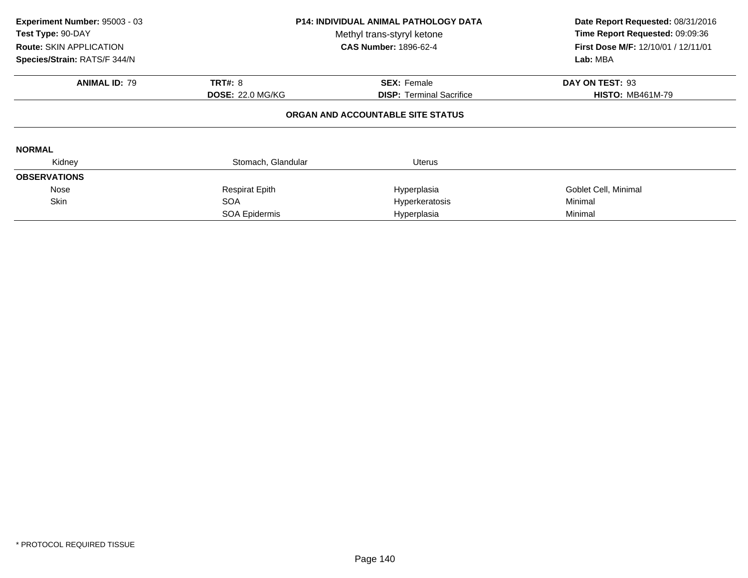| Experiment Number: 95003 - 03<br>Test Type: 90-DAY<br><b>Route: SKIN APPLICATION</b><br>Species/Strain: RATS/F 344/N | <b>P14: INDIVIDUAL ANIMAL PATHOLOGY DATA</b><br>Methyl trans-styryl ketone<br><b>CAS Number: 1896-62-4</b> |                                   | Date Report Requested: 08/31/2016<br>Time Report Requested: 09:09:36<br>First Dose M/F: 12/10/01 / 12/11/01<br>Lab: MBA |  |
|----------------------------------------------------------------------------------------------------------------------|------------------------------------------------------------------------------------------------------------|-----------------------------------|-------------------------------------------------------------------------------------------------------------------------|--|
| <b>ANIMAL ID: 79</b>                                                                                                 | <b>TRT#: 8</b>                                                                                             | <b>SEX: Female</b>                | DAY ON TEST: 93                                                                                                         |  |
|                                                                                                                      | <b>DOSE: 22.0 MG/KG</b>                                                                                    | <b>DISP:</b> Terminal Sacrifice   | <b>HISTO: MB461M-79</b>                                                                                                 |  |
|                                                                                                                      |                                                                                                            | ORGAN AND ACCOUNTABLE SITE STATUS |                                                                                                                         |  |
| <b>NORMAL</b>                                                                                                        |                                                                                                            |                                   |                                                                                                                         |  |
| Kidney                                                                                                               | Stomach, Glandular                                                                                         | <b>Uterus</b>                     |                                                                                                                         |  |
| <b>OBSERVATIONS</b>                                                                                                  |                                                                                                            |                                   |                                                                                                                         |  |
| Nose                                                                                                                 | <b>Respirat Epith</b>                                                                                      | Hyperplasia                       | Goblet Cell, Minimal                                                                                                    |  |
| <b>Skin</b>                                                                                                          | <b>SOA</b>                                                                                                 | Hyperkeratosis                    | Minimal                                                                                                                 |  |
|                                                                                                                      | SOA Epidermis                                                                                              | Hyperplasia                       | Minimal                                                                                                                 |  |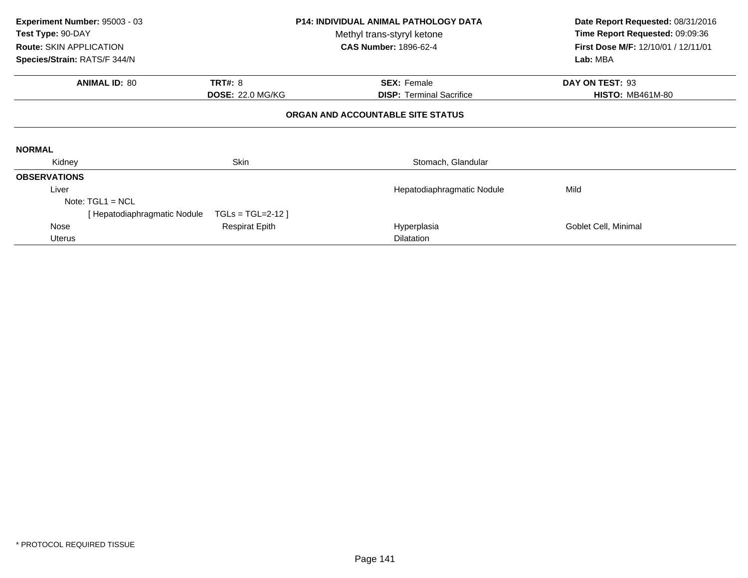| Experiment Number: 95003 - 03<br>Test Type: 90-DAY |                              |                         | <b>P14: INDIVIDUAL ANIMAL PATHOLOGY DATA</b> | Date Report Requested: 08/31/2016   |
|----------------------------------------------------|------------------------------|-------------------------|----------------------------------------------|-------------------------------------|
|                                                    |                              |                         | Methyl trans-styryl ketone                   | Time Report Requested: 09:09:36     |
| <b>Route: SKIN APPLICATION</b>                     |                              |                         | <b>CAS Number: 1896-62-4</b>                 | First Dose M/F: 12/10/01 / 12/11/01 |
| Species/Strain: RATS/F 344/N                       |                              |                         |                                              | Lab: MBA                            |
|                                                    | <b>ANIMAL ID: 80</b>         | <b>TRT#: 8</b>          | <b>SEX: Female</b>                           | DAY ON TEST: 93                     |
|                                                    |                              | <b>DOSE: 22.0 MG/KG</b> | <b>DISP:</b> Terminal Sacrifice              | <b>HISTO: MB461M-80</b>             |
|                                                    |                              |                         | ORGAN AND ACCOUNTABLE SITE STATUS            |                                     |
| <b>NORMAL</b>                                      |                              |                         |                                              |                                     |
| Kidney                                             |                              | Skin                    | Stomach, Glandular                           |                                     |
| <b>OBSERVATIONS</b>                                |                              |                         |                                              |                                     |
| Liver                                              |                              |                         | Hepatodiaphragmatic Nodule                   | Mild                                |
|                                                    | Note: $TGL1 = NCL$           |                         |                                              |                                     |
|                                                    | [ Hepatodiaphragmatic Nodule | $TGLs = TGL=2-12$       |                                              |                                     |
| Nose                                               |                              | <b>Respirat Epith</b>   | Hyperplasia                                  | Goblet Cell, Minimal                |
| Uterus                                             |                              |                         | <b>Dilatation</b>                            |                                     |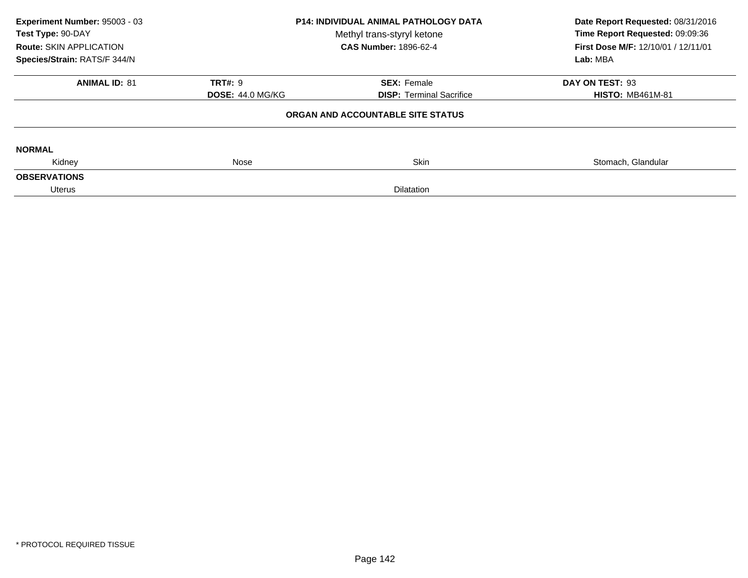| Experiment Number: 95003 - 03<br>Test Type: 90-DAY<br><b>Route: SKIN APPLICATION</b> | <b>P14: INDIVIDUAL ANIMAL PATHOLOGY DATA</b><br>Methyl trans-styryl ketone<br><b>CAS Number: 1896-62-4</b> |                                   | Date Report Requested: 08/31/2016<br>Time Report Requested: 09:09:36<br>First Dose M/F: 12/10/01 / 12/11/01 |  |
|--------------------------------------------------------------------------------------|------------------------------------------------------------------------------------------------------------|-----------------------------------|-------------------------------------------------------------------------------------------------------------|--|
| Species/Strain: RATS/F 344/N                                                         |                                                                                                            |                                   | Lab: MBA                                                                                                    |  |
| <b>ANIMAL ID: 81</b>                                                                 | <b>TRT#: 9</b>                                                                                             | <b>SEX: Female</b>                | DAY ON TEST: 93                                                                                             |  |
|                                                                                      | <b>DOSE: 44.0 MG/KG</b>                                                                                    | <b>DISP: Terminal Sacrifice</b>   | <b>HISTO: MB461M-81</b>                                                                                     |  |
|                                                                                      |                                                                                                            | ORGAN AND ACCOUNTABLE SITE STATUS |                                                                                                             |  |
| <b>NORMAL</b>                                                                        |                                                                                                            |                                   |                                                                                                             |  |
| Kidney                                                                               | Nose                                                                                                       | <b>Skin</b>                       | Stomach, Glandular                                                                                          |  |
| <b>OBSERVATIONS</b>                                                                  |                                                                                                            |                                   |                                                                                                             |  |
| Uterus<br><b>Dilatation</b>                                                          |                                                                                                            |                                   |                                                                                                             |  |
|                                                                                      |                                                                                                            |                                   |                                                                                                             |  |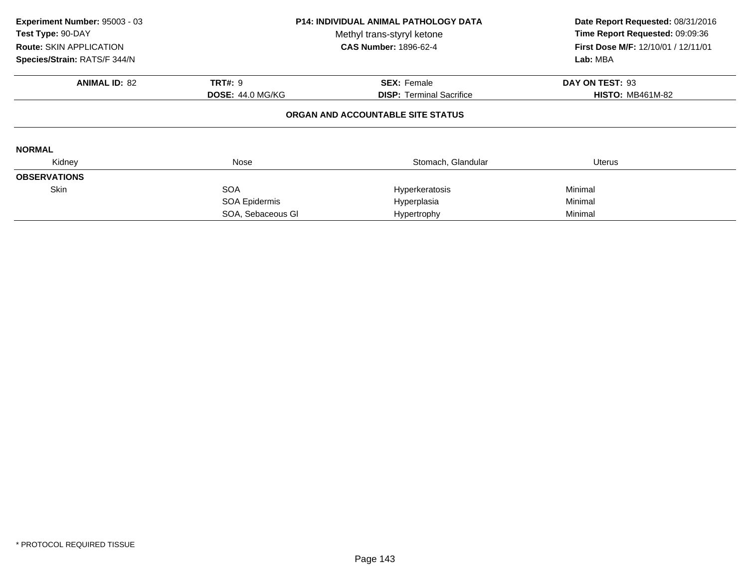| Experiment Number: 95003 - 03<br>Test Type: 90-DAY<br><b>Route: SKIN APPLICATION</b><br>Species/Strain: RATS/F 344/N | <b>P14: INDIVIDUAL ANIMAL PATHOLOGY DATA</b><br>Methyl trans-styryl ketone<br><b>CAS Number: 1896-62-4</b> |                                                       | Date Report Requested: 08/31/2016<br>Time Report Requested: 09:09:36<br>First Dose M/F: 12/10/01 / 12/11/01<br>Lab: MBA |  |
|----------------------------------------------------------------------------------------------------------------------|------------------------------------------------------------------------------------------------------------|-------------------------------------------------------|-------------------------------------------------------------------------------------------------------------------------|--|
| <b>ANIMAL ID: 82</b>                                                                                                 | <b>TRT#: 9</b><br><b>DOSE: 44.0 MG/KG</b>                                                                  | <b>SEX: Female</b><br><b>DISP:</b> Terminal Sacrifice | DAY ON TEST: 93<br><b>HISTO: MB461M-82</b>                                                                              |  |
|                                                                                                                      |                                                                                                            | ORGAN AND ACCOUNTABLE SITE STATUS                     |                                                                                                                         |  |
| <b>NORMAL</b>                                                                                                        |                                                                                                            |                                                       |                                                                                                                         |  |
| Kidney                                                                                                               | Nose                                                                                                       | Stomach, Glandular                                    | Uterus                                                                                                                  |  |
| <b>OBSERVATIONS</b>                                                                                                  |                                                                                                            |                                                       |                                                                                                                         |  |
| <b>Skin</b>                                                                                                          | <b>SOA</b>                                                                                                 | Hyperkeratosis                                        | Minimal                                                                                                                 |  |
|                                                                                                                      | SOA Epidermis                                                                                              | Hyperplasia                                           | Minimal                                                                                                                 |  |
|                                                                                                                      | SOA, Sebaceous GI                                                                                          | Hypertrophy                                           | Minimal                                                                                                                 |  |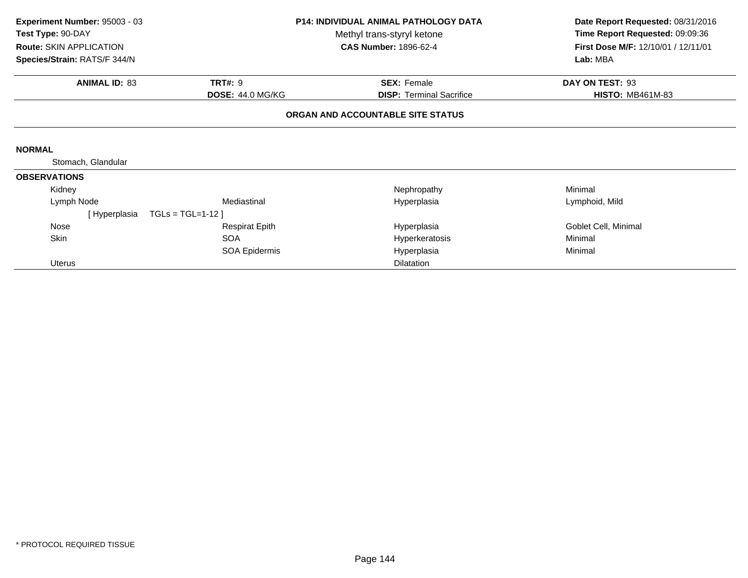| Experiment Number: 95003 - 03<br>Test Type: 90-DAY |                         | <b>P14: INDIVIDUAL ANIMAL PATHOLOGY DATA</b><br>Methyl trans-styryl ketone | Date Report Requested: 08/31/2016<br>Time Report Requested: 09:09:36 |  |
|----------------------------------------------------|-------------------------|----------------------------------------------------------------------------|----------------------------------------------------------------------|--|
| <b>Route: SKIN APPLICATION</b>                     |                         | <b>CAS Number: 1896-62-4</b>                                               | First Dose M/F: 12/10/01 / 12/11/01                                  |  |
| Species/Strain: RATS/F 344/N                       |                         |                                                                            | Lab: MBA                                                             |  |
| <b>ANIMAL ID: 83</b>                               | <b>TRT#: 9</b>          | <b>SEX: Female</b>                                                         | DAY ON TEST: 93                                                      |  |
|                                                    | <b>DOSE: 44.0 MG/KG</b> | <b>DISP: Terminal Sacrifice</b>                                            | <b>HISTO: MB461M-83</b>                                              |  |
|                                                    |                         | ORGAN AND ACCOUNTABLE SITE STATUS                                          |                                                                      |  |
|                                                    |                         |                                                                            |                                                                      |  |
| <b>NORMAL</b>                                      |                         |                                                                            |                                                                      |  |
| Stomach, Glandular                                 |                         |                                                                            |                                                                      |  |
| <b>OBSERVATIONS</b>                                |                         |                                                                            |                                                                      |  |
| Kidney                                             |                         | Nephropathy                                                                | Minimal                                                              |  |
| Lymph Node                                         | Mediastinal             | Hyperplasia                                                                | Lymphoid, Mild                                                       |  |
| [Hyperplasia                                       | $TGLs = TGL=1-12$       |                                                                            |                                                                      |  |
| <b>Nose</b>                                        | <b>Respirat Epith</b>   | Hyperplasia                                                                | Goblet Cell, Minimal                                                 |  |
| Skin                                               | <b>SOA</b>              | Hyperkeratosis                                                             | Minimal                                                              |  |
|                                                    | SOA Epidermis           | Hyperplasia                                                                | Minimal                                                              |  |
| <b>Uterus</b>                                      |                         | <b>Dilatation</b>                                                          |                                                                      |  |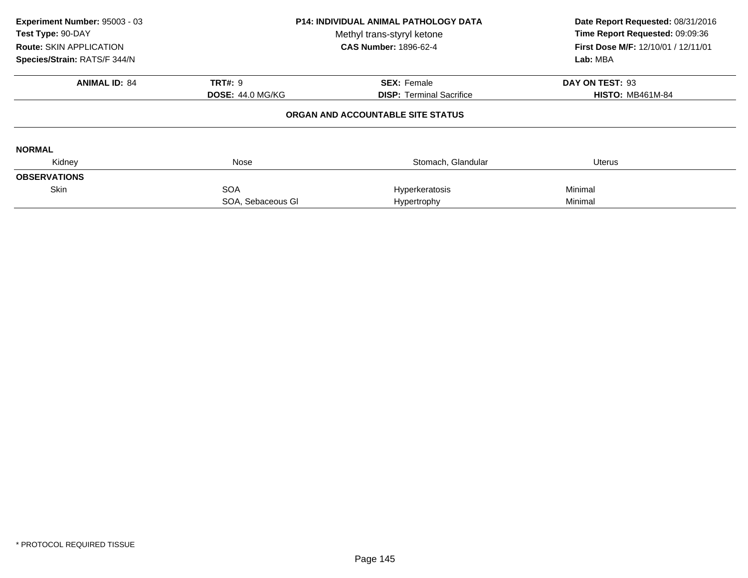| Experiment Number: 95003 - 03<br>Test Type: 90-DAY<br><b>Route: SKIN APPLICATION</b><br>Species/Strain: RATS/F 344/N | <b>P14: INDIVIDUAL ANIMAL PATHOLOGY DATA</b><br>Methyl trans-styryl ketone<br><b>CAS Number: 1896-62-4</b> |                                   | Date Report Requested: 08/31/2016<br>Time Report Requested: 09:09:36<br>First Dose M/F: 12/10/01 / 12/11/01<br>Lab: MBA |
|----------------------------------------------------------------------------------------------------------------------|------------------------------------------------------------------------------------------------------------|-----------------------------------|-------------------------------------------------------------------------------------------------------------------------|
| <b>ANIMAL ID: 84</b>                                                                                                 | <b>TRT#: 9</b>                                                                                             | <b>SEX: Female</b>                | DAY ON TEST: 93                                                                                                         |
|                                                                                                                      | <b>DOSE: 44.0 MG/KG</b>                                                                                    | <b>DISP:</b> Terminal Sacrifice   | <b>HISTO: MB461M-84</b>                                                                                                 |
|                                                                                                                      |                                                                                                            | ORGAN AND ACCOUNTABLE SITE STATUS |                                                                                                                         |
| <b>NORMAL</b>                                                                                                        |                                                                                                            |                                   |                                                                                                                         |
| Kidney                                                                                                               | Nose                                                                                                       | Stomach, Glandular                | Uterus                                                                                                                  |
| <b>OBSERVATIONS</b>                                                                                                  |                                                                                                            |                                   |                                                                                                                         |
| <b>Skin</b>                                                                                                          | <b>SOA</b>                                                                                                 | Hyperkeratosis                    | Minimal                                                                                                                 |
|                                                                                                                      | SOA, Sebaceous GI                                                                                          | Hypertrophy                       | Minimal                                                                                                                 |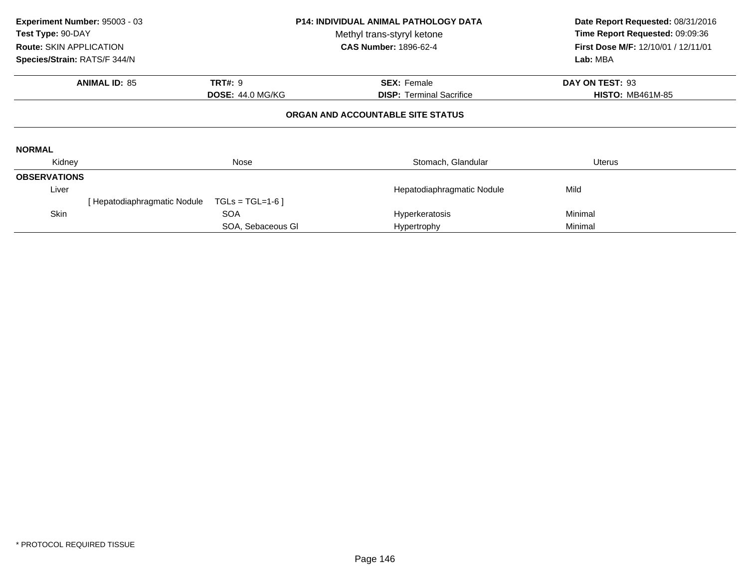| Experiment Number: 95003 - 03<br>Test Type: 90-DAY<br><b>Route: SKIN APPLICATION</b><br>Species/Strain: RATS/F 344/N |                    | <b>P14: INDIVIDUAL ANIMAL PATHOLOGY DATA</b><br>Methyl trans-styryl ketone<br><b>CAS Number: 1896-62-4</b> | Date Report Requested: 08/31/2016<br>Time Report Requested: 09:09:36<br>First Dose M/F: 12/10/01 / 12/11/01<br>Lab: MBA |  |
|----------------------------------------------------------------------------------------------------------------------|--------------------|------------------------------------------------------------------------------------------------------------|-------------------------------------------------------------------------------------------------------------------------|--|
| <b>ANIMAL ID: 85</b><br><b>TRT#: 9</b><br><b>DOSE: 44.0 MG/KG</b>                                                    |                    | <b>SEX: Female</b><br><b>DISP:</b> Terminal Sacrifice                                                      | DAY ON TEST: 93<br><b>HISTO: MB461M-85</b>                                                                              |  |
|                                                                                                                      |                    | ORGAN AND ACCOUNTABLE SITE STATUS                                                                          |                                                                                                                         |  |
| <b>NORMAL</b>                                                                                                        |                    |                                                                                                            |                                                                                                                         |  |
| Kidney                                                                                                               | Nose               | Stomach, Glandular                                                                                         | Uterus                                                                                                                  |  |
| <b>OBSERVATIONS</b>                                                                                                  |                    |                                                                                                            |                                                                                                                         |  |
| Liver                                                                                                                |                    | Hepatodiaphragmatic Nodule                                                                                 | Mild                                                                                                                    |  |
| [ Hepatodiaphragmatic Nodule                                                                                         | $TGLs = TGL=1-6$ ] |                                                                                                            |                                                                                                                         |  |
| Skin                                                                                                                 | <b>SOA</b>         | Hyperkeratosis                                                                                             | Minimal                                                                                                                 |  |
|                                                                                                                      | SOA, Sebaceous GI  | Hypertrophy                                                                                                | Minimal                                                                                                                 |  |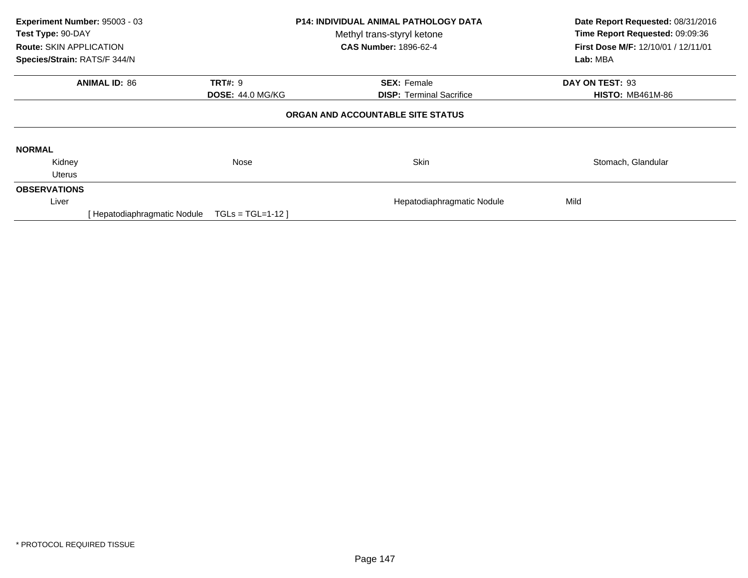| Experiment Number: 95003 - 03<br>Test Type: 90-DAY<br><b>Route: SKIN APPLICATION</b><br>Species/Strain: RATS/F 344/N       | <b>P14: INDIVIDUAL ANIMAL PATHOLOGY DATA</b><br>Methyl trans-styryl ketone<br><b>CAS Number: 1896-62-4</b> |                            | Date Report Requested: 08/31/2016<br>Time Report Requested: 09:09:36<br>First Dose M/F: 12/10/01 / 12/11/01<br>Lab: MBA |  |  |
|----------------------------------------------------------------------------------------------------------------------------|------------------------------------------------------------------------------------------------------------|----------------------------|-------------------------------------------------------------------------------------------------------------------------|--|--|
| <b>ANIMAL ID: 86</b>                                                                                                       | <b>TRT#: 9</b>                                                                                             | <b>SEX: Female</b>         | DAY ON TEST: 93                                                                                                         |  |  |
| <b>DOSE: 44.0 MG/KG</b><br><b>DISP: Terminal Sacrifice</b><br><b>HISTO: MB461M-86</b><br>ORGAN AND ACCOUNTABLE SITE STATUS |                                                                                                            |                            |                                                                                                                         |  |  |
| <b>NORMAL</b>                                                                                                              |                                                                                                            |                            |                                                                                                                         |  |  |
| Kidney                                                                                                                     | Nose                                                                                                       | <b>Skin</b>                | Stomach, Glandular                                                                                                      |  |  |
| Uterus                                                                                                                     |                                                                                                            |                            |                                                                                                                         |  |  |
| <b>OBSERVATIONS</b>                                                                                                        |                                                                                                            |                            |                                                                                                                         |  |  |
| Liver                                                                                                                      |                                                                                                            | Hepatodiaphragmatic Nodule | Mild                                                                                                                    |  |  |
| Hepatodiaphragmatic Nodule                                                                                                 | $TGLs = TGL=1-12$                                                                                          |                            |                                                                                                                         |  |  |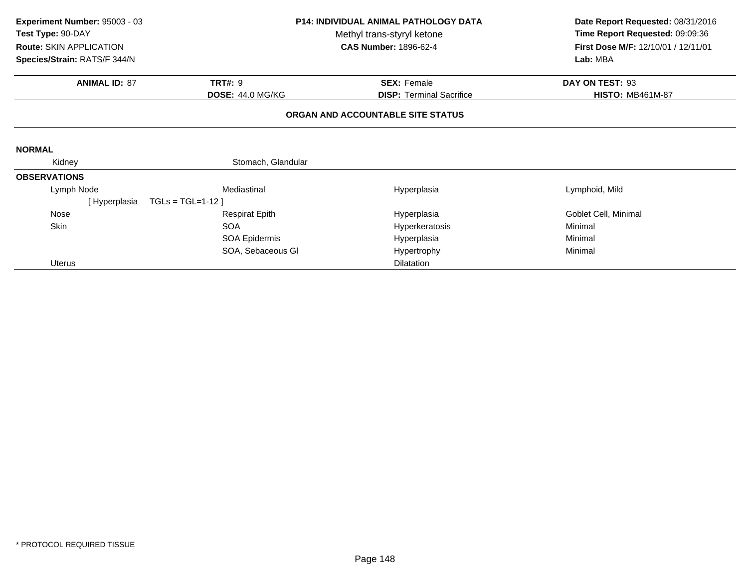| Experiment Number: 95003 - 03<br>Test Type: 90-DAY<br>Route: SKIN APPLICATION | <b>P14: INDIVIDUAL ANIMAL PATHOLOGY DATA</b><br>Methyl trans-styryl ketone<br><b>CAS Number: 1896-62-4</b> |                                   | Date Report Requested: 08/31/2016<br>Time Report Requested: 09:09:36<br>First Dose M/F: 12/10/01 / 12/11/01 |  |
|-------------------------------------------------------------------------------|------------------------------------------------------------------------------------------------------------|-----------------------------------|-------------------------------------------------------------------------------------------------------------|--|
| Species/Strain: RATS/F 344/N                                                  |                                                                                                            |                                   | Lab: MBA                                                                                                    |  |
| <b>ANIMAL ID: 87</b>                                                          | <b>TRT#: 9</b>                                                                                             | <b>SEX: Female</b>                | DAY ON TEST: 93                                                                                             |  |
|                                                                               | <b>DOSE: 44.0 MG/KG</b>                                                                                    | <b>DISP: Terminal Sacrifice</b>   | <b>HISTO: MB461M-87</b>                                                                                     |  |
|                                                                               |                                                                                                            | ORGAN AND ACCOUNTABLE SITE STATUS |                                                                                                             |  |
| <b>NORMAL</b>                                                                 |                                                                                                            |                                   |                                                                                                             |  |
| Kidney                                                                        | Stomach, Glandular                                                                                         |                                   |                                                                                                             |  |
| <b>OBSERVATIONS</b>                                                           |                                                                                                            |                                   |                                                                                                             |  |
| Lymph Node                                                                    | Mediastinal                                                                                                | Hyperplasia                       | Lymphoid, Mild                                                                                              |  |
| [Hyperplasia                                                                  | $TGLs = TGL=1-12$                                                                                          |                                   |                                                                                                             |  |
| Nose                                                                          | <b>Respirat Epith</b>                                                                                      | Hyperplasia                       | Goblet Cell, Minimal                                                                                        |  |
| Skin                                                                          | <b>SOA</b>                                                                                                 | Hyperkeratosis                    | Minimal                                                                                                     |  |
|                                                                               | SOA Epidermis                                                                                              | Hyperplasia                       | Minimal                                                                                                     |  |
|                                                                               | SOA, Sebaceous GI                                                                                          | Hypertrophy                       | Minimal                                                                                                     |  |
| <b>Uterus</b>                                                                 |                                                                                                            | <b>Dilatation</b>                 |                                                                                                             |  |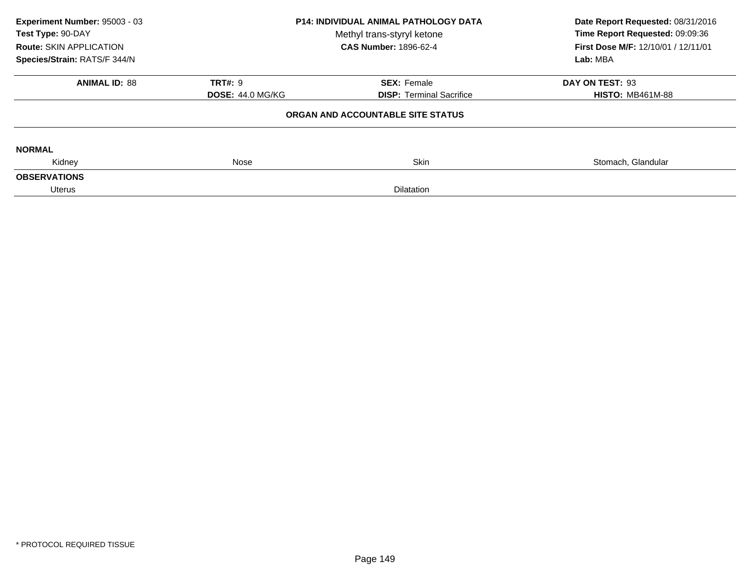| Experiment Number: 95003 - 03<br>Test Type: 90-DAY<br><b>Route: SKIN APPLICATION</b> | <b>P14: INDIVIDUAL ANIMAL PATHOLOGY DATA</b><br>Methyl trans-styryl ketone<br><b>CAS Number: 1896-62-4</b> |                                   | Date Report Requested: 08/31/2016<br>Time Report Requested: 09:09:36<br>First Dose M/F: 12/10/01 / 12/11/01 |  |
|--------------------------------------------------------------------------------------|------------------------------------------------------------------------------------------------------------|-----------------------------------|-------------------------------------------------------------------------------------------------------------|--|
| Species/Strain: RATS/F 344/N                                                         |                                                                                                            |                                   | Lab: MBA                                                                                                    |  |
| <b>ANIMAL ID: 88</b>                                                                 | <b>TRT#: 9</b>                                                                                             | <b>SEX: Female</b>                | DAY ON TEST: 93                                                                                             |  |
|                                                                                      | <b>DOSE: 44.0 MG/KG</b>                                                                                    | <b>DISP: Terminal Sacrifice</b>   | <b>HISTO: MB461M-88</b>                                                                                     |  |
|                                                                                      |                                                                                                            | ORGAN AND ACCOUNTABLE SITE STATUS |                                                                                                             |  |
| <b>NORMAL</b>                                                                        |                                                                                                            |                                   |                                                                                                             |  |
| Kidney                                                                               | <b>Skin</b><br>Nose                                                                                        |                                   | Stomach, Glandular                                                                                          |  |
| <b>OBSERVATIONS</b>                                                                  |                                                                                                            |                                   |                                                                                                             |  |
| Uterus                                                                               |                                                                                                            |                                   |                                                                                                             |  |
|                                                                                      |                                                                                                            |                                   |                                                                                                             |  |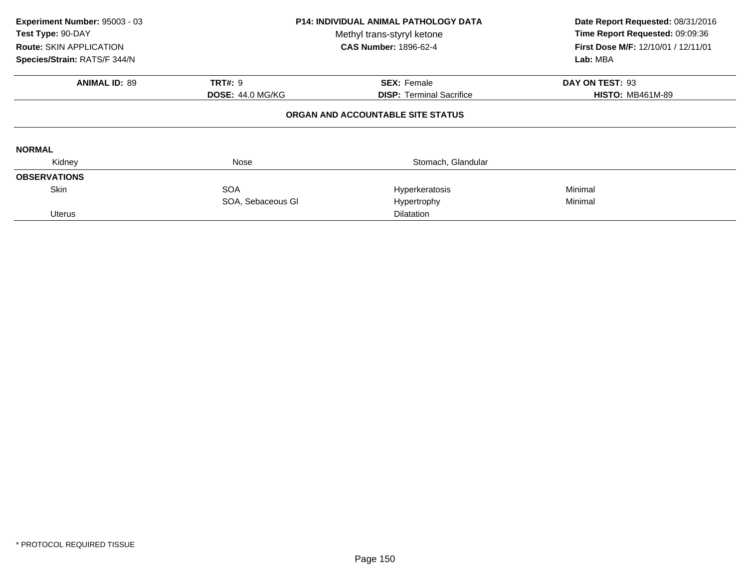| Experiment Number: 95003 - 03<br>Test Type: 90-DAY<br><b>Route: SKIN APPLICATION</b><br>Species/Strain: RATS/F 344/N | <b>P14: INDIVIDUAL ANIMAL PATHOLOGY DATA</b><br>Methyl trans-styryl ketone<br><b>CAS Number: 1896-62-4</b> |                                   | Date Report Requested: 08/31/2016<br>Time Report Requested: 09:09:36<br>First Dose M/F: 12/10/01 / 12/11/01<br>Lab: MBA |
|----------------------------------------------------------------------------------------------------------------------|------------------------------------------------------------------------------------------------------------|-----------------------------------|-------------------------------------------------------------------------------------------------------------------------|
| <b>ANIMAL ID: 89</b>                                                                                                 | <b>TRT#: 9</b>                                                                                             | <b>SEX: Female</b>                | DAY ON TEST: 93                                                                                                         |
|                                                                                                                      | <b>DOSE: 44.0 MG/KG</b>                                                                                    | <b>DISP: Terminal Sacrifice</b>   | <b>HISTO: MB461M-89</b>                                                                                                 |
|                                                                                                                      |                                                                                                            | ORGAN AND ACCOUNTABLE SITE STATUS |                                                                                                                         |
| <b>NORMAL</b>                                                                                                        |                                                                                                            |                                   |                                                                                                                         |
| Kidney                                                                                                               | Nose                                                                                                       | Stomach, Glandular                |                                                                                                                         |
| <b>OBSERVATIONS</b>                                                                                                  |                                                                                                            |                                   |                                                                                                                         |
| <b>Skin</b>                                                                                                          | <b>SOA</b>                                                                                                 | Hyperkeratosis                    | Minimal                                                                                                                 |
|                                                                                                                      | SOA, Sebaceous GI                                                                                          | Hypertrophy                       | Minimal                                                                                                                 |
| <b>Uterus</b>                                                                                                        |                                                                                                            | Dilatation                        |                                                                                                                         |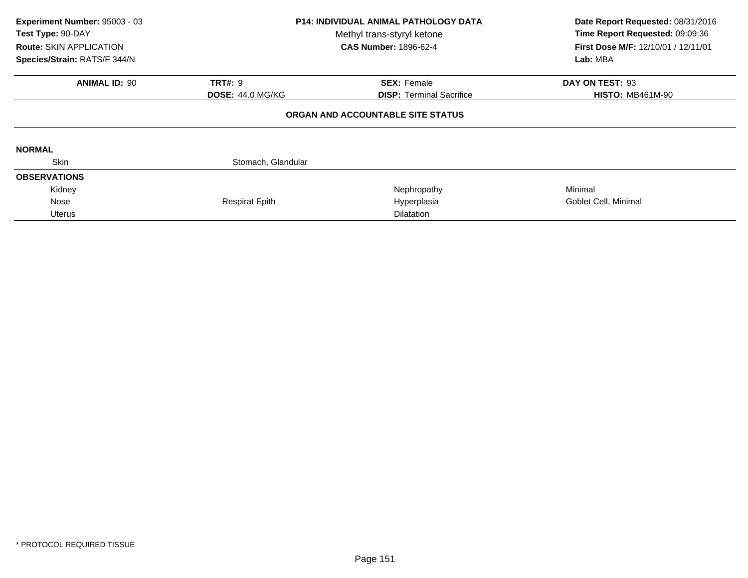| Experiment Number: 95003 - 03<br>Test Type: 90-DAY<br><b>Route: SKIN APPLICATION</b><br>Species/Strain: RATS/F 344/N | <b>P14: INDIVIDUAL ANIMAL PATHOLOGY DATA</b><br>Methyl trans-styryl ketone<br><b>CAS Number: 1896-62-4</b> |                                   | Date Report Requested: 08/31/2016<br>Time Report Requested: 09:09:36<br>First Dose M/F: 12/10/01 / 12/11/01<br>Lab: MBA |
|----------------------------------------------------------------------------------------------------------------------|------------------------------------------------------------------------------------------------------------|-----------------------------------|-------------------------------------------------------------------------------------------------------------------------|
| <b>ANIMAL ID: 90</b>                                                                                                 | <b>TRT#: 9</b>                                                                                             | <b>SEX: Female</b>                | DAY ON TEST: 93                                                                                                         |
|                                                                                                                      | <b>DOSE: 44.0 MG/KG</b>                                                                                    | <b>DISP:</b> Terminal Sacrifice   | <b>HISTO: MB461M-90</b>                                                                                                 |
|                                                                                                                      |                                                                                                            | ORGAN AND ACCOUNTABLE SITE STATUS |                                                                                                                         |
| <b>NORMAL</b>                                                                                                        |                                                                                                            |                                   |                                                                                                                         |
| <b>Skin</b>                                                                                                          | Stomach, Glandular                                                                                         |                                   |                                                                                                                         |
| <b>OBSERVATIONS</b>                                                                                                  |                                                                                                            |                                   |                                                                                                                         |
| Kidney                                                                                                               |                                                                                                            | Nephropathy                       | Minimal                                                                                                                 |
| Nose                                                                                                                 | <b>Respirat Epith</b>                                                                                      | Hyperplasia                       | Goblet Cell, Minimal                                                                                                    |
| <b>Uterus</b>                                                                                                        |                                                                                                            | <b>Dilatation</b>                 |                                                                                                                         |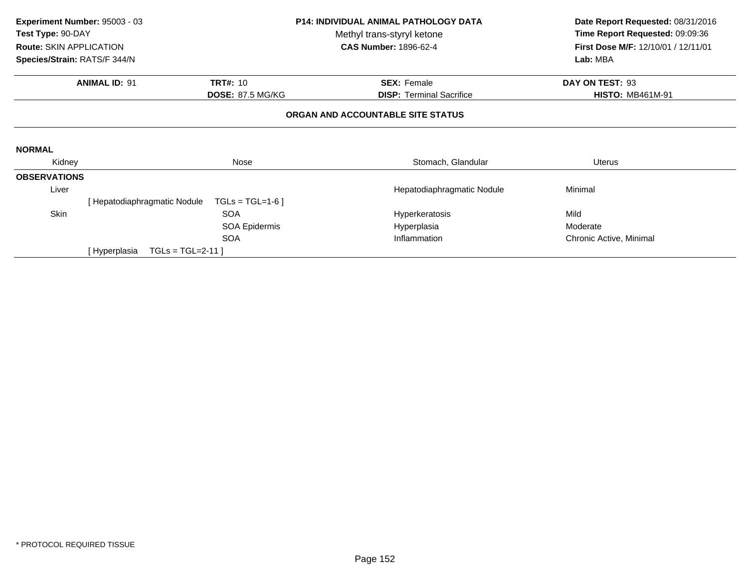|                                | <b>P14: INDIVIDUAL ANIMAL PATHOLOGY DATA</b><br>Experiment Number: 95003 - 03 |                         | Date Report Requested: 08/31/2016 |                                 |                                     |
|--------------------------------|-------------------------------------------------------------------------------|-------------------------|-----------------------------------|---------------------------------|-------------------------------------|
| Test Type: 90-DAY              |                                                                               |                         | Methyl trans-styryl ketone        |                                 | Time Report Requested: 09:09:36     |
| <b>Route: SKIN APPLICATION</b> |                                                                               |                         | <b>CAS Number: 1896-62-4</b>      |                                 | First Dose M/F: 12/10/01 / 12/11/01 |
| Species/Strain: RATS/F 344/N   |                                                                               |                         |                                   |                                 | Lab: MBA                            |
|                                | <b>ANIMAL ID: 91</b>                                                          | <b>TRT#: 10</b>         |                                   | <b>SEX: Female</b>              | DAY ON TEST: 93                     |
|                                |                                                                               | <b>DOSE: 87.5 MG/KG</b> |                                   | <b>DISP:</b> Terminal Sacrifice | <b>HISTO: MB461M-91</b>             |
|                                |                                                                               |                         | ORGAN AND ACCOUNTABLE SITE STATUS |                                 |                                     |
|                                |                                                                               |                         |                                   |                                 |                                     |
| <b>NORMAL</b>                  |                                                                               |                         |                                   |                                 |                                     |
| Kidney                         |                                                                               | Nose                    |                                   | Stomach, Glandular              | <b>Uterus</b>                       |
| <b>OBSERVATIONS</b>            |                                                                               |                         |                                   |                                 |                                     |
| Liver                          |                                                                               |                         |                                   | Hepatodiaphragmatic Nodule      | Minimal                             |
|                                | [Hepatodiaphragmatic Nodule                                                   | $TGLs = TGL=1-6$        |                                   |                                 |                                     |
| Skin                           |                                                                               | <b>SOA</b>              |                                   | Hyperkeratosis                  | Mild                                |
|                                |                                                                               | <b>SOA Epidermis</b>    |                                   | Hyperplasia                     | Moderate                            |
|                                |                                                                               | <b>SOA</b>              |                                   | Inflammation                    | Chronic Active, Minimal             |
|                                | $TGLs = TGL=2-11$<br>[ Hyperplasia                                            |                         |                                   |                                 |                                     |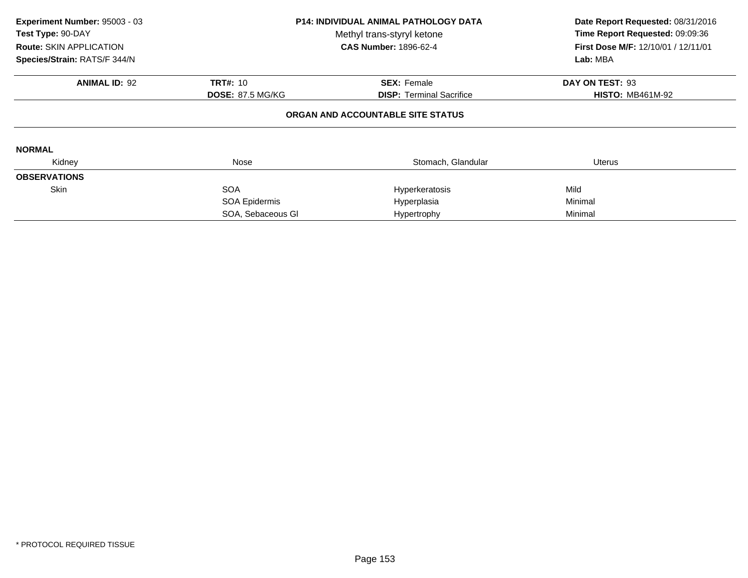| Experiment Number: 95003 - 03<br>Test Type: 90-DAY<br><b>Route: SKIN APPLICATION</b><br>Species/Strain: RATS/F 344/N | <b>P14: INDIVIDUAL ANIMAL PATHOLOGY DATA</b><br>Methyl trans-styryl ketone<br><b>CAS Number: 1896-62-4</b> |                                                       | Date Report Requested: 08/31/2016<br>Time Report Requested: 09:09:36<br>First Dose M/F: 12/10/01 / 12/11/01<br>Lab: MBA |  |
|----------------------------------------------------------------------------------------------------------------------|------------------------------------------------------------------------------------------------------------|-------------------------------------------------------|-------------------------------------------------------------------------------------------------------------------------|--|
| <b>ANIMAL ID: 92</b>                                                                                                 | <b>TRT#: 10</b><br><b>DOSE: 87.5 MG/KG</b>                                                                 | <b>SEX: Female</b><br><b>DISP:</b> Terminal Sacrifice | DAY ON TEST: 93<br><b>HISTO: MB461M-92</b>                                                                              |  |
|                                                                                                                      |                                                                                                            | ORGAN AND ACCOUNTABLE SITE STATUS                     |                                                                                                                         |  |
| <b>NORMAL</b>                                                                                                        |                                                                                                            |                                                       |                                                                                                                         |  |
| Kidney                                                                                                               | Nose                                                                                                       | Stomach, Glandular                                    | <b>Uterus</b>                                                                                                           |  |
| <b>OBSERVATIONS</b>                                                                                                  |                                                                                                            |                                                       |                                                                                                                         |  |
| <b>Skin</b>                                                                                                          | <b>SOA</b>                                                                                                 | Hyperkeratosis                                        | Mild                                                                                                                    |  |
|                                                                                                                      | SOA Epidermis                                                                                              | Hyperplasia                                           | Minimal                                                                                                                 |  |
|                                                                                                                      | SOA, Sebaceous GI                                                                                          | Hypertrophy                                           | Minimal                                                                                                                 |  |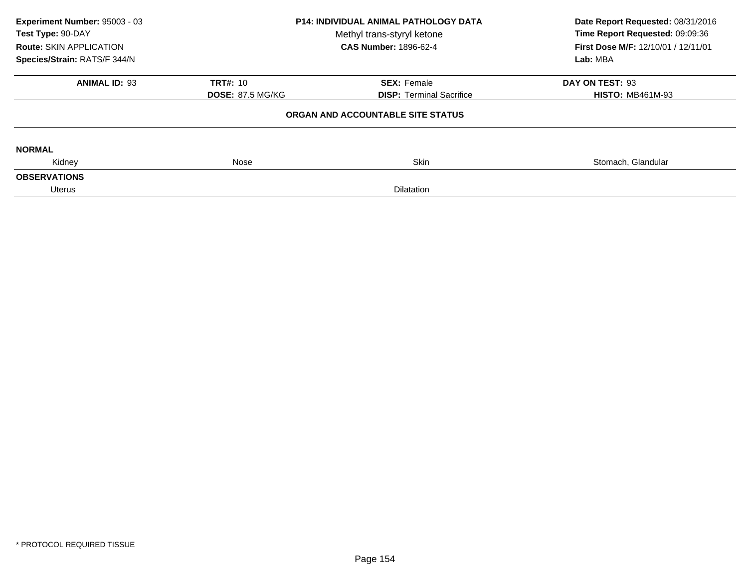| Experiment Number: 95003 - 03<br>Test Type: 90-DAY<br><b>Route: SKIN APPLICATION</b> | <b>P14: INDIVIDUAL ANIMAL PATHOLOGY DATA</b><br>Methyl trans-styryl ketone<br><b>CAS Number: 1896-62-4</b> |                                   | Date Report Requested: 08/31/2016<br>Time Report Requested: 09:09:36<br>First Dose M/F: 12/10/01 / 12/11/01 |
|--------------------------------------------------------------------------------------|------------------------------------------------------------------------------------------------------------|-----------------------------------|-------------------------------------------------------------------------------------------------------------|
| Species/Strain: RATS/F 344/N                                                         |                                                                                                            |                                   | Lab: MBA                                                                                                    |
| <b>ANIMAL ID: 93</b>                                                                 | <b>TRT#: 10</b>                                                                                            | <b>SEX: Female</b>                | DAY ON TEST: 93                                                                                             |
|                                                                                      | <b>DOSE: 87.5 MG/KG</b>                                                                                    | <b>DISP: Terminal Sacrifice</b>   | <b>HISTO: MB461M-93</b>                                                                                     |
|                                                                                      |                                                                                                            | ORGAN AND ACCOUNTABLE SITE STATUS |                                                                                                             |
| <b>NORMAL</b>                                                                        |                                                                                                            |                                   |                                                                                                             |
| Kidney                                                                               | <b>Skin</b><br>Nose                                                                                        |                                   | Stomach, Glandular                                                                                          |
| <b>OBSERVATIONS</b>                                                                  |                                                                                                            |                                   |                                                                                                             |
| Uterus                                                                               |                                                                                                            |                                   |                                                                                                             |
|                                                                                      |                                                                                                            |                                   |                                                                                                             |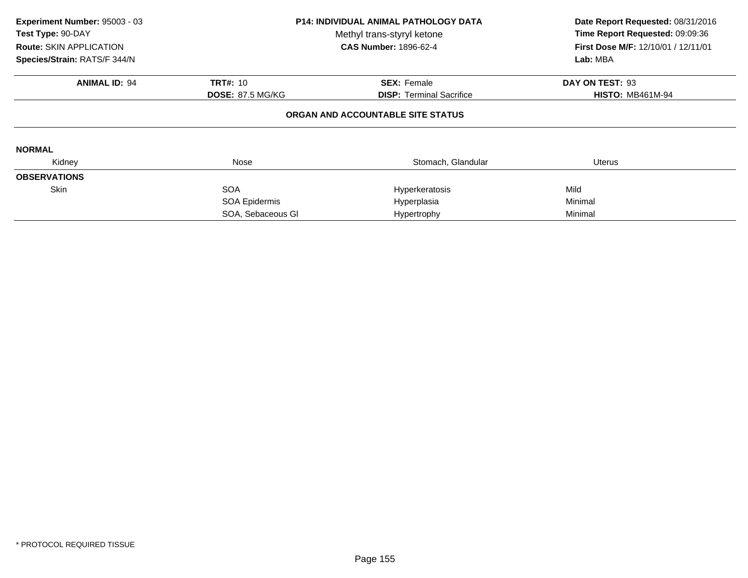| Experiment Number: 95003 - 03<br>Test Type: 90-DAY<br><b>Route: SKIN APPLICATION</b><br>Species/Strain: RATS/F 344/N | <b>P14: INDIVIDUAL ANIMAL PATHOLOGY DATA</b><br>Methyl trans-styryl ketone<br><b>CAS Number: 1896-62-4</b> |                                                       | Date Report Requested: 08/31/2016<br>Time Report Requested: 09:09:36<br>First Dose M/F: 12/10/01 / 12/11/01<br>Lab: MBA |  |
|----------------------------------------------------------------------------------------------------------------------|------------------------------------------------------------------------------------------------------------|-------------------------------------------------------|-------------------------------------------------------------------------------------------------------------------------|--|
| <b>ANIMAL ID: 94</b>                                                                                                 | <b>TRT#: 10</b><br><b>DOSE: 87.5 MG/KG</b>                                                                 | <b>SEX: Female</b><br><b>DISP:</b> Terminal Sacrifice | DAY ON TEST: 93<br><b>HISTO: MB461M-94</b>                                                                              |  |
|                                                                                                                      |                                                                                                            | ORGAN AND ACCOUNTABLE SITE STATUS                     |                                                                                                                         |  |
| <b>NORMAL</b>                                                                                                        |                                                                                                            |                                                       |                                                                                                                         |  |
| Kidney                                                                                                               | Nose                                                                                                       | Stomach, Glandular                                    | Uterus                                                                                                                  |  |
| <b>OBSERVATIONS</b>                                                                                                  |                                                                                                            |                                                       |                                                                                                                         |  |
| <b>Skin</b>                                                                                                          | <b>SOA</b>                                                                                                 | Hyperkeratosis                                        | Mild                                                                                                                    |  |
|                                                                                                                      | SOA Epidermis                                                                                              | Hyperplasia                                           | Minimal                                                                                                                 |  |
|                                                                                                                      | SOA, Sebaceous GI                                                                                          | Hypertrophy                                           | Minimal                                                                                                                 |  |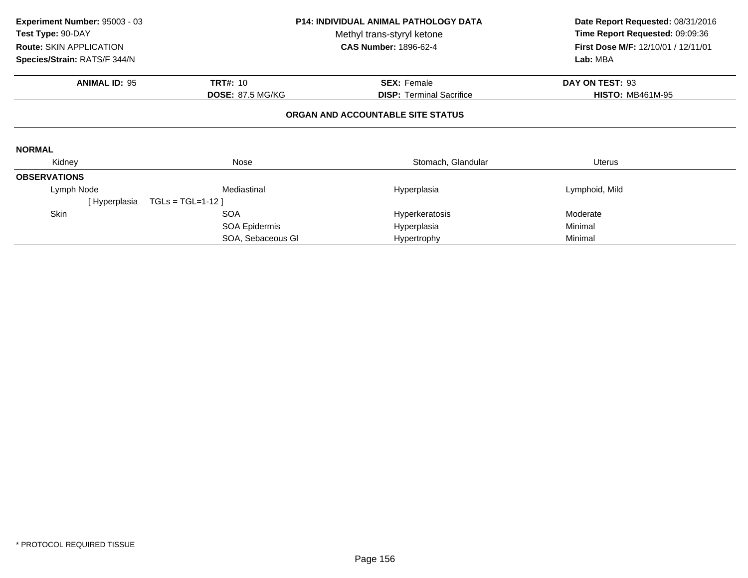| Experiment Number: 95003 - 03<br>Test Type: 90-DAY | <b>P14: INDIVIDUAL ANIMAL PATHOLOGY DATA</b><br>Methyl trans-styryl ketone |                                   | Date Report Requested: 08/31/2016<br>Time Report Requested: 09:09:36 |  |
|----------------------------------------------------|----------------------------------------------------------------------------|-----------------------------------|----------------------------------------------------------------------|--|
| <b>Route: SKIN APPLICATION</b>                     |                                                                            | <b>CAS Number: 1896-62-4</b>      | First Dose M/F: 12/10/01 / 12/11/01                                  |  |
| Species/Strain: RATS/F 344/N                       |                                                                            |                                   |                                                                      |  |
| <b>ANIMAL ID: 95</b>                               | <b>TRT#: 10</b>                                                            | <b>SEX: Female</b>                | DAY ON TEST: 93                                                      |  |
|                                                    | <b>DOSE: 87.5 MG/KG</b>                                                    | <b>DISP: Terminal Sacrifice</b>   | <b>HISTO: MB461M-95</b>                                              |  |
|                                                    |                                                                            | ORGAN AND ACCOUNTABLE SITE STATUS |                                                                      |  |
| <b>NORMAL</b>                                      |                                                                            |                                   |                                                                      |  |
| Kidney                                             | Nose                                                                       |                                   | Uterus                                                               |  |
| <b>OBSERVATIONS</b>                                |                                                                            |                                   |                                                                      |  |
| Lymph Node                                         | Mediastinal                                                                | Hyperplasia                       | Lymphoid, Mild                                                       |  |
| [ Hyperplasia                                      | $TGLs = TGL=1-12$ ]                                                        |                                   |                                                                      |  |
| Skin                                               | <b>SOA</b>                                                                 | Hyperkeratosis                    | Moderate                                                             |  |
|                                                    | SOA Epidermis                                                              | Hyperplasia                       | Minimal                                                              |  |
|                                                    | SOA, Sebaceous GI                                                          | Hypertrophy                       | Minimal                                                              |  |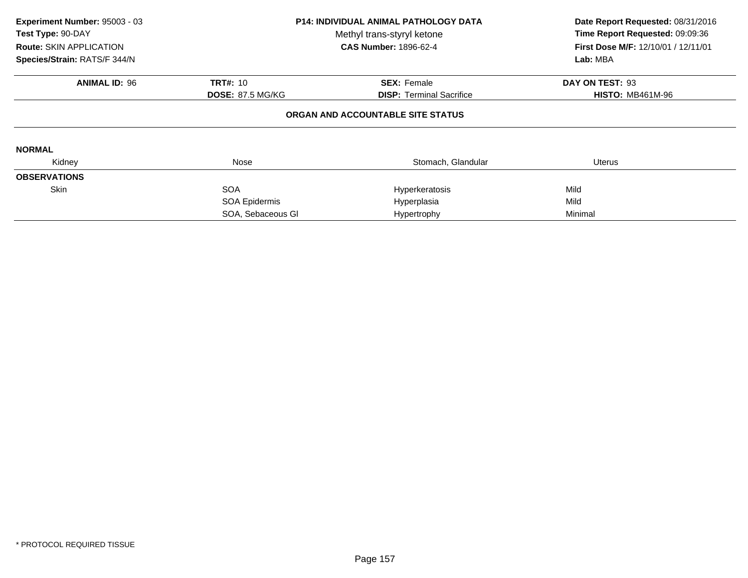| Experiment Number: 95003 - 03<br>Test Type: 90-DAY<br><b>Route: SKIN APPLICATION</b><br>Species/Strain: RATS/F 344/N | <b>P14: INDIVIDUAL ANIMAL PATHOLOGY DATA</b><br>Methyl trans-styryl ketone<br><b>CAS Number: 1896-62-4</b> |                                                       | Date Report Requested: 08/31/2016<br>Time Report Requested: 09:09:36<br>First Dose M/F: 12/10/01 / 12/11/01<br>Lab: MBA |  |
|----------------------------------------------------------------------------------------------------------------------|------------------------------------------------------------------------------------------------------------|-------------------------------------------------------|-------------------------------------------------------------------------------------------------------------------------|--|
| <b>ANIMAL ID: 96</b>                                                                                                 | <b>TRT#: 10</b><br><b>DOSE: 87.5 MG/KG</b>                                                                 | <b>SEX: Female</b><br><b>DISP:</b> Terminal Sacrifice | DAY ON TEST: 93<br><b>HISTO: MB461M-96</b>                                                                              |  |
|                                                                                                                      |                                                                                                            | ORGAN AND ACCOUNTABLE SITE STATUS                     |                                                                                                                         |  |
| <b>NORMAL</b>                                                                                                        |                                                                                                            |                                                       |                                                                                                                         |  |
| Kidney                                                                                                               | Nose                                                                                                       | Stomach, Glandular                                    | <b>Uterus</b>                                                                                                           |  |
| <b>OBSERVATIONS</b>                                                                                                  |                                                                                                            |                                                       |                                                                                                                         |  |
| <b>Skin</b>                                                                                                          | <b>SOA</b>                                                                                                 | Hyperkeratosis                                        | Mild                                                                                                                    |  |
|                                                                                                                      | SOA Epidermis                                                                                              | Hyperplasia                                           | Mild                                                                                                                    |  |
|                                                                                                                      | SOA, Sebaceous GI                                                                                          | Hypertrophy                                           | Minimal                                                                                                                 |  |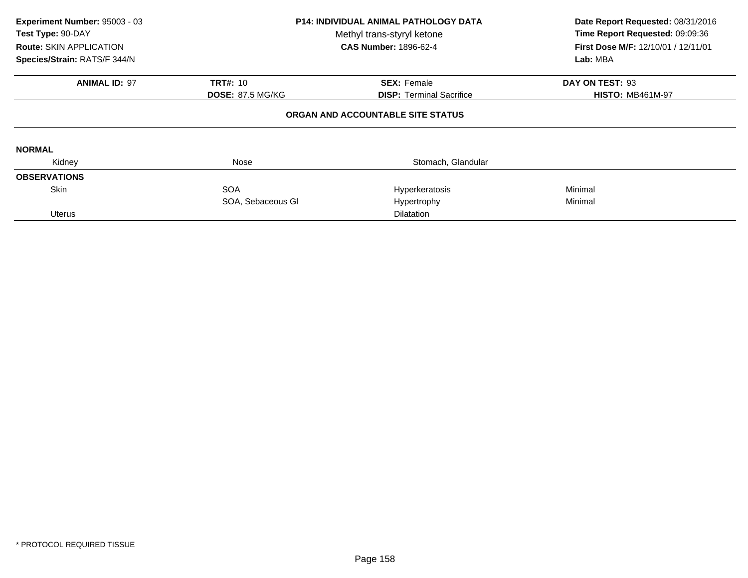| Experiment Number: 95003 - 03<br>Test Type: 90-DAY<br><b>Route: SKIN APPLICATION</b><br>Species/Strain: RATS/F 344/N | <b>P14: INDIVIDUAL ANIMAL PATHOLOGY DATA</b><br>Methyl trans-styryl ketone<br><b>CAS Number: 1896-62-4</b> |                                                                      | Date Report Requested: 08/31/2016<br>Time Report Requested: 09:09:36<br>First Dose M/F: 12/10/01 / 12/11/01<br>Lab: MBA |
|----------------------------------------------------------------------------------------------------------------------|------------------------------------------------------------------------------------------------------------|----------------------------------------------------------------------|-------------------------------------------------------------------------------------------------------------------------|
| <b>ANIMAL ID: 97</b>                                                                                                 | <b>TRT#: 10</b>                                                                                            | <b>SEX: Female</b>                                                   | DAY ON TEST: 93                                                                                                         |
|                                                                                                                      | <b>DOSE: 87.5 MG/KG</b>                                                                                    | <b>DISP:</b> Terminal Sacrifice<br>ORGAN AND ACCOUNTABLE SITE STATUS | <b>HISTO: MB461M-97</b>                                                                                                 |
| <b>NORMAL</b>                                                                                                        |                                                                                                            |                                                                      |                                                                                                                         |
| Kidney                                                                                                               | Nose                                                                                                       | Stomach, Glandular                                                   |                                                                                                                         |
| <b>OBSERVATIONS</b>                                                                                                  |                                                                                                            |                                                                      |                                                                                                                         |
| <b>Skin</b>                                                                                                          | <b>SOA</b>                                                                                                 | Hyperkeratosis                                                       | Minimal                                                                                                                 |
|                                                                                                                      | SOA, Sebaceous GI                                                                                          | Hypertrophy                                                          | Minimal                                                                                                                 |
| <b>Uterus</b>                                                                                                        |                                                                                                            | Dilatation                                                           |                                                                                                                         |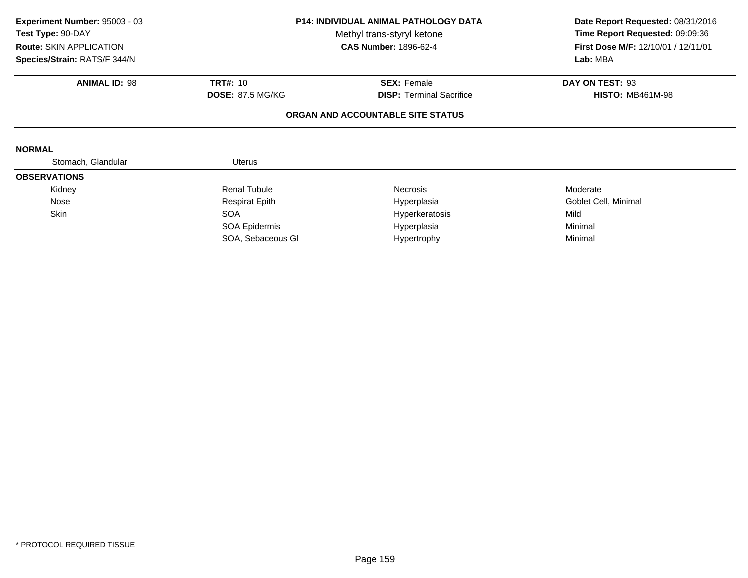| Experiment Number: 95003 - 03<br>Test Type: 90-DAY<br>Route: SKIN APPLICATION<br>Species/Strain: RATS/F 344/N | <b>P14: INDIVIDUAL ANIMAL PATHOLOGY DATA</b><br>Methyl trans-styryl ketone<br><b>CAS Number: 1896-62-4</b> |                                   | Date Report Requested: 08/31/2016<br>Time Report Requested: 09:09:36<br>First Dose M/F: 12/10/01 / 12/11/01<br>Lab: MBA |  |
|---------------------------------------------------------------------------------------------------------------|------------------------------------------------------------------------------------------------------------|-----------------------------------|-------------------------------------------------------------------------------------------------------------------------|--|
| <b>ANIMAL ID: 98</b>                                                                                          | <b>TRT#: 10</b>                                                                                            | <b>SEX: Female</b>                | DAY ON TEST: 93                                                                                                         |  |
|                                                                                                               | <b>DOSE: 87.5 MG/KG</b>                                                                                    | <b>DISP:</b> Terminal Sacrifice   | <b>HISTO: MB461M-98</b>                                                                                                 |  |
|                                                                                                               |                                                                                                            | ORGAN AND ACCOUNTABLE SITE STATUS |                                                                                                                         |  |
| <b>NORMAL</b>                                                                                                 |                                                                                                            |                                   |                                                                                                                         |  |
| Stomach, Glandular                                                                                            | <b>Uterus</b>                                                                                              |                                   |                                                                                                                         |  |
| <b>OBSERVATIONS</b>                                                                                           |                                                                                                            |                                   |                                                                                                                         |  |
| Kidney                                                                                                        | <b>Renal Tubule</b>                                                                                        | <b>Necrosis</b>                   | Moderate                                                                                                                |  |
| Nose                                                                                                          | <b>Respirat Epith</b>                                                                                      | Hyperplasia                       | Goblet Cell, Minimal                                                                                                    |  |
| Skin                                                                                                          | <b>SOA</b>                                                                                                 | Hyperkeratosis                    | Mild                                                                                                                    |  |
|                                                                                                               | SOA Epidermis                                                                                              | Hyperplasia                       | Minimal                                                                                                                 |  |
|                                                                                                               | SOA, Sebaceous GI                                                                                          | Hypertrophy                       | Minimal                                                                                                                 |  |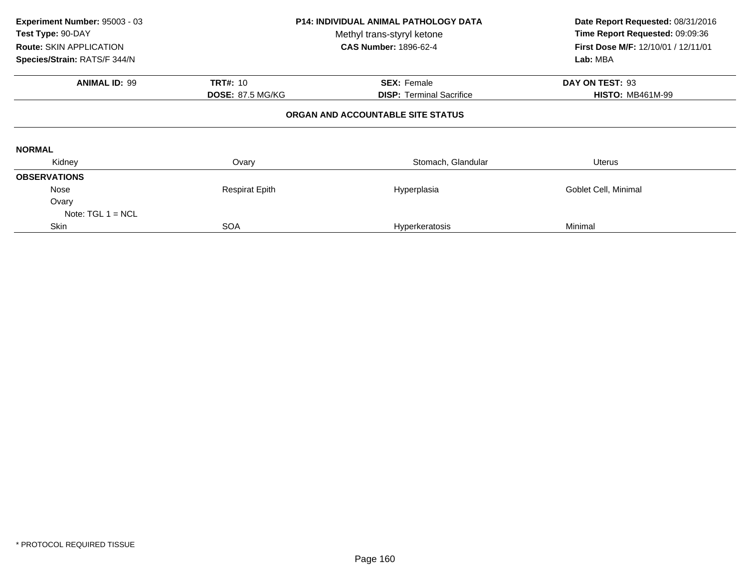| Experiment Number: 95003 - 03<br>Test Type: 90-DAY<br>Route: SKIN APPLICATION<br>Species/Strain: RATS/F 344/N | <b>P14: INDIVIDUAL ANIMAL PATHOLOGY DATA</b><br>Methyl trans-styryl ketone<br><b>CAS Number: 1896-62-4</b> |                                   | Date Report Requested: 08/31/2016<br>Time Report Requested: 09:09:36<br>First Dose M/F: 12/10/01 / 12/11/01<br>Lab: MBA |
|---------------------------------------------------------------------------------------------------------------|------------------------------------------------------------------------------------------------------------|-----------------------------------|-------------------------------------------------------------------------------------------------------------------------|
| <b>ANIMAL ID: 99</b>                                                                                          | <b>TRT#: 10</b>                                                                                            | <b>SEX: Female</b>                | DAY ON TEST: 93                                                                                                         |
|                                                                                                               | <b>DOSE: 87.5 MG/KG</b>                                                                                    | <b>DISP:</b> Terminal Sacrifice   | <b>HISTO: MB461M-99</b>                                                                                                 |
|                                                                                                               |                                                                                                            | ORGAN AND ACCOUNTABLE SITE STATUS |                                                                                                                         |
| <b>NORMAL</b>                                                                                                 |                                                                                                            |                                   |                                                                                                                         |
| Kidney                                                                                                        | Ovary                                                                                                      | Stomach, Glandular                | Uterus                                                                                                                  |
| <b>OBSERVATIONS</b>                                                                                           |                                                                                                            |                                   |                                                                                                                         |
| Nose                                                                                                          | <b>Respirat Epith</b>                                                                                      | Hyperplasia                       | Goblet Cell, Minimal                                                                                                    |
| Ovary<br>Note: $TGL 1 = NCL$                                                                                  |                                                                                                            |                                   |                                                                                                                         |
| Skin                                                                                                          | <b>SOA</b>                                                                                                 | Hyperkeratosis                    | Minimal                                                                                                                 |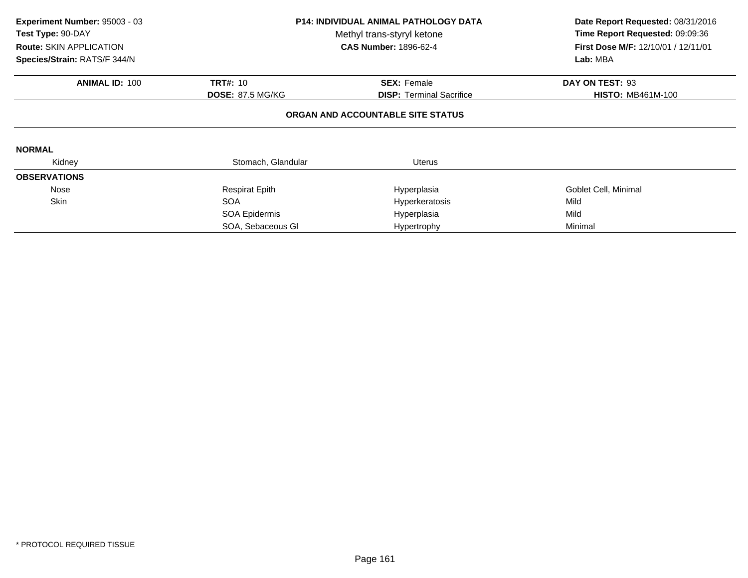| Experiment Number: 95003 - 03<br>Test Type: 90-DAY<br><b>Route: SKIN APPLICATION</b><br>Species/Strain: RATS/F 344/N | P14: INDIVIDUAL ANIMAL PATHOLOGY DATA<br>Methyl trans-styryl ketone<br><b>CAS Number: 1896-62-4</b> |                                   | Date Report Requested: 08/31/2016<br>Time Report Requested: 09:09:36<br>First Dose M/F: 12/10/01 / 12/11/01<br>Lab: MBA |
|----------------------------------------------------------------------------------------------------------------------|-----------------------------------------------------------------------------------------------------|-----------------------------------|-------------------------------------------------------------------------------------------------------------------------|
| <b>ANIMAL ID: 100</b>                                                                                                | <b>TRT#: 10</b>                                                                                     | <b>SEX: Female</b>                | DAY ON TEST: 93                                                                                                         |
|                                                                                                                      | <b>DOSE: 87.5 MG/KG</b>                                                                             | <b>DISP:</b> Terminal Sacrifice   | <b>HISTO: MB461M-100</b>                                                                                                |
|                                                                                                                      |                                                                                                     | ORGAN AND ACCOUNTABLE SITE STATUS |                                                                                                                         |
| <b>NORMAL</b>                                                                                                        |                                                                                                     |                                   |                                                                                                                         |
| Kidney                                                                                                               | Stomach, Glandular                                                                                  | <b>Uterus</b>                     |                                                                                                                         |
| <b>OBSERVATIONS</b>                                                                                                  |                                                                                                     |                                   |                                                                                                                         |
| Nose                                                                                                                 | <b>Respirat Epith</b>                                                                               | Hyperplasia                       | Goblet Cell, Minimal                                                                                                    |
| <b>Skin</b>                                                                                                          | <b>SOA</b>                                                                                          | Hyperkeratosis                    | Mild                                                                                                                    |
|                                                                                                                      | SOA Epidermis                                                                                       | Hyperplasia                       | Mild                                                                                                                    |
|                                                                                                                      | SOA, Sebaceous GI                                                                                   | Hypertrophy                       | Minimal                                                                                                                 |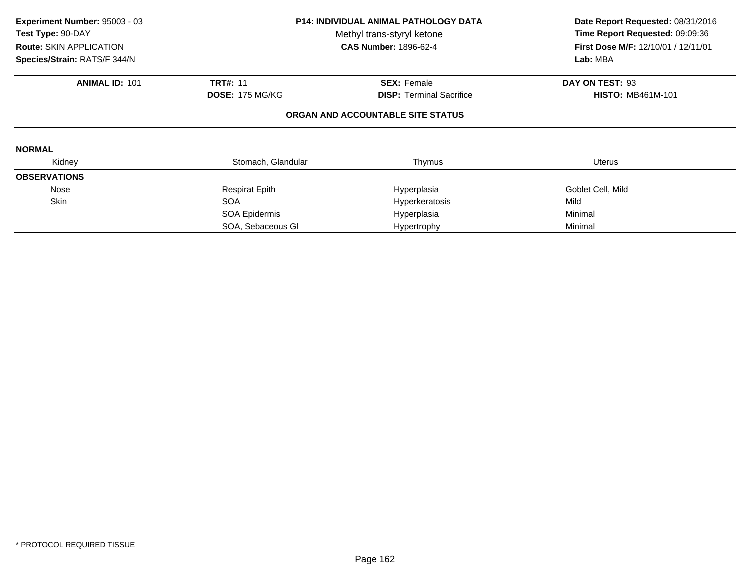| Experiment Number: 95003 - 03<br>Test Type: 90-DAY<br><b>Route: SKIN APPLICATION</b><br>Species/Strain: RATS/F 344/N | <b>P14: INDIVIDUAL ANIMAL PATHOLOGY DATA</b><br>Methyl trans-styryl ketone<br><b>CAS Number: 1896-62-4</b> |                                   | Date Report Requested: 08/31/2016<br>Time Report Requested: 09:09:36<br>First Dose M/F: 12/10/01 / 12/11/01<br>Lab: MBA |
|----------------------------------------------------------------------------------------------------------------------|------------------------------------------------------------------------------------------------------------|-----------------------------------|-------------------------------------------------------------------------------------------------------------------------|
| <b>ANIMAL ID: 101</b>                                                                                                | <b>TRT#: 11</b>                                                                                            | <b>SEX: Female</b>                | DAY ON TEST: 93                                                                                                         |
|                                                                                                                      | <b>DOSE: 175 MG/KG</b>                                                                                     | <b>DISP:</b> Terminal Sacrifice   | <b>HISTO: MB461M-101</b>                                                                                                |
|                                                                                                                      |                                                                                                            | ORGAN AND ACCOUNTABLE SITE STATUS |                                                                                                                         |
| <b>NORMAL</b>                                                                                                        |                                                                                                            |                                   |                                                                                                                         |
| Kidney                                                                                                               | Stomach, Glandular                                                                                         | Thymus                            | Uterus                                                                                                                  |
| <b>OBSERVATIONS</b>                                                                                                  |                                                                                                            |                                   |                                                                                                                         |
| Nose                                                                                                                 | <b>Respirat Epith</b>                                                                                      | Hyperplasia                       | Goblet Cell, Mild                                                                                                       |
| <b>Skin</b>                                                                                                          | <b>SOA</b>                                                                                                 | Hyperkeratosis                    | Mild                                                                                                                    |
|                                                                                                                      | SOA Epidermis                                                                                              | Hyperplasia                       | Minimal                                                                                                                 |
|                                                                                                                      | SOA, Sebaceous GI                                                                                          | Hypertrophy                       | Minimal                                                                                                                 |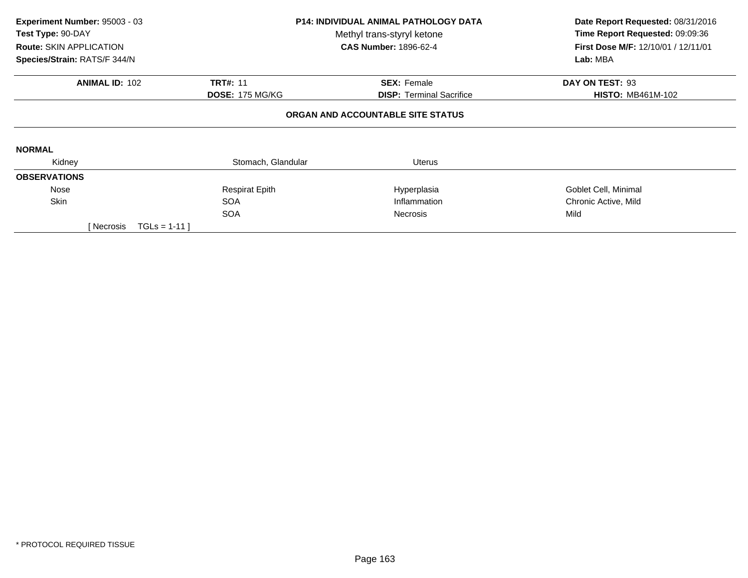| Experiment Number: 95003 - 03<br>Test Type: 90-DAY<br><b>Route: SKIN APPLICATION</b><br>Species/Strain: RATS/F 344/N | <b>P14: INDIVIDUAL ANIMAL PATHOLOGY DATA</b><br>Methyl trans-styryl ketone<br><b>CAS Number: 1896-62-4</b> |                                   | Date Report Requested: 08/31/2016<br>Time Report Requested: 09:09:36<br><b>First Dose M/F: 12/10/01 / 12/11/01</b><br>Lab: MBA |
|----------------------------------------------------------------------------------------------------------------------|------------------------------------------------------------------------------------------------------------|-----------------------------------|--------------------------------------------------------------------------------------------------------------------------------|
| <b>ANIMAL ID: 102</b>                                                                                                | <b>TRT#: 11</b>                                                                                            | <b>SEX: Female</b>                | DAY ON TEST: 93                                                                                                                |
|                                                                                                                      | <b>DOSE: 175 MG/KG</b>                                                                                     | <b>DISP:</b> Terminal Sacrifice   | <b>HISTO: MB461M-102</b>                                                                                                       |
|                                                                                                                      |                                                                                                            | ORGAN AND ACCOUNTABLE SITE STATUS |                                                                                                                                |
| <b>NORMAL</b>                                                                                                        |                                                                                                            |                                   |                                                                                                                                |
| Kidney                                                                                                               | Stomach, Glandular                                                                                         | <b>Uterus</b>                     |                                                                                                                                |
| <b>OBSERVATIONS</b>                                                                                                  |                                                                                                            |                                   |                                                                                                                                |
| Nose                                                                                                                 | <b>Respirat Epith</b>                                                                                      | Hyperplasia                       | Goblet Cell, Minimal                                                                                                           |
| Skin                                                                                                                 | <b>SOA</b>                                                                                                 | Inflammation                      | Chronic Active, Mild                                                                                                           |
|                                                                                                                      | <b>SOA</b>                                                                                                 | <b>Necrosis</b>                   | Mild                                                                                                                           |
| $TGLS = 1-11$<br>[ Necrosis                                                                                          |                                                                                                            |                                   |                                                                                                                                |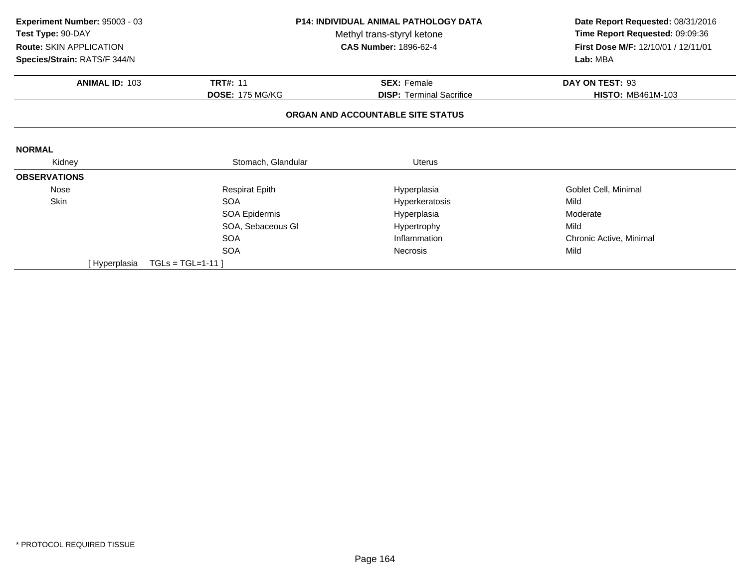| <b>P14: INDIVIDUAL ANIMAL PATHOLOGY DATA</b><br>Experiment Number: 95003 - 03 |                        |                                   | Date Report Requested: 08/31/2016   |
|-------------------------------------------------------------------------------|------------------------|-----------------------------------|-------------------------------------|
| Test Type: 90-DAY                                                             |                        | Methyl trans-styryl ketone        | Time Report Requested: 09:09:36     |
| <b>Route: SKIN APPLICATION</b>                                                |                        | <b>CAS Number: 1896-62-4</b>      | First Dose M/F: 12/10/01 / 12/11/01 |
| Species/Strain: RATS/F 344/N                                                  |                        |                                   | Lab: MBA                            |
| <b>ANIMAL ID: 103</b>                                                         | <b>TRT#: 11</b>        | <b>SEX: Female</b>                | DAY ON TEST: 93                     |
|                                                                               | <b>DOSE: 175 MG/KG</b> | <b>DISP:</b> Terminal Sacrifice   | <b>HISTO: MB461M-103</b>            |
|                                                                               |                        | ORGAN AND ACCOUNTABLE SITE STATUS |                                     |
| <b>NORMAL</b>                                                                 |                        |                                   |                                     |
| Kidney                                                                        | Stomach, Glandular     | <b>Uterus</b>                     |                                     |
| <b>OBSERVATIONS</b>                                                           |                        |                                   |                                     |
| Nose                                                                          | <b>Respirat Epith</b>  | Hyperplasia                       | Goblet Cell, Minimal                |
| Skin                                                                          | <b>SOA</b>             | Hyperkeratosis                    | Mild                                |
|                                                                               | SOA Epidermis          | Hyperplasia                       | Moderate                            |
|                                                                               | SOA, Sebaceous GI      | Hypertrophy                       | Mild                                |
|                                                                               | <b>SOA</b>             | Inflammation                      | Chronic Active, Minimal             |
|                                                                               | <b>SOA</b>             | <b>Necrosis</b>                   | Mild                                |
| [ Hyperplasia                                                                 | $TGLs = TGL=1-11$      |                                   |                                     |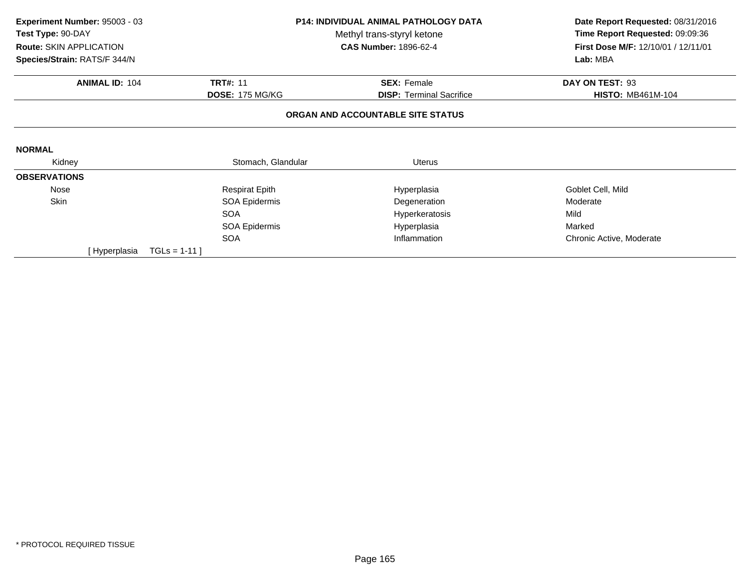| P14: INDIVIDUAL ANIMAL PATHOLOGY DATA<br>Experiment Number: 95003 - 03 |                            | Date Report Requested: 08/31/2016 |                                     |
|------------------------------------------------------------------------|----------------------------|-----------------------------------|-------------------------------------|
| Test Type: 90-DAY                                                      | Methyl trans-styryl ketone |                                   | Time Report Requested: 09:09:36     |
| Route: SKIN APPLICATION                                                |                            | <b>CAS Number: 1896-62-4</b>      | First Dose M/F: 12/10/01 / 12/11/01 |
| Species/Strain: RATS/F 344/N                                           |                            |                                   | Lab: MBA                            |
| <b>ANIMAL ID: 104</b>                                                  | <b>TRT#: 11</b>            | <b>SEX: Female</b>                | DAY ON TEST: 93                     |
|                                                                        | <b>DOSE: 175 MG/KG</b>     | <b>DISP: Terminal Sacrifice</b>   | <b>HISTO: MB461M-104</b>            |
|                                                                        |                            | ORGAN AND ACCOUNTABLE SITE STATUS |                                     |
|                                                                        |                            |                                   |                                     |
| <b>NORMAL</b>                                                          |                            |                                   |                                     |
| Kidney                                                                 | Stomach, Glandular         | <b>Uterus</b>                     |                                     |
| <b>OBSERVATIONS</b>                                                    |                            |                                   |                                     |
| Nose                                                                   | <b>Respirat Epith</b>      | Hyperplasia                       | Goblet Cell, Mild                   |
| Skin                                                                   | SOA Epidermis              | Degeneration                      | Moderate                            |
|                                                                        | <b>SOA</b>                 | Hyperkeratosis                    | Mild                                |
|                                                                        | SOA Epidermis              | Hyperplasia                       | Marked                              |
|                                                                        | <b>SOA</b>                 | Inflammation                      | Chronic Active, Moderate            |
| [ Hyperplasia                                                          | $TGLS = 1-11$              |                                   |                                     |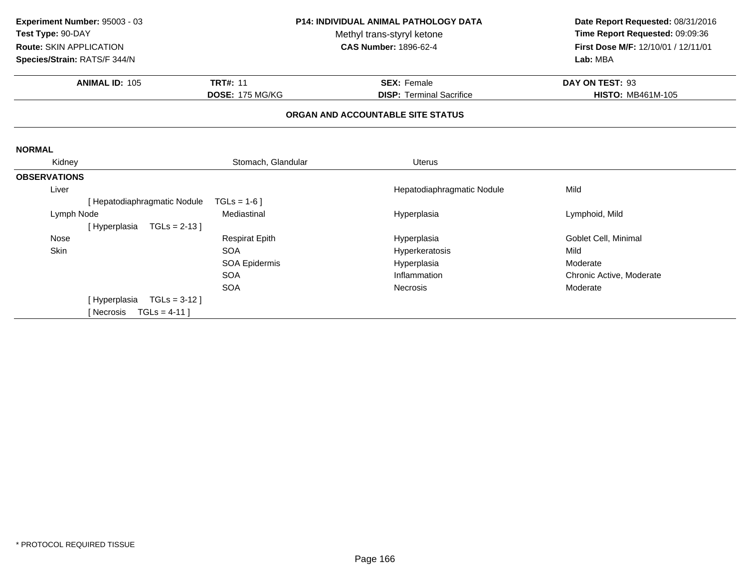| Experiment Number: 95003 - 03  |                                 |                        | P14: INDIVIDUAL ANIMAL PATHOLOGY DATA | Date Report Requested: 08/31/2016   |
|--------------------------------|---------------------------------|------------------------|---------------------------------------|-------------------------------------|
| Test Type: 90-DAY              |                                 |                        | Methyl trans-styryl ketone            | Time Report Requested: 09:09:36     |
| <b>Route: SKIN APPLICATION</b> |                                 |                        | <b>CAS Number: 1896-62-4</b>          | First Dose M/F: 12/10/01 / 12/11/01 |
| Species/Strain: RATS/F 344/N   |                                 |                        |                                       | Lab: MBA                            |
|                                | <b>ANIMAL ID: 105</b>           | <b>TRT#: 11</b>        | <b>SEX: Female</b>                    | DAY ON TEST: 93                     |
|                                |                                 | <b>DOSE: 175 MG/KG</b> | <b>DISP: Terminal Sacrifice</b>       | <b>HISTO: MB461M-105</b>            |
|                                |                                 |                        | ORGAN AND ACCOUNTABLE SITE STATUS     |                                     |
| <b>NORMAL</b>                  |                                 |                        |                                       |                                     |
| Kidney                         |                                 | Stomach, Glandular     | <b>Uterus</b>                         |                                     |
| <b>OBSERVATIONS</b>            |                                 |                        |                                       |                                     |
| Liver                          |                                 |                        | Hepatodiaphragmatic Nodule            | Mild                                |
|                                | [ Hepatodiaphragmatic Nodule    | $TGLs = 1-6$           |                                       |                                     |
| Lymph Node                     |                                 | Mediastinal            | Hyperplasia                           | Lymphoid, Mild                      |
|                                | $TGLs = 2-13$<br>[Hyperplasia   |                        |                                       |                                     |
| <b>Nose</b>                    |                                 | <b>Respirat Epith</b>  | Hyperplasia                           | Goblet Cell, Minimal                |
| Skin                           |                                 | <b>SOA</b>             | Hyperkeratosis                        | Mild                                |
|                                |                                 | SOA Epidermis          | Hyperplasia                           | Moderate                            |
|                                |                                 | <b>SOA</b>             | Inflammation                          | Chronic Active, Moderate            |
|                                |                                 | <b>SOA</b>             | <b>Necrosis</b>                       | Moderate                            |
|                                | $TGLs = 3-12$ ]<br>[Hyperplasia |                        |                                       |                                     |
|                                | TGLs = $4-11$ ]<br>[ Necrosis   |                        |                                       |                                     |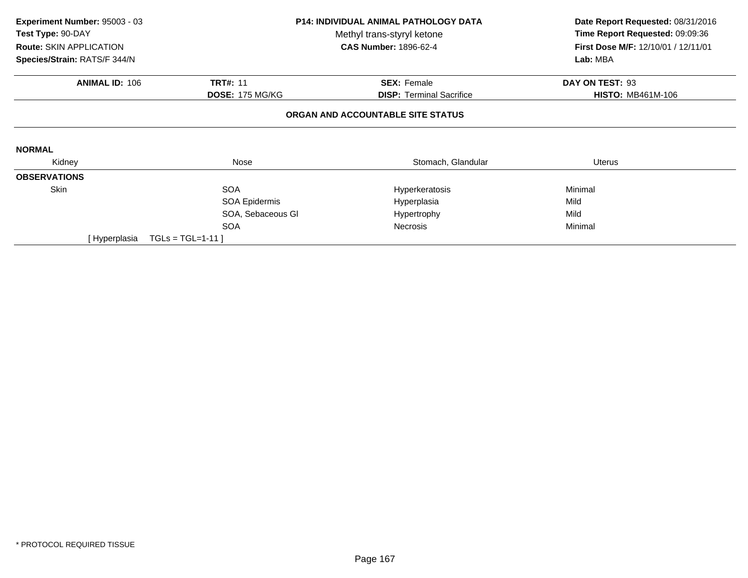| Experiment Number: 95003 - 03 |                        | <b>P14: INDIVIDUAL ANIMAL PATHOLOGY DATA</b> | Date Report Requested: 08/31/2016   |
|-------------------------------|------------------------|----------------------------------------------|-------------------------------------|
| Test Type: 90-DAY             |                        | Methyl trans-styryl ketone                   | Time Report Requested: 09:09:36     |
| Route: SKIN APPLICATION       |                        | <b>CAS Number: 1896-62-4</b>                 | First Dose M/F: 12/10/01 / 12/11/01 |
| Species/Strain: RATS/F 344/N  |                        |                                              | Lab: MBA                            |
| <b>ANIMAL ID: 106</b>         | <b>TRT#: 11</b>        | <b>SEX: Female</b>                           | DAY ON TEST: 93                     |
|                               | <b>DOSE: 175 MG/KG</b> | <b>DISP:</b> Terminal Sacrifice              | <b>HISTO: MB461M-106</b>            |
|                               |                        | ORGAN AND ACCOUNTABLE SITE STATUS            |                                     |
| <b>NORMAL</b>                 |                        |                                              |                                     |
| Kidney                        | Nose                   | Stomach, Glandular                           | Uterus                              |
| <b>OBSERVATIONS</b>           |                        |                                              |                                     |
| Skin                          | <b>SOA</b>             | Hyperkeratosis                               | Minimal                             |
|                               | SOA Epidermis          | Hyperplasia                                  | Mild                                |
|                               | SOA, Sebaceous GI      | Hypertrophy                                  | Mild                                |
|                               | <b>SOA</b>             | <b>Necrosis</b>                              | Minimal                             |
| [ Hyperplasia                 | $TGLs = TGL=1-11$      |                                              |                                     |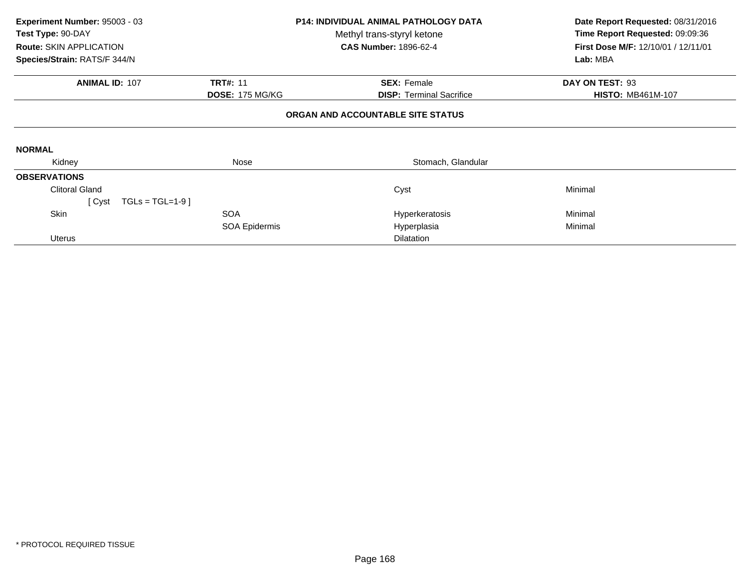| Experiment Number: 95003 - 03  |                        | <b>P14: INDIVIDUAL ANIMAL PATHOLOGY DATA</b> | Date Report Requested: 08/31/2016   |
|--------------------------------|------------------------|----------------------------------------------|-------------------------------------|
| Test Type: 90-DAY              |                        | Methyl trans-styryl ketone                   | Time Report Requested: 09:09:36     |
| <b>Route: SKIN APPLICATION</b> |                        | <b>CAS Number: 1896-62-4</b>                 | First Dose M/F: 12/10/01 / 12/11/01 |
| Species/Strain: RATS/F 344/N   |                        |                                              | Lab: MBA                            |
| <b>ANIMAL ID: 107</b>          | <b>TRT#: 11</b>        | <b>SEX: Female</b>                           | DAY ON TEST: 93                     |
|                                | <b>DOSE: 175 MG/KG</b> | <b>DISP: Terminal Sacrifice</b>              | <b>HISTO: MB461M-107</b>            |
|                                |                        | ORGAN AND ACCOUNTABLE SITE STATUS            |                                     |
| <b>NORMAL</b>                  |                        |                                              |                                     |
| Kidney                         | Nose                   | Stomach, Glandular                           |                                     |
| <b>OBSERVATIONS</b>            |                        |                                              |                                     |
| <b>Clitoral Gland</b>          |                        | Cyst                                         | Minimal                             |
| $TGLs = TGL=1-9$<br>[ Cyst     |                        |                                              |                                     |
| Skin                           | <b>SOA</b>             | Hyperkeratosis                               | Minimal                             |
|                                | SOA Epidermis          | Hyperplasia                                  | Minimal                             |
| <b>Uterus</b>                  |                        | <b>Dilatation</b>                            |                                     |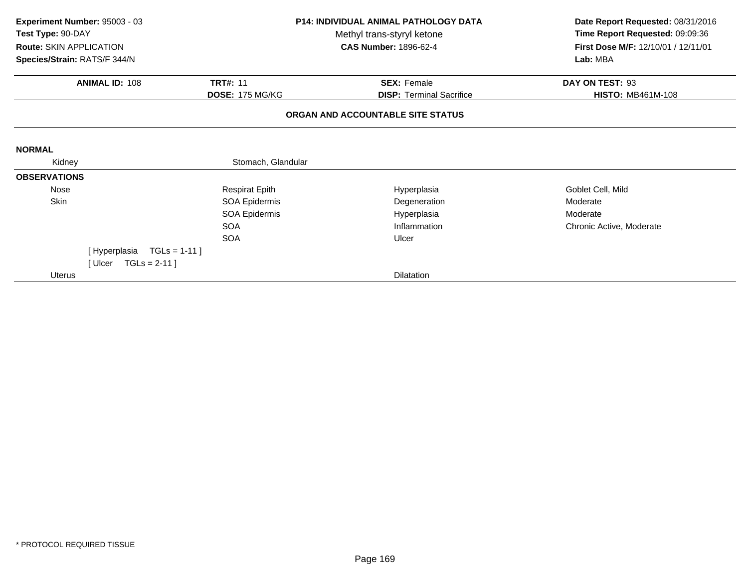| Experiment Number: 95003 - 03<br>Test Type: 90-DAY<br><b>Route: SKIN APPLICATION</b><br>Species/Strain: RATS/F 344/N |                           |                        | <b>P14: INDIVIDUAL ANIMAL PATHOLOGY DATA</b><br>Methyl trans-styryl ketone<br><b>CAS Number: 1896-62-4</b> | Date Report Requested: 08/31/2016<br>Time Report Requested: 09:09:36<br>First Dose M/F: 12/10/01 / 12/11/01<br>Lab: MBA |
|----------------------------------------------------------------------------------------------------------------------|---------------------------|------------------------|------------------------------------------------------------------------------------------------------------|-------------------------------------------------------------------------------------------------------------------------|
|                                                                                                                      | <b>ANIMAL ID: 108</b>     | <b>TRT#: 11</b>        | <b>SEX: Female</b>                                                                                         | DAY ON TEST: 93                                                                                                         |
|                                                                                                                      |                           | <b>DOSE: 175 MG/KG</b> | <b>DISP: Terminal Sacrifice</b>                                                                            | <b>HISTO: MB461M-108</b>                                                                                                |
|                                                                                                                      |                           |                        | ORGAN AND ACCOUNTABLE SITE STATUS                                                                          |                                                                                                                         |
| <b>NORMAL</b>                                                                                                        |                           |                        |                                                                                                            |                                                                                                                         |
| Kidney                                                                                                               |                           | Stomach, Glandular     |                                                                                                            |                                                                                                                         |
| <b>OBSERVATIONS</b>                                                                                                  |                           |                        |                                                                                                            |                                                                                                                         |
| Nose                                                                                                                 |                           | <b>Respirat Epith</b>  | Hyperplasia                                                                                                | Goblet Cell, Mild                                                                                                       |
| Skin                                                                                                                 |                           | SOA Epidermis          | Degeneration                                                                                               | Moderate                                                                                                                |
|                                                                                                                      |                           | SOA Epidermis          | Hyperplasia                                                                                                | Moderate                                                                                                                |
|                                                                                                                      |                           | <b>SOA</b>             | Inflammation                                                                                               | Chronic Active, Moderate                                                                                                |
|                                                                                                                      |                           | <b>SOA</b>             | Ulcer                                                                                                      |                                                                                                                         |
|                                                                                                                      | [Hyperplasia TGLs = 1-11] |                        |                                                                                                            |                                                                                                                         |
|                                                                                                                      | [Ulcer TGLs = $2-11$ ]    |                        |                                                                                                            |                                                                                                                         |
| Uterus                                                                                                               |                           |                        | <b>Dilatation</b>                                                                                          |                                                                                                                         |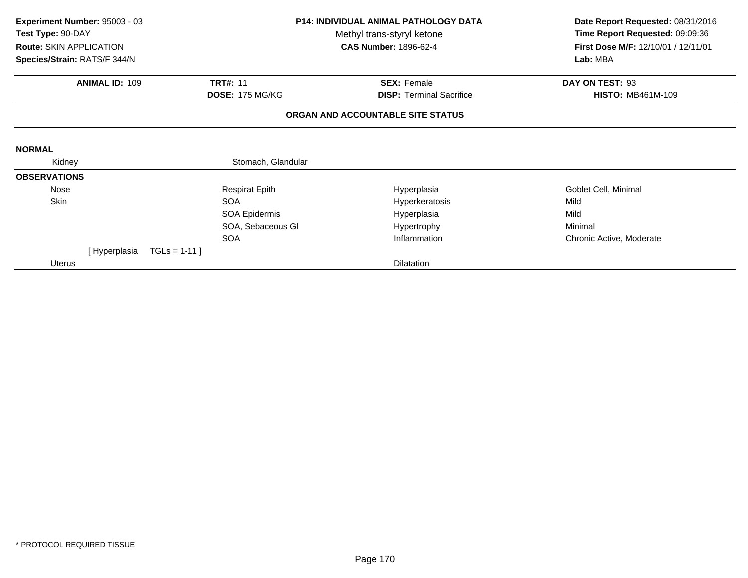| Experiment Number: 95003 - 03<br>Test Type: 90-DAY<br>Route: SKIN APPLICATION<br>Species/Strain: RATS/F 344/N |               |                        | <b>P14: INDIVIDUAL ANIMAL PATHOLOGY DATA</b><br>Methyl trans-styryl ketone<br><b>CAS Number: 1896-62-4</b> | Date Report Requested: 08/31/2016<br>Time Report Requested: 09:09:36<br>First Dose M/F: 12/10/01 / 12/11/01<br>Lab: MBA |  |
|---------------------------------------------------------------------------------------------------------------|---------------|------------------------|------------------------------------------------------------------------------------------------------------|-------------------------------------------------------------------------------------------------------------------------|--|
| <b>ANIMAL ID: 109</b>                                                                                         |               | <b>TRT#: 11</b>        | <b>SEX: Female</b>                                                                                         | DAY ON TEST: 93                                                                                                         |  |
|                                                                                                               |               | <b>DOSE: 175 MG/KG</b> | <b>DISP: Terminal Sacrifice</b>                                                                            | <b>HISTO: MB461M-109</b>                                                                                                |  |
|                                                                                                               |               |                        | ORGAN AND ACCOUNTABLE SITE STATUS                                                                          |                                                                                                                         |  |
| <b>NORMAL</b>                                                                                                 |               |                        |                                                                                                            |                                                                                                                         |  |
| Kidney                                                                                                        |               | Stomach, Glandular     |                                                                                                            |                                                                                                                         |  |
| <b>OBSERVATIONS</b>                                                                                           |               |                        |                                                                                                            |                                                                                                                         |  |
| Nose                                                                                                          |               | <b>Respirat Epith</b>  | Hyperplasia                                                                                                | Goblet Cell, Minimal                                                                                                    |  |
| Skin                                                                                                          |               | <b>SOA</b>             | Hyperkeratosis                                                                                             | Mild                                                                                                                    |  |
|                                                                                                               |               | SOA Epidermis          | Hyperplasia                                                                                                | Mild                                                                                                                    |  |
|                                                                                                               |               | SOA, Sebaceous GI      | Hypertrophy                                                                                                | Minimal                                                                                                                 |  |
|                                                                                                               |               | <b>SOA</b>             | Inflammation                                                                                               | Chronic Active, Moderate                                                                                                |  |
| [Hyperplasia                                                                                                  | $TGLS = 1-11$ |                        |                                                                                                            |                                                                                                                         |  |
| <b>Uterus</b>                                                                                                 |               |                        | <b>Dilatation</b>                                                                                          |                                                                                                                         |  |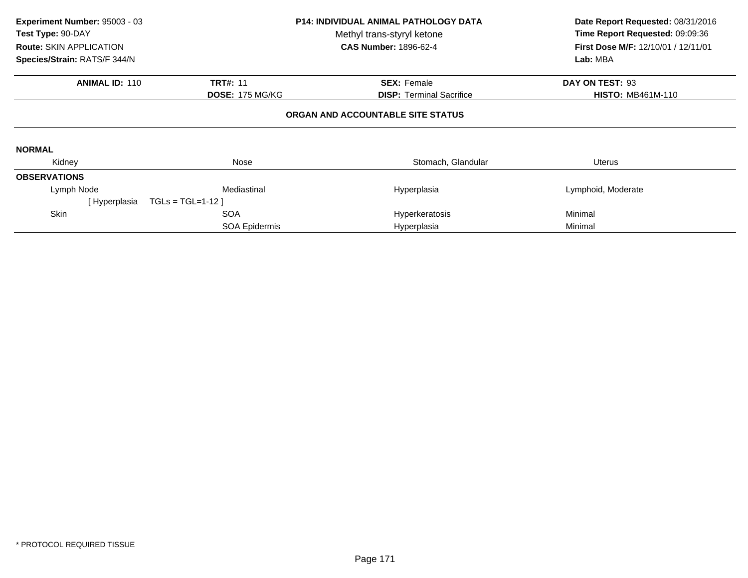| Experiment Number: 95003 - 03<br>Test Type: 90-DAY<br><b>Route: SKIN APPLICATION</b><br>Species/Strain: RATS/F 344/N |                        | P14: INDIVIDUAL ANIMAL PATHOLOGY DATA<br>Methyl trans-styryl ketone<br><b>CAS Number: 1896-62-4</b> | Date Report Requested: 08/31/2016<br>Time Report Requested: 09:09:36<br><b>First Dose M/F: 12/10/01 / 12/11/01</b><br>Lab: MBA |
|----------------------------------------------------------------------------------------------------------------------|------------------------|-----------------------------------------------------------------------------------------------------|--------------------------------------------------------------------------------------------------------------------------------|
| <b>ANIMAL ID: 110</b>                                                                                                | <b>TRT#: 11</b>        | <b>SEX: Female</b>                                                                                  | DAY ON TEST: 93                                                                                                                |
|                                                                                                                      | <b>DOSE: 175 MG/KG</b> | <b>DISP:</b> Terminal Sacrifice                                                                     | <b>HISTO: MB461M-110</b>                                                                                                       |
|                                                                                                                      |                        | ORGAN AND ACCOUNTABLE SITE STATUS                                                                   |                                                                                                                                |
| <b>NORMAL</b>                                                                                                        |                        |                                                                                                     |                                                                                                                                |
| Kidney                                                                                                               | Nose                   | Stomach, Glandular                                                                                  | Uterus                                                                                                                         |
| <b>OBSERVATIONS</b>                                                                                                  |                        |                                                                                                     |                                                                                                                                |
| Lymph Node                                                                                                           | Mediastinal            | Hyperplasia                                                                                         | Lymphoid, Moderate                                                                                                             |
| [Hyperplasia                                                                                                         | $TGLs = TGL=1-12$      |                                                                                                     |                                                                                                                                |
| Skin                                                                                                                 | <b>SOA</b>             | Hyperkeratosis                                                                                      | Minimal                                                                                                                        |
|                                                                                                                      | SOA Epidermis          | Hyperplasia                                                                                         | Minimal                                                                                                                        |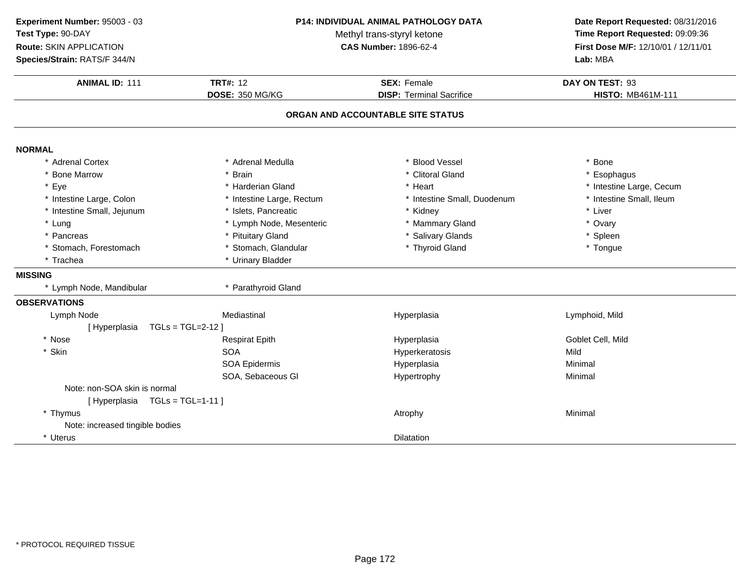| Experiment Number: 95003 - 03   |                            | P14: INDIVIDUAL ANIMAL PATHOLOGY DATA | Date Report Requested: 08/31/2016   |  |
|---------------------------------|----------------------------|---------------------------------------|-------------------------------------|--|
| Test Type: 90-DAY               | Methyl trans-styryl ketone | Time Report Requested: 09:09:36       |                                     |  |
| Route: SKIN APPLICATION         |                            | <b>CAS Number: 1896-62-4</b>          | First Dose M/F: 12/10/01 / 12/11/01 |  |
| Species/Strain: RATS/F 344/N    |                            |                                       | Lab: MBA                            |  |
| <b>ANIMAL ID: 111</b>           | <b>TRT#: 12</b>            | <b>SEX: Female</b>                    | DAY ON TEST: 93                     |  |
|                                 | <b>DOSE: 350 MG/KG</b>     | <b>DISP: Terminal Sacrifice</b>       | <b>HISTO: MB461M-111</b>            |  |
|                                 |                            | ORGAN AND ACCOUNTABLE SITE STATUS     |                                     |  |
| <b>NORMAL</b>                   |                            |                                       |                                     |  |
| * Adrenal Cortex                | * Adrenal Medulla          | <b>Blood Vessel</b>                   | * Bone                              |  |
| * Bone Marrow                   | * Brain                    | * Clitoral Gland                      | * Esophagus                         |  |
| * Eye                           | * Harderian Gland          | * Heart                               | * Intestine Large, Cecum            |  |
| * Intestine Large, Colon        | * Intestine Large, Rectum  | * Intestine Small, Duodenum           | * Intestine Small, Ileum            |  |
| * Intestine Small, Jejunum      | * Islets, Pancreatic       | * Kidney                              | * Liver                             |  |
| * Lung                          | * Lymph Node, Mesenteric   | * Mammary Gland                       | * Ovary                             |  |
| * Pancreas                      | * Pituitary Gland          | * Salivary Glands                     | * Spleen                            |  |
| * Stomach, Forestomach          | * Stomach, Glandular       | * Thyroid Gland                       | * Tongue                            |  |
| * Trachea                       | * Urinary Bladder          |                                       |                                     |  |
| <b>MISSING</b>                  |                            |                                       |                                     |  |
| * Lymph Node, Mandibular        | * Parathyroid Gland        |                                       |                                     |  |
| <b>OBSERVATIONS</b>             |                            |                                       |                                     |  |
| Lymph Node                      | Mediastinal                | Hyperplasia                           | Lymphoid, Mild                      |  |
| [Hyperplasia                    | $TGLs = TGL=2-12$          |                                       |                                     |  |
| * Nose                          | <b>Respirat Epith</b>      | Hyperplasia                           | Goblet Cell, Mild                   |  |
| * Skin                          | <b>SOA</b>                 | Hyperkeratosis                        | Mild                                |  |
|                                 | <b>SOA Epidermis</b>       | Hyperplasia                           | Minimal                             |  |
|                                 | SOA, Sebaceous GI          | Hypertrophy                           | Minimal                             |  |
| Note: non-SOA skin is normal    |                            |                                       |                                     |  |
| [Hyperplasia TGLs = TGL=1-11]   |                            |                                       |                                     |  |
| * Thymus                        |                            | Atrophy                               | Minimal                             |  |
| Note: increased tingible bodies |                            |                                       |                                     |  |
| * Uterus                        |                            | <b>Dilatation</b>                     |                                     |  |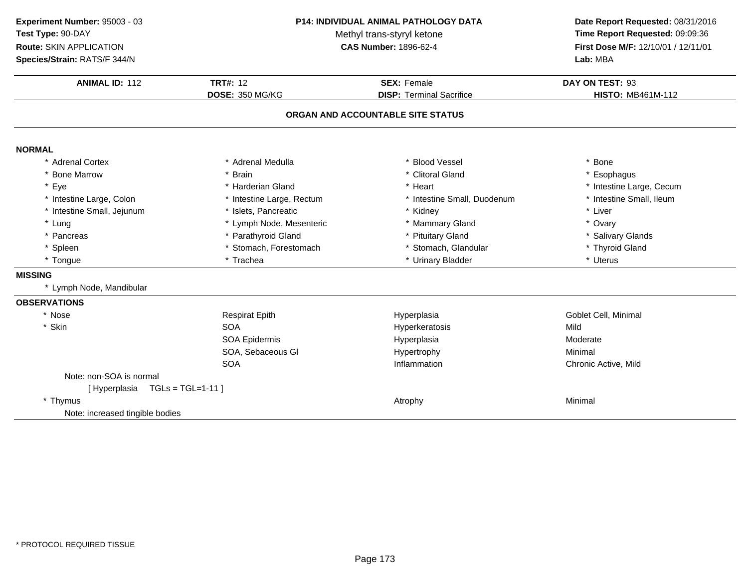| Experiment Number: 95003 - 03   |                            | P14: INDIVIDUAL ANIMAL PATHOLOGY DATA | Date Report Requested: 08/31/2016   |  |
|---------------------------------|----------------------------|---------------------------------------|-------------------------------------|--|
| Test Type: 90-DAY               | Methyl trans-styryl ketone | Time Report Requested: 09:09:36       |                                     |  |
| Route: SKIN APPLICATION         |                            | <b>CAS Number: 1896-62-4</b>          | First Dose M/F: 12/10/01 / 12/11/01 |  |
| Species/Strain: RATS/F 344/N    |                            |                                       | Lab: MBA                            |  |
| <b>ANIMAL ID: 112</b>           | <b>TRT#: 12</b>            | <b>SEX: Female</b>                    | DAY ON TEST: 93                     |  |
|                                 | DOSE: 350 MG/KG            | <b>DISP: Terminal Sacrifice</b>       | <b>HISTO: MB461M-112</b>            |  |
|                                 |                            | ORGAN AND ACCOUNTABLE SITE STATUS     |                                     |  |
| <b>NORMAL</b>                   |                            |                                       |                                     |  |
| * Adrenal Cortex                | * Adrenal Medulla          | * Blood Vessel                        | * Bone                              |  |
| * Bone Marrow                   | * Brain                    | * Clitoral Gland                      | * Esophagus                         |  |
| * Eye                           | * Harderian Gland          | * Heart                               | * Intestine Large, Cecum            |  |
| * Intestine Large, Colon        | * Intestine Large, Rectum  | * Intestine Small, Duodenum           | * Intestine Small, Ileum            |  |
| * Intestine Small, Jejunum      | * Islets, Pancreatic       | * Kidney                              | * Liver                             |  |
| * Lung                          | * Lymph Node, Mesenteric   | * Mammary Gland                       | * Ovary                             |  |
| * Pancreas                      | * Parathyroid Gland        | * Pituitary Gland                     | * Salivary Glands                   |  |
| * Spleen                        | * Stomach, Forestomach     | * Stomach, Glandular                  | * Thyroid Gland                     |  |
| * Tongue                        | * Trachea                  | * Urinary Bladder                     | * Uterus                            |  |
| <b>MISSING</b>                  |                            |                                       |                                     |  |
| * Lymph Node, Mandibular        |                            |                                       |                                     |  |
| <b>OBSERVATIONS</b>             |                            |                                       |                                     |  |
| * Nose                          | <b>Respirat Epith</b>      | Hyperplasia                           | Goblet Cell, Minimal                |  |
| * Skin                          | <b>SOA</b>                 | Hyperkeratosis                        | Mild                                |  |
|                                 | SOA Epidermis              | Hyperplasia                           | Moderate                            |  |
|                                 | SOA, Sebaceous GI          | Hypertrophy                           | Minimal                             |  |
|                                 | <b>SOA</b>                 | Inflammation                          | Chronic Active, Mild                |  |
| Note: non-SOA is normal         |                            |                                       |                                     |  |
| [Hyperplasia TGLs = TGL=1-11]   |                            |                                       |                                     |  |
| * Thymus                        |                            | Atrophy                               | Minimal                             |  |
| Note: increased tingible bodies |                            |                                       |                                     |  |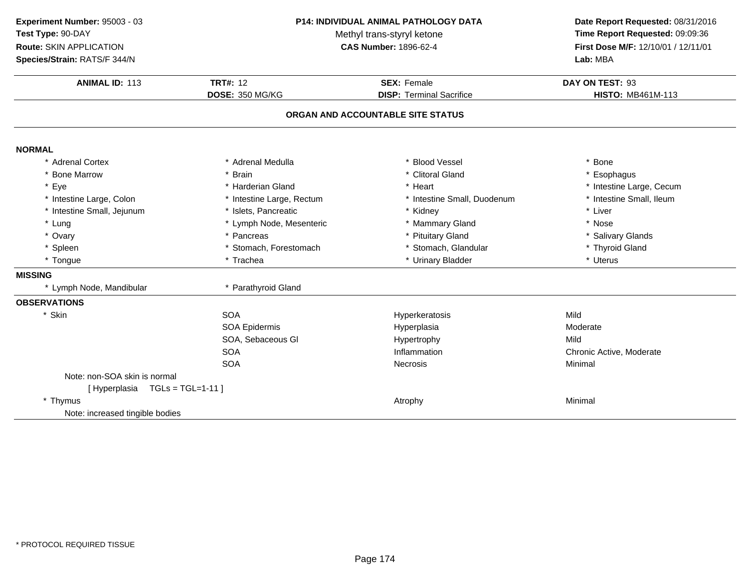| P14: INDIVIDUAL ANIMAL PATHOLOGY DATA<br>Experiment Number: 95003 - 03<br>Test Type: 90-DAY<br>Methyl trans-styryl ketone<br>Route: SKIN APPLICATION<br><b>CAS Number: 1896-62-4</b><br>Species/Strain: RATS/F 344/N |                                    | Date Report Requested: 08/31/2016<br>Time Report Requested: 09:09:36<br>First Dose M/F: 12/10/01 / 12/11/01<br>Lab: MBA |                                             |
|----------------------------------------------------------------------------------------------------------------------------------------------------------------------------------------------------------------------|------------------------------------|-------------------------------------------------------------------------------------------------------------------------|---------------------------------------------|
| <b>ANIMAL ID: 113</b>                                                                                                                                                                                                | <b>TRT#: 12</b><br>DOSE: 350 MG/KG | <b>SEX: Female</b><br><b>DISP: Terminal Sacrifice</b>                                                                   | DAY ON TEST: 93<br><b>HISTO: MB461M-113</b> |
|                                                                                                                                                                                                                      |                                    | ORGAN AND ACCOUNTABLE SITE STATUS                                                                                       |                                             |
|                                                                                                                                                                                                                      |                                    |                                                                                                                         |                                             |
| <b>NORMAL</b>                                                                                                                                                                                                        |                                    |                                                                                                                         |                                             |
| * Adrenal Cortex                                                                                                                                                                                                     | * Adrenal Medulla                  | <b>Blood Vessel</b>                                                                                                     | * Bone                                      |
| * Bone Marrow                                                                                                                                                                                                        | * Brain                            | * Clitoral Gland                                                                                                        | * Esophagus                                 |
| * Eye                                                                                                                                                                                                                | * Harderian Gland                  | * Heart                                                                                                                 | * Intestine Large, Cecum                    |
| * Intestine Large, Colon                                                                                                                                                                                             | * Intestine Large, Rectum          | * Intestine Small, Duodenum                                                                                             | * Intestine Small, Ileum                    |
| * Intestine Small, Jejunum                                                                                                                                                                                           | * Islets, Pancreatic               | * Kidney                                                                                                                | * Liver                                     |
| * Lung                                                                                                                                                                                                               | * Lymph Node, Mesenteric           | * Mammary Gland                                                                                                         | * Nose                                      |
| * Ovary                                                                                                                                                                                                              | * Pancreas                         | <b>Pituitary Gland</b>                                                                                                  | * Salivary Glands                           |
| * Spleen                                                                                                                                                                                                             | * Stomach, Forestomach             | * Stomach, Glandular                                                                                                    | * Thyroid Gland                             |
| * Tongue                                                                                                                                                                                                             | * Trachea                          | * Urinary Bladder                                                                                                       | * Uterus                                    |
| <b>MISSING</b>                                                                                                                                                                                                       |                                    |                                                                                                                         |                                             |
| * Lymph Node, Mandibular                                                                                                                                                                                             | * Parathyroid Gland                |                                                                                                                         |                                             |
| <b>OBSERVATIONS</b>                                                                                                                                                                                                  |                                    |                                                                                                                         |                                             |
| * Skin                                                                                                                                                                                                               | <b>SOA</b>                         | Hyperkeratosis                                                                                                          | Mild                                        |
|                                                                                                                                                                                                                      | <b>SOA Epidermis</b>               | Hyperplasia                                                                                                             | Moderate                                    |
|                                                                                                                                                                                                                      | SOA, Sebaceous GI                  | Hypertrophy                                                                                                             | Mild                                        |
|                                                                                                                                                                                                                      | SOA                                | Inflammation                                                                                                            | Chronic Active, Moderate                    |
|                                                                                                                                                                                                                      | <b>SOA</b>                         | <b>Necrosis</b>                                                                                                         | Minimal                                     |
| Note: non-SOA skin is normal                                                                                                                                                                                         |                                    |                                                                                                                         |                                             |
| [Hyperplasia TGLs = TGL=1-11]                                                                                                                                                                                        |                                    |                                                                                                                         |                                             |
| * Thymus                                                                                                                                                                                                             |                                    | Atrophy                                                                                                                 | Minimal                                     |
| Note: increased tingible bodies                                                                                                                                                                                      |                                    |                                                                                                                         |                                             |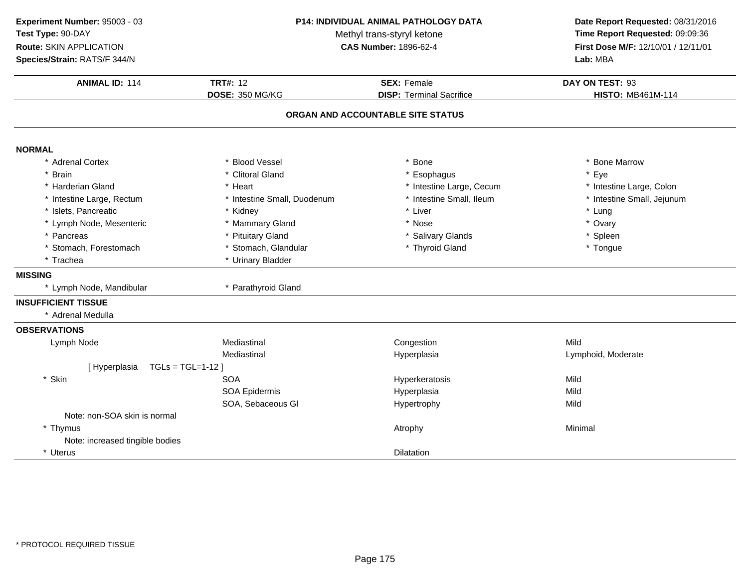| Experiment Number: 95003 - 03     | P14: INDIVIDUAL ANIMAL PATHOLOGY DATA<br>Methyl trans-styryl ketone |                                   | Date Report Requested: 08/31/2016<br>Time Report Requested: 09:09:36 |  |
|-----------------------------------|---------------------------------------------------------------------|-----------------------------------|----------------------------------------------------------------------|--|
| Test Type: 90-DAY                 |                                                                     |                                   |                                                                      |  |
| Route: SKIN APPLICATION           |                                                                     | <b>CAS Number: 1896-62-4</b>      | First Dose M/F: 12/10/01 / 12/11/01                                  |  |
| Species/Strain: RATS/F 344/N      |                                                                     |                                   | Lab: MBA<br>DAY ON TEST: 93                                          |  |
| <b>ANIMAL ID: 114</b>             | <b>TRT#: 12</b>                                                     | <b>SEX: Female</b>                |                                                                      |  |
|                                   | DOSE: 350 MG/KG                                                     | <b>DISP: Terminal Sacrifice</b>   | <b>HISTO: MB461M-114</b>                                             |  |
|                                   |                                                                     | ORGAN AND ACCOUNTABLE SITE STATUS |                                                                      |  |
| <b>NORMAL</b>                     |                                                                     |                                   |                                                                      |  |
| * Adrenal Cortex                  | * Blood Vessel                                                      | <b>Bone</b>                       | * Bone Marrow                                                        |  |
| * Brain                           | * Clitoral Gland                                                    | Esophagus                         | * Eye                                                                |  |
| * Harderian Gland                 | * Heart                                                             | * Intestine Large, Cecum          | * Intestine Large, Colon                                             |  |
| * Intestine Large, Rectum         | * Intestine Small, Duodenum                                         | * Intestine Small, Ileum          | * Intestine Small, Jejunum                                           |  |
| * Islets, Pancreatic              | * Kidney                                                            | * Liver                           | * Lung                                                               |  |
| * Lymph Node, Mesenteric          | * Mammary Gland                                                     | * Nose                            | * Ovary                                                              |  |
| * Pancreas                        | * Pituitary Gland                                                   | * Salivary Glands                 | * Spleen                                                             |  |
| * Stomach, Forestomach            | * Stomach, Glandular                                                | * Thyroid Gland                   | * Tongue                                                             |  |
| * Trachea                         | * Urinary Bladder                                                   |                                   |                                                                      |  |
| <b>MISSING</b>                    |                                                                     |                                   |                                                                      |  |
| * Lymph Node, Mandibular          | * Parathyroid Gland                                                 |                                   |                                                                      |  |
| <b>INSUFFICIENT TISSUE</b>        |                                                                     |                                   |                                                                      |  |
| * Adrenal Medulla                 |                                                                     |                                   |                                                                      |  |
| <b>OBSERVATIONS</b>               |                                                                     |                                   |                                                                      |  |
| Lymph Node                        | Mediastinal                                                         | Congestion                        | Mild                                                                 |  |
|                                   | Mediastinal                                                         | Hyperplasia                       | Lymphoid, Moderate                                                   |  |
| $TGLs = TGL=1-12$<br>[Hyperplasia |                                                                     |                                   |                                                                      |  |
| * Skin                            | <b>SOA</b>                                                          | Hyperkeratosis                    | Mild                                                                 |  |
|                                   | SOA Epidermis                                                       | Hyperplasia                       | Mild                                                                 |  |
|                                   | SOA, Sebaceous GI                                                   | Hypertrophy                       | Mild                                                                 |  |
| Note: non-SOA skin is normal      |                                                                     |                                   |                                                                      |  |
| * Thymus                          |                                                                     | Atrophy                           | Minimal                                                              |  |
| Note: increased tingible bodies   |                                                                     |                                   |                                                                      |  |
| * Uterus                          |                                                                     | <b>Dilatation</b>                 |                                                                      |  |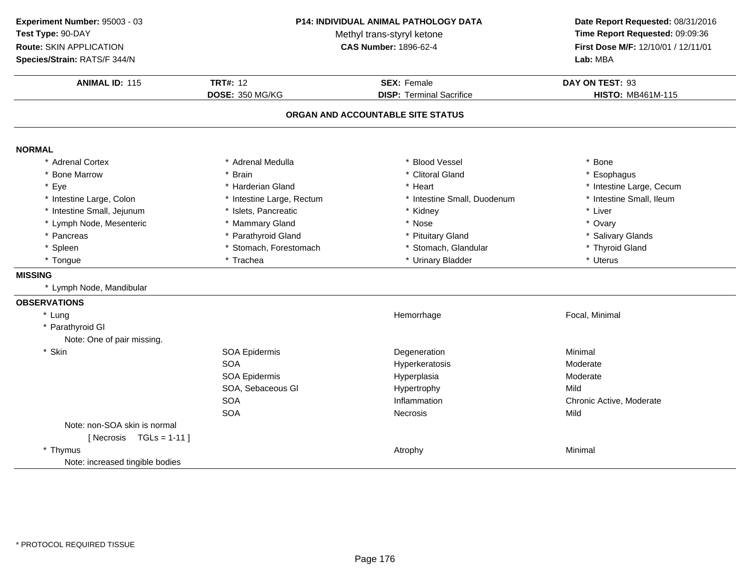| Experiment Number: 95003 - 03   |                                                            | <b>P14: INDIVIDUAL ANIMAL PATHOLOGY DATA</b> | Date Report Requested: 08/31/2016                                      |  |
|---------------------------------|------------------------------------------------------------|----------------------------------------------|------------------------------------------------------------------------|--|
| Test Type: 90-DAY               | Methyl trans-styryl ketone<br><b>CAS Number: 1896-62-4</b> |                                              | Time Report Requested: 09:09:36<br>First Dose M/F: 12/10/01 / 12/11/01 |  |
| Route: SKIN APPLICATION         |                                                            |                                              |                                                                        |  |
| Species/Strain: RATS/F 344/N    |                                                            |                                              | Lab: MBA<br>DAY ON TEST: 93                                            |  |
| <b>ANIMAL ID: 115</b>           | <b>TRT#: 12</b>                                            | <b>SEX: Female</b>                           |                                                                        |  |
|                                 | <b>DOSE: 350 MG/KG</b>                                     | <b>DISP: Terminal Sacrifice</b>              | <b>HISTO: MB461M-115</b>                                               |  |
|                                 |                                                            | ORGAN AND ACCOUNTABLE SITE STATUS            |                                                                        |  |
| <b>NORMAL</b>                   |                                                            |                                              |                                                                        |  |
| * Adrenal Cortex                | * Adrenal Medulla                                          | * Blood Vessel                               | * Bone                                                                 |  |
| * Bone Marrow                   | * Brain                                                    | * Clitoral Gland                             | * Esophagus                                                            |  |
| * Eye                           | * Harderian Gland                                          | * Heart                                      | * Intestine Large, Cecum                                               |  |
| * Intestine Large, Colon        | * Intestine Large, Rectum                                  | * Intestine Small, Duodenum                  | * Intestine Small, Ileum                                               |  |
| * Intestine Small, Jejunum      | * Islets, Pancreatic                                       | * Kidney                                     | * Liver                                                                |  |
| * Lymph Node, Mesenteric        | * Mammary Gland                                            | * Nose                                       | * Ovary                                                                |  |
| * Pancreas                      | * Parathyroid Gland                                        | * Pituitary Gland                            | * Salivary Glands                                                      |  |
| * Spleen                        | * Stomach, Forestomach                                     | * Stomach, Glandular                         | * Thyroid Gland                                                        |  |
| * Tongue                        | * Trachea                                                  | * Urinary Bladder                            | * Uterus                                                               |  |
| <b>MISSING</b>                  |                                                            |                                              |                                                                        |  |
| * Lymph Node, Mandibular        |                                                            |                                              |                                                                        |  |
| <b>OBSERVATIONS</b>             |                                                            |                                              |                                                                        |  |
| * Lung                          |                                                            | Hemorrhage                                   | Focal, Minimal                                                         |  |
| * Parathyroid GI                |                                                            |                                              |                                                                        |  |
| Note: One of pair missing.      |                                                            |                                              |                                                                        |  |
| * Skin                          | SOA Epidermis                                              | Degeneration                                 | Minimal                                                                |  |
|                                 | <b>SOA</b>                                                 | Hyperkeratosis                               | Moderate                                                               |  |
|                                 | SOA Epidermis                                              | Hyperplasia                                  | Moderate                                                               |  |
|                                 | SOA, Sebaceous GI                                          | Hypertrophy                                  | Mild                                                                   |  |
|                                 | <b>SOA</b>                                                 | Inflammation                                 | Chronic Active, Moderate                                               |  |
|                                 | <b>SOA</b>                                                 | <b>Necrosis</b>                              | Mild                                                                   |  |
| Note: non-SOA skin is normal    |                                                            |                                              |                                                                        |  |
| [Necrosis $TGLs = 1-11$ ]       |                                                            |                                              |                                                                        |  |
| * Thymus                        |                                                            | Atrophy                                      | Minimal                                                                |  |
| Note: increased tingible bodies |                                                            |                                              |                                                                        |  |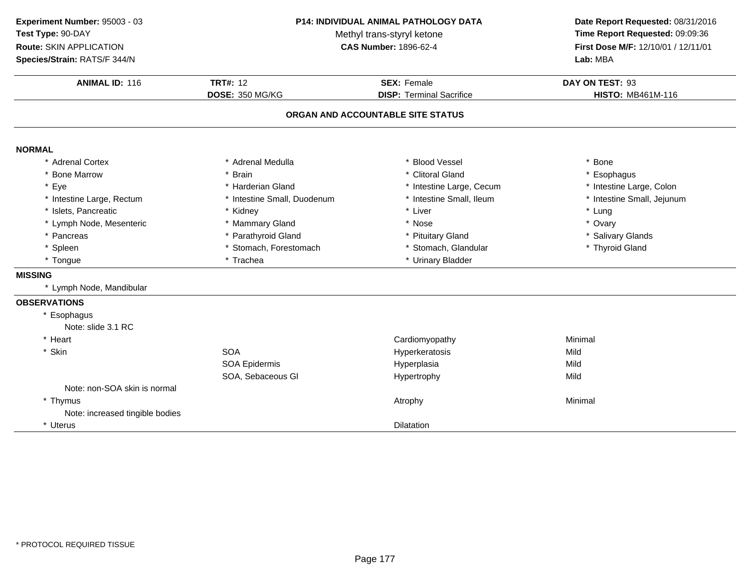| Experiment Number: 95003 - 03   | <b>P14: INDIVIDUAL ANIMAL PATHOLOGY DATA</b><br>Methyl trans-styryl ketone |                                   | Date Report Requested: 08/31/2016<br>Time Report Requested: 09:09:36 |  |
|---------------------------------|----------------------------------------------------------------------------|-----------------------------------|----------------------------------------------------------------------|--|
| Test Type: 90-DAY               |                                                                            |                                   |                                                                      |  |
| <b>Route: SKIN APPLICATION</b>  |                                                                            | <b>CAS Number: 1896-62-4</b>      | First Dose M/F: 12/10/01 / 12/11/01<br>Lab: MBA                      |  |
| Species/Strain: RATS/F 344/N    |                                                                            |                                   |                                                                      |  |
| <b>ANIMAL ID: 116</b>           | <b>TRT#: 12</b>                                                            | <b>SEX: Female</b>                | DAY ON TEST: 93                                                      |  |
|                                 | DOSE: 350 MG/KG                                                            | <b>DISP: Terminal Sacrifice</b>   | <b>HISTO: MB461M-116</b>                                             |  |
|                                 |                                                                            | ORGAN AND ACCOUNTABLE SITE STATUS |                                                                      |  |
| <b>NORMAL</b>                   |                                                                            |                                   |                                                                      |  |
| * Adrenal Cortex                | * Adrenal Medulla                                                          | <b>Blood Vessel</b>               | * Bone                                                               |  |
| * Bone Marrow                   | * Brain                                                                    | * Clitoral Gland                  | * Esophagus                                                          |  |
| * Eye                           | * Harderian Gland                                                          | * Intestine Large, Cecum          | * Intestine Large, Colon                                             |  |
| * Intestine Large, Rectum       | * Intestine Small, Duodenum                                                | * Intestine Small, Ileum          | * Intestine Small, Jejunum                                           |  |
| * Islets, Pancreatic            | * Kidney                                                                   | * Liver                           | * Lung                                                               |  |
| * Lymph Node, Mesenteric        | * Mammary Gland                                                            | * Nose                            | * Ovary                                                              |  |
| * Pancreas                      | * Parathyroid Gland                                                        | * Pituitary Gland                 | * Salivary Glands                                                    |  |
| * Spleen                        | * Stomach, Forestomach                                                     | * Stomach, Glandular              | * Thyroid Gland                                                      |  |
| * Tongue                        | * Trachea                                                                  | * Urinary Bladder                 |                                                                      |  |
| <b>MISSING</b>                  |                                                                            |                                   |                                                                      |  |
| * Lymph Node, Mandibular        |                                                                            |                                   |                                                                      |  |
| <b>OBSERVATIONS</b>             |                                                                            |                                   |                                                                      |  |
| * Esophagus                     |                                                                            |                                   |                                                                      |  |
| Note: slide 3.1 RC              |                                                                            |                                   |                                                                      |  |
| * Heart                         |                                                                            | Cardiomyopathy                    | Minimal                                                              |  |
| * Skin                          | <b>SOA</b>                                                                 | Hyperkeratosis                    | Mild                                                                 |  |
|                                 | <b>SOA Epidermis</b>                                                       | Hyperplasia                       | Mild                                                                 |  |
|                                 | SOA, Sebaceous GI                                                          | Hypertrophy                       | Mild                                                                 |  |
| Note: non-SOA skin is normal    |                                                                            |                                   |                                                                      |  |
| * Thymus                        |                                                                            | Atrophy                           | Minimal                                                              |  |
| Note: increased tingible bodies |                                                                            |                                   |                                                                      |  |
| * Uterus                        |                                                                            | Dilatation                        |                                                                      |  |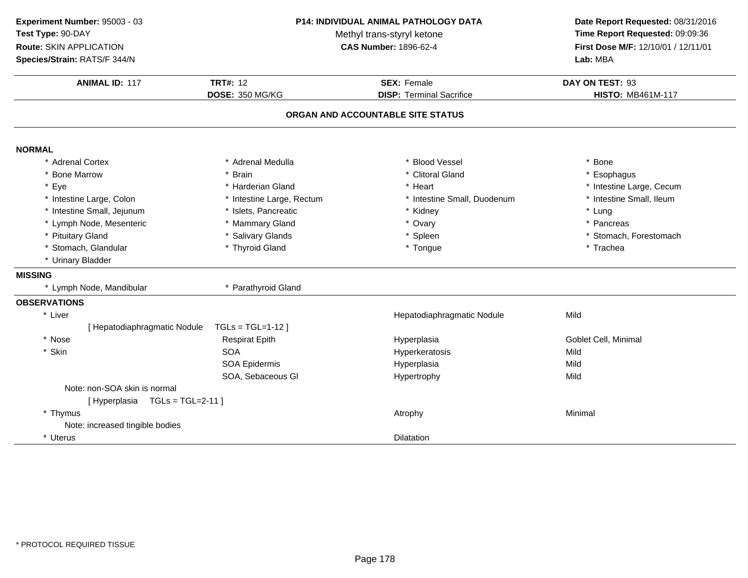| Experiment Number: 95003 - 03   |                           | P14: INDIVIDUAL ANIMAL PATHOLOGY DATA | Date Report Requested: 08/31/2016<br>Time Report Requested: 09:09:36 |  |
|---------------------------------|---------------------------|---------------------------------------|----------------------------------------------------------------------|--|
| Test Type: 90-DAY               |                           | Methyl trans-styryl ketone            |                                                                      |  |
| Route: SKIN APPLICATION         |                           | <b>CAS Number: 1896-62-4</b>          |                                                                      |  |
| Species/Strain: RATS/F 344/N    |                           |                                       | First Dose M/F: 12/10/01 / 12/11/01<br>Lab: MBA<br>DAY ON TEST: 93   |  |
| <b>ANIMAL ID: 117</b>           | <b>TRT#: 12</b>           | <b>SEX: Female</b>                    |                                                                      |  |
|                                 | DOSE: 350 MG/KG           | <b>DISP: Terminal Sacrifice</b>       | <b>HISTO: MB461M-117</b>                                             |  |
|                                 |                           | ORGAN AND ACCOUNTABLE SITE STATUS     |                                                                      |  |
| <b>NORMAL</b>                   |                           |                                       |                                                                      |  |
| * Adrenal Cortex                | * Adrenal Medulla         | * Blood Vessel                        | * Bone                                                               |  |
| * Bone Marrow                   | * Brain                   | * Clitoral Gland                      | * Esophagus                                                          |  |
| * Eye                           | * Harderian Gland         | * Heart                               | * Intestine Large, Cecum                                             |  |
| * Intestine Large, Colon        | * Intestine Large, Rectum | * Intestine Small, Duodenum           | * Intestine Small, Ileum                                             |  |
| * Intestine Small, Jejunum      | * Islets, Pancreatic      | * Kidney                              | * Lung                                                               |  |
| * Lymph Node, Mesenteric        | * Mammary Gland           | * Ovary                               | * Pancreas                                                           |  |
| * Pituitary Gland               | * Salivary Glands         | * Spleen                              | * Stomach, Forestomach                                               |  |
| * Stomach, Glandular            | * Thyroid Gland           | * Tongue                              | * Trachea                                                            |  |
| * Urinary Bladder               |                           |                                       |                                                                      |  |
| <b>MISSING</b>                  |                           |                                       |                                                                      |  |
| * Lymph Node, Mandibular        | * Parathyroid Gland       |                                       |                                                                      |  |
| <b>OBSERVATIONS</b>             |                           |                                       |                                                                      |  |
| * Liver                         |                           | Hepatodiaphragmatic Nodule            | Mild                                                                 |  |
| [ Hepatodiaphragmatic Nodule    | $TGLs = TGL=1-12$         |                                       |                                                                      |  |
| * Nose                          | <b>Respirat Epith</b>     | Hyperplasia                           | Goblet Cell, Minimal                                                 |  |
| * Skin                          | <b>SOA</b>                | Hyperkeratosis                        | Mild                                                                 |  |
|                                 | <b>SOA Epidermis</b>      | Hyperplasia                           | Mild                                                                 |  |
|                                 | SOA, Sebaceous GI         | Hypertrophy                           | Mild                                                                 |  |
| Note: non-SOA skin is normal    |                           |                                       |                                                                      |  |
| [Hyperplasia TGLs = TGL=2-11]   |                           |                                       |                                                                      |  |
| * Thymus                        |                           | Atrophy                               | Minimal                                                              |  |
| Note: increased tingible bodies |                           |                                       |                                                                      |  |
| * Uterus                        |                           | <b>Dilatation</b>                     |                                                                      |  |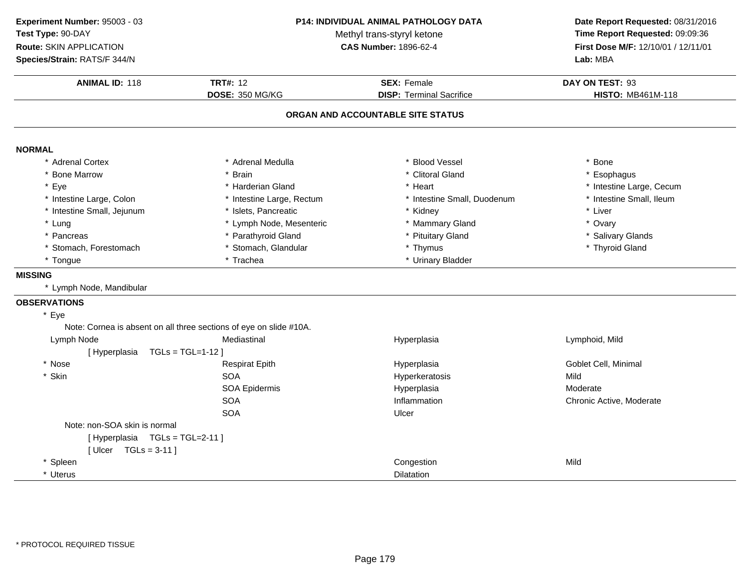**ANIMAL ID:** <sup>118</sup> **TRT#:** <sup>12</sup> **SEX:** Female **DAY ON TEST:** <sup>93</sup> **DOSE:** 350 MG/KG**DISP:** Terminal Sacrifice **HISTO:** MB461M-118 **ORGAN AND ACCOUNTABLE SITE STATUSNORMAL** \* Adrenal Cortex \* Adrenal Medullaa the set of the set of the set of the set of the set of the set of the set of the set of the set of the set o<br>Set of the set of the set of the set of the set of the set of the set of the set of the set of the set of the s \* Bone Marrow \* Brain \* Clitoral Gland \* Esophagus \* Eyee the second of the second term in the second term in the second term in the second term in the second term in the second term in the second term in the second term in the second term in the second term in the second term \* Intestine Small, Ileum \* Intestine Large, Colon\* Intestine Large, Rectum<br>\* Islets, Pancreatic \* Intestine Small, Duodenum \* 11test<br>
\* Kidney \* Liver \* Intestine Small, Jejunum \* Islets, Pancreatic \* Kidney \* Liver \* Lung\* Lymph Node, Mesenteric \* \* Mammary Gland \* Nammary For \* 0vary \* Ovary<br>\* Parathyroid Gland \* \* Pituitary Gland \* \* Salivary \* Salivary \* \* Salivary \* \* Salivary \* \* Salivary \* \* Salivary \* \* \* Salivary \* \* \* \* \* \* \* \* \* \* Pancreas \* Parathyroid Gland\* Pituitary Gland \* Salivary Glands<br>\* Thymus \* \* Thyroid Gland \* Stomach, Forestomach\* Stomach, Glandular<br>\* Trachea \* Tongue\* Urinary Bladder **MISSING** \* Lymph Node, Mandibular **OBSERVATIONS**\* EyeNote: Cornea is absent on all three sections of eye on slide #10A.Lymph Node Mediastinal Hyperplasia Lymphoid, Mild [ Hyperplasia TGLs = TGL=1-12 ]\* Nose Respirat Epith Hyperplasia Goblet Cell, Minimal \* Skinn SOA A Superversion of Hyperkeratosis Contraction of the Mild SOA Epidermis Hyperplasia Moderate SOAInflammation **Inflammation** Chronic Active, Moderate Ulcer SOAA Ulcer Note: non-SOA skin is normal[ Hyperplasia TGLs = TGL=2-11 ][ Ulcer TGLs = 3-11 ]\* Spleenn Congestion and Congestion and Congestion and Congestion and Mild \* Uterus Dilatation**Experiment Number:** 95003 - 03 **P14: INDIVIDUAL ANIMAL PATHOLOGY DATA Date Report Requested:** 08/31/2016 **Test Type:** 90-DAYMethyl trans-styryl ketone<br>CAS Number: 1896-62-4 **Time Report Requested:** 09:09:36 **Route:** SKIN APPLICATION**First Dose M/F:** 12/10/01 / 12/11/01<br>**Lab:** MBA **Species/Strain:** RATS/F 344/N**Lab:** MBA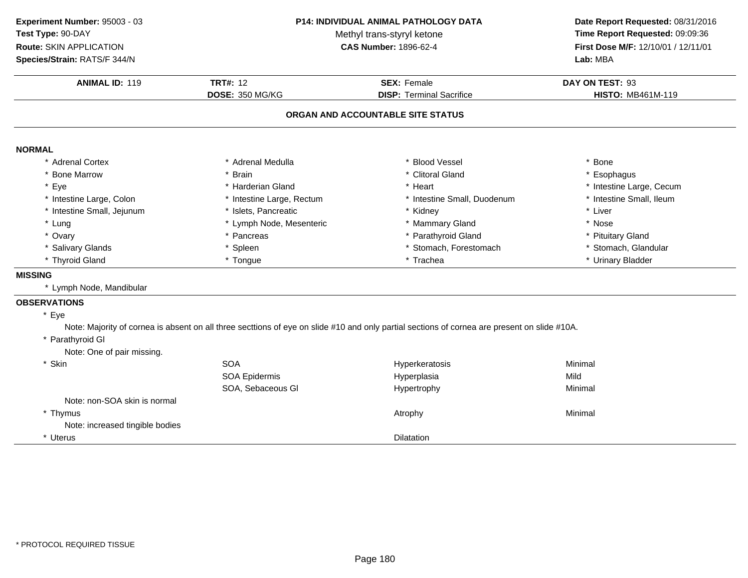| Experiment Number: 95003 - 03   | P14: INDIVIDUAL ANIMAL PATHOLOGY DATA |                                                                                                                                              | Date Report Requested: 08/31/2016<br>Time Report Requested: 09:09:36 |  |
|---------------------------------|---------------------------------------|----------------------------------------------------------------------------------------------------------------------------------------------|----------------------------------------------------------------------|--|
| Test Type: 90-DAY               | Methyl trans-styryl ketone            |                                                                                                                                              |                                                                      |  |
| Route: SKIN APPLICATION         |                                       | CAS Number: 1896-62-4                                                                                                                        | First Dose M/F: 12/10/01 / 12/11/01<br>Lab: MBA                      |  |
| Species/Strain: RATS/F 344/N    |                                       |                                                                                                                                              |                                                                      |  |
| <b>ANIMAL ID: 119</b>           | <b>TRT#: 12</b>                       | <b>SEX: Female</b>                                                                                                                           | DAY ON TEST: 93                                                      |  |
|                                 | DOSE: 350 MG/KG                       | <b>DISP: Terminal Sacrifice</b>                                                                                                              | <b>HISTO: MB461M-119</b>                                             |  |
|                                 |                                       | ORGAN AND ACCOUNTABLE SITE STATUS                                                                                                            |                                                                      |  |
| <b>NORMAL</b>                   |                                       |                                                                                                                                              |                                                                      |  |
| * Adrenal Cortex                | * Adrenal Medulla                     | <b>Blood Vessel</b>                                                                                                                          | * Bone                                                               |  |
| * Bone Marrow                   | * Brain                               | * Clitoral Gland                                                                                                                             | * Esophagus                                                          |  |
| * Eye                           | * Harderian Gland                     | * Heart                                                                                                                                      | * Intestine Large, Cecum                                             |  |
| * Intestine Large, Colon        | * Intestine Large, Rectum             | * Intestine Small, Duodenum                                                                                                                  | * Intestine Small, Ileum                                             |  |
| * Intestine Small, Jejunum      | * Islets, Pancreatic                  | * Kidney                                                                                                                                     | * Liver                                                              |  |
| * Lung                          | * Lymph Node, Mesenteric              | * Mammary Gland                                                                                                                              | * Nose                                                               |  |
| * Ovary                         | * Pancreas                            | Parathyroid Gland                                                                                                                            | * Pituitary Gland                                                    |  |
| * Salivary Glands               | * Spleen                              | Stomach, Forestomach                                                                                                                         | * Stomach, Glandular                                                 |  |
| * Thyroid Gland                 | * Tongue                              | * Trachea                                                                                                                                    | * Urinary Bladder                                                    |  |
| <b>MISSING</b>                  |                                       |                                                                                                                                              |                                                                      |  |
| * Lymph Node, Mandibular        |                                       |                                                                                                                                              |                                                                      |  |
| <b>OBSERVATIONS</b>             |                                       |                                                                                                                                              |                                                                      |  |
| * Eye                           |                                       |                                                                                                                                              |                                                                      |  |
|                                 |                                       | Note: Majority of cornea is absent on all three secttions of eye on slide #10 and only partial sections of cornea are present on slide #10A. |                                                                      |  |
| * Parathyroid GI                |                                       |                                                                                                                                              |                                                                      |  |
| Note: One of pair missing.      |                                       |                                                                                                                                              |                                                                      |  |
| * Skin                          | <b>SOA</b>                            | Hyperkeratosis                                                                                                                               | Minimal                                                              |  |
|                                 | <b>SOA Epidermis</b>                  | Hyperplasia                                                                                                                                  | Mild                                                                 |  |
|                                 | SOA, Sebaceous GI                     | Hypertrophy                                                                                                                                  | Minimal                                                              |  |
| Note: non-SOA skin is normal    |                                       |                                                                                                                                              |                                                                      |  |
| * Thymus                        |                                       | Atrophy                                                                                                                                      | Minimal                                                              |  |
| Note: increased tingible bodies |                                       |                                                                                                                                              |                                                                      |  |
| * Uterus                        |                                       | <b>Dilatation</b>                                                                                                                            |                                                                      |  |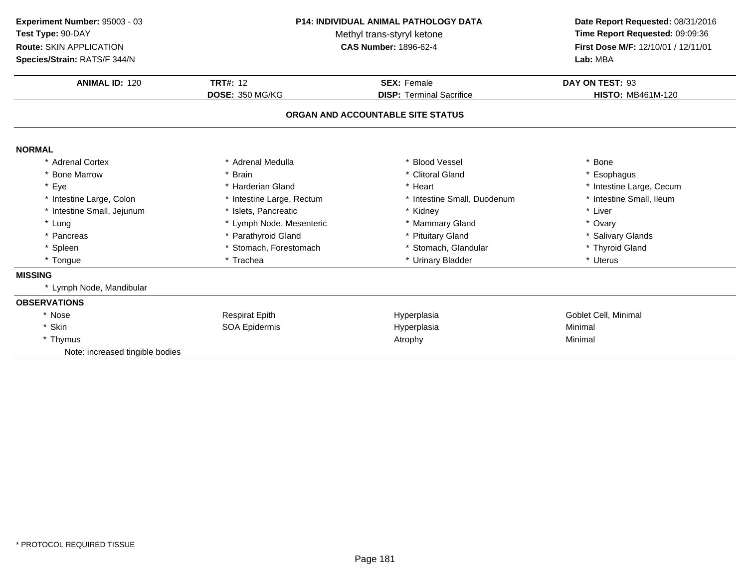| Experiment Number: 95003 - 03<br>P14: INDIVIDUAL ANIMAL PATHOLOGY DATA |                            |                                   | Date Report Requested: 08/31/2016   |  |
|------------------------------------------------------------------------|----------------------------|-----------------------------------|-------------------------------------|--|
| Test Type: 90-DAY                                                      | Methyl trans-styryl ketone |                                   | Time Report Requested: 09:09:36     |  |
| <b>Route: SKIN APPLICATION</b>                                         |                            | <b>CAS Number: 1896-62-4</b>      | First Dose M/F: 12/10/01 / 12/11/01 |  |
| Species/Strain: RATS/F 344/N                                           |                            |                                   | Lab: MBA                            |  |
| <b>ANIMAL ID: 120</b>                                                  | <b>TRT#: 12</b>            | <b>SEX: Female</b>                | DAY ON TEST: 93                     |  |
|                                                                        | <b>DOSE: 350 MG/KG</b>     | <b>DISP: Terminal Sacrifice</b>   | <b>HISTO: MB461M-120</b>            |  |
|                                                                        |                            | ORGAN AND ACCOUNTABLE SITE STATUS |                                     |  |
| <b>NORMAL</b>                                                          |                            |                                   |                                     |  |
| * Adrenal Cortex                                                       | * Adrenal Medulla          | <b>Blood Vessel</b>               | * Bone                              |  |
| * Bone Marrow                                                          | * Brain                    | * Clitoral Gland                  | * Esophagus                         |  |
| * Eye                                                                  | * Harderian Gland          | * Heart                           | * Intestine Large, Cecum            |  |
| * Intestine Large, Colon                                               | * Intestine Large, Rectum  | * Intestine Small, Duodenum       | * Intestine Small, Ileum            |  |
| * Intestine Small, Jejunum                                             | * Islets, Pancreatic       | * Kidney                          | * Liver                             |  |
| * Lung                                                                 | * Lymph Node, Mesenteric   | * Mammary Gland                   | * Ovary                             |  |
| * Pancreas                                                             | * Parathyroid Gland        | <b>Pituitary Gland</b>            | * Salivary Glands                   |  |
| * Spleen                                                               | * Stomach, Forestomach     | * Stomach, Glandular              | * Thyroid Gland                     |  |
| * Tongue                                                               | * Trachea                  | * Urinary Bladder                 | * Uterus                            |  |
| <b>MISSING</b>                                                         |                            |                                   |                                     |  |
| * Lymph Node, Mandibular                                               |                            |                                   |                                     |  |
| <b>OBSERVATIONS</b>                                                    |                            |                                   |                                     |  |
| * Nose                                                                 | <b>Respirat Epith</b>      | Hyperplasia                       | Goblet Cell, Minimal                |  |
| * Skin                                                                 | <b>SOA Epidermis</b>       | Hyperplasia                       | Minimal                             |  |
| * Thymus                                                               |                            | Atrophy                           | Minimal                             |  |
| Note: increased tingible bodies                                        |                            |                                   |                                     |  |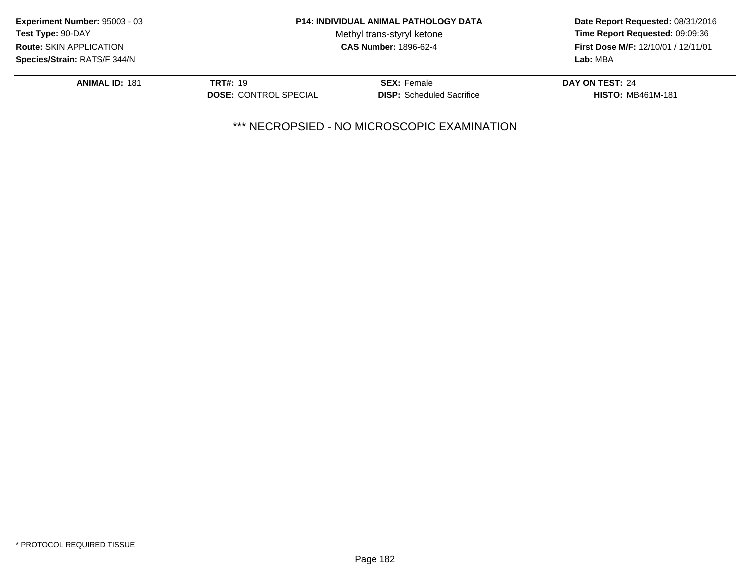| Experiment Number: 95003 - 03  |                              | <b>P14: INDIVIDUAL ANIMAL PATHOLOGY DATA</b> | Date Report Requested: 08/31/2016<br>Time Report Requested: 09:09:36 |
|--------------------------------|------------------------------|----------------------------------------------|----------------------------------------------------------------------|
| Test Type: 90-DAY              |                              | Methyl trans-styryl ketone                   |                                                                      |
| <b>Route: SKIN APPLICATION</b> | <b>CAS Number: 1896-62-4</b> |                                              | First Dose M/F: 12/10/01 / 12/11/01                                  |
| Species/Strain: RATS/F 344/N   |                              |                                              | Lab: MBA                                                             |
| <b>ANIMAL ID: 181</b>          | <b>TRT#: 19</b>              | <b>SEX: Female</b>                           | <b>DAY ON TEST: 24</b>                                               |
|                                | <b>DOSE: CONTROL SPECIAL</b> | <b>DISP:</b> Scheduled Sacrifice             | <b>HISTO: MB461M-181</b>                                             |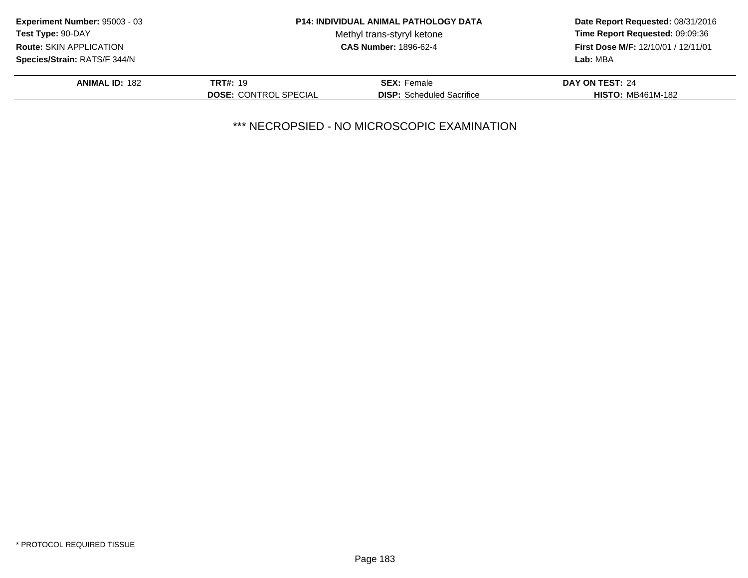| Experiment Number: 95003 - 03       |                              | <b>P14: INDIVIDUAL ANIMAL PATHOLOGY DATA</b> | Date Report Requested: 08/31/2016<br>Time Report Requested: 09:09:36 |
|-------------------------------------|------------------------------|----------------------------------------------|----------------------------------------------------------------------|
| Test Type: 90-DAY                   |                              | Methyl trans-styryl ketone                   |                                                                      |
| <b>Route: SKIN APPLICATION</b>      | <b>CAS Number: 1896-62-4</b> |                                              | First Dose M/F: 12/10/01 / 12/11/01                                  |
| <b>Species/Strain: RATS/F 344/N</b> |                              |                                              | Lab: MBA                                                             |
| <b>ANIMAL ID: 182</b>               | <b>TRT#: 19</b>              | <b>SEX: Female</b>                           | DAY ON TEST: 24                                                      |
|                                     | <b>DOSE: CONTROL SPECIAL</b> | <b>DISP:</b> Scheduled Sacrifice             | <b>HISTO: MB461M-182</b>                                             |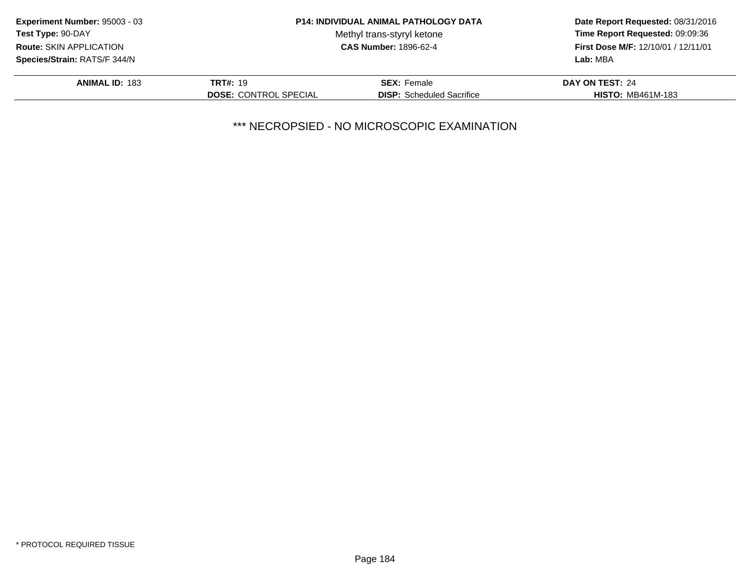| Experiment Number: 95003 - 03       |                              | <b>P14: INDIVIDUAL ANIMAL PATHOLOGY DATA</b> | Date Report Requested: 08/31/2016<br>Time Report Requested: 09:09:36 |
|-------------------------------------|------------------------------|----------------------------------------------|----------------------------------------------------------------------|
| <b>Test Type: 90-DAY</b>            |                              | Methyl trans-styryl ketone                   |                                                                      |
| <b>Route: SKIN APPLICATION</b>      | <b>CAS Number: 1896-62-4</b> |                                              | <b>First Dose M/F: 12/10/01 / 12/11/01</b>                           |
| <b>Species/Strain: RATS/F 344/N</b> |                              |                                              | Lab: MBA                                                             |
| <b>ANIMAL ID: 183</b>               | <b>TRT#: 19</b>              | <b>SEX: Female</b>                           | DAY ON TEST: 24                                                      |
|                                     | <b>DOSE: CONTROL SPECIAL</b> | <b>DISP:</b> Scheduled Sacrifice             | <b>HISTO: MB461M-183</b>                                             |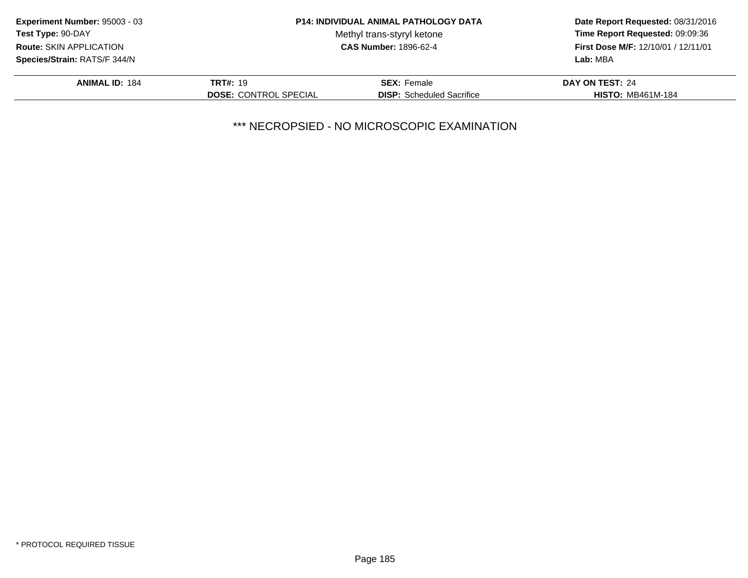| Experiment Number: 95003 - 03  |                              | <b>P14: INDIVIDUAL ANIMAL PATHOLOGY DATA</b> | Date Report Requested: 08/31/2016          |
|--------------------------------|------------------------------|----------------------------------------------|--------------------------------------------|
| Test Type: 90-DAY              |                              | Methyl trans-styryl ketone                   | Time Report Requested: 09:09:36            |
| <b>Route: SKIN APPLICATION</b> | <b>CAS Number: 1896-62-4</b> |                                              | <b>First Dose M/F: 12/10/01 / 12/11/01</b> |
| Species/Strain: RATS/F 344/N   |                              |                                              | Lab: MBA                                   |
| <b>ANIMAL ID: 184</b>          | <b>TRT#: 19</b>              | <b>SEX: Female</b>                           | DAY ON TEST: 24                            |
|                                | <b>DOSE: CONTROL SPECIAL</b> | <b>DISP:</b> Scheduled Sacrifice             | <b>HISTO: MB461M-184</b>                   |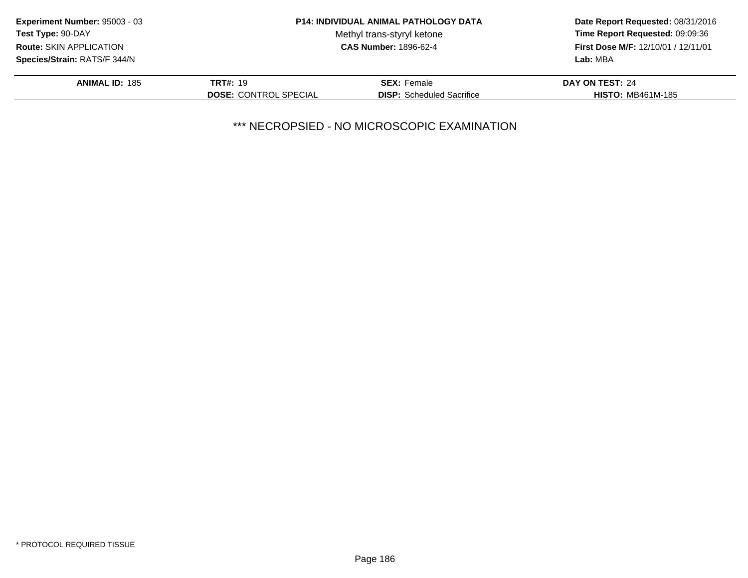| Experiment Number: 95003 - 03       |                              | <b>P14: INDIVIDUAL ANIMAL PATHOLOGY DATA</b> | Date Report Requested: 08/31/2016<br>Time Report Requested: 09:09:36 |
|-------------------------------------|------------------------------|----------------------------------------------|----------------------------------------------------------------------|
| Test Type: 90-DAY                   |                              | Methyl trans-styryl ketone                   |                                                                      |
| <b>Route: SKIN APPLICATION</b>      | <b>CAS Number: 1896-62-4</b> |                                              | <b>First Dose M/F: 12/10/01 / 12/11/01</b>                           |
| <b>Species/Strain: RATS/F 344/N</b> |                              |                                              | Lab: MBA                                                             |
| <b>ANIMAL ID: 185</b>               | <b>TRT#: 19</b>              | <b>SEX: Female</b>                           | DAY ON TEST: 24                                                      |
|                                     | <b>DOSE: CONTROL SPECIAL</b> | <b>DISP:</b> Scheduled Sacrifice             | <b>HISTO: MB461M-185</b>                                             |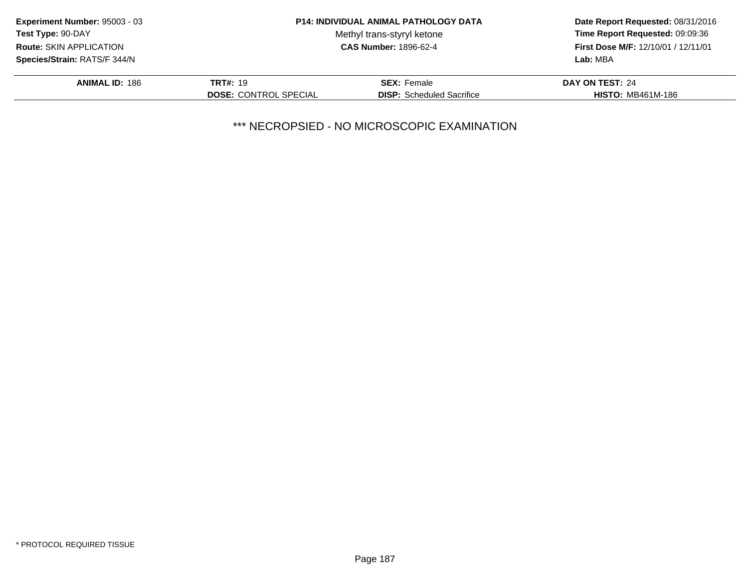| Experiment Number: 95003 - 03                                  |                              | <b>P14: INDIVIDUAL ANIMAL PATHOLOGY DATA</b> | Date Report Requested: 08/31/2016<br>Time Report Requested: 09:09:36 |
|----------------------------------------------------------------|------------------------------|----------------------------------------------|----------------------------------------------------------------------|
| <b>Test Type: 90-DAY</b>                                       |                              | Methyl trans-styryl ketone                   |                                                                      |
| <b>CAS Number: 1896-62-4</b><br><b>Route: SKIN APPLICATION</b> |                              |                                              | <b>First Dose M/F: 12/10/01 / 12/11/01</b>                           |
| Species/Strain: RATS/F 344/N                                   |                              |                                              | Lab: MBA                                                             |
| <b>ANIMAL ID: 186</b>                                          | <b>TRT#: 19</b>              | <b>SEX: Female</b>                           | DAY ON TEST: 24                                                      |
|                                                                | <b>DOSE: CONTROL SPECIAL</b> | <b>DISP:</b> Scheduled Sacrifice             | <b>HISTO: MB461M-186</b>                                             |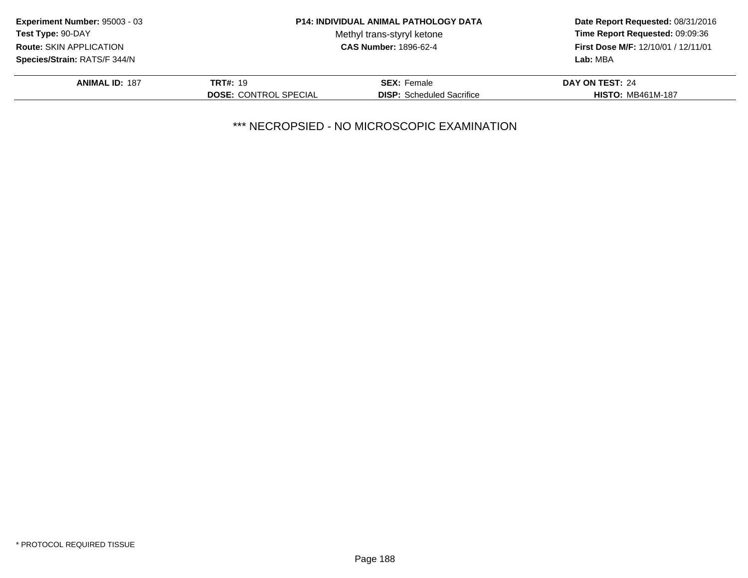| Experiment Number: 95003 - 03  |                              | <b>P14: INDIVIDUAL ANIMAL PATHOLOGY DATA</b> | Date Report Requested: 08/31/2016<br>Time Report Requested: 09:09:36 |
|--------------------------------|------------------------------|----------------------------------------------|----------------------------------------------------------------------|
| <b>Test Type: 90-DAY</b>       |                              | Methyl trans-styryl ketone                   |                                                                      |
| <b>Route: SKIN APPLICATION</b> | <b>CAS Number: 1896-62-4</b> |                                              | First Dose M/F: 12/10/01 / 12/11/01                                  |
| Species/Strain: RATS/F 344/N   |                              |                                              | Lab: MBA                                                             |
| <b>ANIMAL ID: 187</b>          | <b>TRT#: 19</b>              | <b>SEX: Female</b>                           | <b>DAY ON TEST: 24</b>                                               |
|                                | <b>DOSE: CONTROL SPECIAL</b> | <b>DISP:</b> Scheduled Sacrifice             | <b>HISTO: MB461M-187</b>                                             |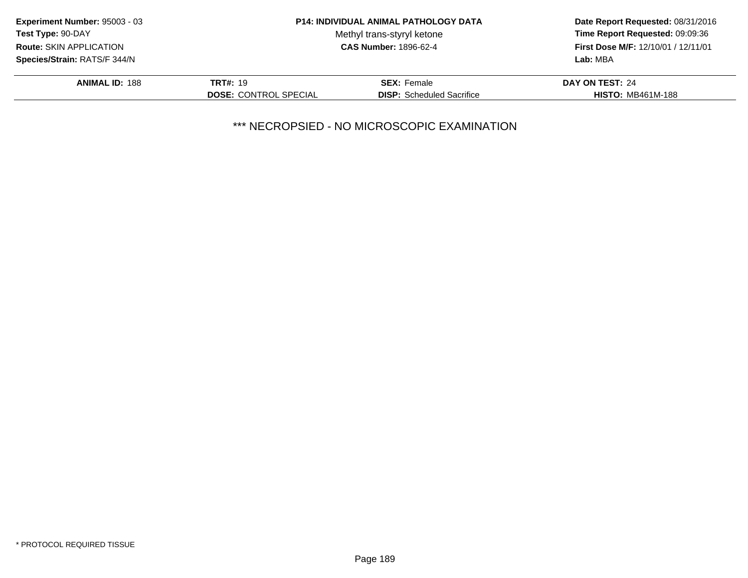| Experiment Number: 95003 - 03  |                              | <b>P14: INDIVIDUAL ANIMAL PATHOLOGY DATA</b> | Date Report Requested: 08/31/2016<br>Time Report Requested: 09:09:36 |
|--------------------------------|------------------------------|----------------------------------------------|----------------------------------------------------------------------|
| <b>Test Type: 90-DAY</b>       |                              | Methyl trans-styryl ketone                   |                                                                      |
| <b>Route: SKIN APPLICATION</b> | <b>CAS Number: 1896-62-4</b> |                                              | <b>First Dose M/F: 12/10/01 / 12/11/01</b>                           |
| Species/Strain: RATS/F 344/N   |                              |                                              | Lab: MBA                                                             |
| <b>ANIMAL ID: 188</b>          | <b>TRT#: 19</b>              | <b>SEX: Female</b>                           | DAY ON TEST: 24                                                      |
|                                | <b>DOSE: CONTROL SPECIAL</b> | <b>DISP:</b> Scheduled Sacrifice             | <b>HISTO: MB461M-188</b>                                             |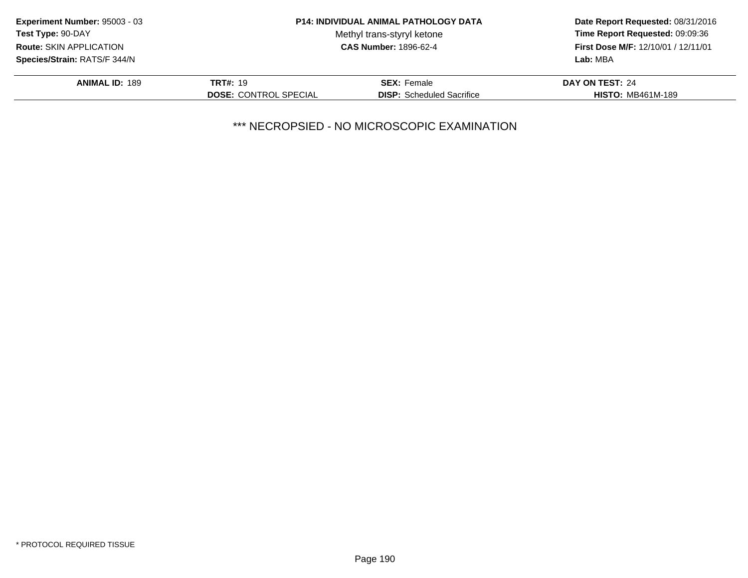| Experiment Number: 95003 - 03       |                              | <b>P14: INDIVIDUAL ANIMAL PATHOLOGY DATA</b> | Date Report Requested: 08/31/2016<br>Time Report Requested: 09:09:36 |
|-------------------------------------|------------------------------|----------------------------------------------|----------------------------------------------------------------------|
| Test Type: 90-DAY                   |                              | Methyl trans-styryl ketone                   |                                                                      |
| <b>Route: SKIN APPLICATION</b>      | <b>CAS Number: 1896-62-4</b> |                                              | <b>First Dose M/F: 12/10/01 / 12/11/01</b>                           |
| <b>Species/Strain: RATS/F 344/N</b> |                              |                                              | Lab: MBA                                                             |
| <b>ANIMAL ID: 189</b>               | <b>TRT#: 19</b>              | <b>SEX: Female</b>                           | DAY ON TEST: 24                                                      |
|                                     | <b>DOSE: CONTROL SPECIAL</b> | <b>DISP:</b> Scheduled Sacrifice             | <b>HISTO: MB461M-189</b>                                             |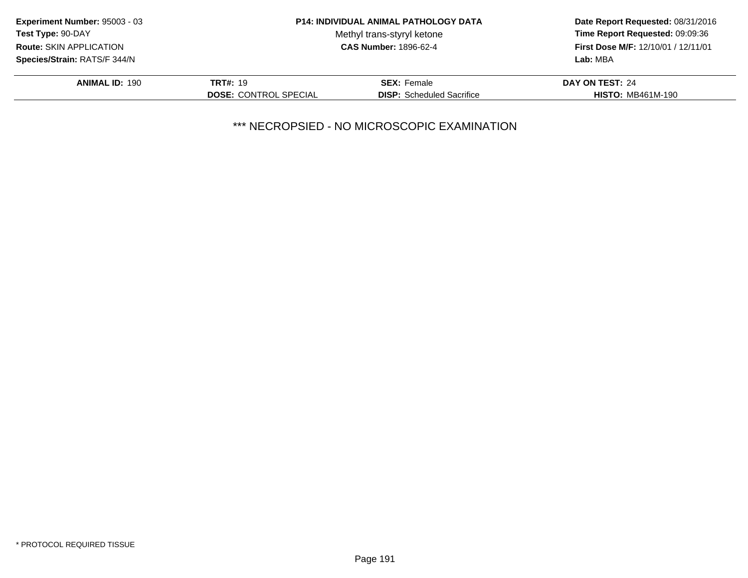| Experiment Number: 95003 - 03  |                              | <b>P14: INDIVIDUAL ANIMAL PATHOLOGY DATA</b> | Date Report Requested: 08/31/2016<br>Time Report Requested: 09:09:36 |
|--------------------------------|------------------------------|----------------------------------------------|----------------------------------------------------------------------|
| Test Type: 90-DAY              |                              | Methyl trans-styryl ketone                   |                                                                      |
| <b>Route: SKIN APPLICATION</b> |                              | <b>CAS Number: 1896-62-4</b>                 | First Dose M/F: 12/10/01 / 12/11/01                                  |
| Species/Strain: RATS/F 344/N   |                              |                                              | Lab: MBA                                                             |
| <b>ANIMAL ID: 190</b>          | <b>TRT#: 19</b>              | <b>SEX: Female</b>                           | DAY ON TEST: 24                                                      |
|                                | <b>DOSE: CONTROL SPECIAL</b> | <b>DISP:</b> Scheduled Sacrifice             | <b>HISTO: MB461M-190</b>                                             |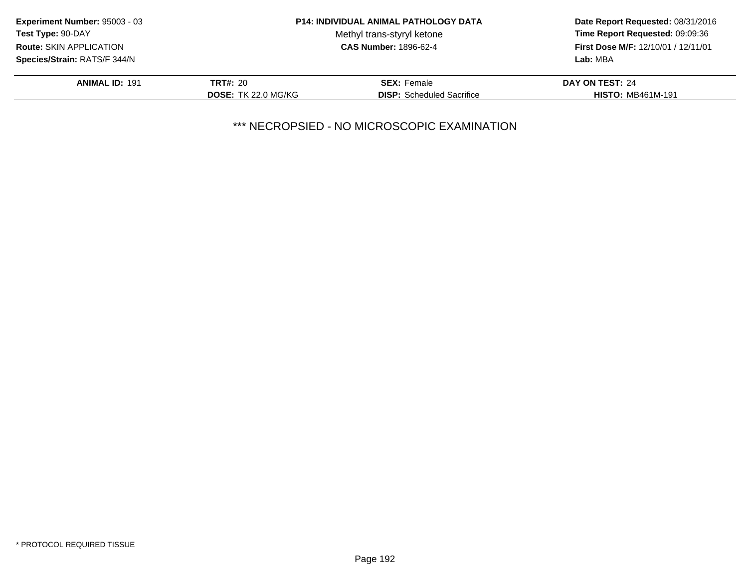| Experiment Number: 95003 - 03                              |                            | <b>P14: INDIVIDUAL ANIMAL PATHOLOGY DATA</b> | Date Report Requested: 08/31/2016                                             |
|------------------------------------------------------------|----------------------------|----------------------------------------------|-------------------------------------------------------------------------------|
| <b>Test Type: 90-DAY</b><br><b>Route: SKIN APPLICATION</b> |                            | Methyl trans-styryl ketone                   | Time Report Requested: 09:09:36<br><b>First Dose M/F: 12/10/01 / 12/11/01</b> |
|                                                            |                            | <b>CAS Number: 1896-62-4</b>                 |                                                                               |
| <b>Species/Strain: RATS/F 344/N</b>                        |                            |                                              | Lab: MBA                                                                      |
| <b>ANIMAL ID: 191</b>                                      | <b>TRT#: 20</b>            | <b>SEX: Female</b>                           | DAY ON TEST: 24                                                               |
|                                                            | <b>DOSE: TK 22.0 MG/KG</b> | <b>DISP:</b> Scheduled Sacrifice             | <b>HISTO: MB461M-191</b>                                                      |
|                                                            |                            |                                              |                                                                               |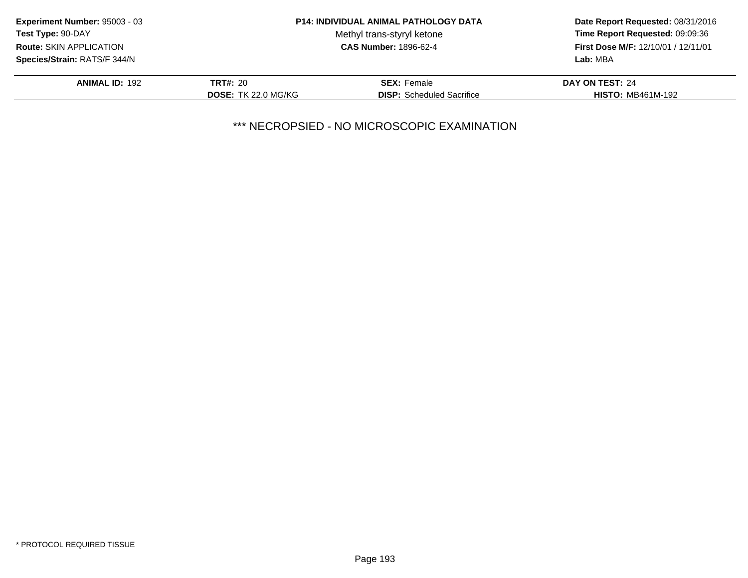| Experiment Number: 95003 - 03       |                            | <b>P14: INDIVIDUAL ANIMAL PATHOLOGY DATA</b> | Date Report Requested: 08/31/2016<br>Time Report Requested: 09:09:36<br><b>First Dose M/F: 12/10/01 / 12/11/01</b> |
|-------------------------------------|----------------------------|----------------------------------------------|--------------------------------------------------------------------------------------------------------------------|
| Test Type: 90-DAY                   |                            | Methyl trans-styryl ketone                   |                                                                                                                    |
| <b>Route: SKIN APPLICATION</b>      |                            | <b>CAS Number: 1896-62-4</b>                 |                                                                                                                    |
| <b>Species/Strain: RATS/F 344/N</b> |                            |                                              | Lab: MBA                                                                                                           |
| <b>ANIMAL ID: 192</b>               | <b>TRT#: 20</b>            | <b>SEX:</b> Female                           | DAY ON TEST: 24                                                                                                    |
|                                     | <b>DOSE: TK 22.0 MG/KG</b> | <b>DISP:</b> Scheduled Sacrifice             | <b>HISTO: MB461M-192</b>                                                                                           |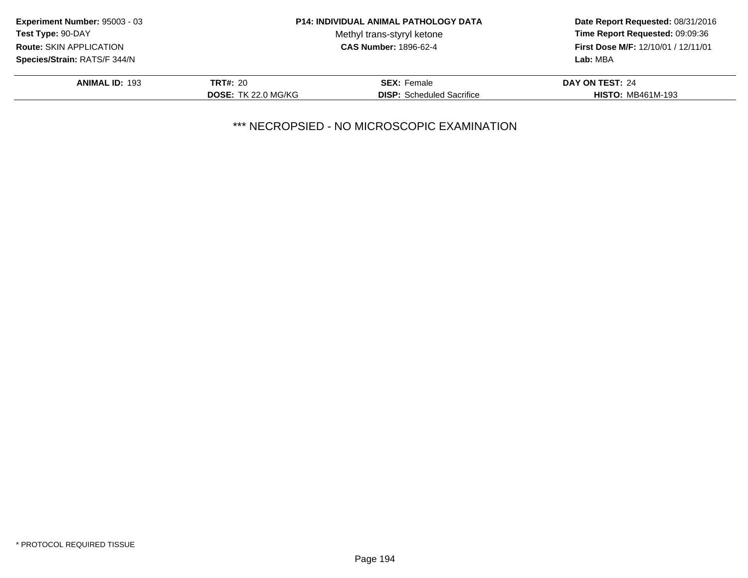| Experiment Number: 95003 - 03       |                            | <b>P14: INDIVIDUAL ANIMAL PATHOLOGY DATA</b> | Date Report Requested: 08/31/2016<br>Time Report Requested: 09:09:36<br><b>First Dose M/F: 12/10/01 / 12/11/01</b> |
|-------------------------------------|----------------------------|----------------------------------------------|--------------------------------------------------------------------------------------------------------------------|
| Test Type: 90-DAY                   |                            | Methyl trans-styryl ketone                   |                                                                                                                    |
| <b>Route: SKIN APPLICATION</b>      |                            | <b>CAS Number: 1896-62-4</b>                 |                                                                                                                    |
| <b>Species/Strain: RATS/F 344/N</b> |                            |                                              | Lab: MBA                                                                                                           |
| <b>ANIMAL ID: 193</b>               | <b>TRT#: 20</b>            | <b>SEX:</b> Female                           | DAY ON TEST: 24                                                                                                    |
|                                     | <b>DOSE: TK 22.0 MG/KG</b> | <b>DISP:</b> Scheduled Sacrifice             | <b>HISTO: MB461M-193</b>                                                                                           |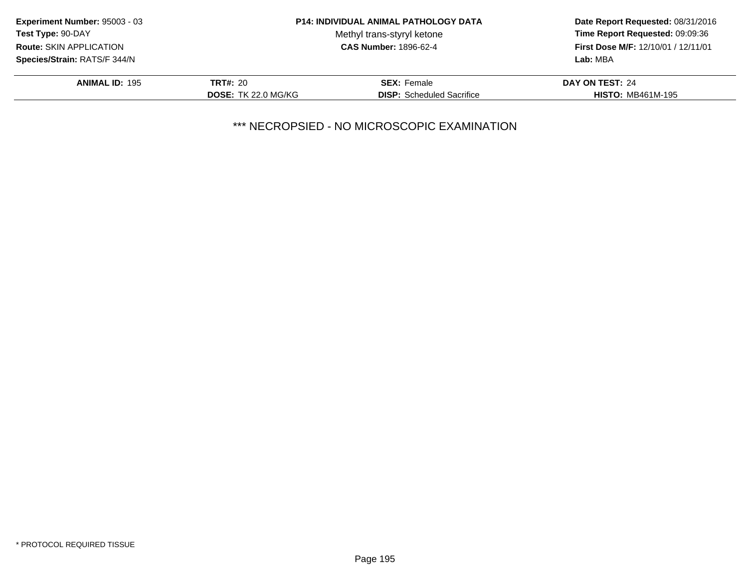| Experiment Number: 95003 - 03  |                            | <b>P14: INDIVIDUAL ANIMAL PATHOLOGY DATA</b> | Date Report Requested: 08/31/2016<br>Time Report Requested: 09:09:36<br>First Dose M/F: 12/10/01 / 12/11/01 |
|--------------------------------|----------------------------|----------------------------------------------|-------------------------------------------------------------------------------------------------------------|
| Test Type: 90-DAY              |                            | Methyl trans-styryl ketone                   |                                                                                                             |
| <b>Route: SKIN APPLICATION</b> |                            | <b>CAS Number: 1896-62-4</b>                 |                                                                                                             |
| Species/Strain: RATS/F 344/N   |                            |                                              | Lab: MBA                                                                                                    |
| <b>ANIMAL ID: 195</b>          | <b>TRT#: 20</b>            | <b>SEX:</b> Female                           | DAY ON TEST: 24                                                                                             |
|                                | <b>DOSE: TK 22.0 MG/KG</b> | <b>DISP:</b> Scheduled Sacrifice             | <b>HISTO: MB461M-195</b>                                                                                    |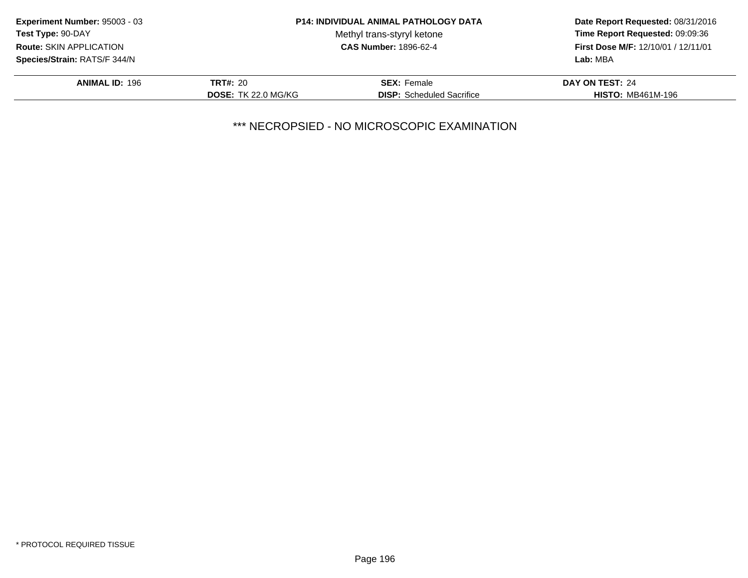| Experiment Number: 95003 - 03  |                            | <b>P14: INDIVIDUAL ANIMAL PATHOLOGY DATA</b> | Date Report Requested: 08/31/2016<br>Time Report Requested: 09:09:36<br>First Dose M/F: 12/10/01 / 12/11/01 |
|--------------------------------|----------------------------|----------------------------------------------|-------------------------------------------------------------------------------------------------------------|
| Test Type: 90-DAY              |                            | Methyl trans-styryl ketone                   |                                                                                                             |
| <b>Route: SKIN APPLICATION</b> |                            | <b>CAS Number: 1896-62-4</b>                 |                                                                                                             |
| Species/Strain: RATS/F 344/N   |                            |                                              | Lab: MBA                                                                                                    |
| <b>ANIMAL ID: 196</b>          | <b>TRT#: 20</b>            | <b>SEX:</b> Female                           | DAY ON TEST: 24                                                                                             |
|                                | <b>DOSE: TK 22.0 MG/KG</b> | <b>DISP:</b> Scheduled Sacrifice             | <b>HISTO: MB461M-196</b>                                                                                    |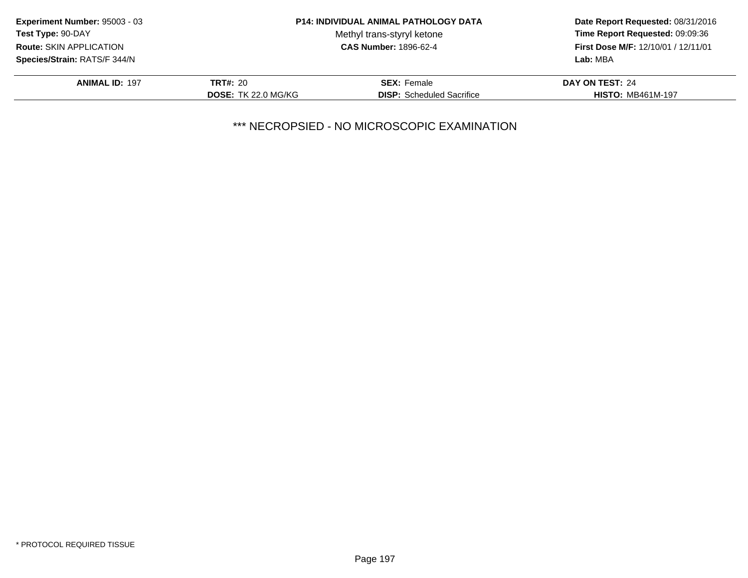| Experiment Number: 95003 - 03       |                            | <b>P14: INDIVIDUAL ANIMAL PATHOLOGY DATA</b> | Date Report Requested: 08/31/2016<br>Time Report Requested: 09:09:36<br><b>First Dose M/F: 12/10/01 / 12/11/01</b> |
|-------------------------------------|----------------------------|----------------------------------------------|--------------------------------------------------------------------------------------------------------------------|
| <b>Test Type: 90-DAY</b>            |                            | Methyl trans-styryl ketone                   |                                                                                                                    |
| <b>Route: SKIN APPLICATION</b>      |                            | <b>CAS Number: 1896-62-4</b>                 |                                                                                                                    |
| <b>Species/Strain: RATS/F 344/N</b> |                            |                                              | Lab: MBA                                                                                                           |
| <b>ANIMAL ID: 197</b>               | <b>TRT#: 20</b>            | <b>SEX: Female</b>                           | DAY ON TEST: 24                                                                                                    |
|                                     | <b>DOSE: TK 22.0 MG/KG</b> | <b>DISP:</b> Scheduled Sacrifice             | <b>HISTO: MB461M-197</b>                                                                                           |
|                                     |                            |                                              |                                                                                                                    |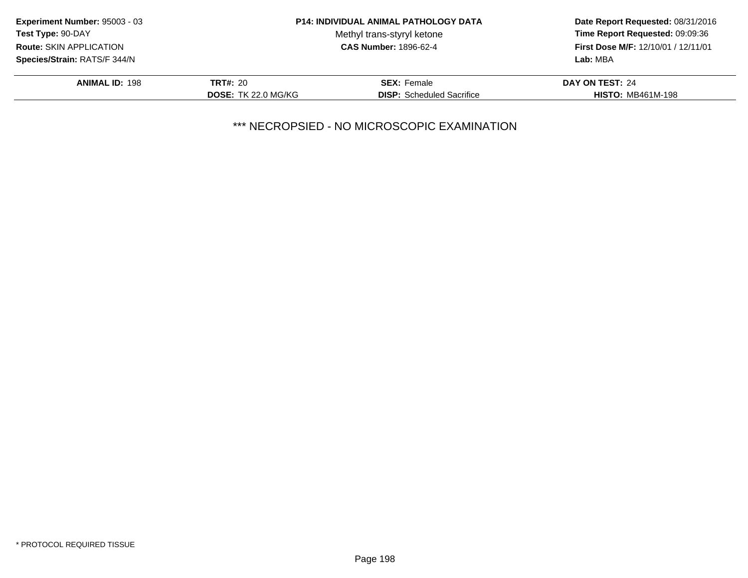| Experiment Number: 95003 - 03  |                            | <b>P14: INDIVIDUAL ANIMAL PATHOLOGY DATA</b> | Date Report Requested: 08/31/2016<br>Time Report Requested: 09:09:36<br>First Dose M/F: 12/10/01 / 12/11/01 |
|--------------------------------|----------------------------|----------------------------------------------|-------------------------------------------------------------------------------------------------------------|
| Test Type: 90-DAY              |                            | Methyl trans-styryl ketone                   |                                                                                                             |
| <b>Route: SKIN APPLICATION</b> |                            | <b>CAS Number: 1896-62-4</b>                 |                                                                                                             |
| Species/Strain: RATS/F 344/N   |                            |                                              | Lab: MBA                                                                                                    |
| <b>ANIMAL ID: 198</b>          | <b>TRT#: 20</b>            | <b>SEX:</b> Female                           | DAY ON TEST: 24                                                                                             |
|                                | <b>DOSE: TK 22.0 MG/KG</b> | <b>DISP:</b> Scheduled Sacrifice             | <b>HISTO: MB461M-198</b>                                                                                    |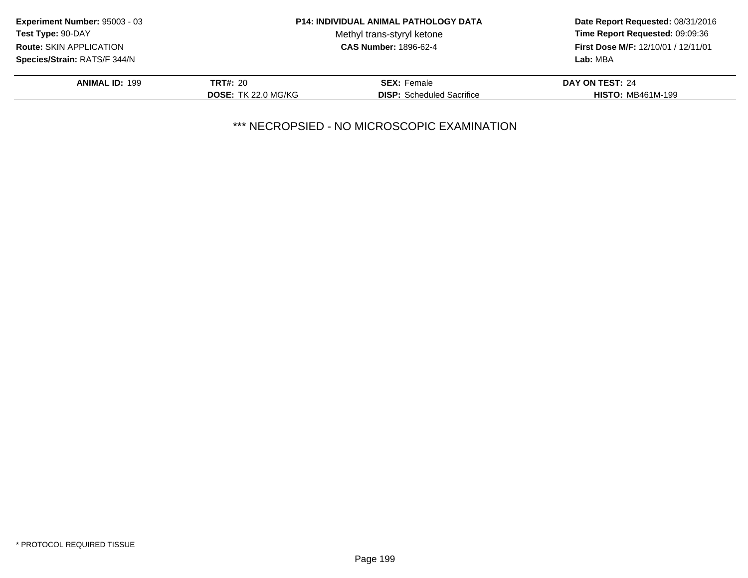| Experiment Number: 95003 - 03  |                            | <b>P14: INDIVIDUAL ANIMAL PATHOLOGY DATA</b> | Date Report Requested: 08/31/2016<br>Time Report Requested: 09:09:36<br>First Dose M/F: 12/10/01 / 12/11/01 |
|--------------------------------|----------------------------|----------------------------------------------|-------------------------------------------------------------------------------------------------------------|
| Test Type: 90-DAY              |                            | Methyl trans-styryl ketone                   |                                                                                                             |
| <b>Route: SKIN APPLICATION</b> |                            | <b>CAS Number: 1896-62-4</b>                 |                                                                                                             |
| Species/Strain: RATS/F 344/N   |                            |                                              | Lab: MBA                                                                                                    |
| <b>ANIMAL ID: 199</b>          | <b>TRT#: 20</b>            | <b>SEX:</b> Female                           | DAY ON TEST: 24                                                                                             |
|                                | <b>DOSE: TK 22.0 MG/KG</b> | <b>DISP:</b> Scheduled Sacrifice             | <b>HISTO: MB461M-199</b>                                                                                    |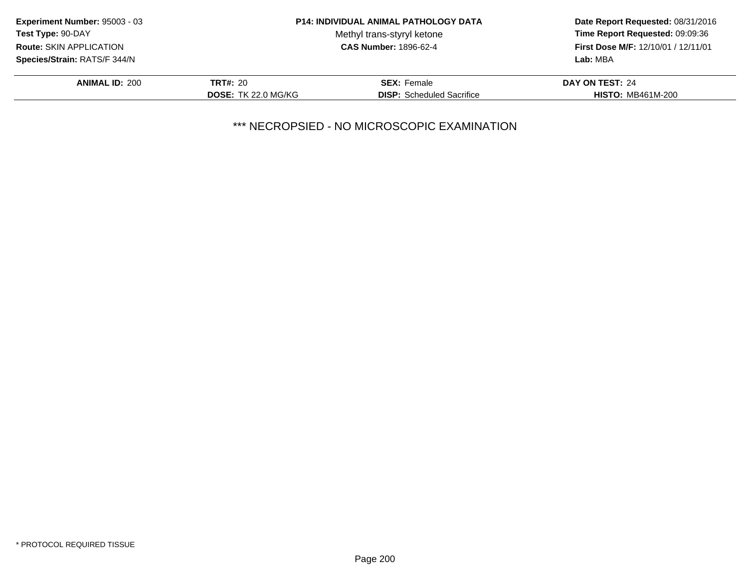| Experiment Number: 95003 - 03       |                            | <b>P14: INDIVIDUAL ANIMAL PATHOLOGY DATA</b> | Date Report Requested: 08/31/2016<br>Time Report Requested: 09:09:36<br><b>First Dose M/F: 12/10/01 / 12/11/01</b><br>Lab: MBA |
|-------------------------------------|----------------------------|----------------------------------------------|--------------------------------------------------------------------------------------------------------------------------------|
| Test Type: 90-DAY                   |                            | Methyl trans-styryl ketone                   |                                                                                                                                |
| <b>Route: SKIN APPLICATION</b>      |                            | <b>CAS Number: 1896-62-4</b>                 |                                                                                                                                |
| <b>Species/Strain: RATS/F 344/N</b> |                            |                                              |                                                                                                                                |
| <b>ANIMAL ID: 200</b>               | <b>TRT#: 20</b>            | <b>SEX: Female</b>                           | DAY ON TEST: 24                                                                                                                |
|                                     | <b>DOSE: TK 22.0 MG/KG</b> | <b>DISP:</b> Scheduled Sacrifice             | <b>HISTO: MB461M-200</b>                                                                                                       |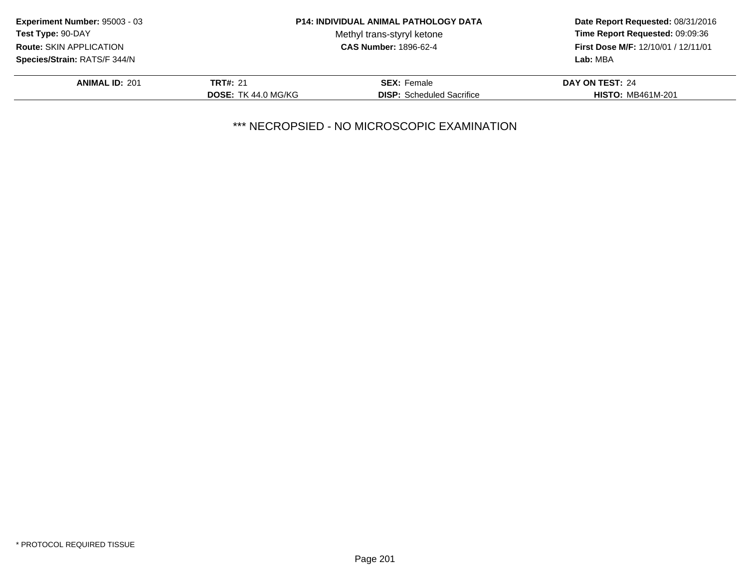| Experiment Number: 95003 - 03  |                            | <b>P14: INDIVIDUAL ANIMAL PATHOLOGY DATA</b> | Date Report Requested: 08/31/2016<br>Time Report Requested: 09:09:36<br><b>First Dose M/F: 12/10/01 / 12/11/01</b><br>Lab: MBA |
|--------------------------------|----------------------------|----------------------------------------------|--------------------------------------------------------------------------------------------------------------------------------|
| <b>Test Type: 90-DAY</b>       |                            | Methyl trans-styryl ketone                   |                                                                                                                                |
| <b>Route: SKIN APPLICATION</b> |                            | <b>CAS Number: 1896-62-4</b>                 |                                                                                                                                |
| Species/Strain: RATS/F 344/N   |                            |                                              |                                                                                                                                |
| <b>ANIMAL ID: 201</b>          | <b>TRT#: 21</b>            | <b>SEX: Female</b>                           | DAY ON TEST: 24                                                                                                                |
|                                | <b>DOSE: TK 44.0 MG/KG</b> | <b>DISP:</b> Scheduled Sacrifice             | <b>HISTO: MB461M-201</b>                                                                                                       |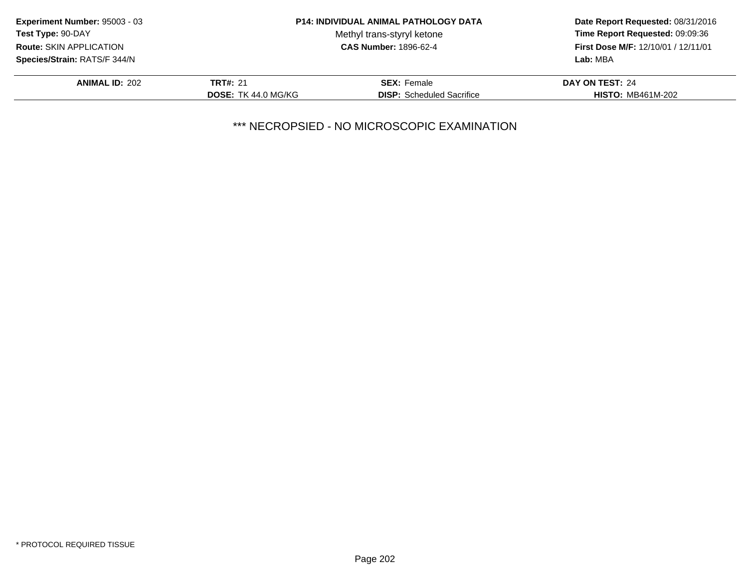| Experiment Number: 95003 - 03  |                            | <b>P14: INDIVIDUAL ANIMAL PATHOLOGY DATA</b> | Date Report Requested: 08/31/2016<br>Time Report Requested: 09:09:36<br><b>First Dose M/F: 12/10/01 / 12/11/01</b> |
|--------------------------------|----------------------------|----------------------------------------------|--------------------------------------------------------------------------------------------------------------------|
| Test Type: 90-DAY              |                            | Methyl trans-styryl ketone                   |                                                                                                                    |
| <b>Route: SKIN APPLICATION</b> |                            | <b>CAS Number: 1896-62-4</b>                 |                                                                                                                    |
| Species/Strain: RATS/F 344/N   |                            |                                              | Lab: MBA                                                                                                           |
| <b>ANIMAL ID: 202</b>          | <b>TRT#: 21</b>            | <b>SEX: Female</b>                           | DAY ON TEST: 24                                                                                                    |
|                                | <b>DOSE: TK 44.0 MG/KG</b> | <b>DISP:</b> Scheduled Sacrifice             | <b>HISTO: MB461M-202</b>                                                                                           |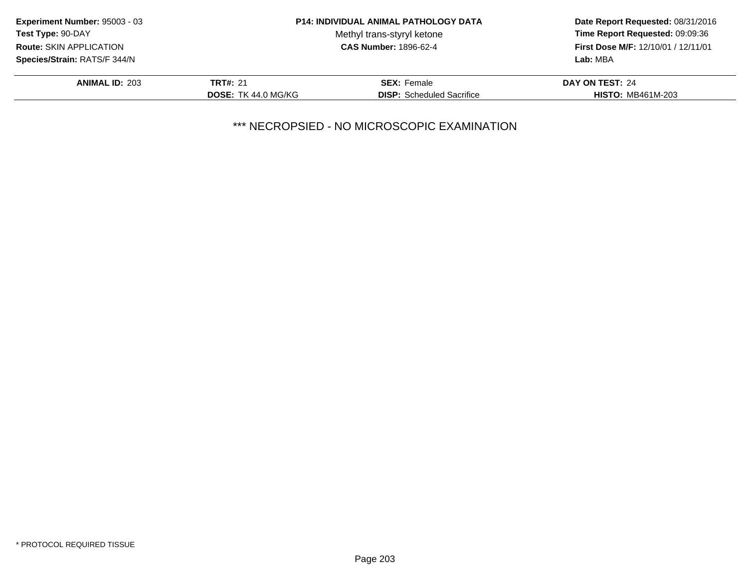| Experiment Number: 95003 - 03  |                            | <b>P14: INDIVIDUAL ANIMAL PATHOLOGY DATA</b> | Date Report Requested: 08/31/2016<br>Time Report Requested: 09:09:36<br><b>First Dose M/F: 12/10/01 / 12/11/01</b> |
|--------------------------------|----------------------------|----------------------------------------------|--------------------------------------------------------------------------------------------------------------------|
| Test Type: 90-DAY              |                            | Methyl trans-styryl ketone                   |                                                                                                                    |
| <b>Route: SKIN APPLICATION</b> |                            | <b>CAS Number: 1896-62-4</b>                 |                                                                                                                    |
| Species/Strain: RATS/F 344/N   |                            |                                              | Lab: MBA                                                                                                           |
| <b>ANIMAL ID: 203</b>          | <b>TRT#: 21</b>            | <b>SEX: Female</b>                           | DAY ON TEST: 24                                                                                                    |
|                                | <b>DOSE: TK 44.0 MG/KG</b> | <b>DISP:</b> Scheduled Sacrifice             | <b>HISTO: MB461M-203</b>                                                                                           |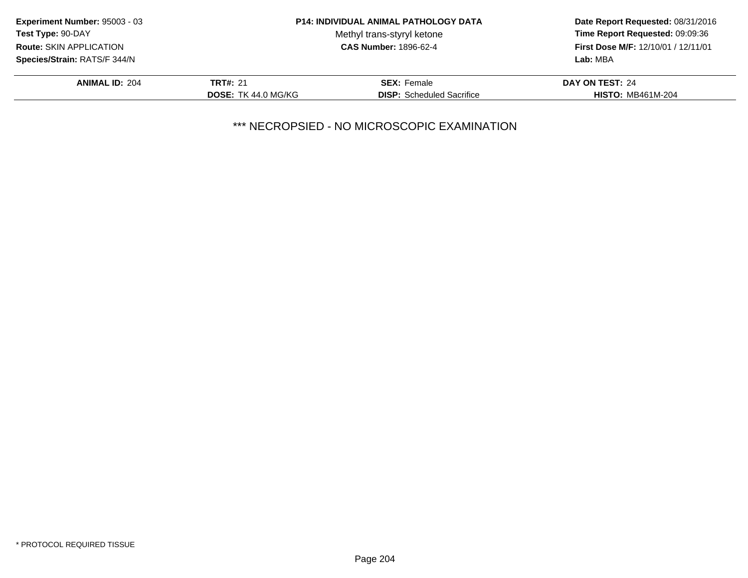| Experiment Number: 95003 - 03  |                            | <b>P14: INDIVIDUAL ANIMAL PATHOLOGY DATA</b> | Date Report Requested: 08/31/2016   |
|--------------------------------|----------------------------|----------------------------------------------|-------------------------------------|
| Test Type: 90-DAY              |                            | Methyl trans-styryl ketone                   | Time Report Requested: 09:09:36     |
| <b>Route: SKIN APPLICATION</b> |                            | <b>CAS Number: 1896-62-4</b>                 | First Dose M/F: 12/10/01 / 12/11/01 |
| Species/Strain: RATS/F 344/N   |                            |                                              | Lab: MBA                            |
| <b>ANIMAL ID: 204</b>          | <b>TRT#: 21</b>            | <b>SEX: Female</b>                           | DAY ON TEST: 24                     |
|                                | <b>DOSE: TK 44.0 MG/KG</b> | <b>DISP:</b> Scheduled Sacrifice             | <b>HISTO: MB461M-204</b>            |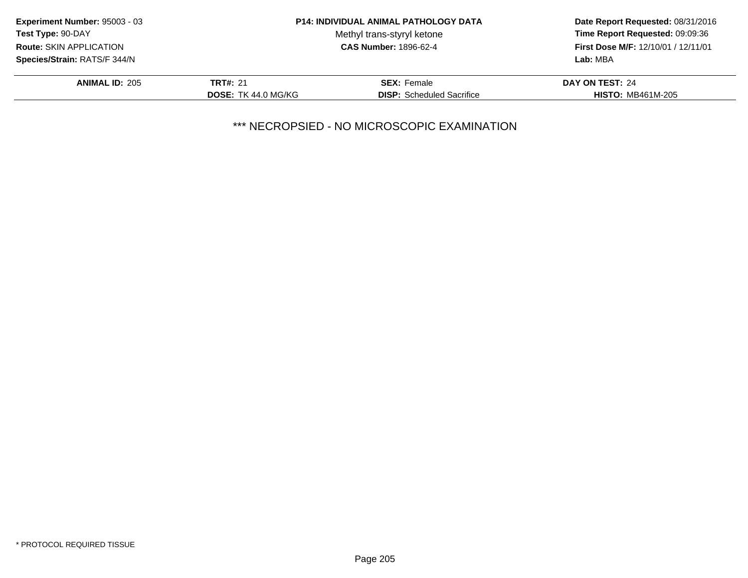| Experiment Number: 95003 - 03  |                            | <b>P14: INDIVIDUAL ANIMAL PATHOLOGY DATA</b> | Date Report Requested: 08/31/2016<br>Time Report Requested: 09:09:36<br><b>First Dose M/F: 12/10/01 / 12/11/01</b> |
|--------------------------------|----------------------------|----------------------------------------------|--------------------------------------------------------------------------------------------------------------------|
| Test Type: 90-DAY              |                            | Methyl trans-styryl ketone                   |                                                                                                                    |
| <b>Route: SKIN APPLICATION</b> |                            | <b>CAS Number: 1896-62-4</b>                 |                                                                                                                    |
| Species/Strain: RATS/F 344/N   |                            |                                              | Lab: MBA                                                                                                           |
| <b>ANIMAL ID: 205</b>          | <b>TRT#: 21</b>            | <b>SEX: Female</b>                           | DAY ON TEST: 24                                                                                                    |
|                                | <b>DOSE: TK 44.0 MG/KG</b> | <b>DISP:</b> Scheduled Sacrifice             | <b>HISTO: MB461M-205</b>                                                                                           |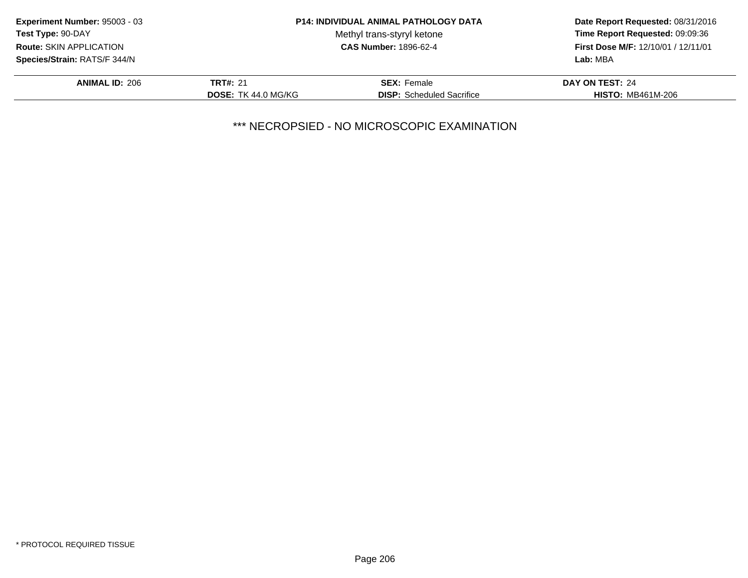| Experiment Number: 95003 - 03  |                            | <b>P14: INDIVIDUAL ANIMAL PATHOLOGY DATA</b> | Date Report Requested: 08/31/2016<br>Time Report Requested: 09:09:36<br><b>First Dose M/F: 12/10/01 / 12/11/01</b> |
|--------------------------------|----------------------------|----------------------------------------------|--------------------------------------------------------------------------------------------------------------------|
| Test Type: 90-DAY              |                            | Methyl trans-styryl ketone                   |                                                                                                                    |
| <b>Route: SKIN APPLICATION</b> |                            | <b>CAS Number: 1896-62-4</b>                 |                                                                                                                    |
| Species/Strain: RATS/F 344/N   |                            |                                              | Lab: MBA                                                                                                           |
| <b>ANIMAL ID: 206</b>          | <b>TRT#: 21</b>            | <b>SEX: Female</b>                           | DAY ON TEST: 24                                                                                                    |
|                                | <b>DOSE: TK 44.0 MG/KG</b> | <b>DISP:</b> Scheduled Sacrifice             | <b>HISTO: MB461M-206</b>                                                                                           |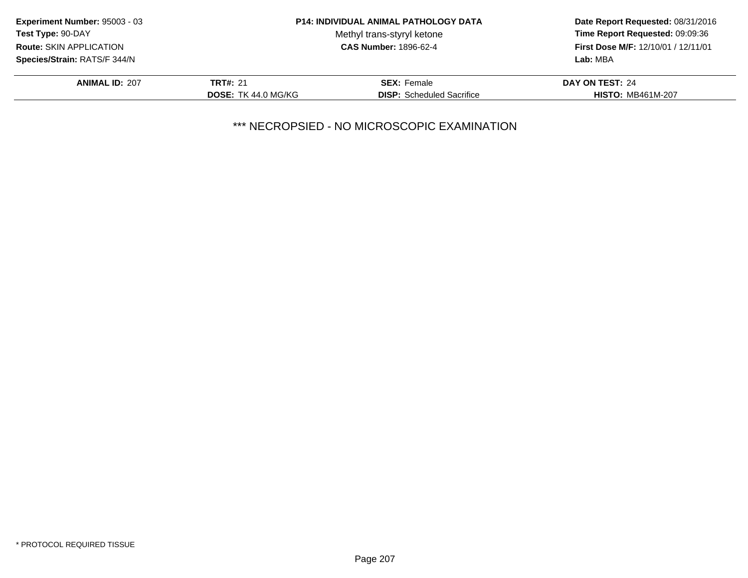| Experiment Number: 95003 - 03       |                            | <b>P14: INDIVIDUAL ANIMAL PATHOLOGY DATA</b> | Date Report Requested: 08/31/2016<br>Time Report Requested: 09:09:36<br><b>First Dose M/F: 12/10/01 / 12/11/01</b> |
|-------------------------------------|----------------------------|----------------------------------------------|--------------------------------------------------------------------------------------------------------------------|
| Test Type: 90-DAY                   |                            | Methyl trans-styryl ketone                   |                                                                                                                    |
| <b>Route: SKIN APPLICATION</b>      |                            | <b>CAS Number: 1896-62-4</b>                 |                                                                                                                    |
| <b>Species/Strain: RATS/F 344/N</b> |                            |                                              | Lab: MBA                                                                                                           |
| <b>ANIMAL ID: 207</b>               | <b>TRT#: 21</b>            | <b>SEX: Female</b>                           | DAY ON TEST: 24                                                                                                    |
|                                     | <b>DOSE: TK 44.0 MG/KG</b> | <b>DISP:</b> Scheduled Sacrifice             | <b>HISTO: MB461M-207</b>                                                                                           |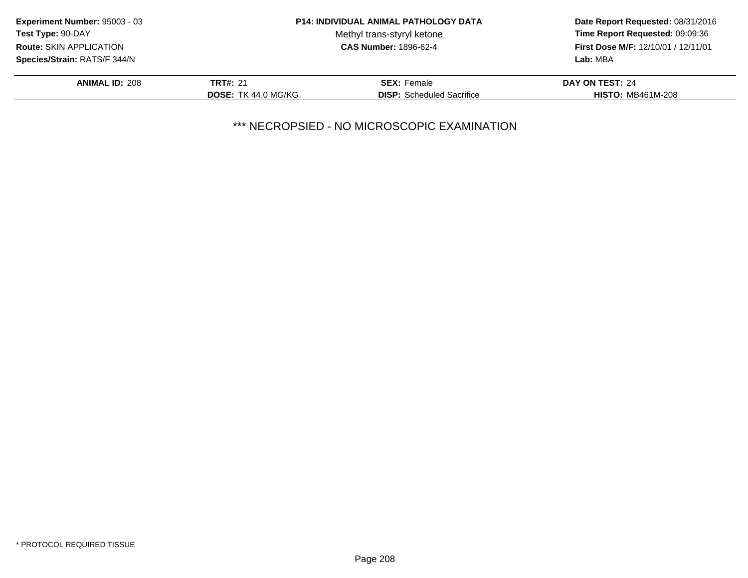| Experiment Number: 95003 - 03  |                            | <b>P14: INDIVIDUAL ANIMAL PATHOLOGY DATA</b> | Date Report Requested: 08/31/2016<br>Time Report Requested: 09:09:36<br><b>First Dose M/F: 12/10/01 / 12/11/01</b> |
|--------------------------------|----------------------------|----------------------------------------------|--------------------------------------------------------------------------------------------------------------------|
| Test Type: 90-DAY              |                            | Methyl trans-styryl ketone                   |                                                                                                                    |
| <b>Route: SKIN APPLICATION</b> |                            | <b>CAS Number: 1896-62-4</b>                 |                                                                                                                    |
| Species/Strain: RATS/F 344/N   |                            |                                              | Lab: MBA                                                                                                           |
| <b>ANIMAL ID: 208</b>          | <b>TRT#: 21</b>            | <b>SEX: Female</b>                           | DAY ON TEST: 24                                                                                                    |
|                                | <b>DOSE: TK 44.0 MG/KG</b> | <b>DISP:</b> Scheduled Sacrifice             | <b>HISTO: MB461M-208</b>                                                                                           |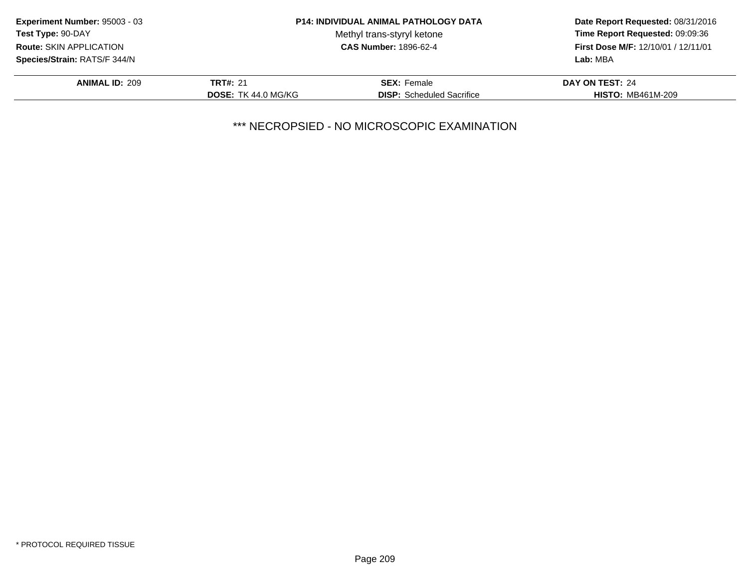| Experiment Number: 95003 - 03  |                            | <b>P14: INDIVIDUAL ANIMAL PATHOLOGY DATA</b> | Date Report Requested: 08/31/2016<br>Time Report Requested: 09:09:36<br><b>First Dose M/F: 12/10/01 / 12/11/01</b> |
|--------------------------------|----------------------------|----------------------------------------------|--------------------------------------------------------------------------------------------------------------------|
| Test Type: 90-DAY              |                            | Methyl trans-styryl ketone                   |                                                                                                                    |
| <b>Route: SKIN APPLICATION</b> |                            | <b>CAS Number: 1896-62-4</b>                 |                                                                                                                    |
| Species/Strain: RATS/F 344/N   |                            |                                              | Lab: MBA                                                                                                           |
| <b>ANIMAL ID: 209</b>          | <b>TRT#: 21</b>            | <b>SEX: Female</b>                           | DAY ON TEST: 24                                                                                                    |
|                                | <b>DOSE: TK 44.0 MG/KG</b> | <b>DISP:</b> Scheduled Sacrifice             | <b>HISTO: MB461M-209</b>                                                                                           |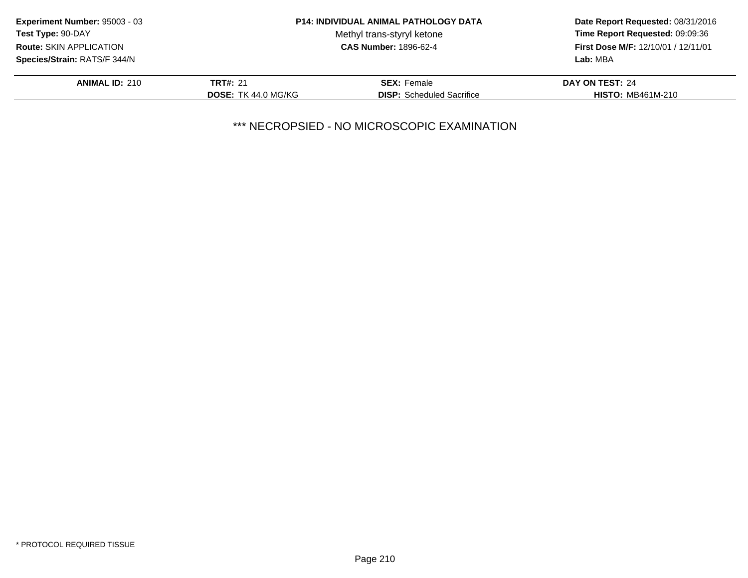| Experiment Number: 95003 - 03  |                            | <b>P14: INDIVIDUAL ANIMAL PATHOLOGY DATA</b> | Date Report Requested: 08/31/2016<br>Time Report Requested: 09:09:36<br><b>First Dose M/F: 12/10/01 / 12/11/01</b><br>Lab: MBA |
|--------------------------------|----------------------------|----------------------------------------------|--------------------------------------------------------------------------------------------------------------------------------|
| <b>Test Type: 90-DAY</b>       |                            | Methyl trans-styryl ketone                   |                                                                                                                                |
| <b>Route: SKIN APPLICATION</b> |                            | <b>CAS Number: 1896-62-4</b>                 |                                                                                                                                |
| Species/Strain: RATS/F 344/N   |                            |                                              |                                                                                                                                |
| <b>ANIMAL ID: 210</b>          | <b>TRT#: 21</b>            | <b>SEX: Female</b>                           | DAY ON TEST: 24                                                                                                                |
|                                | <b>DOSE: TK 44.0 MG/KG</b> | <b>DISP:</b> Scheduled Sacrifice             | <b>HISTO: MB461M-210</b>                                                                                                       |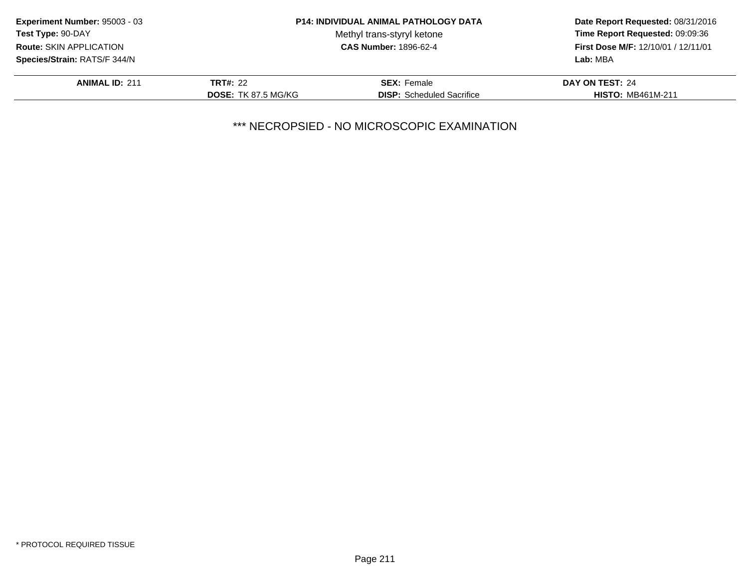| Experiment Number: 95003 - 03  |                            | <b>P14: INDIVIDUAL ANIMAL PATHOLOGY DATA</b> | Date Report Requested: 08/31/2016<br>Time Report Requested: 09:09:36<br>First Dose M/F: 12/10/01 / 12/11/01 |
|--------------------------------|----------------------------|----------------------------------------------|-------------------------------------------------------------------------------------------------------------|
| Test Type: 90-DAY              |                            | Methyl trans-styryl ketone                   |                                                                                                             |
| <b>Route: SKIN APPLICATION</b> |                            | <b>CAS Number: 1896-62-4</b>                 |                                                                                                             |
| Species/Strain: RATS/F 344/N   |                            |                                              | Lab: MBA                                                                                                    |
| <b>ANIMAL ID: 211</b>          | <b>TRT#: 22</b>            | <b>SEX: Female</b>                           | DAY ON TEST: 24                                                                                             |
|                                | <b>DOSE: TK 87.5 MG/KG</b> | <b>DISP:</b> Scheduled Sacrifice             | <b>HISTO: MB461M-211</b>                                                                                    |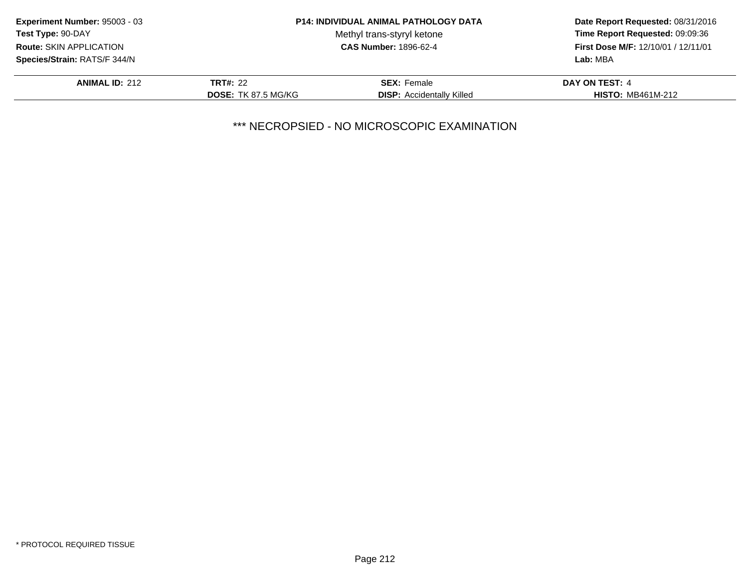| Experiment Number: 95003 - 03  |                            | <b>P14: INDIVIDUAL ANIMAL PATHOLOGY DATA</b> | Date Report Requested: 08/31/2016<br>Time Report Requested: 09:09:36<br>First Dose M/F: 12/10/01 / 12/11/01<br>Lab: MBA |
|--------------------------------|----------------------------|----------------------------------------------|-------------------------------------------------------------------------------------------------------------------------|
| Test Type: 90-DAY              |                            | Methyl trans-styryl ketone                   |                                                                                                                         |
| <b>Route: SKIN APPLICATION</b> |                            | <b>CAS Number: 1896-62-4</b>                 |                                                                                                                         |
| Species/Strain: RATS/F 344/N   |                            |                                              |                                                                                                                         |
| <b>ANIMAL ID: 212</b>          | <b>TRT#: 22</b>            | <b>SEX: Female</b>                           | DAY ON TEST: 4                                                                                                          |
|                                | <b>DOSE: TK 87.5 MG/KG</b> | <b>DISP:</b> Accidentally Killed             | <b>HISTO: MB461M-212</b>                                                                                                |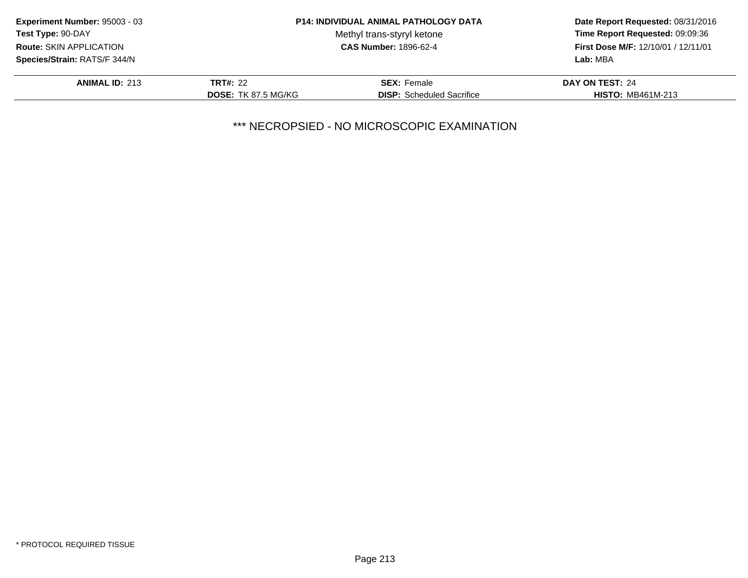| Experiment Number: 95003 - 03 |                            | <b>P14: INDIVIDUAL ANIMAL PATHOLOGY DATA</b> | Date Report Requested: 08/31/2016<br>Time Report Requested: 09:09:36<br>First Dose M/F: 12/10/01 / 12/11/01 |
|-------------------------------|----------------------------|----------------------------------------------|-------------------------------------------------------------------------------------------------------------|
| Test Type: 90-DAY             |                            | Methyl trans-styryl ketone                   |                                                                                                             |
| Route: SKIN APPLICATION       |                            | <b>CAS Number: 1896-62-4</b>                 |                                                                                                             |
| Species/Strain: RATS/F 344/N  |                            |                                              | Lab: MBA                                                                                                    |
| <b>ANIMAL ID: 213</b>         | <b>TRT#: 22</b>            | <b>SEX: Female</b>                           | DAY ON TEST: 24                                                                                             |
|                               | <b>DOSE: TK 87.5 MG/KG</b> | <b>DISP:</b> Scheduled Sacrifice             | <b>HISTO: MB461M-213</b>                                                                                    |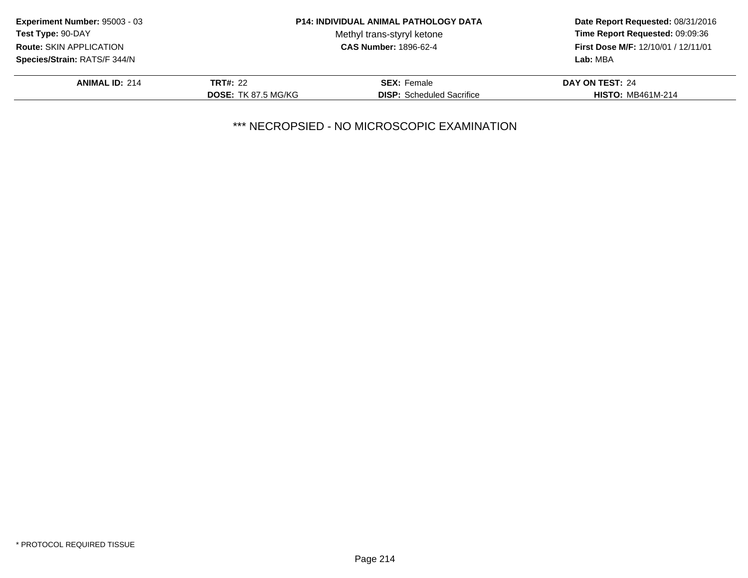| Experiment Number: 95003 - 03 |                            | <b>P14: INDIVIDUAL ANIMAL PATHOLOGY DATA</b> | Date Report Requested: 08/31/2016<br>Time Report Requested: 09:09:36<br>First Dose M/F: 12/10/01 / 12/11/01 |
|-------------------------------|----------------------------|----------------------------------------------|-------------------------------------------------------------------------------------------------------------|
| Test Type: 90-DAY             |                            | Methyl trans-styryl ketone                   |                                                                                                             |
| Route: SKIN APPLICATION       |                            | <b>CAS Number: 1896-62-4</b>                 |                                                                                                             |
| Species/Strain: RATS/F 344/N  |                            |                                              | Lab: MBA                                                                                                    |
| <b>ANIMAL ID: 214</b>         | <b>TRT#: 22</b>            | <b>SEX: Female</b>                           | DAY ON TEST: 24                                                                                             |
|                               | <b>DOSE: TK 87.5 MG/KG</b> | <b>DISP:</b> Scheduled Sacrifice             | <b>HISTO: MB461M-214</b>                                                                                    |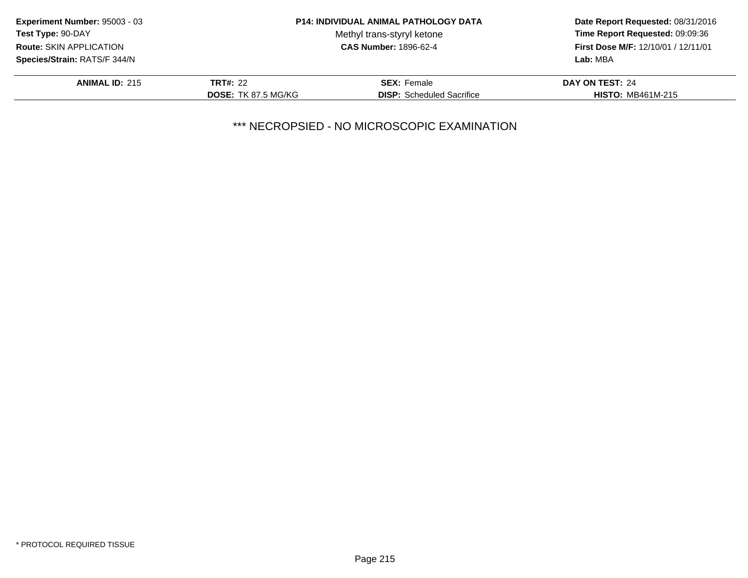| Experiment Number: 95003 - 03 |                            | <b>P14: INDIVIDUAL ANIMAL PATHOLOGY DATA</b> | Date Report Requested: 08/31/2016<br>Time Report Requested: 09:09:36<br>First Dose M/F: 12/10/01 / 12/11/01 |
|-------------------------------|----------------------------|----------------------------------------------|-------------------------------------------------------------------------------------------------------------|
| Test Type: 90-DAY             |                            | Methyl trans-styryl ketone                   |                                                                                                             |
| Route: SKIN APPLICATION       |                            | <b>CAS Number: 1896-62-4</b>                 |                                                                                                             |
| Species/Strain: RATS/F 344/N  |                            |                                              | Lab: MBA                                                                                                    |
| <b>ANIMAL ID: 215</b>         | <b>TRT#: 22</b>            | <b>SEX: Female</b>                           | DAY ON TEST: 24                                                                                             |
|                               | <b>DOSE: TK 87.5 MG/KG</b> | <b>DISP:</b> Scheduled Sacrifice             | <b>HISTO: MB461M-215</b>                                                                                    |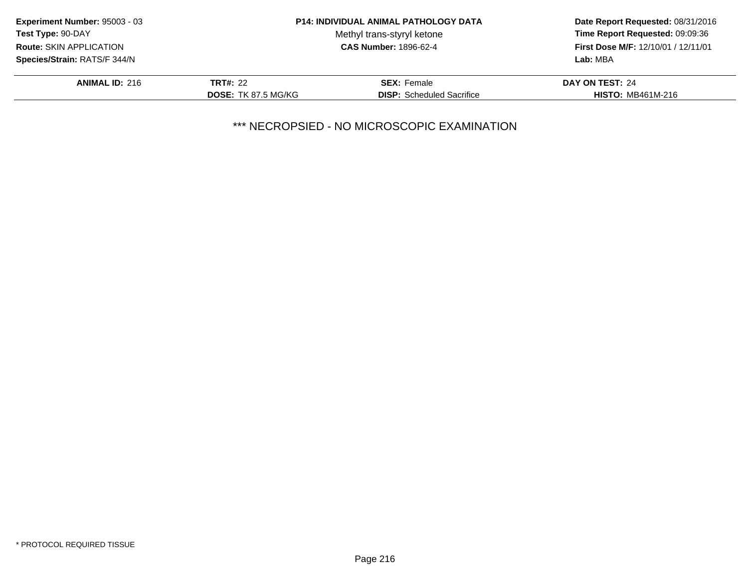| Experiment Number: 95003 - 03  |                            | <b>P14: INDIVIDUAL ANIMAL PATHOLOGY DATA</b> | Date Report Requested: 08/31/2016                      |
|--------------------------------|----------------------------|----------------------------------------------|--------------------------------------------------------|
| <b>Test Type: 90-DAY</b>       |                            | Methyl trans-styryl ketone                   | Time Report Requested: 09:09:36                        |
| <b>Route: SKIN APPLICATION</b> |                            | <b>CAS Number: 1896-62-4</b>                 | <b>First Dose M/F: 12/10/01 / 12/11/01</b><br>Lab: MBA |
| Species/Strain: RATS/F 344/N   |                            |                                              |                                                        |
| <b>ANIMAL ID: 216</b>          | <b>TRT#: 22</b>            | <b>SEX: Female</b>                           | DAY ON TEST: 24                                        |
|                                | <b>DOSE: TK 87.5 MG/KG</b> | <b>DISP:</b> Scheduled Sacrifice             | <b>HISTO: MB461M-216</b>                               |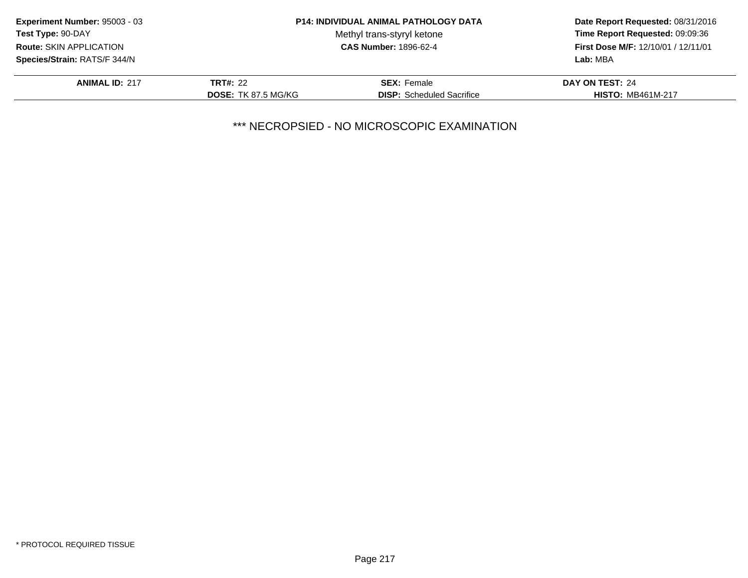| Experiment Number: 95003 - 03  |                            | <b>P14: INDIVIDUAL ANIMAL PATHOLOGY DATA</b> | Date Report Requested: 08/31/2016<br>Time Report Requested: 09:09:36<br><b>First Dose M/F: 12/10/01 / 12/11/01</b> |
|--------------------------------|----------------------------|----------------------------------------------|--------------------------------------------------------------------------------------------------------------------|
| <b>Test Type: 90-DAY</b>       |                            | Methyl trans-styryl ketone                   |                                                                                                                    |
| <b>Route: SKIN APPLICATION</b> |                            | <b>CAS Number: 1896-62-4</b>                 |                                                                                                                    |
| Species/Strain: RATS/F 344/N   |                            |                                              | Lab: MBA                                                                                                           |
| <b>ANIMAL ID: 217</b>          | <b>TRT#: 22</b>            | <b>SEX: Female</b>                           | DAY ON TEST: 24                                                                                                    |
|                                | <b>DOSE: TK 87.5 MG/KG</b> | <b>DISP:</b> Scheduled Sacrifice             | <b>HISTO: MB461M-217</b>                                                                                           |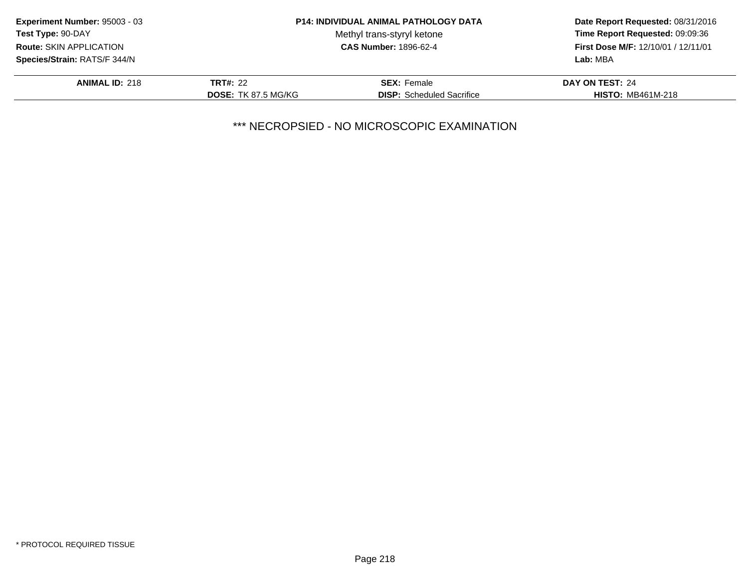| Experiment Number: 95003 - 03 |                            | <b>P14: INDIVIDUAL ANIMAL PATHOLOGY DATA</b> | Date Report Requested: 08/31/2016<br>Time Report Requested: 09:09:36<br>First Dose M/F: 12/10/01 / 12/11/01 |
|-------------------------------|----------------------------|----------------------------------------------|-------------------------------------------------------------------------------------------------------------|
| Test Type: 90-DAY             |                            | Methyl trans-styryl ketone                   |                                                                                                             |
| Route: SKIN APPLICATION       |                            | <b>CAS Number: 1896-62-4</b>                 |                                                                                                             |
| Species/Strain: RATS/F 344/N  |                            |                                              | Lab: MBA                                                                                                    |
| <b>ANIMAL ID: 218</b>         | <b>TRT#: 22</b>            | <b>SEX: Female</b>                           | DAY ON TEST: 24                                                                                             |
|                               | <b>DOSE: TK 87.5 MG/KG</b> | <b>DISP:</b> Scheduled Sacrifice             | <b>HISTO: MB461M-218</b>                                                                                    |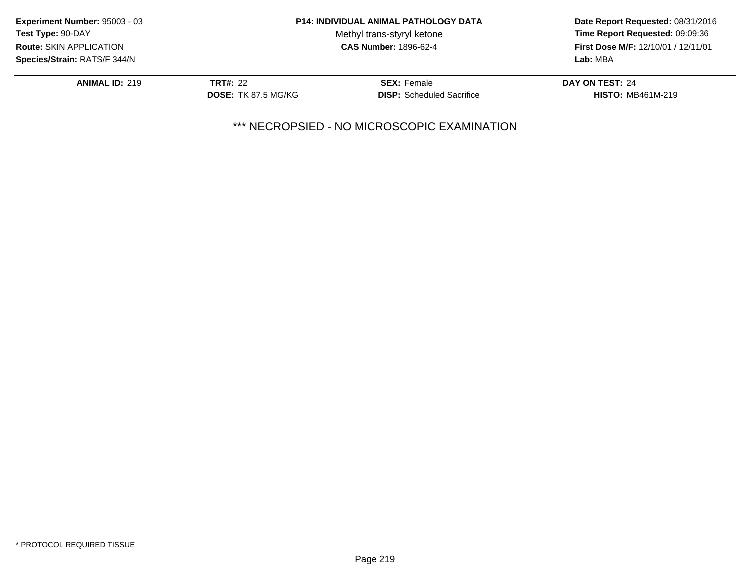| Experiment Number: 95003 - 03  |                            | <b>P14: INDIVIDUAL ANIMAL PATHOLOGY DATA</b> | Date Report Requested: 08/31/2016<br>Time Report Requested: 09:09:36<br>First Dose M/F: 12/10/01 / 12/11/01 |
|--------------------------------|----------------------------|----------------------------------------------|-------------------------------------------------------------------------------------------------------------|
| Test Type: 90-DAY              |                            | Methyl trans-styryl ketone                   |                                                                                                             |
| <b>Route: SKIN APPLICATION</b> |                            | <b>CAS Number: 1896-62-4</b>                 |                                                                                                             |
| Species/Strain: RATS/F 344/N   |                            |                                              | Lab: MBA                                                                                                    |
| <b>ANIMAL ID: 219</b>          | <b>TRT#: 22</b>            | <b>SEX: Female</b>                           | DAY ON TEST: 24                                                                                             |
|                                | <b>DOSE: TK 87.5 MG/KG</b> | <b>DISP:</b> Scheduled Sacrifice             | <b>HISTO: MB461M-219</b>                                                                                    |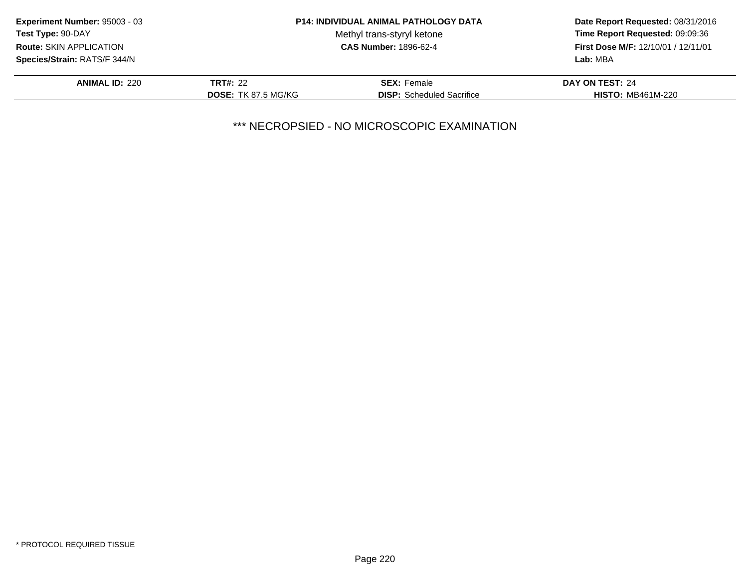| Experiment Number: 95003 - 03  |                            | <b>P14: INDIVIDUAL ANIMAL PATHOLOGY DATA</b> | Date Report Requested: 08/31/2016<br>Time Report Requested: 09:09:36<br>First Dose M/F: 12/10/01 / 12/11/01 |
|--------------------------------|----------------------------|----------------------------------------------|-------------------------------------------------------------------------------------------------------------|
| Test Type: 90-DAY              |                            | Methyl trans-styryl ketone                   |                                                                                                             |
| <b>Route: SKIN APPLICATION</b> |                            | <b>CAS Number: 1896-62-4</b>                 |                                                                                                             |
| Species/Strain: RATS/F 344/N   |                            |                                              | Lab: MBA                                                                                                    |
| <b>ANIMAL ID: 220</b>          | <b>TRT#: 22</b>            | <b>SEX: Female</b>                           | DAY ON TEST: 24                                                                                             |
|                                | <b>DOSE: TK 87.5 MG/KG</b> | <b>DISP:</b> Scheduled Sacrifice             | <b>HISTO: MB461M-220</b>                                                                                    |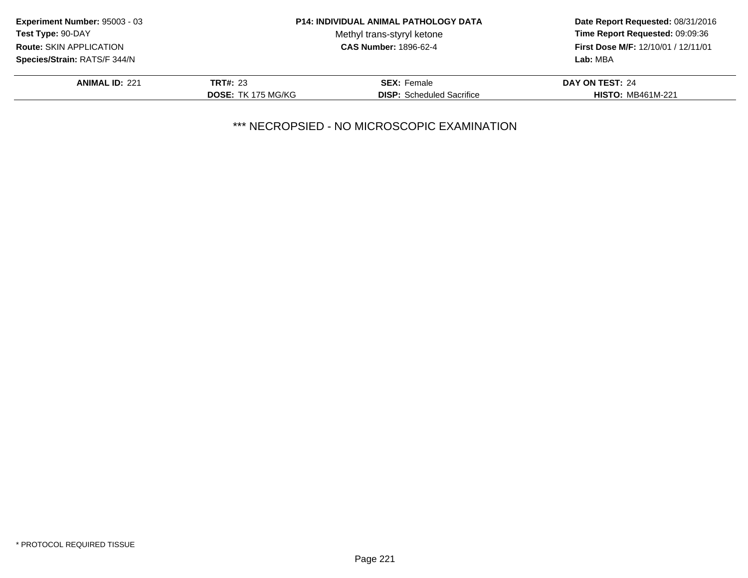| Experiment Number: 95003 - 03  |                           | <b>P14: INDIVIDUAL ANIMAL PATHOLOGY DATA</b> | Date Report Requested: 08/31/2016   |
|--------------------------------|---------------------------|----------------------------------------------|-------------------------------------|
| Test Type: 90-DAY              |                           | Methyl trans-styryl ketone                   | Time Report Requested: 09:09:36     |
| <b>Route: SKIN APPLICATION</b> |                           | <b>CAS Number: 1896-62-4</b>                 | First Dose M/F: 12/10/01 / 12/11/01 |
| Species/Strain: RATS/F 344/N   |                           |                                              | Lab: MBA                            |
| <b>ANIMAL ID: 221</b>          | <b>TRT#: 23</b>           | <b>SEX:</b> Female                           | DAY ON TEST: 24                     |
|                                | <b>DOSE: TK 175 MG/KG</b> | <b>DISP:</b> Scheduled Sacrifice             | <b>HISTO: MB461M-221</b>            |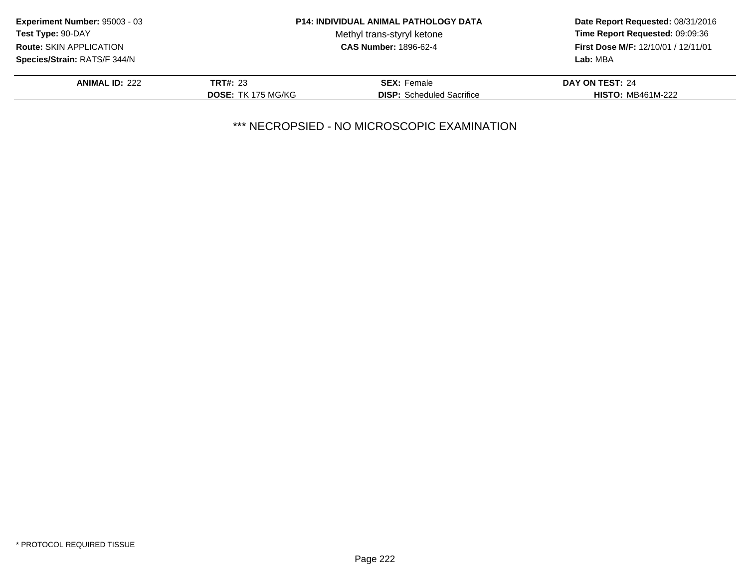| <b>Experiment Number: 95003 - 03</b> |                           | <b>P14: INDIVIDUAL ANIMAL PATHOLOGY DATA</b> | Date Report Requested: 08/31/2016<br>Time Report Requested: 09:09:36<br>First Dose M/F: 12/10/01 / 12/11/01 |
|--------------------------------------|---------------------------|----------------------------------------------|-------------------------------------------------------------------------------------------------------------|
| <b>Test Type: 90-DAY</b>             |                           | Methyl trans-styryl ketone                   |                                                                                                             |
| <b>Route: SKIN APPLICATION</b>       |                           | <b>CAS Number: 1896-62-4</b>                 |                                                                                                             |
| Species/Strain: RATS/F 344/N         |                           |                                              | Lab: MBA                                                                                                    |
| <b>ANIMAL ID: 222</b>                | <b>TRT#: 23</b>           | <b>SEX:</b> Female                           | DAY ON TEST: 24                                                                                             |
|                                      | <b>DOSE: TK 175 MG/KG</b> | <b>DISP:</b> Scheduled Sacrifice             | <b>HISTO: MB461M-222</b>                                                                                    |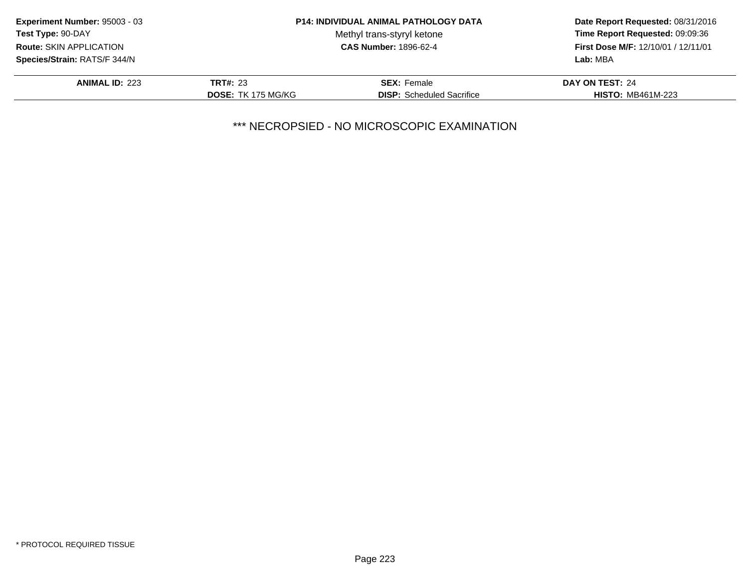| Experiment Number: 95003 - 03  |                           | <b>P14: INDIVIDUAL ANIMAL PATHOLOGY DATA</b> | Date Report Requested: 08/31/2016<br>Time Report Requested: 09:09:36 |
|--------------------------------|---------------------------|----------------------------------------------|----------------------------------------------------------------------|
| Test Type: 90-DAY              |                           | Methyl trans-styryl ketone                   |                                                                      |
| <b>Route: SKIN APPLICATION</b> |                           | <b>CAS Number: 1896-62-4</b>                 | First Dose M/F: 12/10/01 / 12/11/01                                  |
| Species/Strain: RATS/F 344/N   |                           |                                              | Lab: MBA                                                             |
| <b>ANIMAL ID: 223</b>          | <b>TRT#: 23</b>           | <b>SEX:</b> Female                           | DAY ON TEST: 24                                                      |
|                                | <b>DOSE: TK 175 MG/KG</b> | <b>DISP:</b> Scheduled Sacrifice             | <b>HISTO: MB461M-223</b>                                             |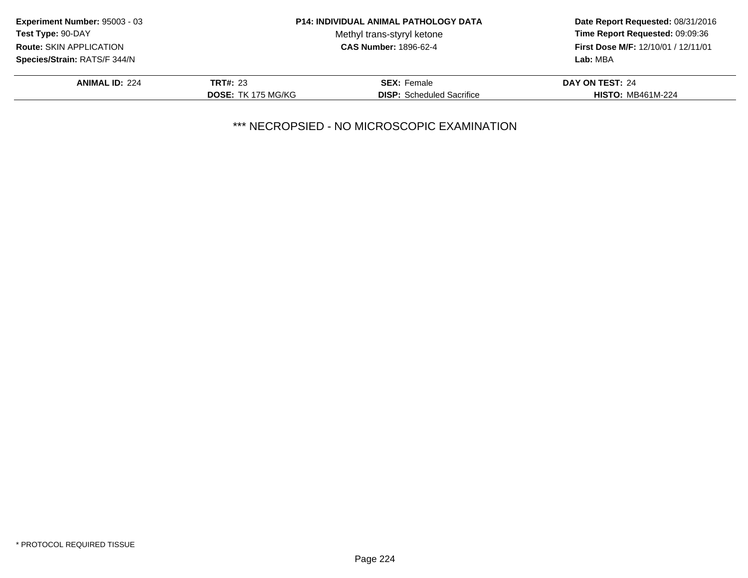| Experiment Number: 95003 - 03  |                           | <b>P14: INDIVIDUAL ANIMAL PATHOLOGY DATA</b> | Date Report Requested: 08/31/2016<br>Time Report Requested: 09:09:36 |
|--------------------------------|---------------------------|----------------------------------------------|----------------------------------------------------------------------|
| Test Type: 90-DAY              |                           | Methyl trans-styryl ketone                   |                                                                      |
| <b>Route: SKIN APPLICATION</b> |                           | <b>CAS Number: 1896-62-4</b>                 | First Dose M/F: 12/10/01 / 12/11/01                                  |
| Species/Strain: RATS/F 344/N   |                           |                                              | Lab: MBA                                                             |
| <b>ANIMAL ID: 224</b>          | <b>TRT#: 23</b>           | <b>SEX:</b> Female                           | DAY ON TEST: 24                                                      |
|                                | <b>DOSE: TK 175 MG/KG</b> | <b>DISP:</b> Scheduled Sacrifice             | <b>HISTO: MB461M-224</b>                                             |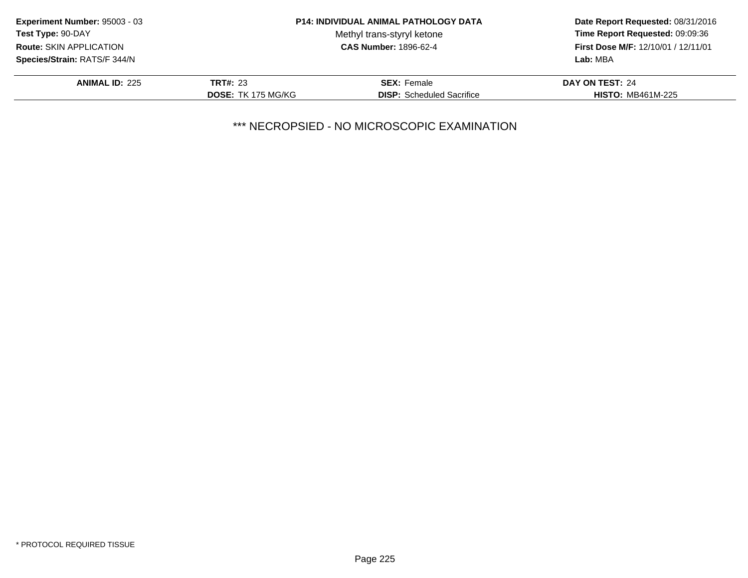| <b>Experiment Number: 95003 - 03</b> |                           | <b>P14: INDIVIDUAL ANIMAL PATHOLOGY DATA</b> | Date Report Requested: 08/31/2016<br>Time Report Requested: 09:09:36 |
|--------------------------------------|---------------------------|----------------------------------------------|----------------------------------------------------------------------|
| Test Type: 90-DAY                    |                           | Methyl trans-styryl ketone                   |                                                                      |
| <b>Route: SKIN APPLICATION</b>       |                           | <b>CAS Number: 1896-62-4</b>                 | First Dose M/F: 12/10/01 / 12/11/01                                  |
| Species/Strain: RATS/F 344/N         |                           |                                              | Lab: MBA                                                             |
| <b>ANIMAL ID: 225</b>                | <b>TRT#: 23</b>           | <b>SEX:</b> Female                           | DAY ON TEST: 24                                                      |
|                                      | <b>DOSE: TK 175 MG/KG</b> | <b>DISP:</b> Scheduled Sacrifice             | <b>HISTO: MB461M-225</b>                                             |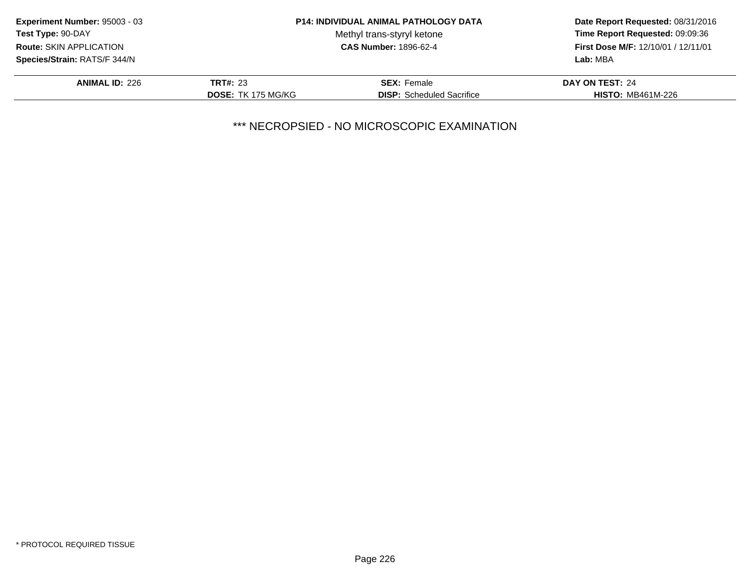| Experiment Number: 95003 - 03  |                           | <b>P14: INDIVIDUAL ANIMAL PATHOLOGY DATA</b> | Date Report Requested: 08/31/2016<br>Time Report Requested: 09:09:36 |
|--------------------------------|---------------------------|----------------------------------------------|----------------------------------------------------------------------|
| Test Type: 90-DAY              |                           | Methyl trans-styryl ketone                   |                                                                      |
| <b>Route: SKIN APPLICATION</b> |                           | <b>CAS Number: 1896-62-4</b>                 | First Dose M/F: 12/10/01 / 12/11/01                                  |
| Species/Strain: RATS/F 344/N   |                           |                                              | Lab: MBA                                                             |
| <b>ANIMAL ID: 226</b>          | <b>TRT#: 23</b>           | <b>SEX:</b> Female                           | DAY ON TEST: 24                                                      |
|                                | <b>DOSE: TK 175 MG/KG</b> | <b>DISP:</b> Scheduled Sacrifice             | <b>HISTO: MB461M-226</b>                                             |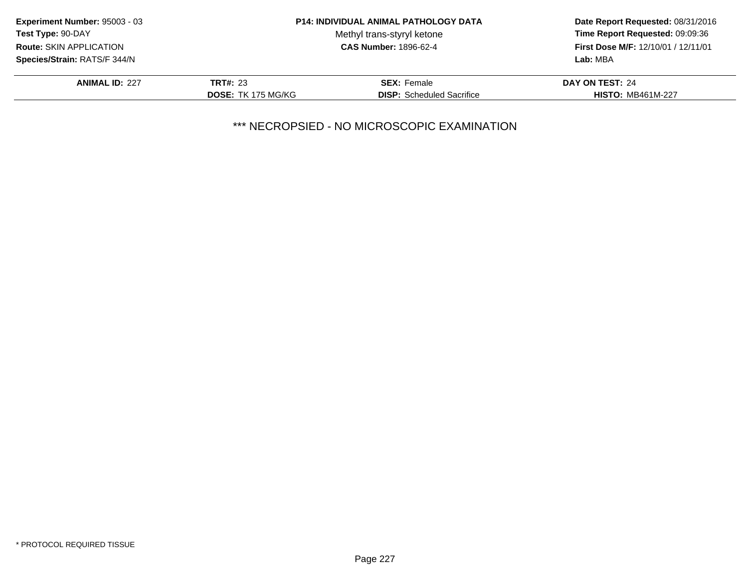| Experiment Number: 95003 - 03  |                           | <b>P14: INDIVIDUAL ANIMAL PATHOLOGY DATA</b> | Date Report Requested: 08/31/2016<br>Time Report Requested: 09:09:36<br>First Dose M/F: 12/10/01 / 12/11/01 |
|--------------------------------|---------------------------|----------------------------------------------|-------------------------------------------------------------------------------------------------------------|
| Test Type: 90-DAY              |                           | Methyl trans-styryl ketone                   |                                                                                                             |
| <b>Route: SKIN APPLICATION</b> |                           | <b>CAS Number: 1896-62-4</b>                 |                                                                                                             |
| Species/Strain: RATS/F 344/N   |                           |                                              | Lab: MBA                                                                                                    |
| <b>ANIMAL ID: 227</b>          | <b>TRT#: 23</b>           | <b>SEX: Female</b>                           | DAY ON TEST: 24                                                                                             |
|                                | <b>DOSE: TK 175 MG/KG</b> | <b>DISP:</b> Scheduled Sacrifice             | <b>HISTO: MB461M-227</b>                                                                                    |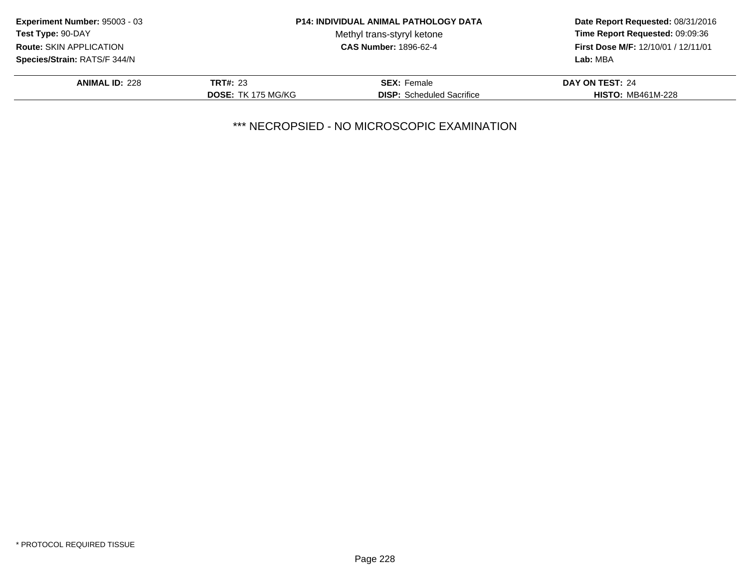| <b>Experiment Number: 95003 - 03</b> |                           | <b>P14: INDIVIDUAL ANIMAL PATHOLOGY DATA</b> | Date Report Requested: 08/31/2016<br>Time Report Requested: 09:09:36 |
|--------------------------------------|---------------------------|----------------------------------------------|----------------------------------------------------------------------|
| Test Type: 90-DAY                    |                           | Methyl trans-styryl ketone                   |                                                                      |
| <b>Route: SKIN APPLICATION</b>       |                           | <b>CAS Number: 1896-62-4</b>                 | First Dose M/F: 12/10/01 / 12/11/01                                  |
| Species/Strain: RATS/F 344/N         |                           |                                              | Lab: MBA                                                             |
| <b>ANIMAL ID: 228</b>                | <b>TRT#: 23</b>           | <b>SEX:</b> Female                           | DAY ON TEST: 24                                                      |
|                                      | <b>DOSE: TK 175 MG/KG</b> | <b>DISP:</b> Scheduled Sacrifice             | <b>HISTO: MB461M-228</b>                                             |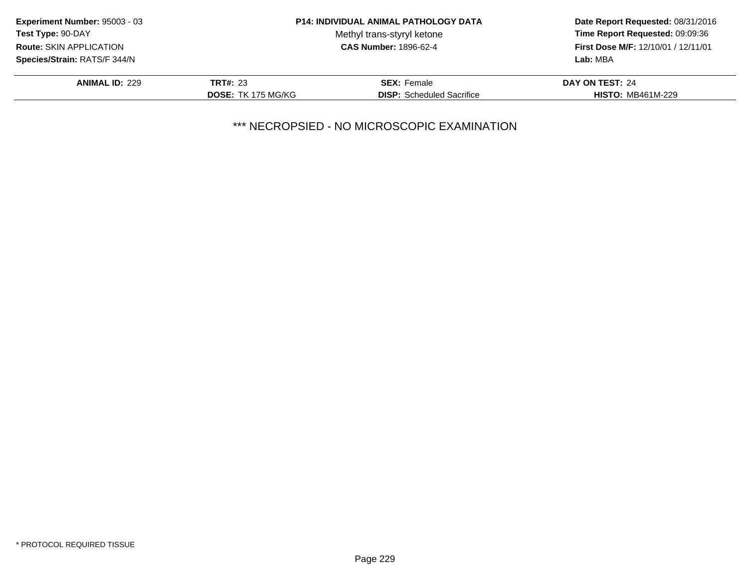| <b>Experiment Number: 95003 - 03</b> |                           | <b>P14: INDIVIDUAL ANIMAL PATHOLOGY DATA</b> | Date Report Requested: 08/31/2016<br>Time Report Requested: 09:09:36 |
|--------------------------------------|---------------------------|----------------------------------------------|----------------------------------------------------------------------|
| Test Type: 90-DAY                    |                           | Methyl trans-styryl ketone                   |                                                                      |
| <b>Route: SKIN APPLICATION</b>       |                           | <b>CAS Number: 1896-62-4</b>                 | First Dose M/F: 12/10/01 / 12/11/01                                  |
| Species/Strain: RATS/F 344/N         |                           |                                              | Lab: MBA                                                             |
| <b>ANIMAL ID: 229</b>                | <b>TRT#: 23</b>           | <b>SEX:</b> Female                           | DAY ON TEST: 24                                                      |
|                                      | <b>DOSE: TK 175 MG/KG</b> | <b>DISP:</b> Scheduled Sacrifice             | <b>HISTO: MB461M-229</b>                                             |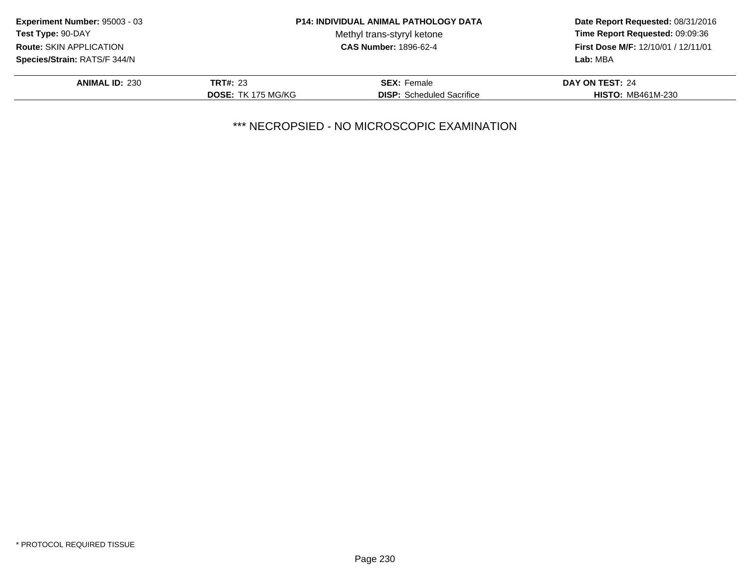| Experiment Number: 95003 - 03  |                           | <b>P14: INDIVIDUAL ANIMAL PATHOLOGY DATA</b> | Date Report Requested: 08/31/2016<br>Time Report Requested: 09:09:36 |
|--------------------------------|---------------------------|----------------------------------------------|----------------------------------------------------------------------|
| Test Type: 90-DAY              |                           | Methyl trans-styryl ketone                   |                                                                      |
| <b>Route: SKIN APPLICATION</b> |                           | <b>CAS Number: 1896-62-4</b>                 | First Dose M/F: 12/10/01 / 12/11/01                                  |
| Species/Strain: RATS/F 344/N   |                           |                                              | Lab: MBA                                                             |
| <b>ANIMAL ID: 230</b>          | <b>TRT#: 23</b>           | <b>SEX:</b> Female                           | DAY ON TEST: 24                                                      |
|                                | <b>DOSE: TK 175 MG/KG</b> | <b>DISP:</b> Scheduled Sacrifice             | <b>HISTO: MB461M-230</b>                                             |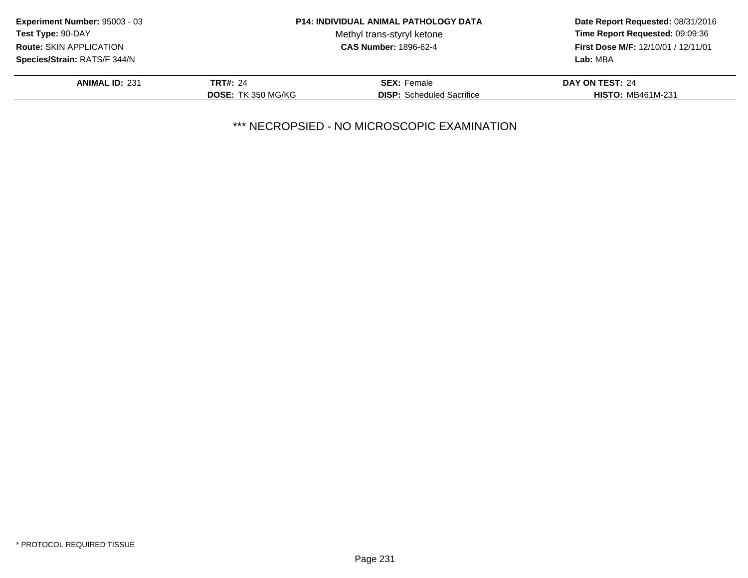| <b>Experiment Number: 95003 - 03</b> |                           | <b>P14: INDIVIDUAL ANIMAL PATHOLOGY DATA</b> | Date Report Requested: 08/31/2016<br>Time Report Requested: 09:09:36<br>First Dose M/F: 12/10/01 / 12/11/01 |
|--------------------------------------|---------------------------|----------------------------------------------|-------------------------------------------------------------------------------------------------------------|
| Test Type: 90-DAY                    |                           | Methyl trans-styryl ketone                   |                                                                                                             |
| Route: SKIN APPLICATION              |                           | <b>CAS Number: 1896-62-4</b>                 |                                                                                                             |
| Species/Strain: RATS/F 344/N         |                           |                                              | Lab: MBA                                                                                                    |
| <b>ANIMAL ID: 231</b>                | <b>TRT#: 24</b>           | <b>SEX:</b> Female                           | DAY ON TEST: 24                                                                                             |
|                                      | <b>DOSE: TK 350 MG/KG</b> | <b>DISP:</b> Scheduled Sacrifice             | <b>HISTO: MB461M-231</b>                                                                                    |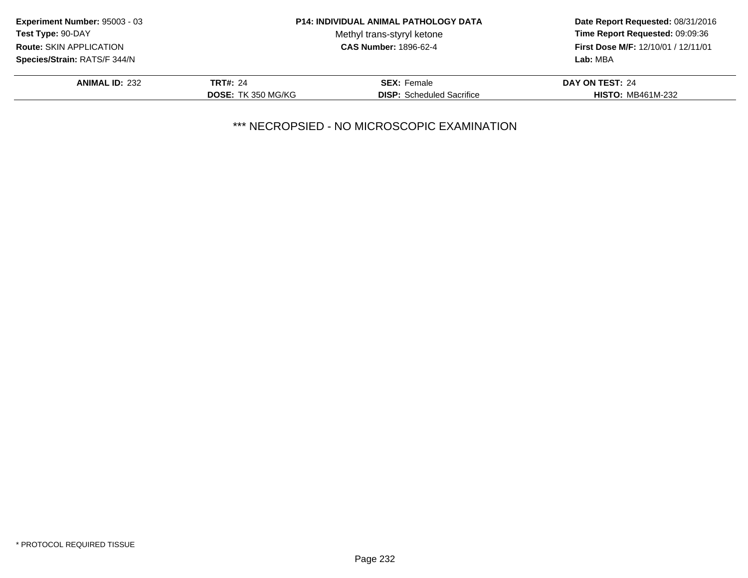| Experiment Number: 95003 - 03  |                           | <b>P14: INDIVIDUAL ANIMAL PATHOLOGY DATA</b> | Date Report Requested: 08/31/2016<br>Time Report Requested: 09:09:36 |
|--------------------------------|---------------------------|----------------------------------------------|----------------------------------------------------------------------|
| Test Type: 90-DAY              |                           | Methyl trans-styryl ketone                   |                                                                      |
| <b>Route: SKIN APPLICATION</b> |                           | <b>CAS Number: 1896-62-4</b>                 | First Dose M/F: 12/10/01 / 12/11/01                                  |
| Species/Strain: RATS/F 344/N   |                           |                                              | Lab: MBA                                                             |
| <b>ANIMAL ID: 232</b>          | <b>TRT#: 24</b>           | <b>SEX: Female</b>                           | DAY ON TEST: 24                                                      |
|                                | <b>DOSE: TK 350 MG/KG</b> | <b>DISP:</b> Scheduled Sacrifice             | <b>HISTO: MB461M-232</b>                                             |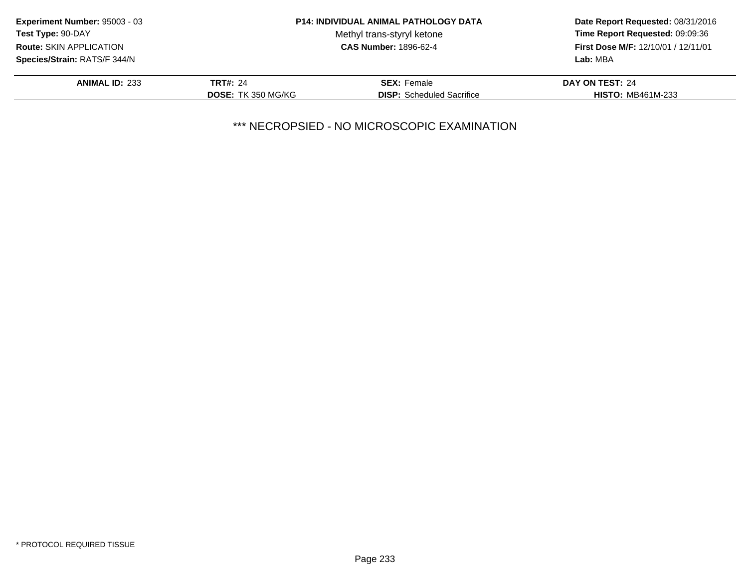| Experiment Number: 95003 - 03  |                           | <b>P14: INDIVIDUAL ANIMAL PATHOLOGY DATA</b> | Date Report Requested: 08/31/2016<br>Time Report Requested: 09:09:36 |
|--------------------------------|---------------------------|----------------------------------------------|----------------------------------------------------------------------|
| Test Type: 90-DAY              |                           | Methyl trans-styryl ketone                   |                                                                      |
| <b>Route: SKIN APPLICATION</b> |                           | <b>CAS Number: 1896-62-4</b>                 | First Dose M/F: 12/10/01 / 12/11/01                                  |
| Species/Strain: RATS/F 344/N   |                           |                                              | Lab: MBA                                                             |
| <b>ANIMAL ID: 233</b>          | <b>TRT#: 24</b>           | <b>SEX: Female</b>                           | DAY ON TEST: 24                                                      |
|                                | <b>DOSE: TK 350 MG/KG</b> | <b>DISP:</b> Scheduled Sacrifice             | <b>HISTO: MB461M-233</b>                                             |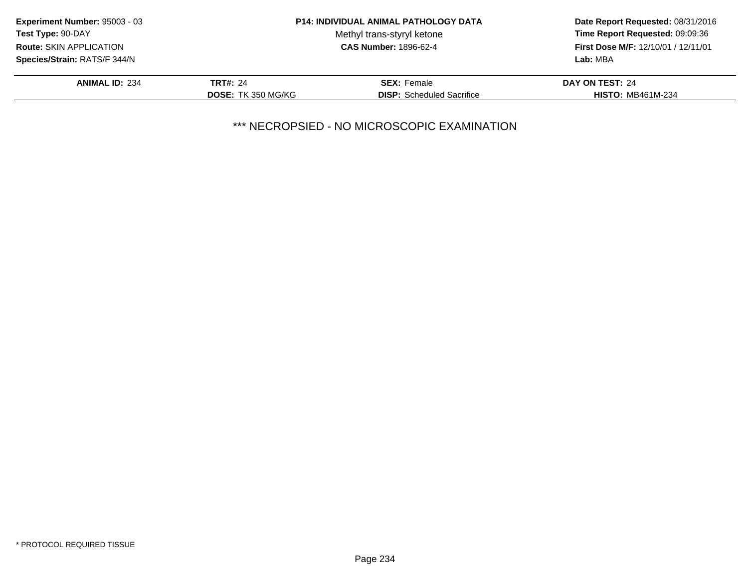| Experiment Number: 95003 - 03  |                           | <b>P14: INDIVIDUAL ANIMAL PATHOLOGY DATA</b> | Date Report Requested: 08/31/2016<br>Time Report Requested: 09:09:36 |
|--------------------------------|---------------------------|----------------------------------------------|----------------------------------------------------------------------|
| Test Type: 90-DAY              |                           | Methyl trans-styryl ketone                   |                                                                      |
| <b>Route: SKIN APPLICATION</b> |                           | <b>CAS Number: 1896-62-4</b>                 | First Dose M/F: 12/10/01 / 12/11/01                                  |
| Species/Strain: RATS/F 344/N   |                           |                                              | Lab: MBA                                                             |
| <b>ANIMAL ID: 234</b>          | <b>TRT#: 24</b>           | <b>SEX:</b> Female                           | DAY ON TEST: 24                                                      |
|                                | <b>DOSE: TK 350 MG/KG</b> | <b>DISP:</b> Scheduled Sacrifice             | <b>HISTO: MB461M-234</b>                                             |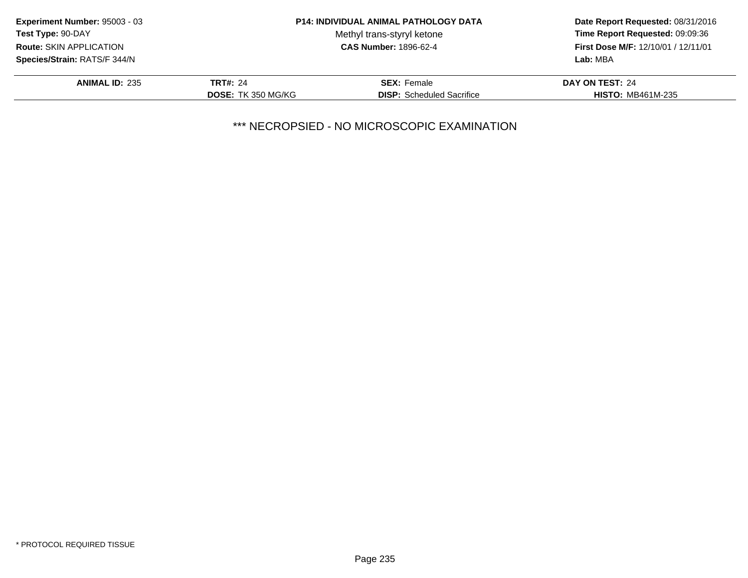| Experiment Number: 95003 - 03  |                           | <b>P14: INDIVIDUAL ANIMAL PATHOLOGY DATA</b> | Date Report Requested: 08/31/2016<br>Time Report Requested: 09:09:36 |
|--------------------------------|---------------------------|----------------------------------------------|----------------------------------------------------------------------|
| Test Type: 90-DAY              |                           | Methyl trans-styryl ketone                   |                                                                      |
| <b>Route: SKIN APPLICATION</b> |                           | <b>CAS Number: 1896-62-4</b>                 | First Dose M/F: 12/10/01 / 12/11/01                                  |
| Species/Strain: RATS/F 344/N   |                           |                                              | Lab: MBA                                                             |
| <b>ANIMAL ID: 235</b>          | <b>TRT#: 24</b>           | <b>SEX: Female</b>                           | DAY ON TEST: 24                                                      |
|                                | <b>DOSE: TK 350 MG/KG</b> | <b>DISP:</b> Scheduled Sacrifice             | <b>HISTO: MB461M-235</b>                                             |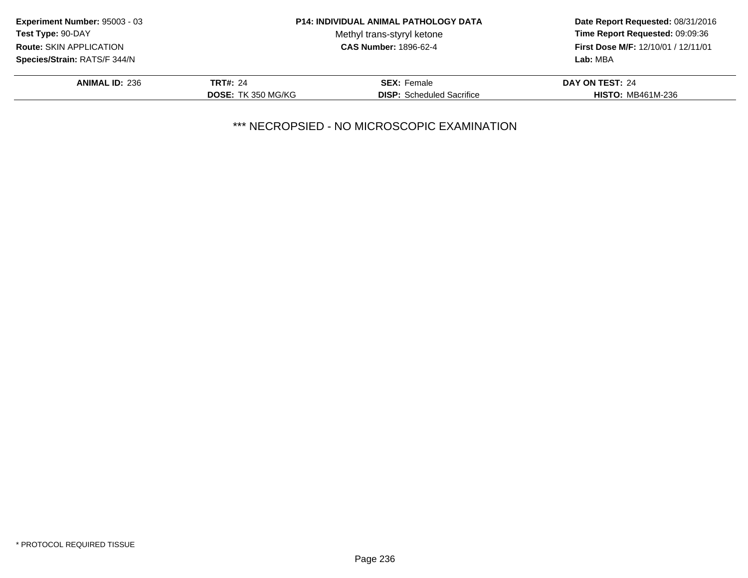| Experiment Number: 95003 - 03  |                           | <b>P14: INDIVIDUAL ANIMAL PATHOLOGY DATA</b> | Date Report Requested: 08/31/2016<br>Time Report Requested: 09:09:36 |
|--------------------------------|---------------------------|----------------------------------------------|----------------------------------------------------------------------|
| Test Type: 90-DAY              |                           | Methyl trans-styryl ketone                   |                                                                      |
| <b>Route: SKIN APPLICATION</b> |                           | <b>CAS Number: 1896-62-4</b>                 | First Dose M/F: 12/10/01 / 12/11/01                                  |
| Species/Strain: RATS/F 344/N   |                           |                                              | Lab: MBA                                                             |
| <b>ANIMAL ID: 236</b>          | <b>TRT#: 24</b>           | <b>SEX: Female</b>                           | DAY ON TEST: 24                                                      |
|                                | <b>DOSE: TK 350 MG/KG</b> | <b>DISP:</b> Scheduled Sacrifice             | <b>HISTO: MB461M-236</b>                                             |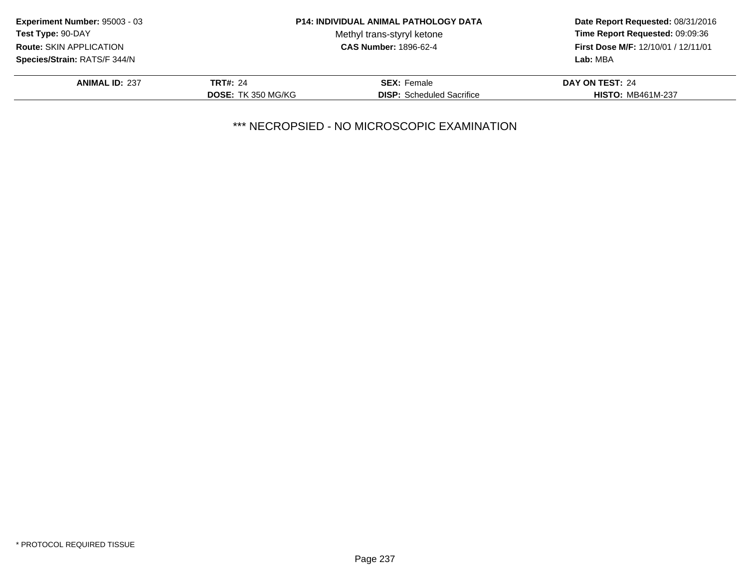| Experiment Number: 95003 - 03  | <b>P14: INDIVIDUAL ANIMAL PATHOLOGY DATA</b> |                                  | Date Report Requested: 08/31/2016                                             |
|--------------------------------|----------------------------------------------|----------------------------------|-------------------------------------------------------------------------------|
| Test Type: 90-DAY              |                                              | Methyl trans-styryl ketone       | Time Report Requested: 09:09:36<br><b>First Dose M/F: 12/10/01 / 12/11/01</b> |
| <b>Route: SKIN APPLICATION</b> |                                              | <b>CAS Number: 1896-62-4</b>     |                                                                               |
| Species/Strain: RATS/F 344/N   |                                              |                                  | Lab: MBA                                                                      |
| <b>ANIMAL ID: 237</b>          | <b>TRT#: 24</b>                              | <b>SEX: Female</b>               | DAY ON TEST: 24                                                               |
|                                | <b>DOSE: TK 350 MG/KG</b>                    | <b>DISP:</b> Scheduled Sacrifice | <b>HISTO: MB461M-237</b>                                                      |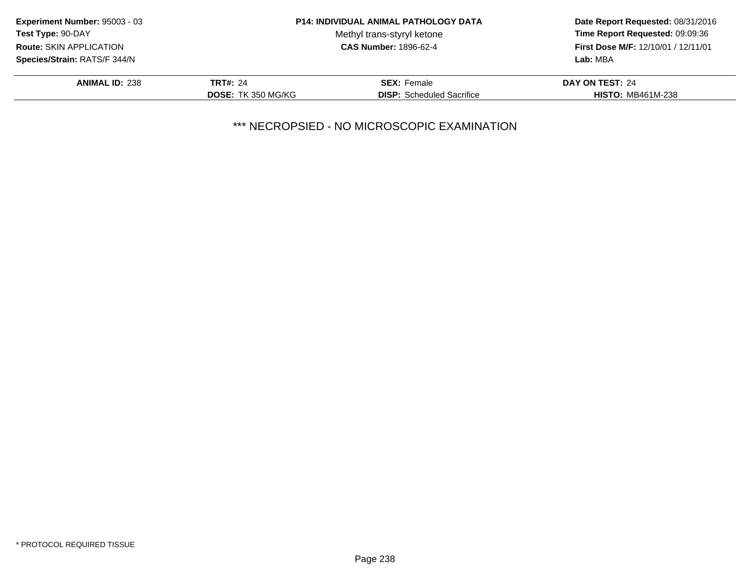| Experiment Number: 95003 - 03  |                           | <b>P14: INDIVIDUAL ANIMAL PATHOLOGY DATA</b> | Date Report Requested: 08/31/2016<br>Time Report Requested: 09:09:36 |
|--------------------------------|---------------------------|----------------------------------------------|----------------------------------------------------------------------|
| Test Type: 90-DAY              |                           | Methyl trans-styryl ketone                   |                                                                      |
| <b>Route: SKIN APPLICATION</b> |                           | <b>CAS Number: 1896-62-4</b>                 | First Dose M/F: 12/10/01 / 12/11/01                                  |
| Species/Strain: RATS/F 344/N   |                           |                                              | Lab: MBA                                                             |
| <b>ANIMAL ID: 238</b>          | <b>TRT#: 24</b>           | <b>SEX: Female</b>                           | DAY ON TEST: 24                                                      |
|                                | <b>DOSE: TK 350 MG/KG</b> | <b>DISP:</b> Scheduled Sacrifice             | <b>HISTO: MB461M-238</b>                                             |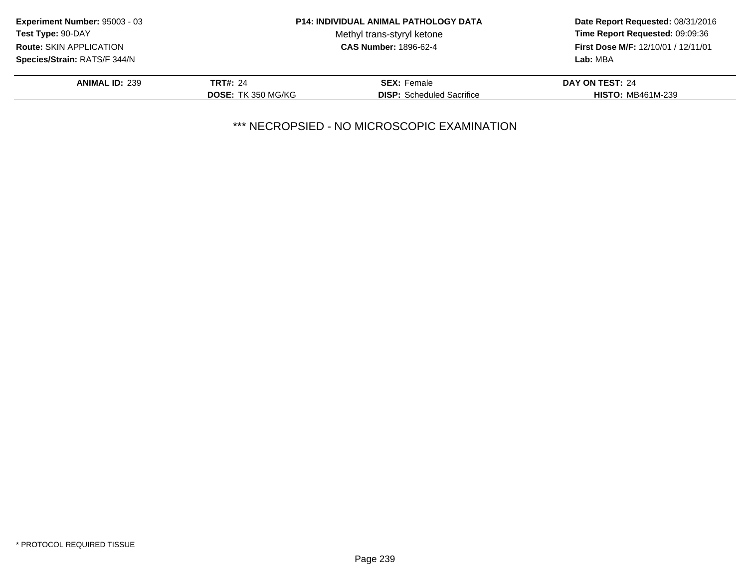| Experiment Number: 95003 - 03  |                           | <b>P14: INDIVIDUAL ANIMAL PATHOLOGY DATA</b> | Date Report Requested: 08/31/2016<br>Time Report Requested: 09:09:36 |
|--------------------------------|---------------------------|----------------------------------------------|----------------------------------------------------------------------|
| Test Type: 90-DAY              |                           | Methyl trans-styryl ketone                   |                                                                      |
| <b>Route: SKIN APPLICATION</b> |                           | <b>CAS Number: 1896-62-4</b>                 | First Dose M/F: 12/10/01 / 12/11/01                                  |
| Species/Strain: RATS/F 344/N   |                           |                                              | Lab: MBA                                                             |
| <b>ANIMAL ID: 239</b>          | <b>TRT#: 24</b>           | <b>SEX: Female</b>                           | DAY ON TEST: 24                                                      |
|                                | <b>DOSE: TK 350 MG/KG</b> | <b>DISP:</b> Scheduled Sacrifice             | <b>HISTO: MB461M-239</b>                                             |